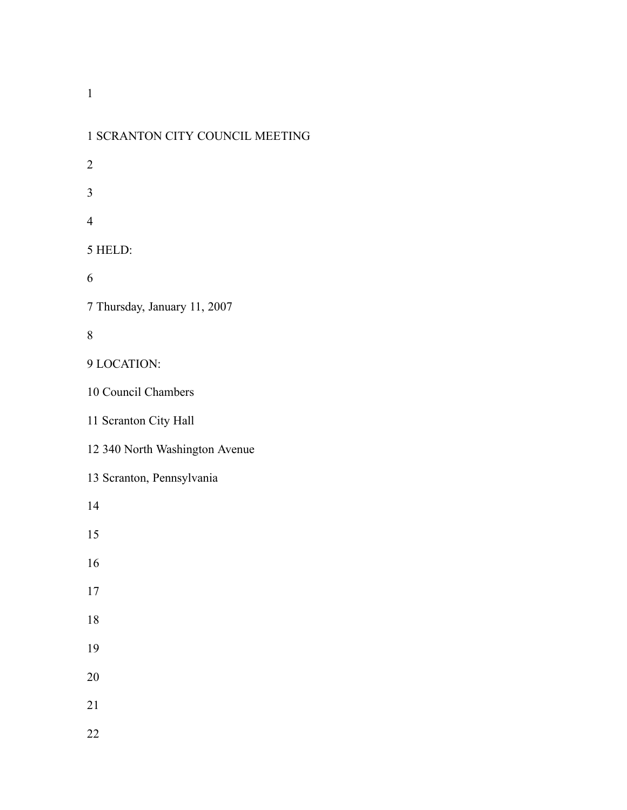| 1 SCRANTON CITY COUNCIL MEETING |
|---------------------------------|
| $\overline{c}$                  |
| $\overline{3}$                  |
| $\overline{4}$                  |
| 5 HELD:                         |
| 6                               |
| 7 Thursday, January 11, 2007    |
| 8                               |
| 9 LOCATION:                     |
| 10 Council Chambers             |
| 11 Scranton City Hall           |
| 12 340 North Washington Avenue  |
| 13 Scranton, Pennsylvania       |
| 14                              |
| 15                              |
| 16                              |
| 17                              |
| 18                              |
| 19                              |
| 20                              |
| 21                              |
| 22                              |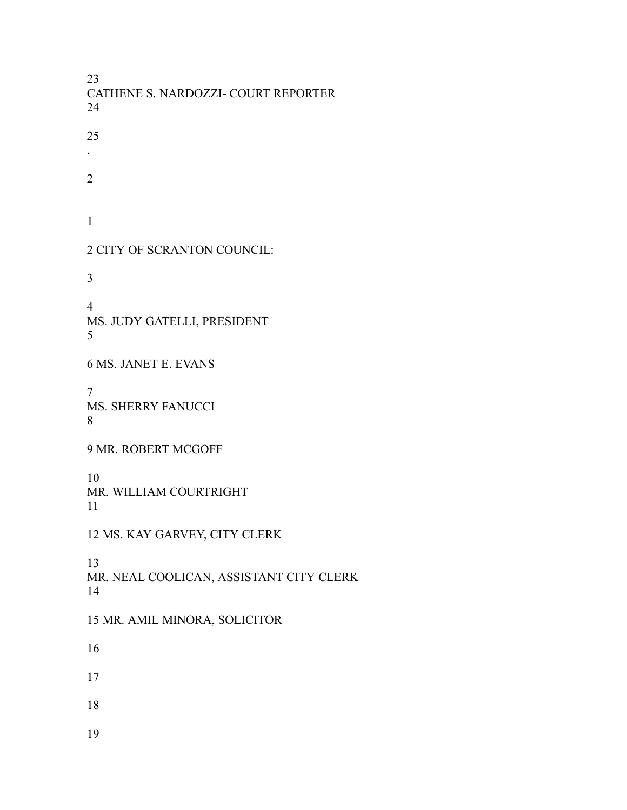CATHENE S. NARDOZZI- COURT REPORTER . CITY OF SCRANTON COUNCIL: MS. JUDY GATELLI, PRESIDENT MS. JANET E. EVANS MS. SHERRY FANUCCI MR. ROBERT MCGOFF MR. WILLIAM COURTRIGHT MS. KAY GARVEY, CITY CLERK MR. NEAL COOLICAN, ASSISTANT CITY CLERK MR. AMIL MINORA, SOLICITOR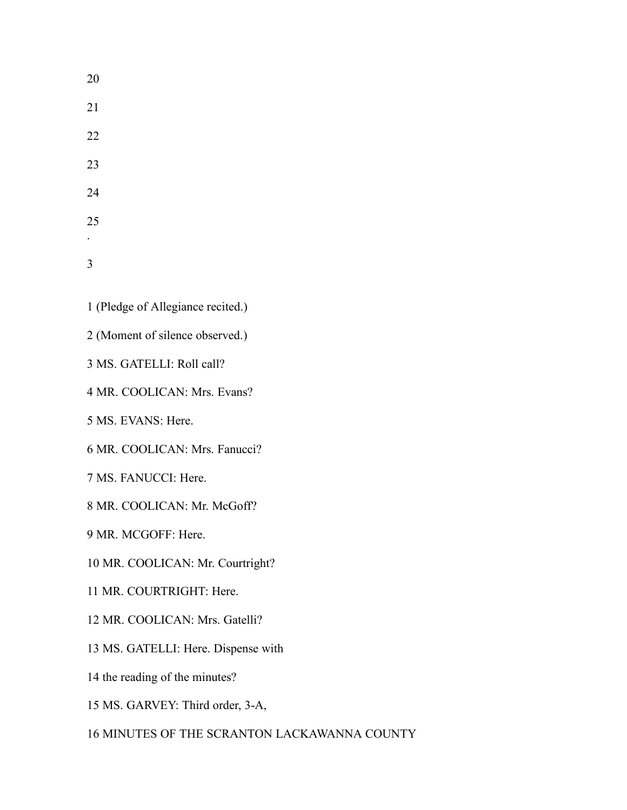- (Pledge of Allegiance recited.)
- (Moment of silence observed.)
- MS. GATELLI: Roll call?
- MR. COOLICAN: Mrs. Evans?
- MS. EVANS: Here.
- MR. COOLICAN: Mrs. Fanucci?
- MS. FANUCCI: Here.
- MR. COOLICAN: Mr. McGoff?
- MR. MCGOFF: Here.
- MR. COOLICAN: Mr. Courtright?
- MR. COURTRIGHT: Here.
- MR. COOLICAN: Mrs. Gatelli?
- MS. GATELLI: Here. Dispense with
- the reading of the minutes?
- MS. GARVEY: Third order, 3-A,
- MINUTES OF THE SCRANTON LACKAWANNA COUNTY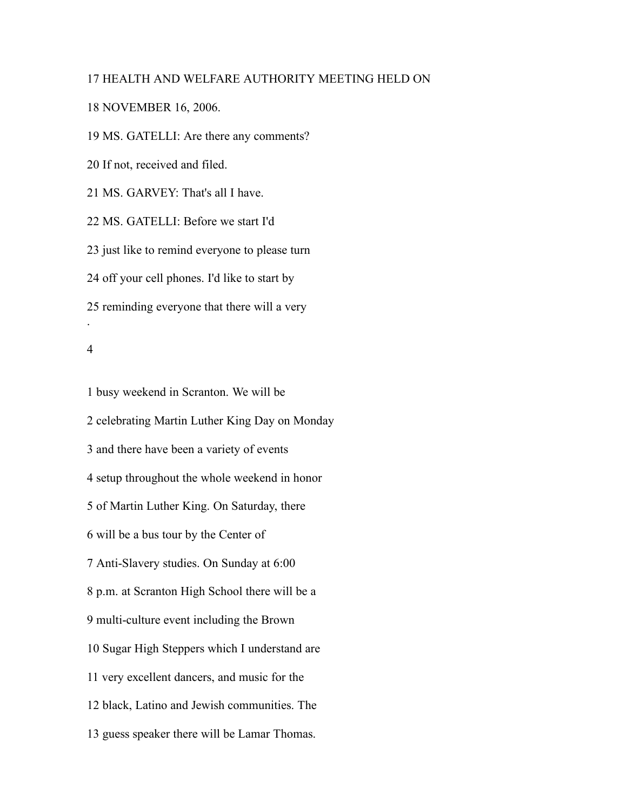# HEALTH AND WELFARE AUTHORITY MEETING HELD ON

## NOVEMBER 16, 2006.

MS. GATELLI: Are there any comments?

If not, received and filed.

MS. GARVEY: That's all I have.

MS. GATELLI: Before we start I'd

just like to remind everyone to please turn

off your cell phones. I'd like to start by

reminding everyone that there will a very

### 

.

 busy weekend in Scranton. We will be celebrating Martin Luther King Day on Monday and there have been a variety of events setup throughout the whole weekend in honor of Martin Luther King. On Saturday, there will be a bus tour by the Center of Anti-Slavery studies. On Sunday at 6:00 p.m. at Scranton High School there will be a multi-culture event including the Brown Sugar High Steppers which I understand are very excellent dancers, and music for the black, Latino and Jewish communities. The guess speaker there will be Lamar Thomas.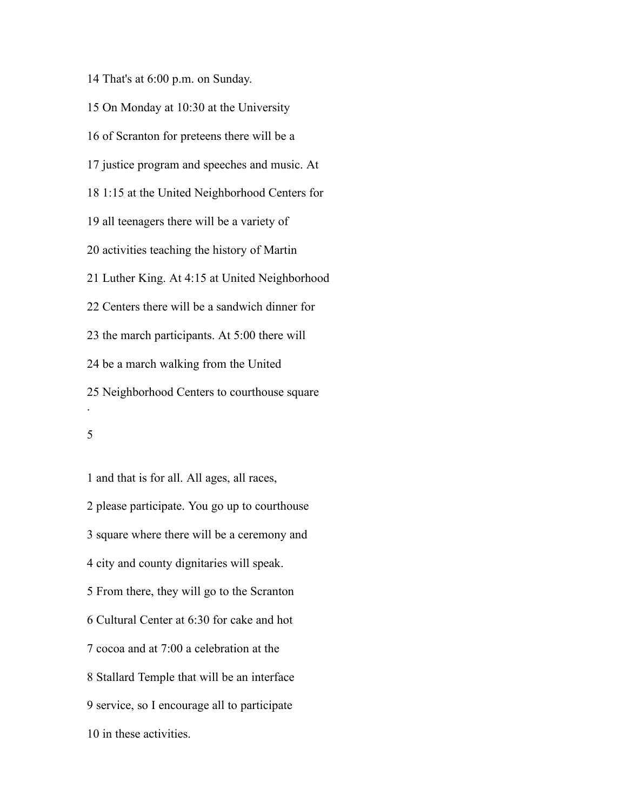That's at 6:00 p.m. on Sunday. On Monday at 10:30 at the University of Scranton for preteens there will be a justice program and speeches and music. At 1:15 at the United Neighborhood Centers for all teenagers there will be a variety of activities teaching the history of Martin Luther King. At 4:15 at United Neighborhood Centers there will be a sandwich dinner for the march participants. At 5:00 there will be a march walking from the United Neighborhood Centers to courthouse square .

 and that is for all. All ages, all races, please participate. You go up to courthouse square where there will be a ceremony and city and county dignitaries will speak. From there, they will go to the Scranton Cultural Center at 6:30 for cake and hot cocoa and at 7:00 a celebration at the Stallard Temple that will be an interface service, so I encourage all to participate in these activities.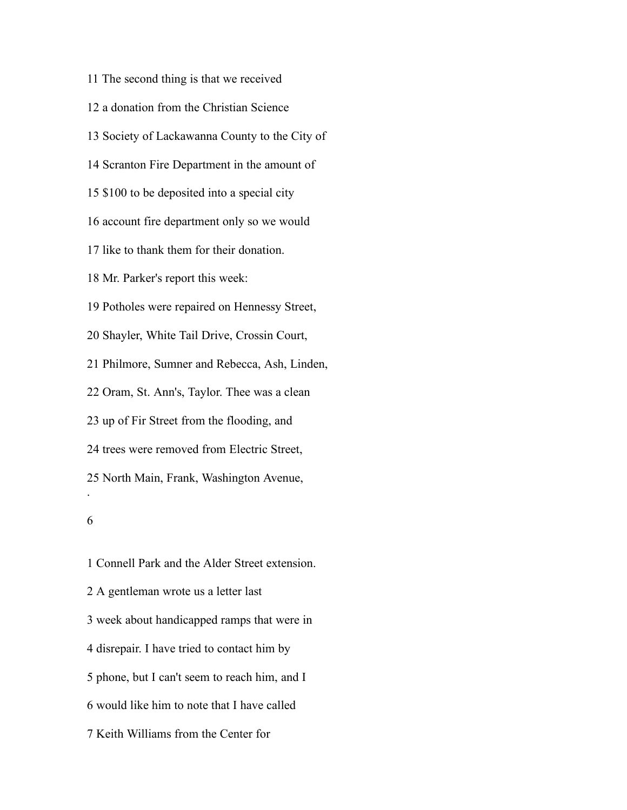The second thing is that we received a donation from the Christian Science Society of Lackawanna County to the City of Scranton Fire Department in the amount of \$100 to be deposited into a special city account fire department only so we would like to thank them for their donation. Mr. Parker's report this week: Potholes were repaired on Hennessy Street, Shayler, White Tail Drive, Crossin Court, Philmore, Sumner and Rebecca, Ash, Linden, Oram, St. Ann's, Taylor. Thee was a clean up of Fir Street from the flooding, and trees were removed from Electric Street, North Main, Frank, Washington Avenue, . 

 Connell Park and the Alder Street extension. A gentleman wrote us a letter last week about handicapped ramps that were in disrepair. I have tried to contact him by phone, but I can't seem to reach him, and I would like him to note that I have called Keith Williams from the Center for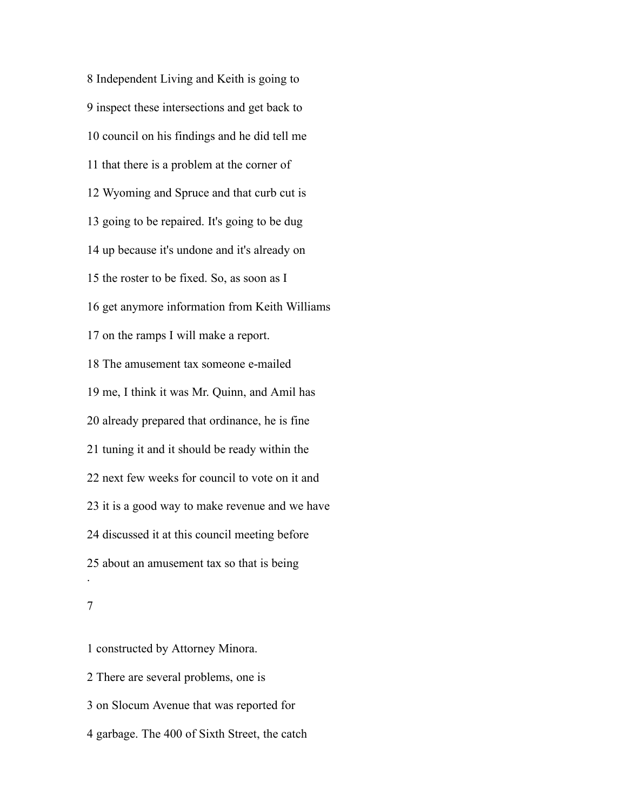Independent Living and Keith is going to inspect these intersections and get back to council on his findings and he did tell me that there is a problem at the corner of Wyoming and Spruce and that curb cut is going to be repaired. It's going to be dug up because it's undone and it's already on the roster to be fixed. So, as soon as I get anymore information from Keith Williams on the ramps I will make a report. The amusement tax someone e-mailed me, I think it was Mr. Quinn, and Amil has already prepared that ordinance, he is fine tuning it and it should be ready within the next few weeks for council to vote on it and it is a good way to make revenue and we have discussed it at this council meeting before about an amusement tax so that is being .

 constructed by Attorney Minora. There are several problems, one is on Slocum Avenue that was reported for

garbage. The 400 of Sixth Street, the catch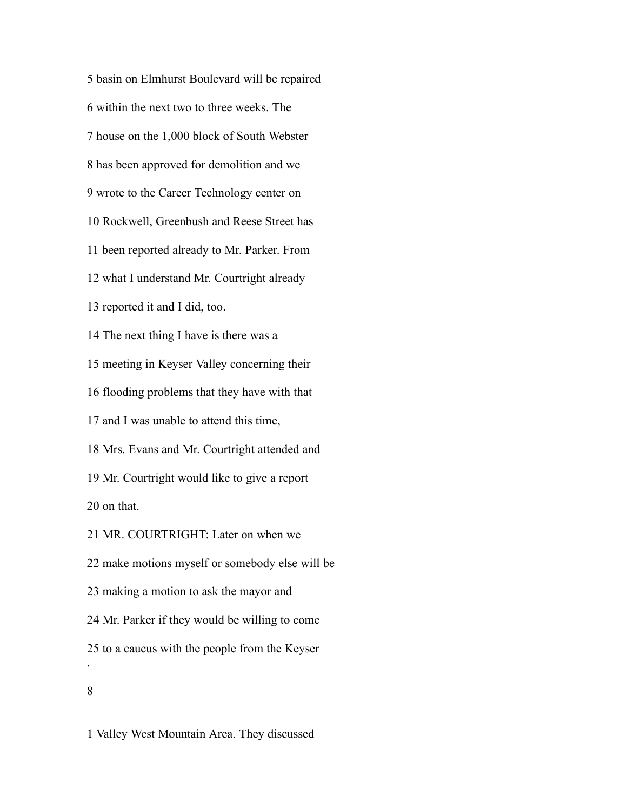basin on Elmhurst Boulevard will be repaired within the next two to three weeks. The house on the 1,000 block of South Webster has been approved for demolition and we wrote to the Career Technology center on Rockwell, Greenbush and Reese Street has been reported already to Mr. Parker. From what I understand Mr. Courtright already reported it and I did, too. The next thing I have is there was a meeting in Keyser Valley concerning their flooding problems that they have with that and I was unable to attend this time, Mrs. Evans and Mr. Courtright attended and Mr. Courtright would like to give a report on that. MR. COURTRIGHT: Later on when we make motions myself or somebody else will be making a motion to ask the mayor and Mr. Parker if they would be willing to come to a caucus with the people from the Keyser . 

Valley West Mountain Area. They discussed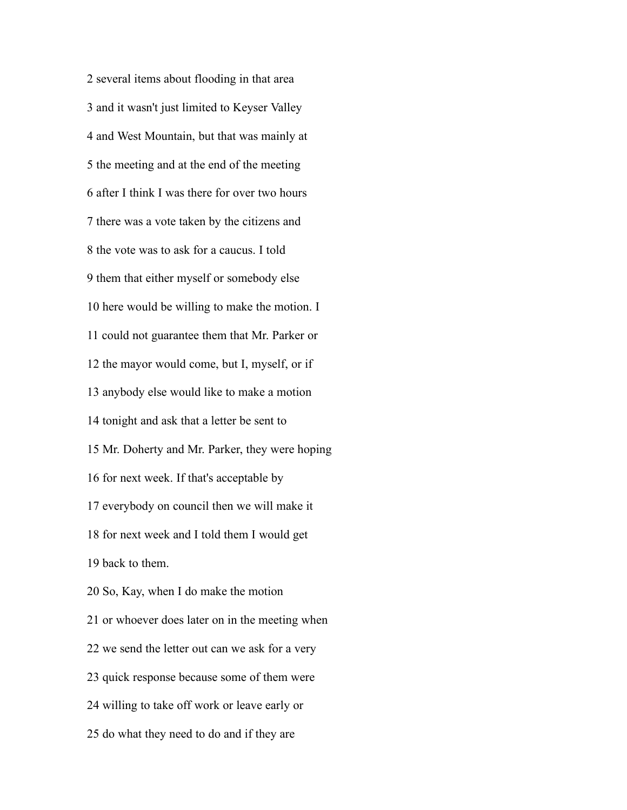several items about flooding in that area and it wasn't just limited to Keyser Valley and West Mountain, but that was mainly at the meeting and at the end of the meeting after I think I was there for over two hours there was a vote taken by the citizens and the vote was to ask for a caucus. I told them that either myself or somebody else here would be willing to make the motion. I could not guarantee them that Mr. Parker or the mayor would come, but I, myself, or if anybody else would like to make a motion tonight and ask that a letter be sent to Mr. Doherty and Mr. Parker, they were hoping for next week. If that's acceptable by everybody on council then we will make it for next week and I told them I would get back to them. So, Kay, when I do make the motion or whoever does later on in the meeting when we send the letter out can we ask for a very quick response because some of them were willing to take off work or leave early or do what they need to do and if they are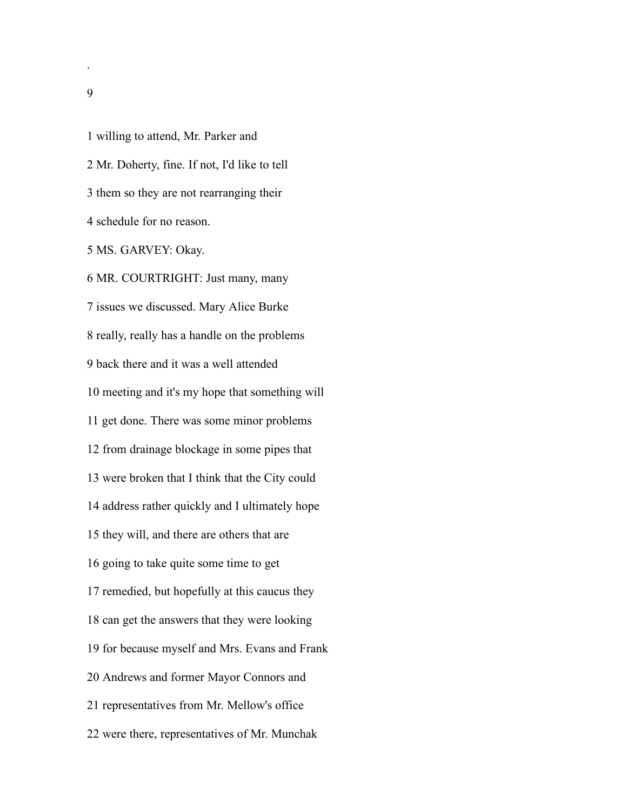willing to attend, Mr. Parker and Mr. Doherty, fine. If not, I'd like to tell them so they are not rearranging their schedule for no reason. MS. GARVEY: Okay. MR. COURTRIGHT: Just many, many issues we discussed. Mary Alice Burke really, really has a handle on the problems back there and it was a well attended meeting and it's my hope that something will get done. There was some minor problems from drainage blockage in some pipes that were broken that I think that the City could address rather quickly and I ultimately hope they will, and there are others that are going to take quite some time to get remedied, but hopefully at this caucus they can get the answers that they were looking for because myself and Mrs. Evans and Frank Andrews and former Mayor Connors and representatives from Mr. Mellow's office were there, representatives of Mr. Munchak

.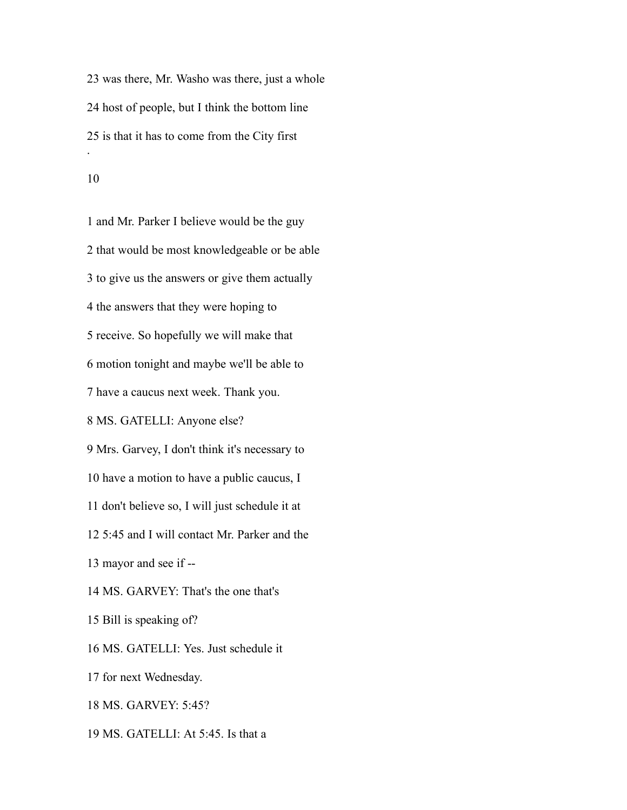was there, Mr. Washo was there, just a whole host of people, but I think the bottom line is that it has to come from the City first .

 and Mr. Parker I believe would be the guy that would be most knowledgeable or be able to give us the answers or give them actually the answers that they were hoping to receive. So hopefully we will make that motion tonight and maybe we'll be able to have a caucus next week. Thank you. MS. GATELLI: Anyone else? Mrs. Garvey, I don't think it's necessary to have a motion to have a public caucus, I don't believe so, I will just schedule it at 5:45 and I will contact Mr. Parker and the mayor and see if -- MS. GARVEY: That's the one that's Bill is speaking of? MS. GATELLI: Yes. Just schedule it for next Wednesday. MS. GARVEY: 5:45?

MS. GATELLI: At 5:45. Is that a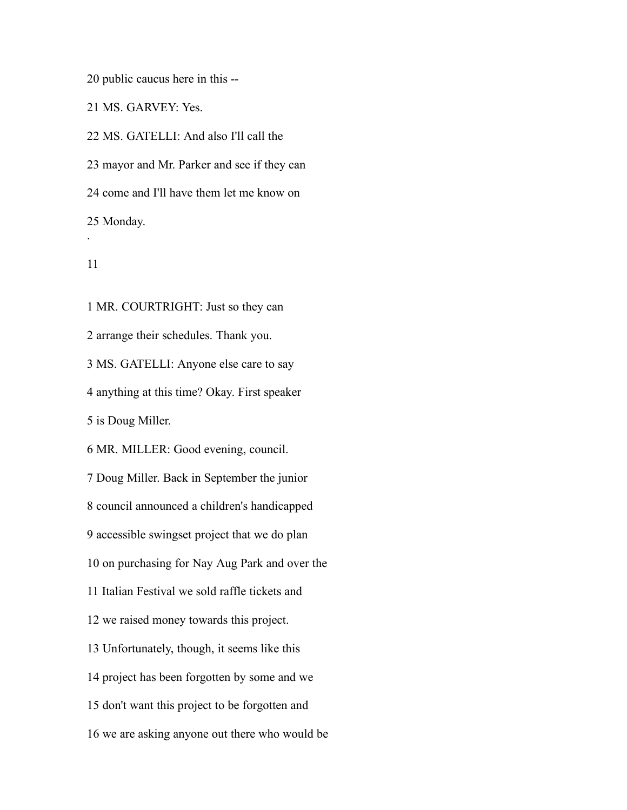public caucus here in this --

MS. GARVEY: Yes.

 MS. GATELLI: And also I'll call the mayor and Mr. Parker and see if they can come and I'll have them let me know on Monday. .

 MR. COURTRIGHT: Just so they can arrange their schedules. Thank you. MS. GATELLI: Anyone else care to say anything at this time? Okay. First speaker is Doug Miller. MR. MILLER: Good evening, council. Doug Miller. Back in September the junior council announced a children's handicapped accessible swingset project that we do plan on purchasing for Nay Aug Park and over the Italian Festival we sold raffle tickets and we raised money towards this project. Unfortunately, though, it seems like this project has been forgotten by some and we don't want this project to be forgotten and we are asking anyone out there who would be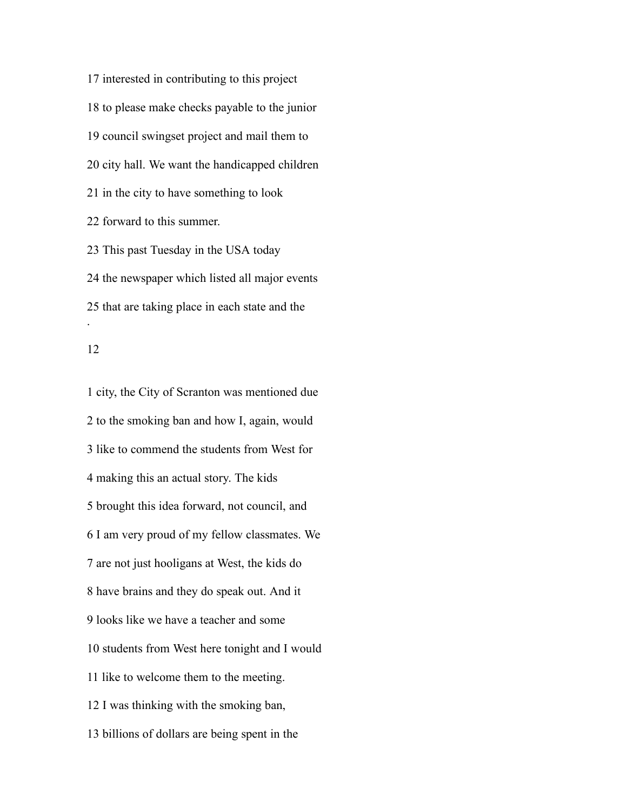interested in contributing to this project to please make checks payable to the junior council swingset project and mail them to city hall. We want the handicapped children in the city to have something to look forward to this summer. This past Tuesday in the USA today the newspaper which listed all major events that are taking place in each state and the .

 city, the City of Scranton was mentioned due to the smoking ban and how I, again, would like to commend the students from West for making this an actual story. The kids brought this idea forward, not council, and I am very proud of my fellow classmates. We are not just hooligans at West, the kids do have brains and they do speak out. And it looks like we have a teacher and some students from West here tonight and I would like to welcome them to the meeting. I was thinking with the smoking ban, billions of dollars are being spent in the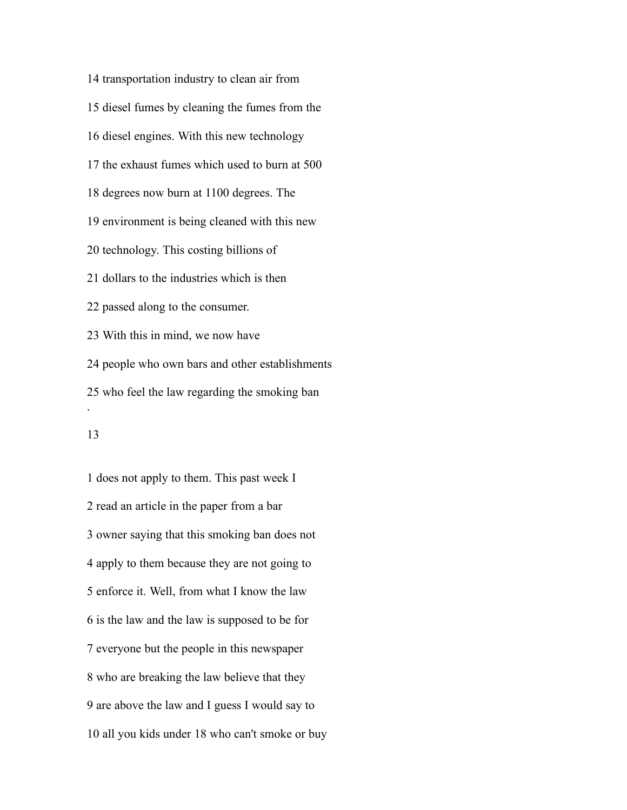transportation industry to clean air from diesel fumes by cleaning the fumes from the diesel engines. With this new technology the exhaust fumes which used to burn at 500 degrees now burn at 1100 degrees. The environment is being cleaned with this new technology. This costing billions of dollars to the industries which is then passed along to the consumer. With this in mind, we now have people who own bars and other establishments who feel the law regarding the smoking ban .

## 

 does not apply to them. This past week I read an article in the paper from a bar owner saying that this smoking ban does not apply to them because they are not going to enforce it. Well, from what I know the law is the law and the law is supposed to be for everyone but the people in this newspaper who are breaking the law believe that they are above the law and I guess I would say to all you kids under 18 who can't smoke or buy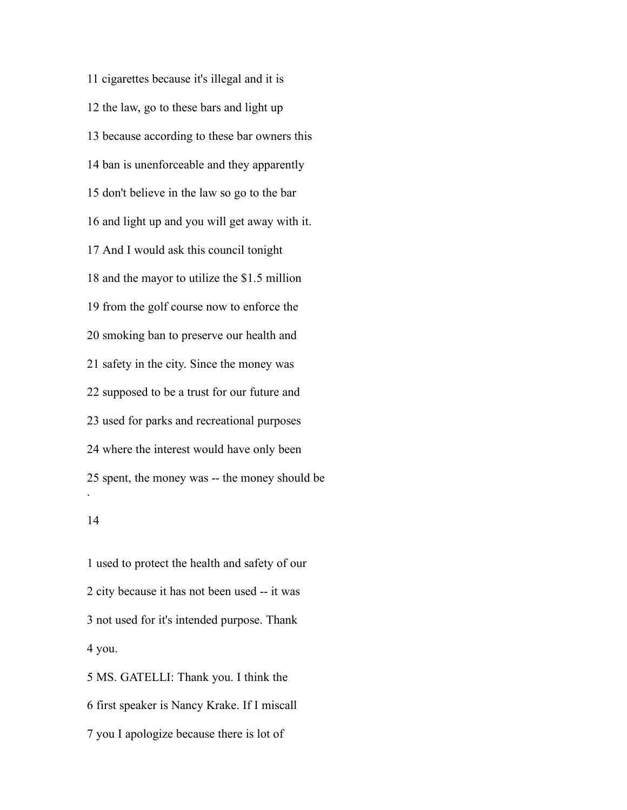cigarettes because it's illegal and it is the law, go to these bars and light up because according to these bar owners this ban is unenforceable and they apparently don't believe in the law so go to the bar and light up and you will get away with it. And I would ask this council tonight and the mayor to utilize the \$1.5 million from the golf course now to enforce the smoking ban to preserve our health and safety in the city. Since the money was supposed to be a trust for our future and used for parks and recreational purposes where the interest would have only been spent, the money was -- the money should be . 

 used to protect the health and safety of our city because it has not been used -- it was not used for it's intended purpose. Thank you.

 MS. GATELLI: Thank you. I think the first speaker is Nancy Krake. If I miscall you I apologize because there is lot of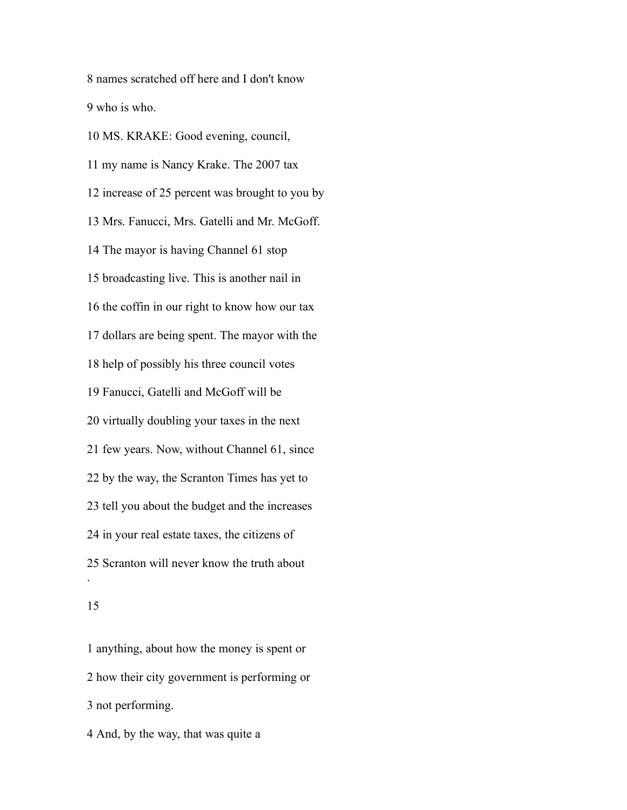names scratched off here and I don't know who is who.

 MS. KRAKE: Good evening, council, my name is Nancy Krake. The 2007 tax increase of 25 percent was brought to you by Mrs. Fanucci, Mrs. Gatelli and Mr. McGoff. The mayor is having Channel 61 stop broadcasting live. This is another nail in the coffin in our right to know how our tax dollars are being spent. The mayor with the help of possibly his three council votes Fanucci, Gatelli and McGoff will be virtually doubling your taxes in the next few years. Now, without Channel 61, since by the way, the Scranton Times has yet to tell you about the budget and the increases in your real estate taxes, the citizens of Scranton will never know the truth about .

 anything, about how the money is spent or how their city government is performing or not performing.

And, by the way, that was quite a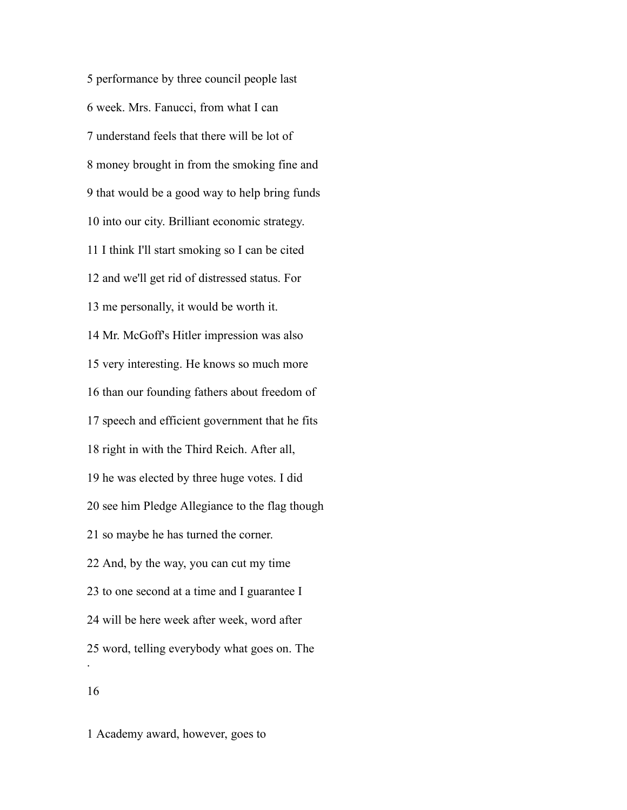performance by three council people last week. Mrs. Fanucci, from what I can understand feels that there will be lot of money brought in from the smoking fine and that would be a good way to help bring funds into our city. Brilliant economic strategy. I think I'll start smoking so I can be cited and we'll get rid of distressed status. For me personally, it would be worth it. Mr. McGoff's Hitler impression was also very interesting. He knows so much more than our founding fathers about freedom of speech and efficient government that he fits right in with the Third Reich. After all, he was elected by three huge votes. I did see him Pledge Allegiance to the flag though so maybe he has turned the corner. And, by the way, you can cut my time to one second at a time and I guarantee I will be here week after week, word after word, telling everybody what goes on. The . 

Academy award, however, goes to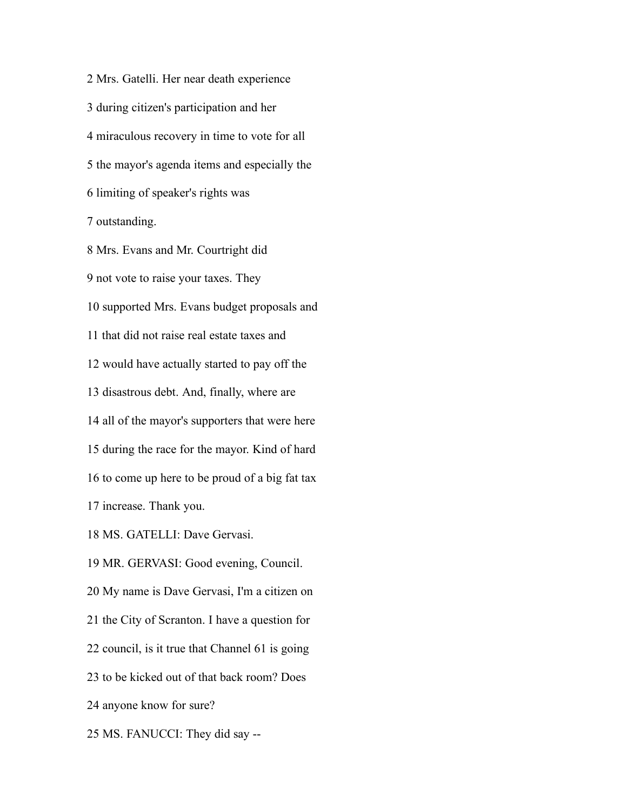Mrs. Gatelli. Her near death experience during citizen's participation and her miraculous recovery in time to vote for all the mayor's agenda items and especially the limiting of speaker's rights was outstanding.

 Mrs. Evans and Mr. Courtright did not vote to raise your taxes. They supported Mrs. Evans budget proposals and that did not raise real estate taxes and would have actually started to pay off the disastrous debt. And, finally, where are all of the mayor's supporters that were here during the race for the mayor. Kind of hard to come up here to be proud of a big fat tax increase. Thank you. MS. GATELLI: Dave Gervasi. MR. GERVASI: Good evening, Council. My name is Dave Gervasi, I'm a citizen on the City of Scranton. I have a question for

council, is it true that Channel 61 is going

to be kicked out of that back room? Does

anyone know for sure?

MS. FANUCCI: They did say --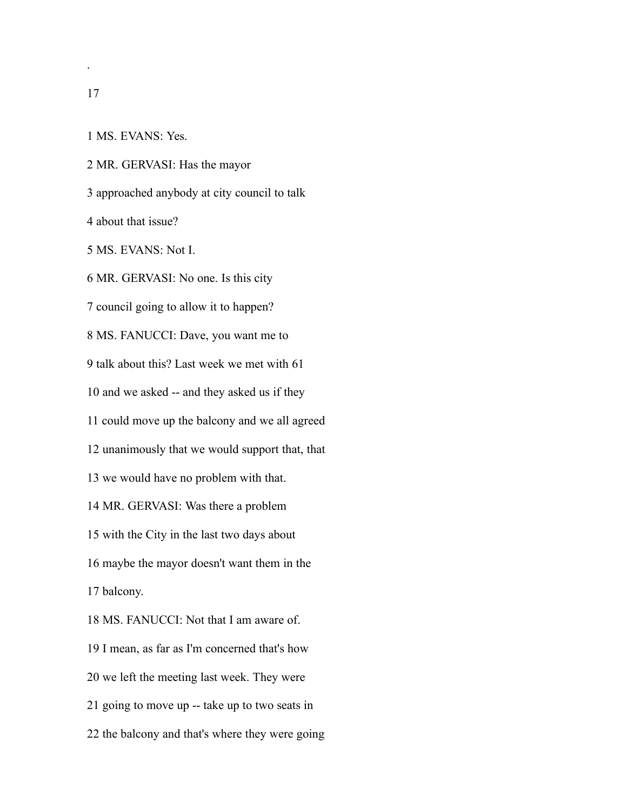.

MS. EVANS: Yes.

MR. GERVASI: Has the mayor

approached anybody at city council to talk

about that issue?

MS. EVANS: Not I.

MR. GERVASI: No one. Is this city

council going to allow it to happen?

MS. FANUCCI: Dave, you want me to

talk about this? Last week we met with 61

and we asked -- and they asked us if they

could move up the balcony and we all agreed

unanimously that we would support that, that

we would have no problem with that.

MR. GERVASI: Was there a problem

with the City in the last two days about

maybe the mayor doesn't want them in the

balcony.

MS. FANUCCI: Not that I am aware of.

I mean, as far as I'm concerned that's how

we left the meeting last week. They were

going to move up -- take up to two seats in

the balcony and that's where they were going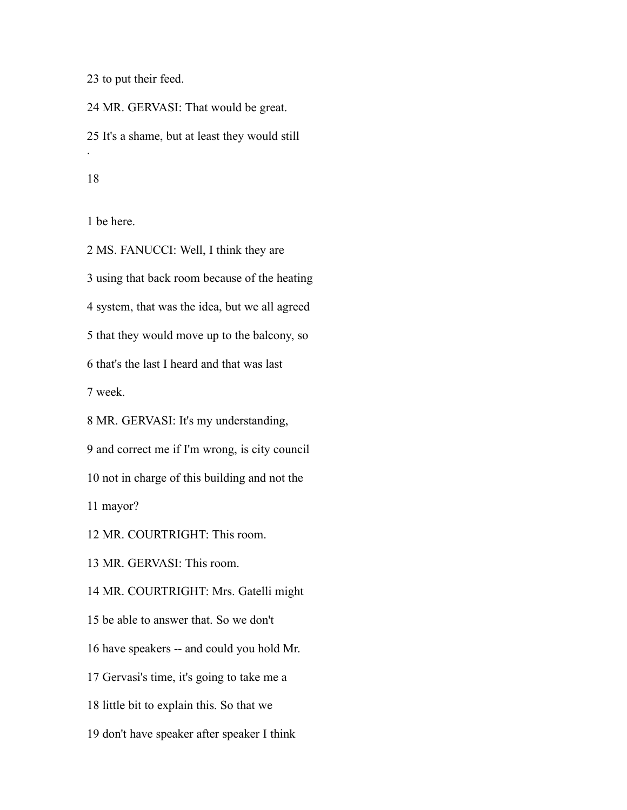to put their feed.

 MR. GERVASI: That would be great. It's a shame, but at least they would still .

be here.

 MS. FANUCCI: Well, I think they are using that back room because of the heating system, that was the idea, but we all agreed that they would move up to the balcony, so that's the last I heard and that was last week. MR. GERVASI: It's my understanding, and correct me if I'm wrong, is city council not in charge of this building and not the mayor?

MR. COURTRIGHT: This room.

MR. GERVASI: This room.

MR. COURTRIGHT: Mrs. Gatelli might

be able to answer that. So we don't

have speakers -- and could you hold Mr.

Gervasi's time, it's going to take me a

little bit to explain this. So that we

don't have speaker after speaker I think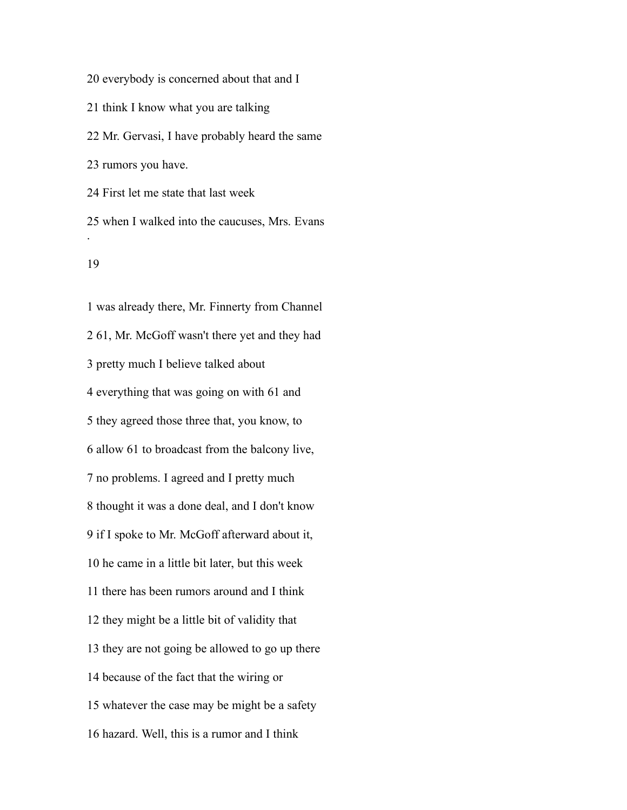everybody is concerned about that and I think I know what you are talking Mr. Gervasi, I have probably heard the same rumors you have. First let me state that last week

 when I walked into the caucuses, Mrs. Evans .

 was already there, Mr. Finnerty from Channel 61, Mr. McGoff wasn't there yet and they had pretty much I believe talked about everything that was going on with 61 and they agreed those three that, you know, to allow 61 to broadcast from the balcony live, no problems. I agreed and I pretty much thought it was a done deal, and I don't know if I spoke to Mr. McGoff afterward about it, he came in a little bit later, but this week there has been rumors around and I think they might be a little bit of validity that they are not going be allowed to go up there because of the fact that the wiring or whatever the case may be might be a safety hazard. Well, this is a rumor and I think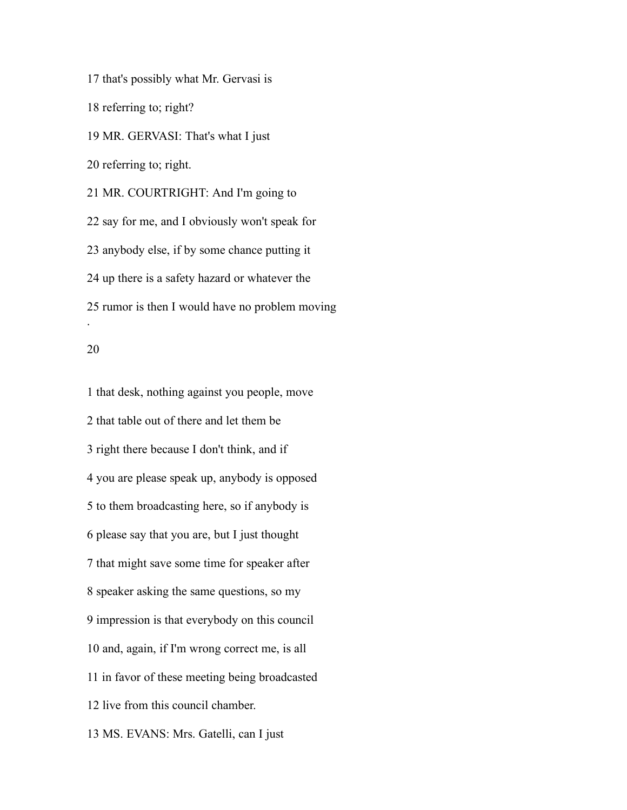that's possibly what Mr. Gervasi is referring to; right? MR. GERVASI: That's what I just referring to; right. MR. COURTRIGHT: And I'm going to say for me, and I obviously won't speak for anybody else, if by some chance putting it up there is a safety hazard or whatever the rumor is then I would have no problem moving .

 that desk, nothing against you people, move that table out of there and let them be right there because I don't think, and if you are please speak up, anybody is opposed to them broadcasting here, so if anybody is please say that you are, but I just thought that might save some time for speaker after speaker asking the same questions, so my impression is that everybody on this council and, again, if I'm wrong correct me, is all in favor of these meeting being broadcasted live from this council chamber. MS. EVANS: Mrs. Gatelli, can I just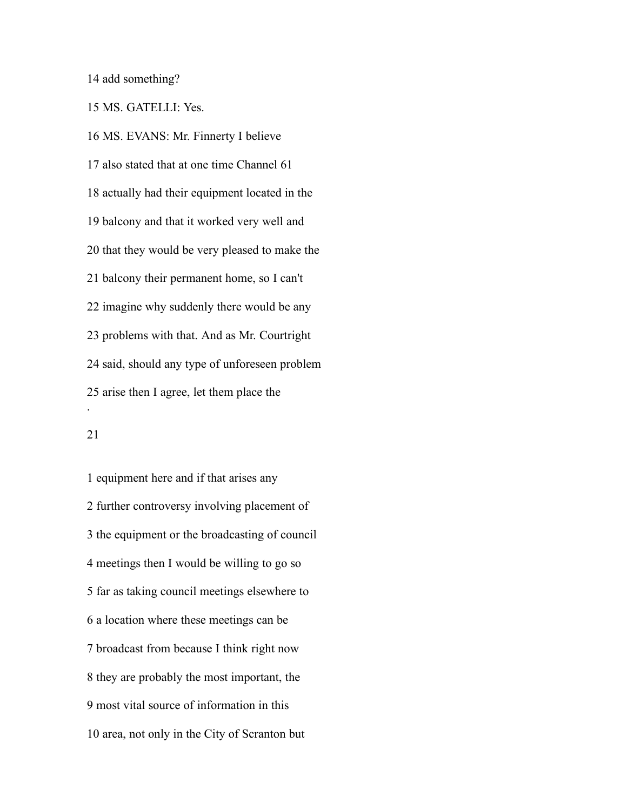add something?

MS. GATELLI: Yes.

 MS. EVANS: Mr. Finnerty I believe also stated that at one time Channel 61 actually had their equipment located in the balcony and that it worked very well and that they would be very pleased to make the balcony their permanent home, so I can't imagine why suddenly there would be any problems with that. And as Mr. Courtright said, should any type of unforeseen problem arise then I agree, let them place the .

## 

 equipment here and if that arises any further controversy involving placement of the equipment or the broadcasting of council meetings then I would be willing to go so far as taking council meetings elsewhere to a location where these meetings can be broadcast from because I think right now they are probably the most important, the most vital source of information in this area, not only in the City of Scranton but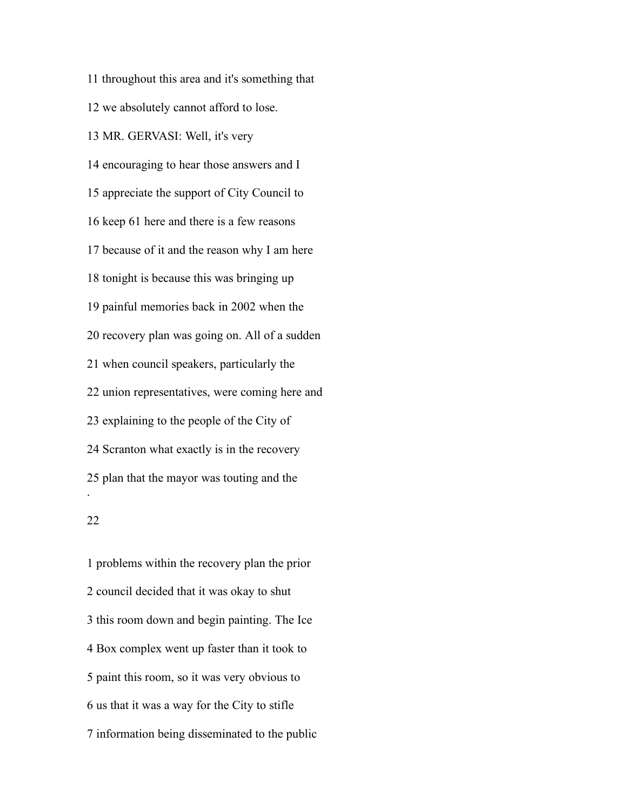throughout this area and it's something that we absolutely cannot afford to lose. MR. GERVASI: Well, it's very encouraging to hear those answers and I appreciate the support of City Council to keep 61 here and there is a few reasons because of it and the reason why I am here tonight is because this was bringing up painful memories back in 2002 when the recovery plan was going on. All of a sudden when council speakers, particularly the union representatives, were coming here and explaining to the people of the City of Scranton what exactly is in the recovery plan that the mayor was touting and the . 

 problems within the recovery plan the prior council decided that it was okay to shut this room down and begin painting. The Ice Box complex went up faster than it took to paint this room, so it was very obvious to us that it was a way for the City to stifle information being disseminated to the public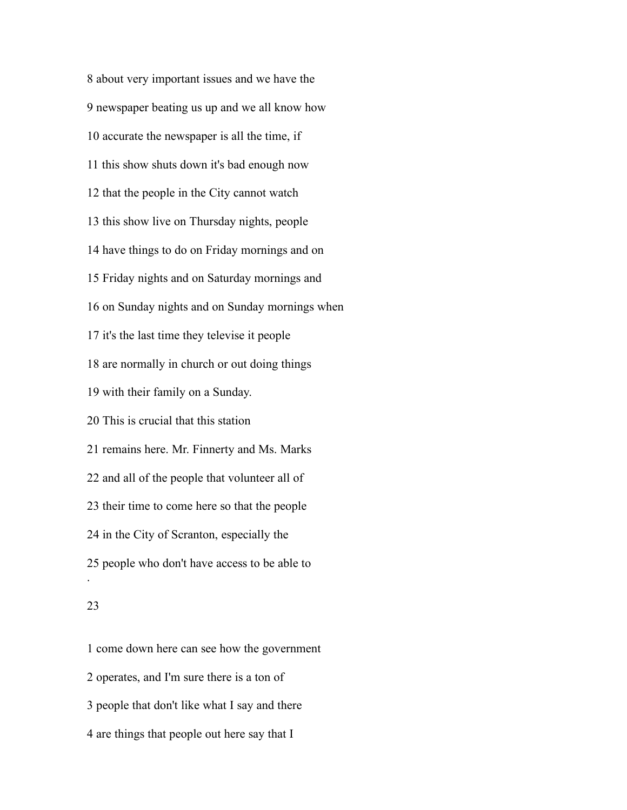about very important issues and we have the newspaper beating us up and we all know how accurate the newspaper is all the time, if this show shuts down it's bad enough now that the people in the City cannot watch this show live on Thursday nights, people have things to do on Friday mornings and on Friday nights and on Saturday mornings and on Sunday nights and on Sunday mornings when it's the last time they televise it people are normally in church or out doing things with their family on a Sunday. This is crucial that this station remains here. Mr. Finnerty and Ms. Marks and all of the people that volunteer all of their time to come here so that the people in the City of Scranton, especially the people who don't have access to be able to .

# 

 come down here can see how the government operates, and I'm sure there is a ton of people that don't like what I say and there are things that people out here say that I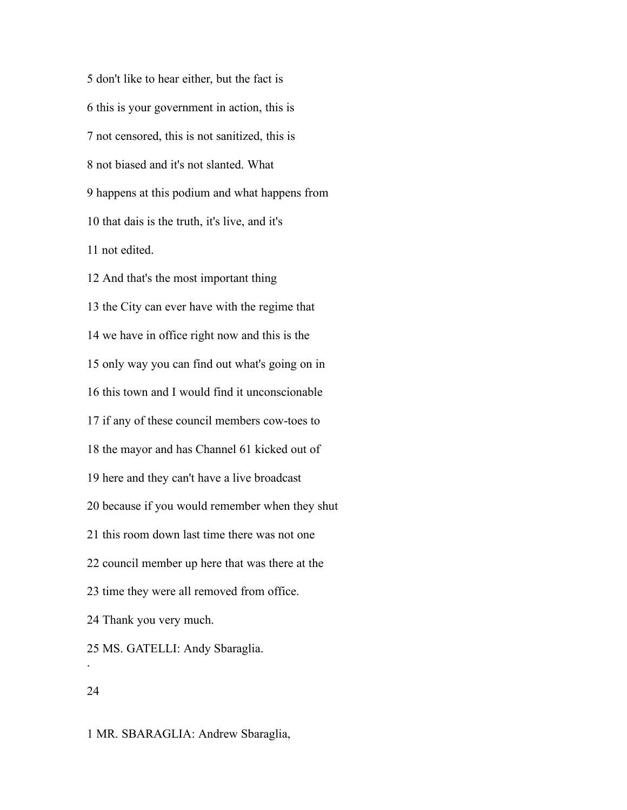don't like to hear either, but the fact is this is your government in action, this is not censored, this is not sanitized, this is not biased and it's not slanted. What happens at this podium and what happens from that dais is the truth, it's live, and it's not edited.

 And that's the most important thing the City can ever have with the regime that we have in office right now and this is the only way you can find out what's going on in this town and I would find it unconscionable if any of these council members cow-toes to the mayor and has Channel 61 kicked out of here and they can't have a live broadcast because if you would remember when they shut this room down last time there was not one council member up here that was there at the time they were all removed from office. Thank you very much. MS. GATELLI: Andy Sbaraglia. .

# 

MR. SBARAGLIA: Andrew Sbaraglia,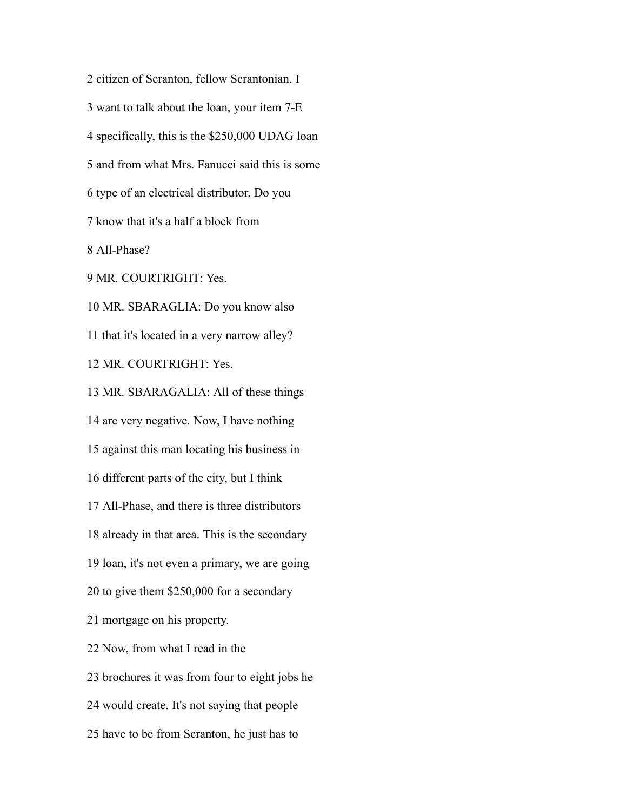citizen of Scranton, fellow Scrantonian. I want to talk about the loan, your item 7-E specifically, this is the \$250,000 UDAG loan and from what Mrs. Fanucci said this is some type of an electrical distributor. Do you know that it's a half a block from All-Phase? MR. COURTRIGHT: Yes. MR. SBARAGLIA: Do you know also that it's located in a very narrow alley? MR. COURTRIGHT: Yes. MR. SBARAGALIA: All of these things are very negative. Now, I have nothing against this man locating his business in different parts of the city, but I think All-Phase, and there is three distributors already in that area. This is the secondary loan, it's not even a primary, we are going to give them \$250,000 for a secondary mortgage on his property. Now, from what I read in the brochures it was from four to eight jobs he would create. It's not saying that people have to be from Scranton, he just has to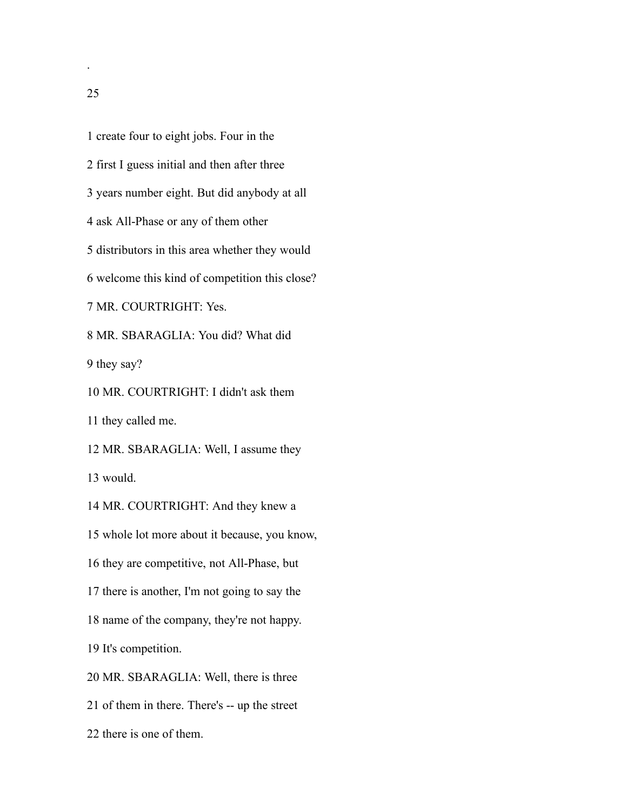create four to eight jobs. Four in the first I guess initial and then after three years number eight. But did anybody at all ask All-Phase or any of them other distributors in this area whether they would welcome this kind of competition this close? MR. COURTRIGHT: Yes. MR. SBARAGLIA: You did? What did they say? MR. COURTRIGHT: I didn't ask them they called me. MR. SBARAGLIA: Well, I assume they would. MR. COURTRIGHT: And they knew a whole lot more about it because, you know, they are competitive, not All-Phase, but there is another, I'm not going to say the name of the company, they're not happy. It's competition. MR. SBARAGLIA: Well, there is three of them in there. There's -- up the street there is one of them.

.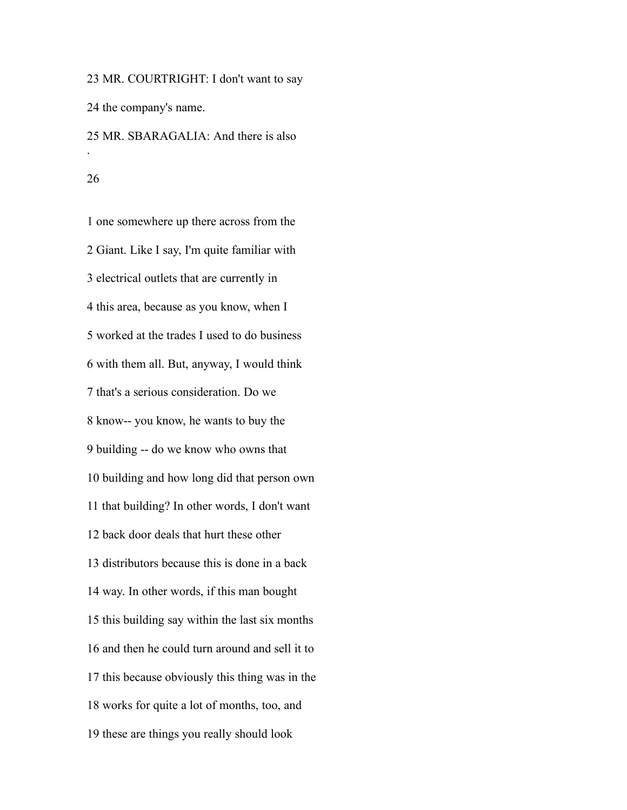MR. COURTRIGHT: I don't want to say the company's name. MR. SBARAGALIA: And there is also .

#### 

 one somewhere up there across from the Giant. Like I say, I'm quite familiar with electrical outlets that are currently in this area, because as you know, when I worked at the trades I used to do business with them all. But, anyway, I would think that's a serious consideration. Do we know-- you know, he wants to buy the building -- do we know who owns that building and how long did that person own that building? In other words, I don't want back door deals that hurt these other distributors because this is done in a back way. In other words, if this man bought this building say within the last six months and then he could turn around and sell it to this because obviously this thing was in the works for quite a lot of months, too, and these are things you really should look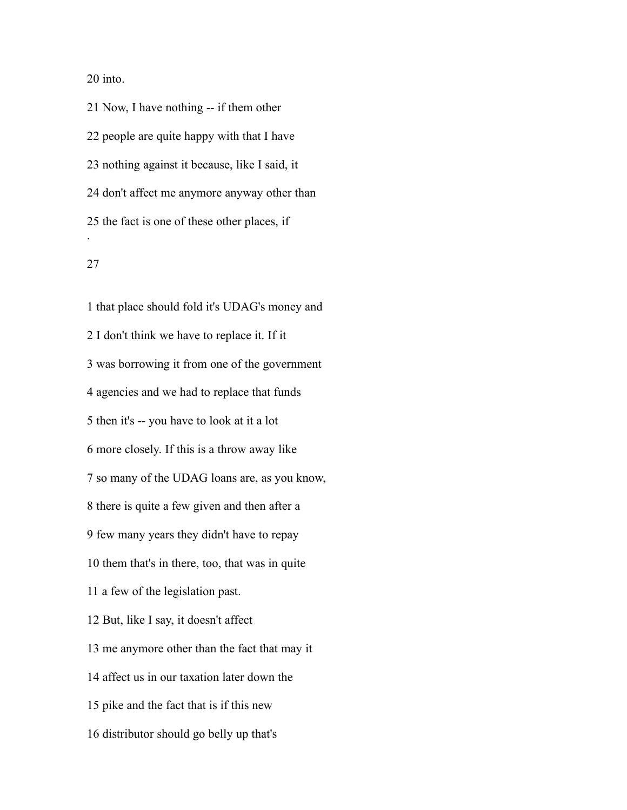into.

 Now, I have nothing -- if them other people are quite happy with that I have nothing against it because, like I said, it don't affect me anymore anyway other than the fact is one of these other places, if .

# 

 that place should fold it's UDAG's money and I don't think we have to replace it. If it was borrowing it from one of the government agencies and we had to replace that funds then it's -- you have to look at it a lot more closely. If this is a throw away like so many of the UDAG loans are, as you know, there is quite a few given and then after a few many years they didn't have to repay them that's in there, too, that was in quite a few of the legislation past. But, like I say, it doesn't affect me anymore other than the fact that may it affect us in our taxation later down the pike and the fact that is if this new distributor should go belly up that's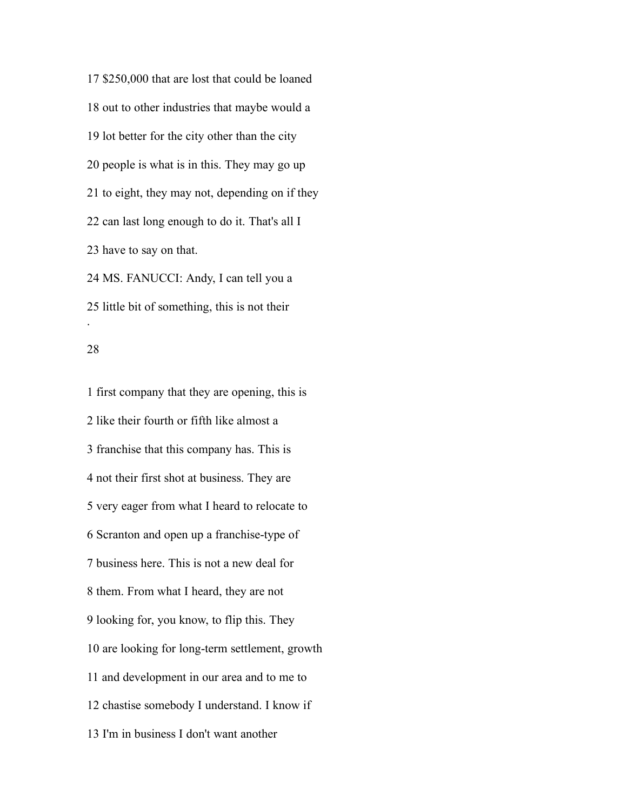\$250,000 that are lost that could be loaned out to other industries that maybe would a lot better for the city other than the city people is what is in this. They may go up to eight, they may not, depending on if they can last long enough to do it. That's all I have to say on that. MS. FANUCCI: Andy, I can tell you a little bit of something, this is not their .

## 

 first company that they are opening, this is like their fourth or fifth like almost a franchise that this company has. This is not their first shot at business. They are very eager from what I heard to relocate to Scranton and open up a franchise-type of business here. This is not a new deal for them. From what I heard, they are not looking for, you know, to flip this. They are looking for long-term settlement, growth and development in our area and to me to chastise somebody I understand. I know if I'm in business I don't want another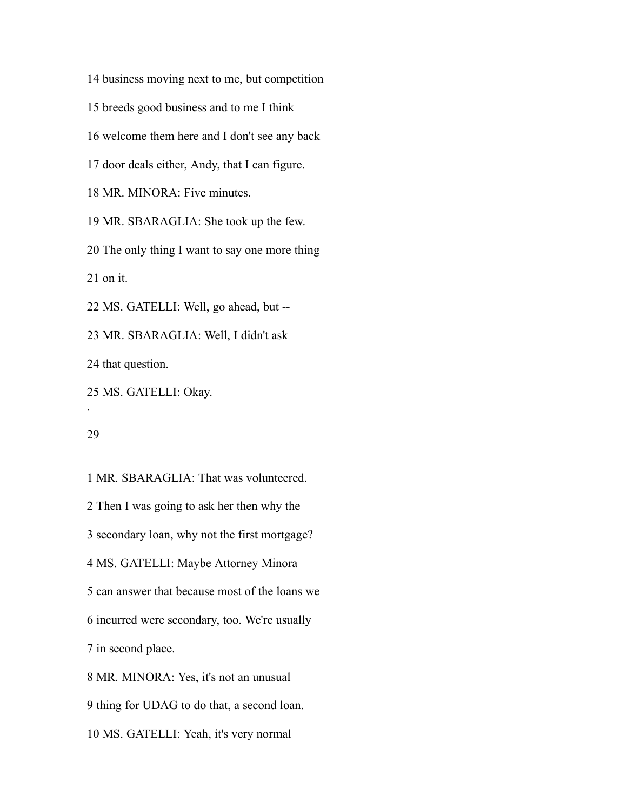business moving next to me, but competition

breeds good business and to me I think

welcome them here and I don't see any back

door deals either, Andy, that I can figure.

MR. MINORA: Five minutes.

MR. SBARAGLIA: She took up the few.

The only thing I want to say one more thing

on it.

MS. GATELLI: Well, go ahead, but --

MR. SBARAGLIA: Well, I didn't ask

that question.

MS. GATELLI: Okay.

.

 MR. SBARAGLIA: That was volunteered. Then I was going to ask her then why the secondary loan, why not the first mortgage? MS. GATELLI: Maybe Attorney Minora can answer that because most of the loans we incurred were secondary, too. We're usually in second place. MR. MINORA: Yes, it's not an unusual thing for UDAG to do that, a second loan.

MS. GATELLI: Yeah, it's very normal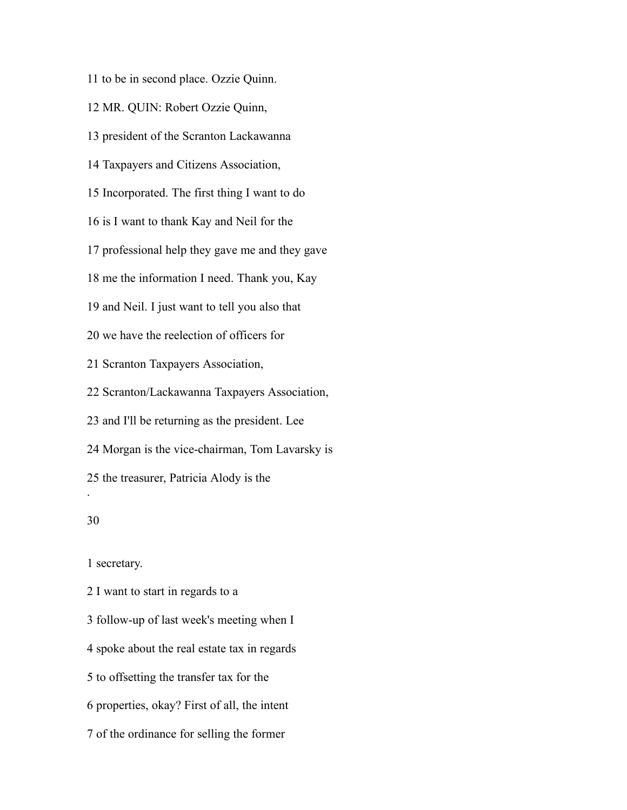to be in second place. Ozzie Quinn.

MR. QUIN: Robert Ozzie Quinn,

president of the Scranton Lackawanna

Taxpayers and Citizens Association,

Incorporated. The first thing I want to do

is I want to thank Kay and Neil for the

professional help they gave me and they gave

me the information I need. Thank you, Kay

and Neil. I just want to tell you also that

we have the reelection of officers for

Scranton Taxpayers Association,

Scranton/Lackawanna Taxpayers Association,

and I'll be returning as the president. Lee

Morgan is the vice-chairman, Tom Lavarsky is

the treasurer, Patricia Alody is the

# 

.

secretary.

I want to start in regards to a

follow-up of last week's meeting when I

spoke about the real estate tax in regards

to offsetting the transfer tax for the

properties, okay? First of all, the intent

of the ordinance for selling the former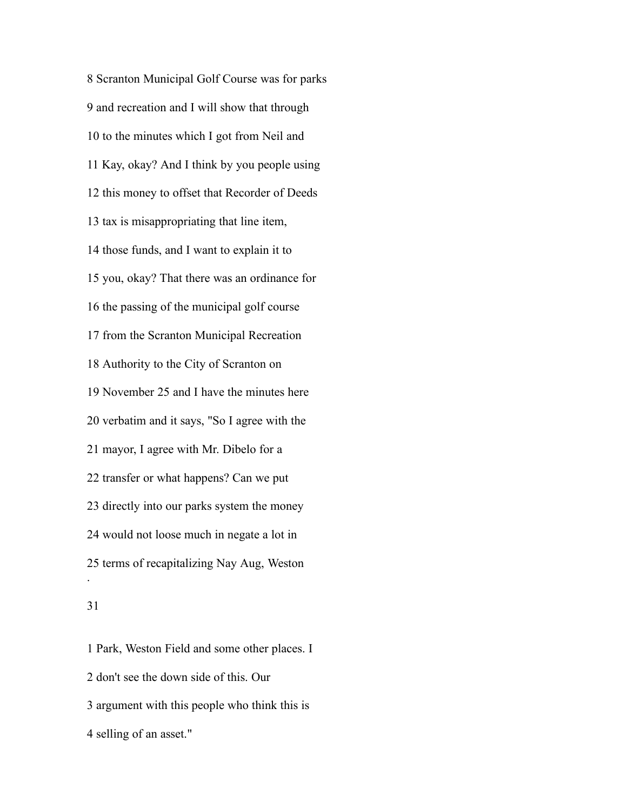Scranton Municipal Golf Course was for parks and recreation and I will show that through to the minutes which I got from Neil and Kay, okay? And I think by you people using this money to offset that Recorder of Deeds tax is misappropriating that line item, those funds, and I want to explain it to you, okay? That there was an ordinance for the passing of the municipal golf course from the Scranton Municipal Recreation Authority to the City of Scranton on November 25 and I have the minutes here verbatim and it says, "So I agree with the mayor, I agree with Mr. Dibelo for a transfer or what happens? Can we put directly into our parks system the money would not loose much in negate a lot in terms of recapitalizing Nay Aug, Weston .

# 

 Park, Weston Field and some other places. I don't see the down side of this. Our argument with this people who think this is selling of an asset."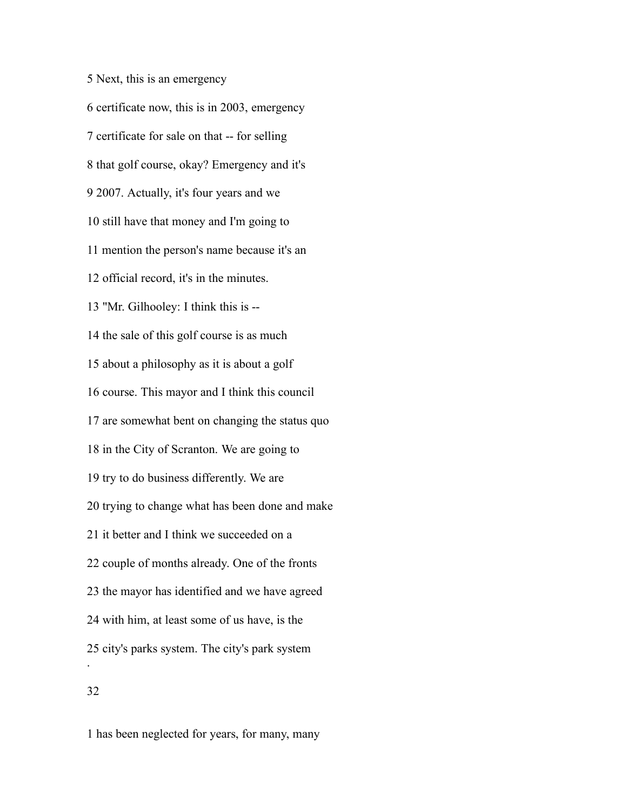Next, this is an emergency certificate now, this is in 2003, emergency certificate for sale on that -- for selling that golf course, okay? Emergency and it's 2007. Actually, it's four years and we still have that money and I'm going to mention the person's name because it's an official record, it's in the minutes. "Mr. Gilhooley: I think this is -- the sale of this golf course is as much about a philosophy as it is about a golf course. This mayor and I think this council are somewhat bent on changing the status quo in the City of Scranton. We are going to try to do business differently. We are trying to change what has been done and make it better and I think we succeeded on a couple of months already. One of the fronts the mayor has identified and we have agreed with him, at least some of us have, is the city's parks system. The city's park system . 

has been neglected for years, for many, many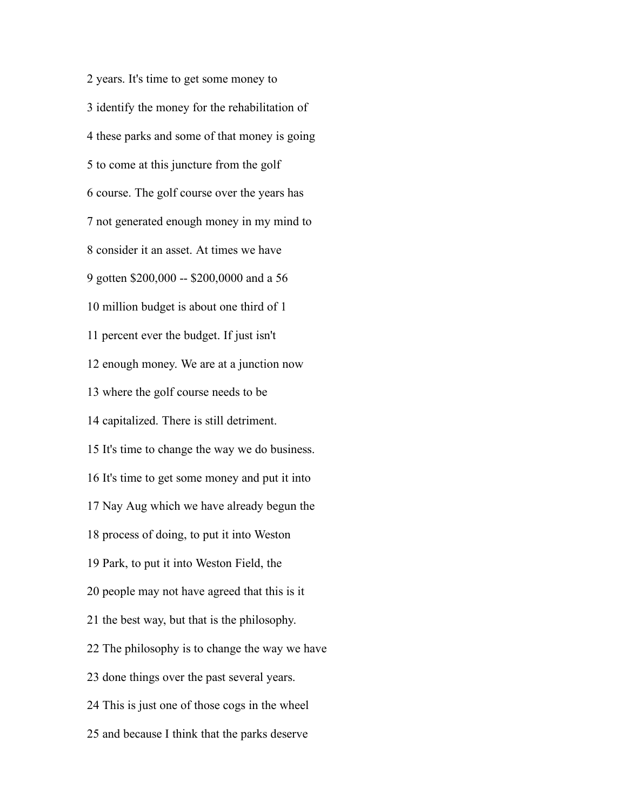years. It's time to get some money to identify the money for the rehabilitation of these parks and some of that money is going to come at this juncture from the golf course. The golf course over the years has not generated enough money in my mind to consider it an asset. At times we have gotten \$200,000 -- \$200,0000 and a 56 million budget is about one third of 1 percent ever the budget. If just isn't enough money. We are at a junction now where the golf course needs to be capitalized. There is still detriment. It's time to change the way we do business. It's time to get some money and put it into Nay Aug which we have already begun the process of doing, to put it into Weston Park, to put it into Weston Field, the people may not have agreed that this is it the best way, but that is the philosophy. The philosophy is to change the way we have done things over the past several years. This is just one of those cogs in the wheel and because I think that the parks deserve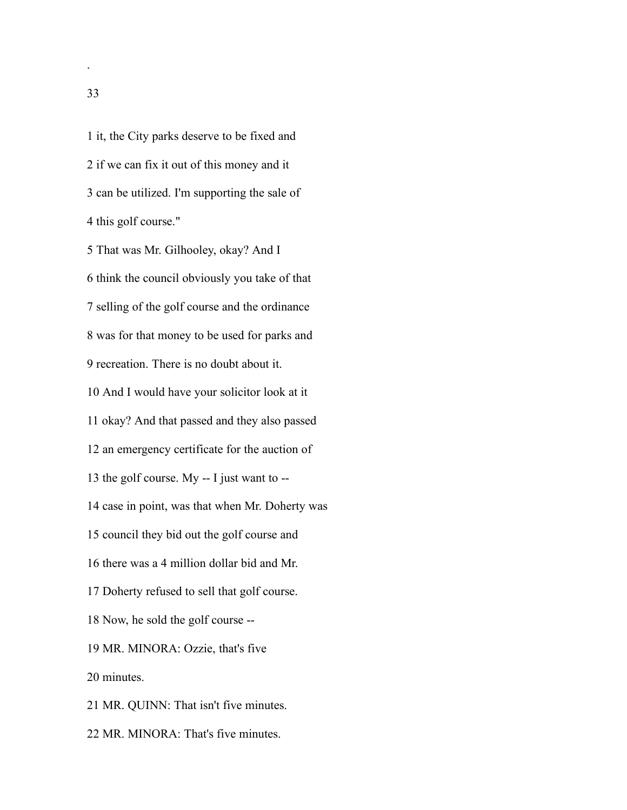it, the City parks deserve to be fixed and if we can fix it out of this money and it can be utilized. I'm supporting the sale of this golf course."

 That was Mr. Gilhooley, okay? And I think the council obviously you take of that selling of the golf course and the ordinance was for that money to be used for parks and recreation. There is no doubt about it. And I would have your solicitor look at it okay? And that passed and they also passed an emergency certificate for the auction of the golf course. My -- I just want to -- case in point, was that when Mr. Doherty was council they bid out the golf course and there was a 4 million dollar bid and Mr. Doherty refused to sell that golf course. Now, he sold the golf course -- MR. MINORA: Ozzie, that's five minutes. MR. QUINN: That isn't five minutes.

MR. MINORA: That's five minutes.

.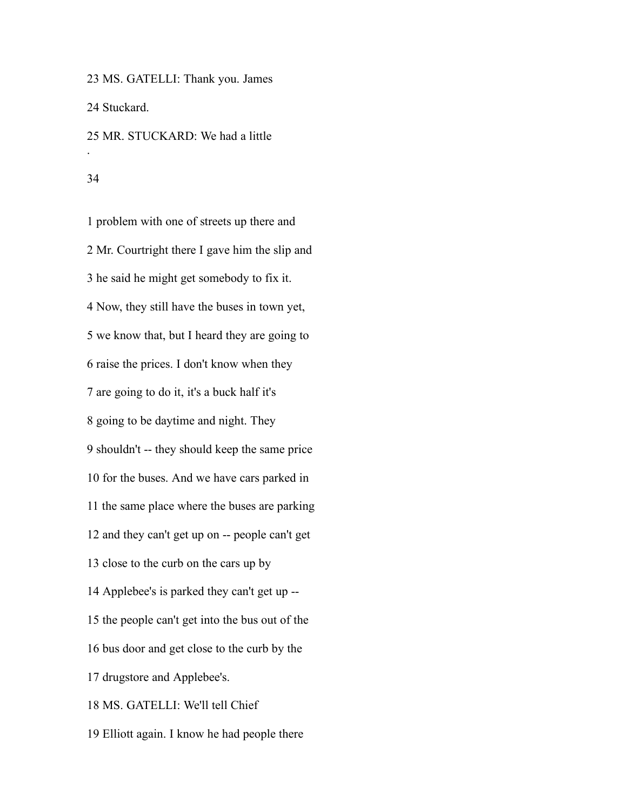MS. GATELLI: Thank you. James Stuckard. MR. STUCKARD: We had a little .

#### 

 problem with one of streets up there and Mr. Courtright there I gave him the slip and he said he might get somebody to fix it. Now, they still have the buses in town yet, we know that, but I heard they are going to raise the prices. I don't know when they are going to do it, it's a buck half it's going to be daytime and night. They shouldn't -- they should keep the same price for the buses. And we have cars parked in the same place where the buses are parking and they can't get up on -- people can't get close to the curb on the cars up by Applebee's is parked they can't get up -- the people can't get into the bus out of the bus door and get close to the curb by the drugstore and Applebee's. MS. GATELLI: We'll tell Chief Elliott again. I know he had people there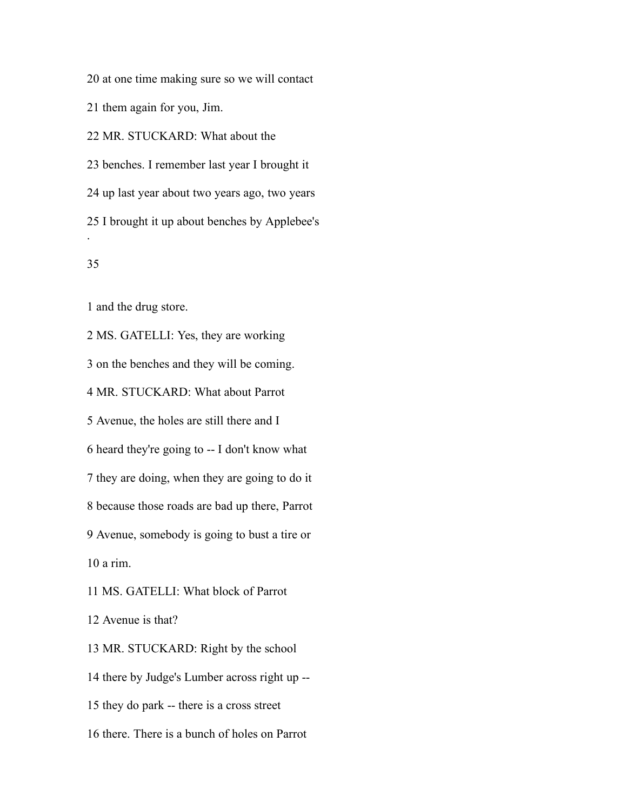at one time making sure so we will contact

them again for you, Jim.

MR. STUCKARD: What about the

 benches. I remember last year I brought it up last year about two years ago, two years I brought it up about benches by Applebee's .

# 

and the drug store.

 MS. GATELLI: Yes, they are working on the benches and they will be coming. MR. STUCKARD: What about Parrot Avenue, the holes are still there and I heard they're going to -- I don't know what they are doing, when they are going to do it because those roads are bad up there, Parrot Avenue, somebody is going to bust a tire or a rim. MS. GATELLI: What block of Parrot Avenue is that? MR. STUCKARD: Right by the school there by Judge's Lumber across right up -- they do park -- there is a cross street

there. There is a bunch of holes on Parrot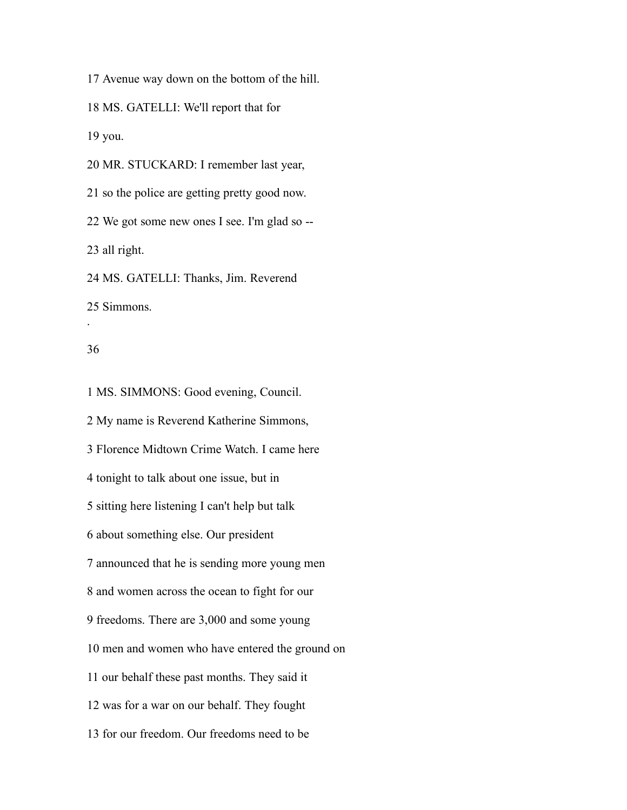Avenue way down on the bottom of the hill.

MS. GATELLI: We'll report that for

you.

MR. STUCKARD: I remember last year,

so the police are getting pretty good now.

We got some new ones I see. I'm glad so --

all right.

MS. GATELLI: Thanks, Jim. Reverend

Simmons.

## 

.

 MS. SIMMONS: Good evening, Council. My name is Reverend Katherine Simmons, Florence Midtown Crime Watch. I came here tonight to talk about one issue, but in sitting here listening I can't help but talk about something else. Our president announced that he is sending more young men and women across the ocean to fight for our freedoms. There are 3,000 and some young men and women who have entered the ground on our behalf these past months. They said it was for a war on our behalf. They fought for our freedom. Our freedoms need to be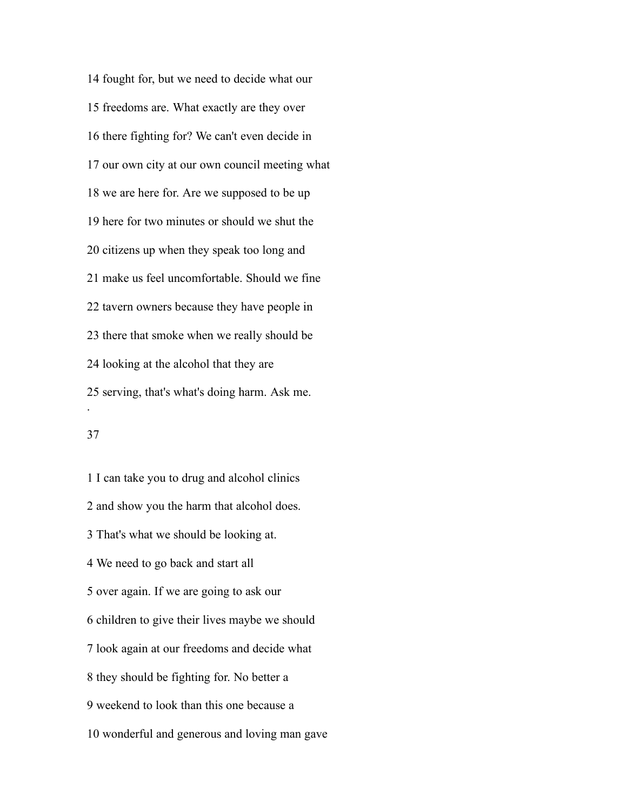fought for, but we need to decide what our freedoms are. What exactly are they over there fighting for? We can't even decide in our own city at our own council meeting what we are here for. Are we supposed to be up here for two minutes or should we shut the citizens up when they speak too long and make us feel uncomfortable. Should we fine tavern owners because they have people in there that smoke when we really should be looking at the alcohol that they are serving, that's what's doing harm. Ask me. .

## 

 I can take you to drug and alcohol clinics and show you the harm that alcohol does. That's what we should be looking at. We need to go back and start all over again. If we are going to ask our children to give their lives maybe we should look again at our freedoms and decide what they should be fighting for. No better a weekend to look than this one because a wonderful and generous and loving man gave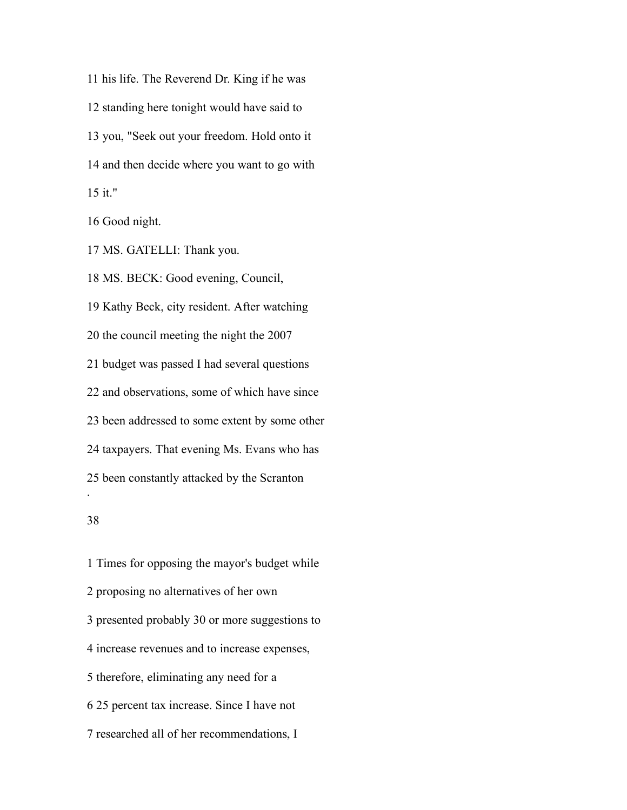his life. The Reverend Dr. King if he was standing here tonight would have said to you, "Seek out your freedom. Hold onto it and then decide where you want to go with it."

Good night.

MS. GATELLI: Thank you.

 MS. BECK: Good evening, Council, Kathy Beck, city resident. After watching the council meeting the night the 2007 budget was passed I had several questions and observations, some of which have since been addressed to some extent by some other taxpayers. That evening Ms. Evans who has been constantly attacked by the Scranton .

 Times for opposing the mayor's budget while proposing no alternatives of her own presented probably 30 or more suggestions to increase revenues and to increase expenses, therefore, eliminating any need for a 25 percent tax increase. Since I have not researched all of her recommendations, I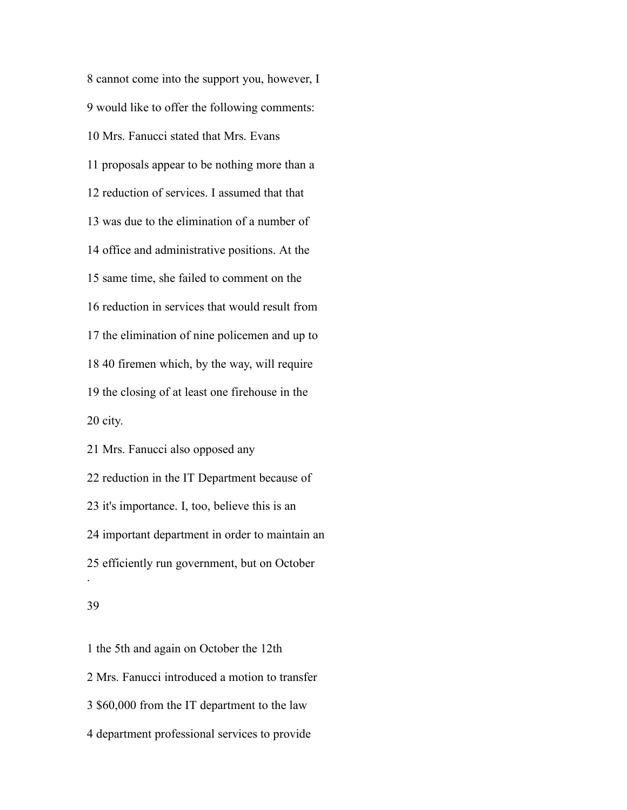cannot come into the support you, however, I would like to offer the following comments: Mrs. Fanucci stated that Mrs. Evans proposals appear to be nothing more than a reduction of services. I assumed that that was due to the elimination of a number of office and administrative positions. At the same time, she failed to comment on the reduction in services that would result from the elimination of nine policemen and up to 40 firemen which, by the way, will require the closing of at least one firehouse in the city.

 Mrs. Fanucci also opposed any reduction in the IT Department because of it's importance. I, too, believe this is an important department in order to maintain an efficiently run government, but on October .

#### 

 the 5th and again on October the 12th Mrs. Fanucci introduced a motion to transfer \$60,000 from the IT department to the law department professional services to provide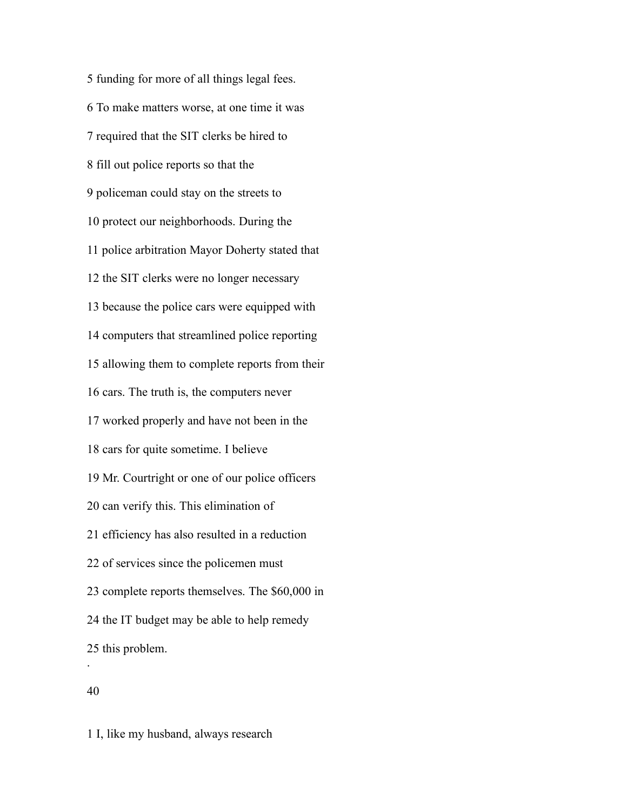funding for more of all things legal fees. To make matters worse, at one time it was required that the SIT clerks be hired to fill out police reports so that the policeman could stay on the streets to protect our neighborhoods. During the police arbitration Mayor Doherty stated that the SIT clerks were no longer necessary because the police cars were equipped with computers that streamlined police reporting allowing them to complete reports from their cars. The truth is, the computers never worked properly and have not been in the cars for quite sometime. I believe Mr. Courtright or one of our police officers can verify this. This elimination of efficiency has also resulted in a reduction of services since the policemen must complete reports themselves. The \$60,000 in the IT budget may be able to help remedy this problem. .

I, like my husband, always research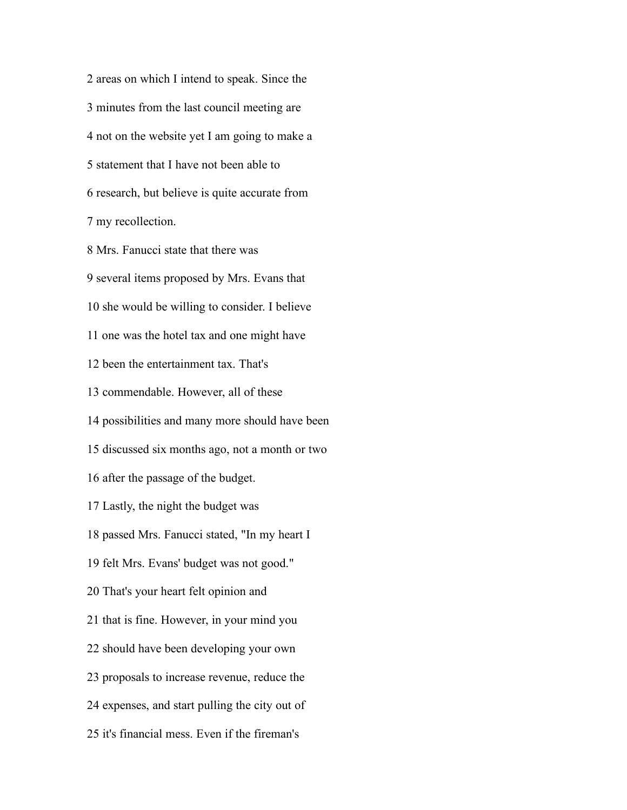areas on which I intend to speak. Since the minutes from the last council meeting are not on the website yet I am going to make a statement that I have not been able to research, but believe is quite accurate from my recollection.

 Mrs. Fanucci state that there was several items proposed by Mrs. Evans that she would be willing to consider. I believe one was the hotel tax and one might have been the entertainment tax. That's commendable. However, all of these possibilities and many more should have been discussed six months ago, not a month or two after the passage of the budget. Lastly, the night the budget was passed Mrs. Fanucci stated, "In my heart I felt Mrs. Evans' budget was not good." That's your heart felt opinion and that is fine. However, in your mind you should have been developing your own proposals to increase revenue, reduce the expenses, and start pulling the city out of it's financial mess. Even if the fireman's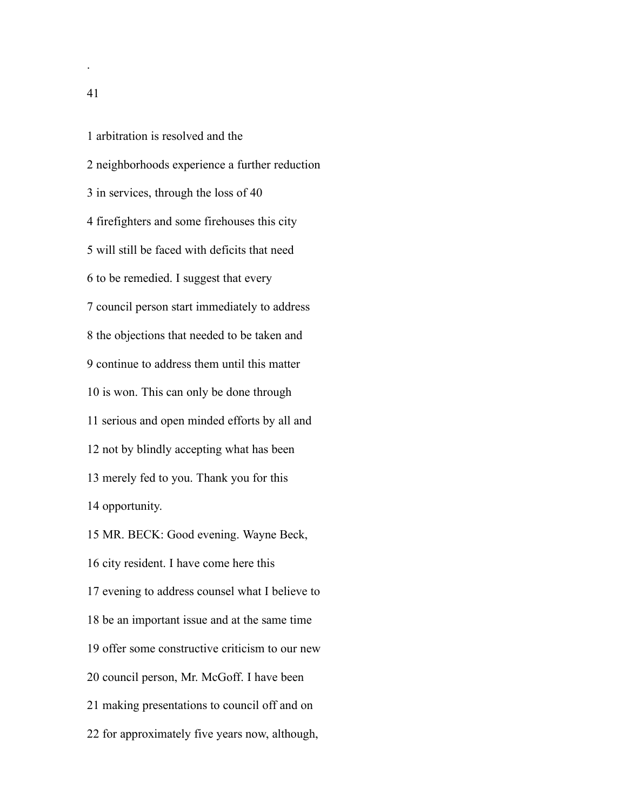arbitration is resolved and the neighborhoods experience a further reduction in services, through the loss of 40 firefighters and some firehouses this city will still be faced with deficits that need to be remedied. I suggest that every council person start immediately to address the objections that needed to be taken and continue to address them until this matter is won. This can only be done through serious and open minded efforts by all and not by blindly accepting what has been merely fed to you. Thank you for this opportunity. MR. BECK: Good evening. Wayne Beck, city resident. I have come here this evening to address counsel what I believe to be an important issue and at the same time offer some constructive criticism to our new council person, Mr. McGoff. I have been making presentations to council off and on for approximately five years now, although,

.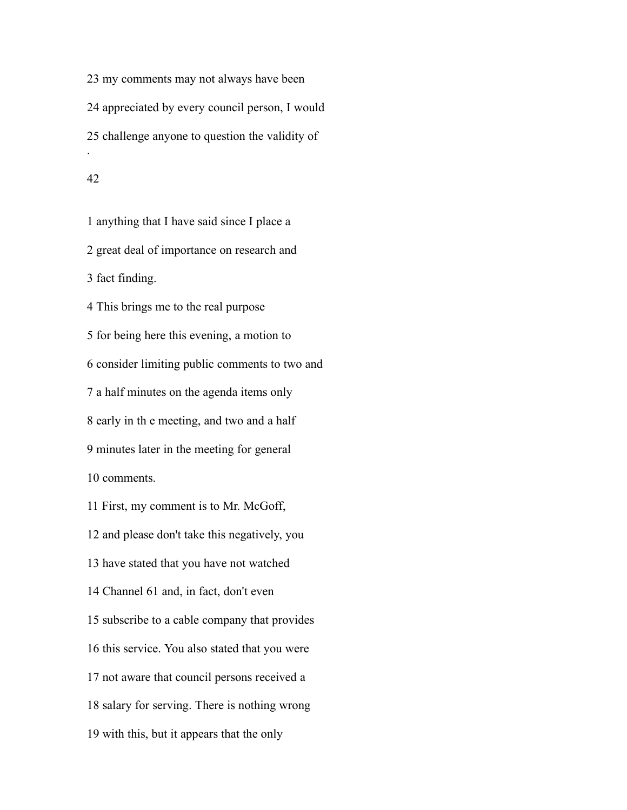my comments may not always have been appreciated by every council person, I would challenge anyone to question the validity of .

 anything that I have said since I place a great deal of importance on research and fact finding. This brings me to the real purpose for being here this evening, a motion to consider limiting public comments to two and a half minutes on the agenda items only early in th e meeting, and two and a half minutes later in the meeting for general comments.

 First, my comment is to Mr. McGoff, and please don't take this negatively, you have stated that you have not watched Channel 61 and, in fact, don't even subscribe to a cable company that provides this service. You also stated that you were not aware that council persons received a salary for serving. There is nothing wrong with this, but it appears that the only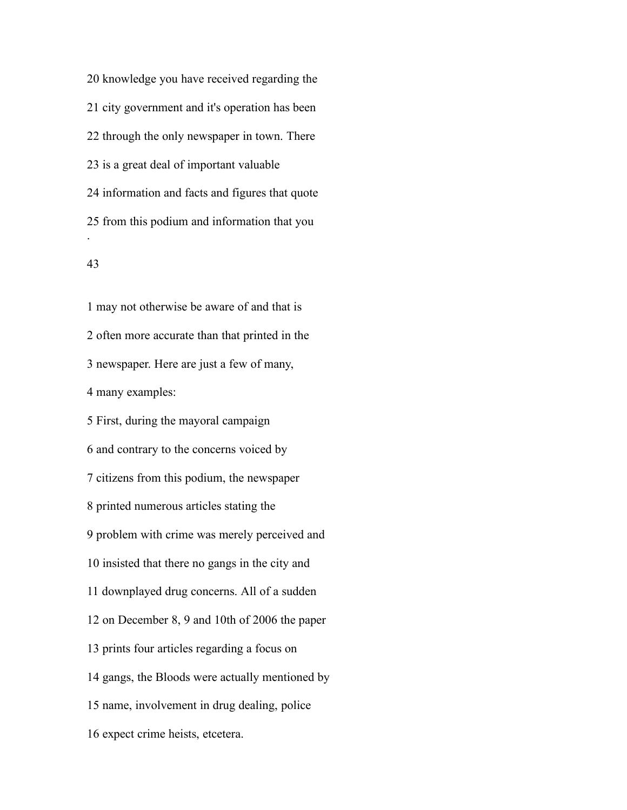knowledge you have received regarding the city government and it's operation has been through the only newspaper in town. There is a great deal of important valuable information and facts and figures that quote from this podium and information that you .

## 

 may not otherwise be aware of and that is often more accurate than that printed in the newspaper. Here are just a few of many, many examples: First, during the mayoral campaign and contrary to the concerns voiced by citizens from this podium, the newspaper printed numerous articles stating the problem with crime was merely perceived and insisted that there no gangs in the city and downplayed drug concerns. All of a sudden on December 8, 9 and 10th of 2006 the paper prints four articles regarding a focus on gangs, the Bloods were actually mentioned by name, involvement in drug dealing, police expect crime heists, etcetera.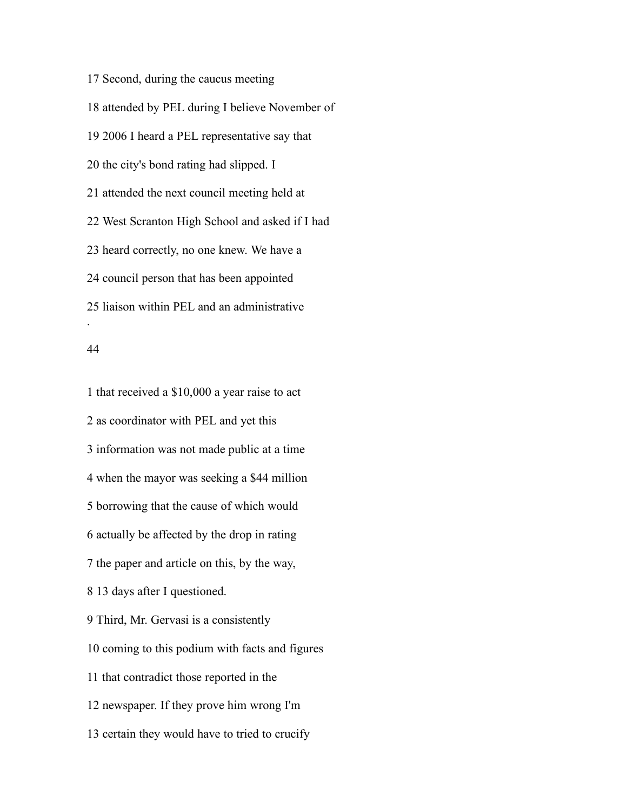Second, during the caucus meeting attended by PEL during I believe November of 2006 I heard a PEL representative say that the city's bond rating had slipped. I attended the next council meeting held at West Scranton High School and asked if I had heard correctly, no one knew. We have a council person that has been appointed liaison within PEL and an administrative .

#### 

 that received a \$10,000 a year raise to act as coordinator with PEL and yet this information was not made public at a time when the mayor was seeking a \$44 million borrowing that the cause of which would actually be affected by the drop in rating the paper and article on this, by the way, 13 days after I questioned. Third, Mr. Gervasi is a consistently coming to this podium with facts and figures that contradict those reported in the newspaper. If they prove him wrong I'm certain they would have to tried to crucify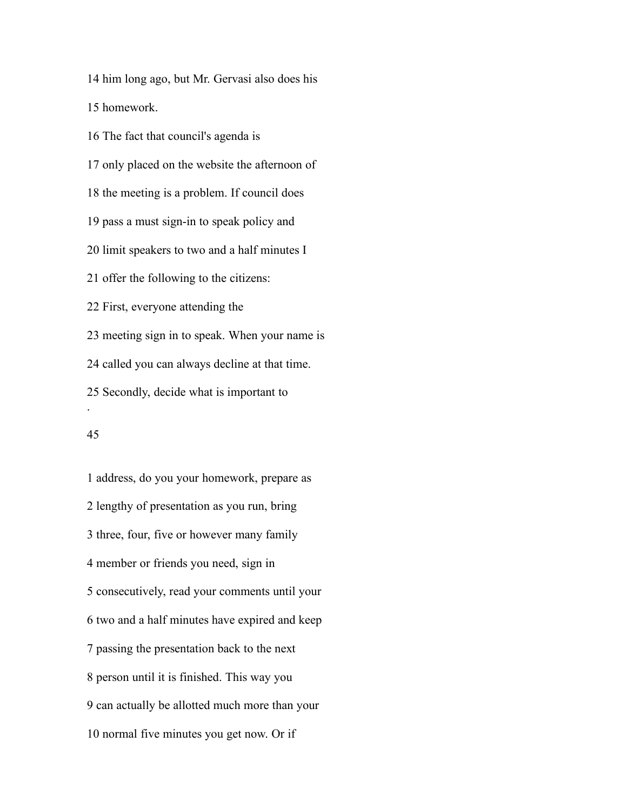him long ago, but Mr. Gervasi also does his

homework.

 The fact that council's agenda is only placed on the website the afternoon of the meeting is a problem. If council does pass a must sign-in to speak policy and limit speakers to two and a half minutes I offer the following to the citizens: First, everyone attending the meeting sign in to speak. When your name is called you can always decline at that time. Secondly, decide what is important to .

## 

 address, do you your homework, prepare as lengthy of presentation as you run, bring three, four, five or however many family member or friends you need, sign in consecutively, read your comments until your two and a half minutes have expired and keep passing the presentation back to the next person until it is finished. This way you can actually be allotted much more than your normal five minutes you get now. Or if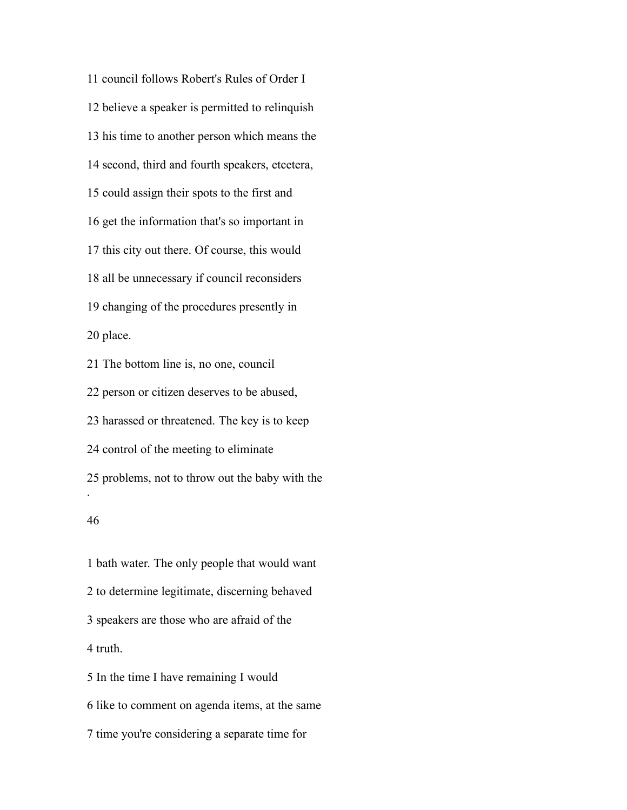council follows Robert's Rules of Order I believe a speaker is permitted to relinquish his time to another person which means the second, third and fourth speakers, etcetera, could assign their spots to the first and get the information that's so important in this city out there. Of course, this would all be unnecessary if council reconsiders changing of the procedures presently in place.

 The bottom line is, no one, council person or citizen deserves to be abused, harassed or threatened. The key is to keep control of the meeting to eliminate problems, not to throw out the baby with the . 

# bath water. The only people that would want to determine legitimate, discerning behaved speakers are those who are afraid of the truth. In the time I have remaining I would

like to comment on agenda items, at the same

time you're considering a separate time for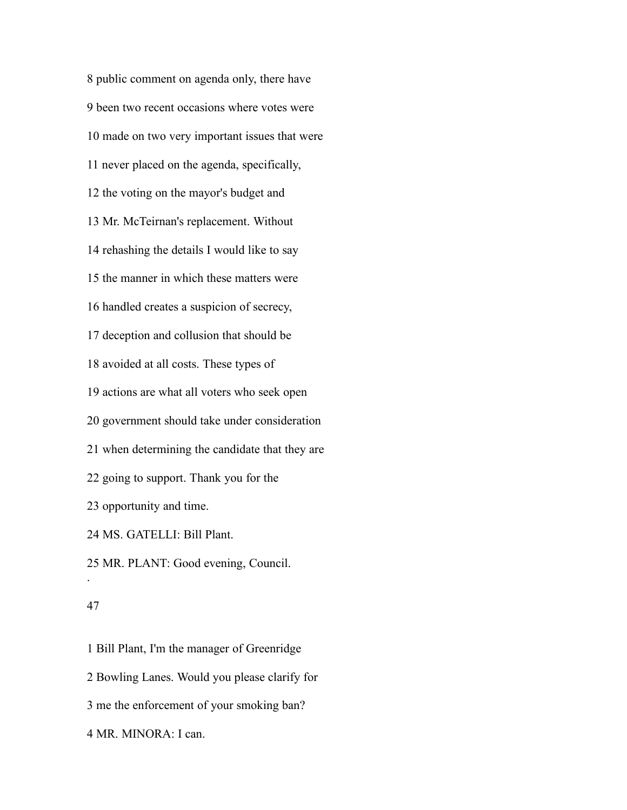public comment on agenda only, there have been two recent occasions where votes were made on two very important issues that were never placed on the agenda, specifically, the voting on the mayor's budget and Mr. McTeirnan's replacement. Without rehashing the details I would like to say the manner in which these matters were handled creates a suspicion of secrecy, deception and collusion that should be avoided at all costs. These types of actions are what all voters who seek open government should take under consideration when determining the candidate that they are going to support. Thank you for the opportunity and time. MS. GATELLI: Bill Plant. MR. PLANT: Good evening, Council. .

## 

 Bill Plant, I'm the manager of Greenridge Bowling Lanes. Would you please clarify for me the enforcement of your smoking ban? MR. MINORA: I can.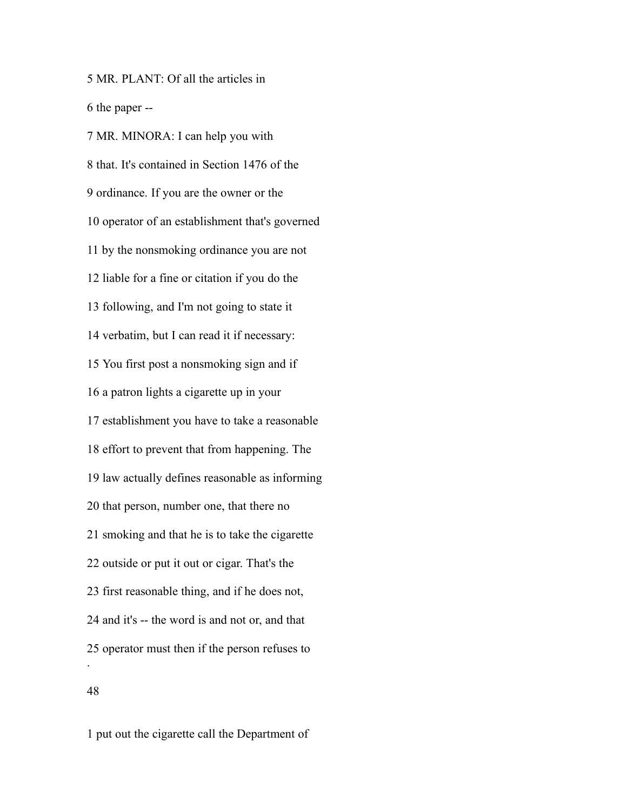MR. PLANT: Of all the articles in the paper --

 MR. MINORA: I can help you with that. It's contained in Section 1476 of the ordinance. If you are the owner or the operator of an establishment that's governed by the nonsmoking ordinance you are not liable for a fine or citation if you do the following, and I'm not going to state it verbatim, but I can read it if necessary: You first post a nonsmoking sign and if a patron lights a cigarette up in your establishment you have to take a reasonable effort to prevent that from happening. The law actually defines reasonable as informing that person, number one, that there no smoking and that he is to take the cigarette outside or put it out or cigar. That's the first reasonable thing, and if he does not, and it's -- the word is and not or, and that operator must then if the person refuses to . 

put out the cigarette call the Department of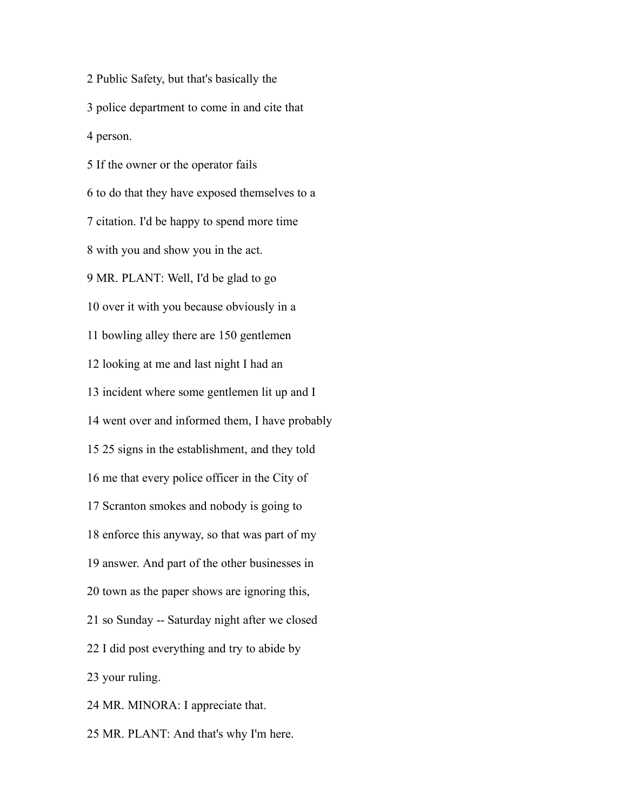Public Safety, but that's basically the police department to come in and cite that person.

 If the owner or the operator fails to do that they have exposed themselves to a citation. I'd be happy to spend more time with you and show you in the act. MR. PLANT: Well, I'd be glad to go over it with you because obviously in a bowling alley there are 150 gentlemen looking at me and last night I had an incident where some gentlemen lit up and I went over and informed them, I have probably 25 signs in the establishment, and they told me that every police officer in the City of Scranton smokes and nobody is going to enforce this anyway, so that was part of my answer. And part of the other businesses in town as the paper shows are ignoring this, so Sunday -- Saturday night after we closed I did post everything and try to abide by your ruling. MR. MINORA: I appreciate that.

MR. PLANT: And that's why I'm here.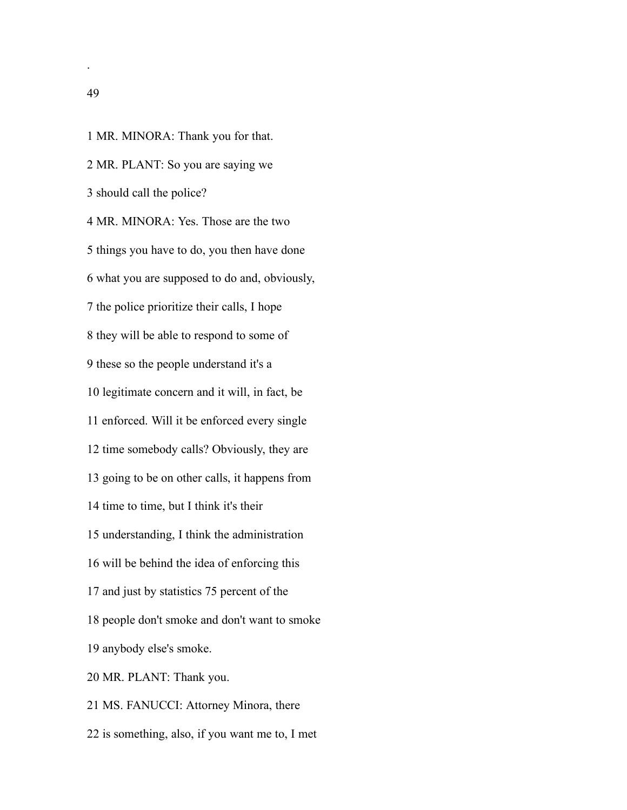MR. MINORA: Thank you for that. MR. PLANT: So you are saying we should call the police? MR. MINORA: Yes. Those are the two things you have to do, you then have done what you are supposed to do and, obviously, the police prioritize their calls, I hope they will be able to respond to some of these so the people understand it's a legitimate concern and it will, in fact, be enforced. Will it be enforced every single time somebody calls? Obviously, they are going to be on other calls, it happens from time to time, but I think it's their understanding, I think the administration will be behind the idea of enforcing this and just by statistics 75 percent of the people don't smoke and don't want to smoke anybody else's smoke. MR. PLANT: Thank you. MS. FANUCCI: Attorney Minora, there is something, also, if you want me to, I met

.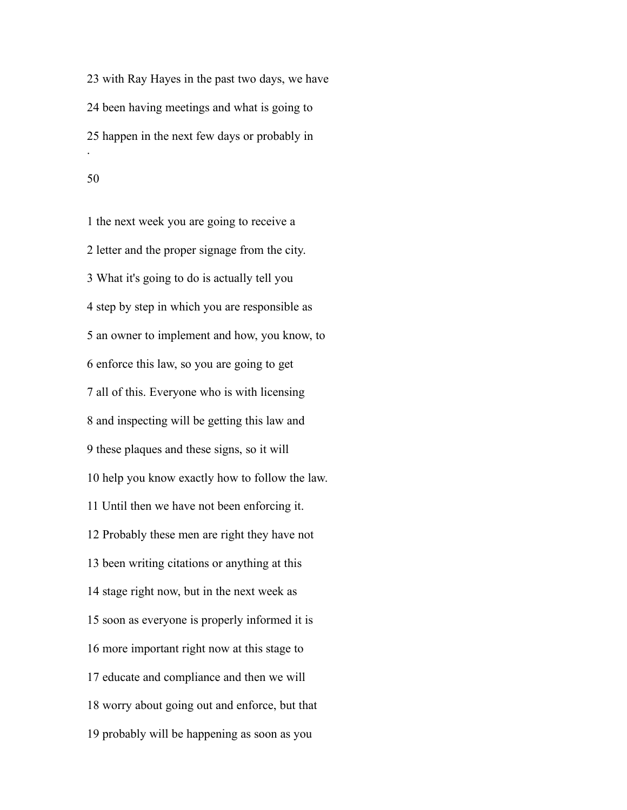with Ray Hayes in the past two days, we have been having meetings and what is going to happen in the next few days or probably in .

 the next week you are going to receive a letter and the proper signage from the city. What it's going to do is actually tell you step by step in which you are responsible as an owner to implement and how, you know, to enforce this law, so you are going to get all of this. Everyone who is with licensing and inspecting will be getting this law and these plaques and these signs, so it will help you know exactly how to follow the law. Until then we have not been enforcing it. Probably these men are right they have not been writing citations or anything at this stage right now, but in the next week as soon as everyone is properly informed it is more important right now at this stage to educate and compliance and then we will worry about going out and enforce, but that probably will be happening as soon as you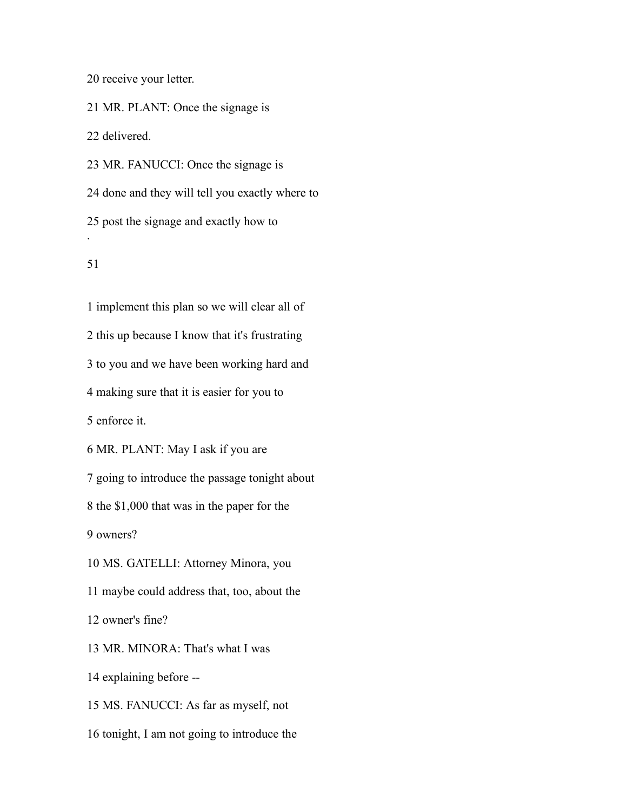receive your letter.

MR. PLANT: Once the signage is

delivered.

 MR. FANUCCI: Once the signage is done and they will tell you exactly where to post the signage and exactly how to . 

 implement this plan so we will clear all of this up because I know that it's frustrating to you and we have been working hard and making sure that it is easier for you to enforce it. MR. PLANT: May I ask if you are going to introduce the passage tonight about the \$1,000 that was in the paper for the owners? MS. GATELLI: Attorney Minora, you maybe could address that, too, about the owner's fine? MR. MINORA: That's what I was explaining before -- MS. FANUCCI: As far as myself, not tonight, I am not going to introduce the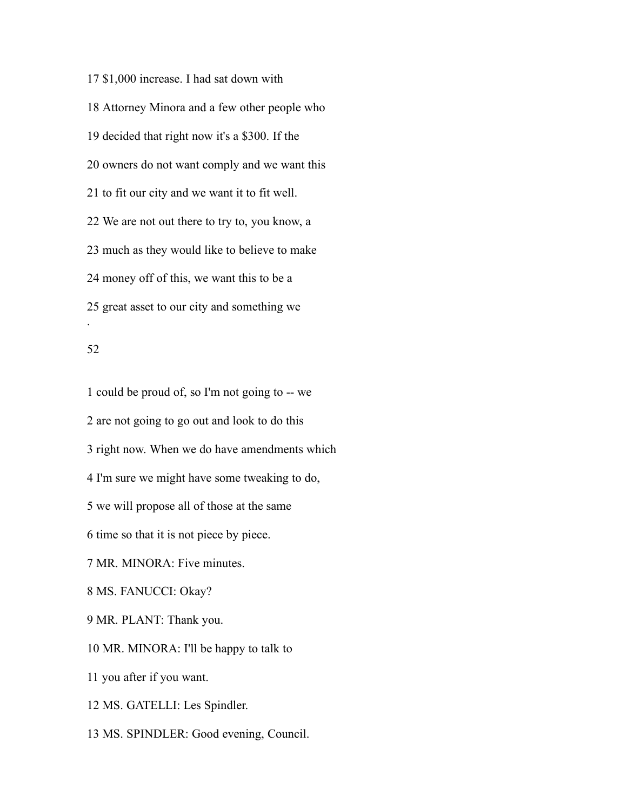\$1,000 increase. I had sat down with Attorney Minora and a few other people who decided that right now it's a \$300. If the owners do not want comply and we want this to fit our city and we want it to fit well. We are not out there to try to, you know, a much as they would like to believe to make money off of this, we want this to be a great asset to our city and something we .

## 

 could be proud of, so I'm not going to -- we are not going to go out and look to do this right now. When we do have amendments which I'm sure we might have some tweaking to do, we will propose all of those at the same time so that it is not piece by piece. MR. MINORA: Five minutes. MS. FANUCCI: Okay? MR. PLANT: Thank you. MR. MINORA: I'll be happy to talk to you after if you want. MS. GATELLI: Les Spindler. MS. SPINDLER: Good evening, Council.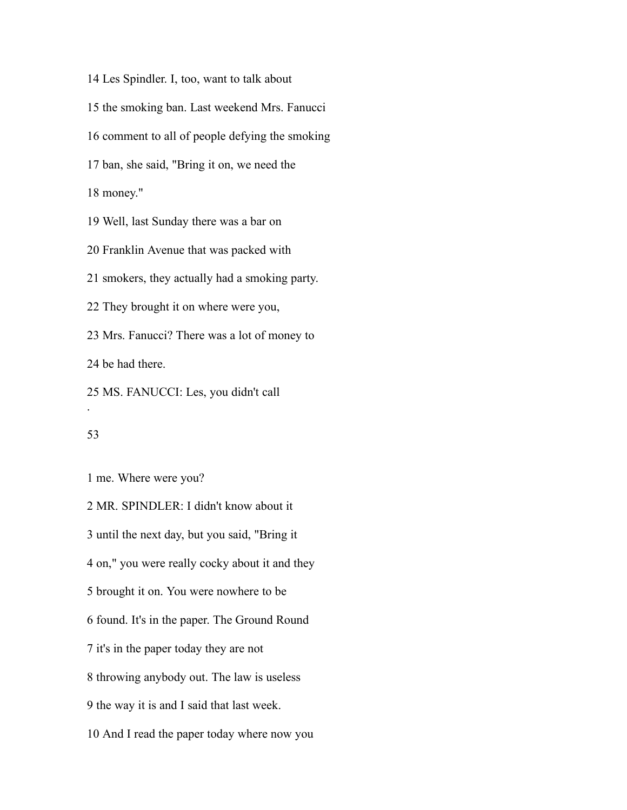Les Spindler. I, too, want to talk about the smoking ban. Last weekend Mrs. Fanucci comment to all of people defying the smoking ban, she said, "Bring it on, we need the money." Well, last Sunday there was a bar on Franklin Avenue that was packed with smokers, they actually had a smoking party. They brought it on where were you, Mrs. Fanucci? There was a lot of money to be had there. MS. FANUCCI: Les, you didn't call .

## 

me. Where were you?

 MR. SPINDLER: I didn't know about it until the next day, but you said, "Bring it on," you were really cocky about it and they brought it on. You were nowhere to be found. It's in the paper. The Ground Round it's in the paper today they are not throwing anybody out. The law is useless the way it is and I said that last week. And I read the paper today where now you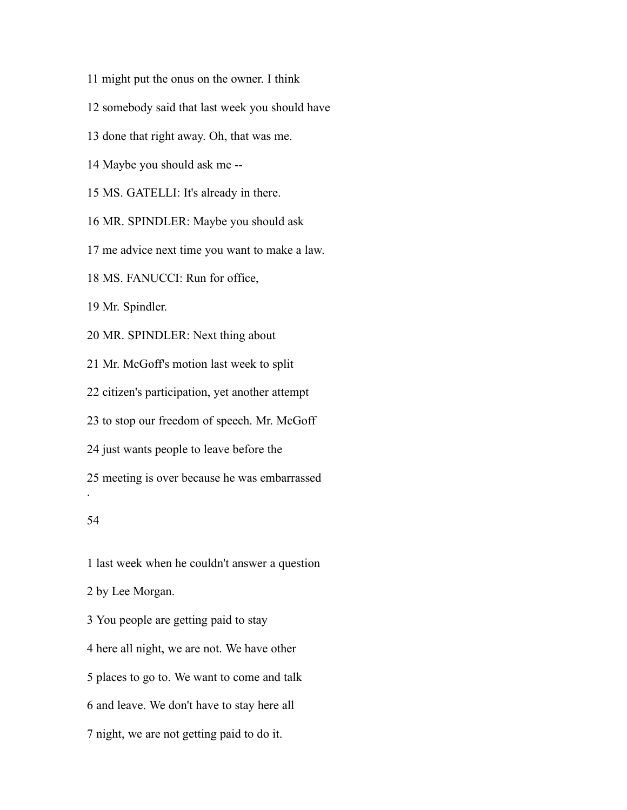- might put the onus on the owner. I think
- somebody said that last week you should have
- done that right away. Oh, that was me.
- Maybe you should ask me --
- MS. GATELLI: It's already in there.
- MR. SPINDLER: Maybe you should ask
- me advice next time you want to make a law.
- MS. FANUCCI: Run for office,

Mr. Spindler.

MR. SPINDLER: Next thing about

Mr. McGoff's motion last week to split

citizen's participation, yet another attempt

to stop our freedom of speech. Mr. McGoff

just wants people to leave before the

 meeting is over because he was embarrassed .

#### 

last week when he couldn't answer a question

by Lee Morgan.

 You people are getting paid to stay here all night, we are not. We have other places to go to. We want to come and talk and leave. We don't have to stay here all night, we are not getting paid to do it.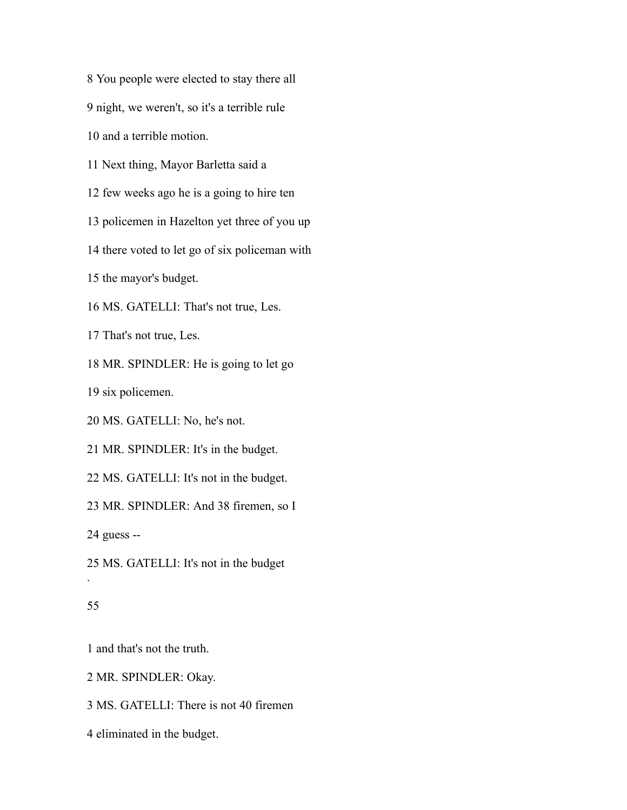You people were elected to stay there all night, we weren't, so it's a terrible rule

and a terrible motion.

Next thing, Mayor Barletta said a

few weeks ago he is a going to hire ten

policemen in Hazelton yet three of you up

there voted to let go of six policeman with

the mayor's budget.

MS. GATELLI: That's not true, Les.

That's not true, Les.

MR. SPINDLER: He is going to let go

six policemen.

MS. GATELLI: No, he's not.

MR. SPINDLER: It's in the budget.

MS. GATELLI: It's not in the budget.

MR. SPINDLER: And 38 firemen, so I

guess --

MS. GATELLI: It's not in the budget

## 

.

and that's not the truth.

MR. SPINDLER: Okay.

MS. GATELLI: There is not 40 firemen

eliminated in the budget.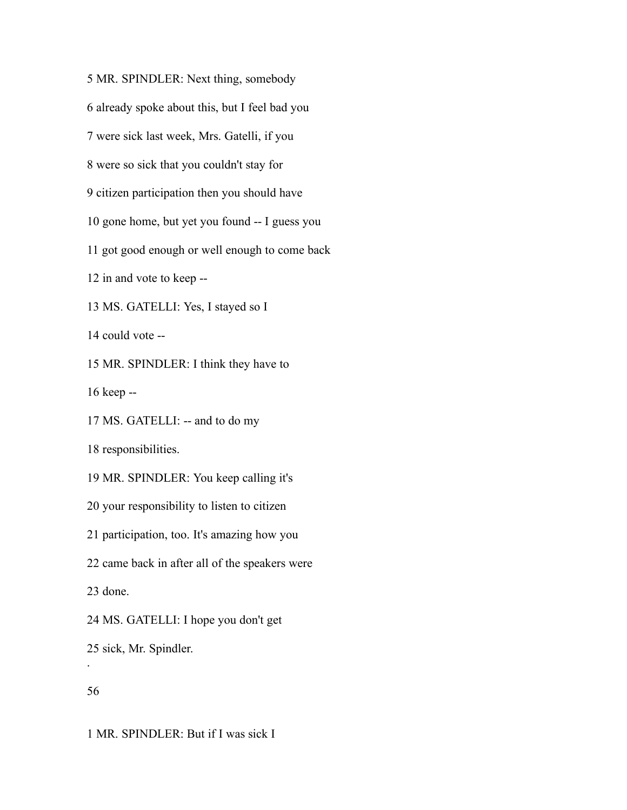MR. SPINDLER: Next thing, somebody already spoke about this, but I feel bad you were sick last week, Mrs. Gatelli, if you were so sick that you couldn't stay for citizen participation then you should have gone home, but yet you found -- I guess you got good enough or well enough to come back in and vote to keep -- MS. GATELLI: Yes, I stayed so I could vote -- MR. SPINDLER: I think they have to keep -- MS. GATELLI: -- and to do my responsibilities. MR. SPINDLER: You keep calling it's your responsibility to listen to citizen participation, too. It's amazing how you came back in after all of the speakers were done. MS. GATELLI: I hope you don't get sick, Mr. Spindler. .

MR. SPINDLER: But if I was sick I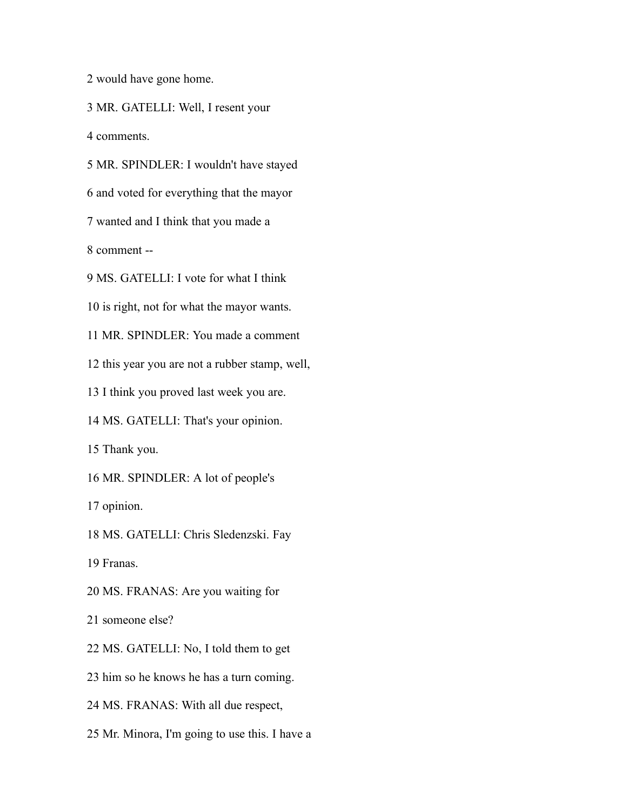would have gone home.

MR. GATELLI: Well, I resent your

comments.

MR. SPINDLER: I wouldn't have stayed

and voted for everything that the mayor

wanted and I think that you made a

comment --

MS. GATELLI: I vote for what I think

is right, not for what the mayor wants.

MR. SPINDLER: You made a comment

this year you are not a rubber stamp, well,

I think you proved last week you are.

MS. GATELLI: That's your opinion.

Thank you.

MR. SPINDLER: A lot of people's

opinion.

MS. GATELLI: Chris Sledenzski. Fay

Franas.

MS. FRANAS: Are you waiting for

someone else?

MS. GATELLI: No, I told them to get

him so he knows he has a turn coming.

MS. FRANAS: With all due respect,

Mr. Minora, I'm going to use this. I have a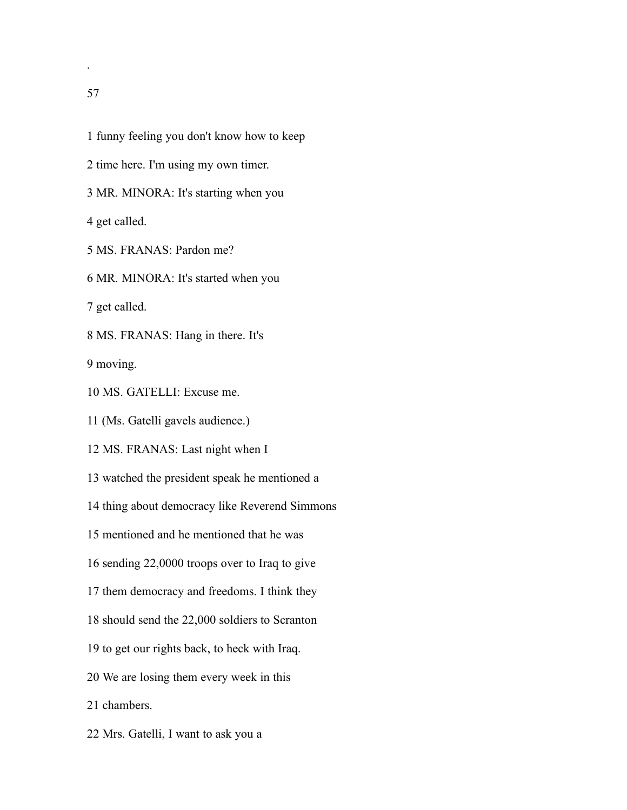.

- funny feeling you don't know how to keep
- time here. I'm using my own timer.
- MR. MINORA: It's starting when you

get called.

MS. FRANAS: Pardon me?

MR. MINORA: It's started when you

get called.

MS. FRANAS: Hang in there. It's

moving.

MS. GATELLI: Excuse me.

(Ms. Gatelli gavels audience.)

MS. FRANAS: Last night when I

watched the president speak he mentioned a

thing about democracy like Reverend Simmons

mentioned and he mentioned that he was

sending 22,0000 troops over to Iraq to give

them democracy and freedoms. I think they

should send the 22,000 soldiers to Scranton

to get our rights back, to heck with Iraq.

We are losing them every week in this

chambers.

Mrs. Gatelli, I want to ask you a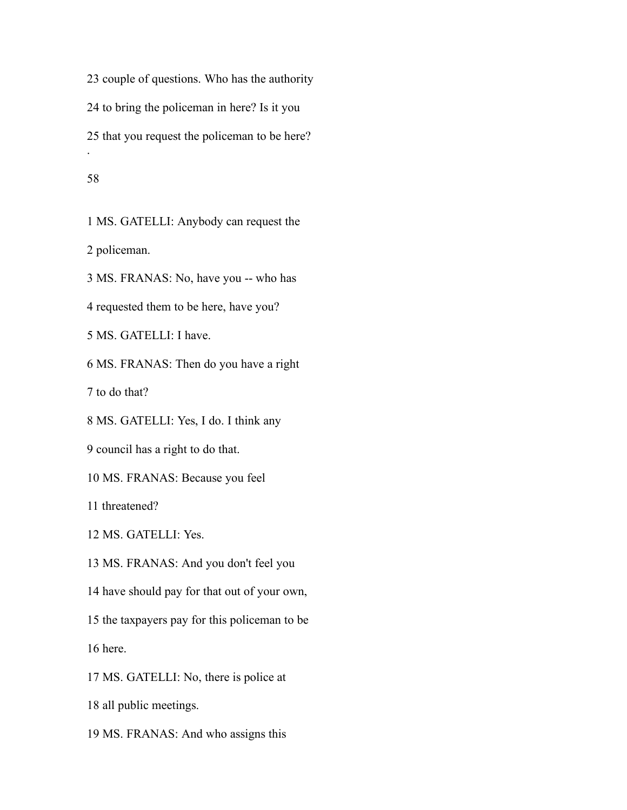couple of questions. Who has the authority to bring the policeman in here? Is it you that you request the policeman to be here? .

### 

 MS. GATELLI: Anybody can request the policeman. MS. FRANAS: No, have you -- who has

requested them to be here, have you?

MS. GATELLI: I have.

MS. FRANAS: Then do you have a right

to do that?

MS. GATELLI: Yes, I do. I think any

council has a right to do that.

MS. FRANAS: Because you feel

threatened?

MS. GATELLI: Yes.

MS. FRANAS: And you don't feel you

have should pay for that out of your own,

 the taxpayers pay for this policeman to be here.

MS. GATELLI: No, there is police at

all public meetings.

MS. FRANAS: And who assigns this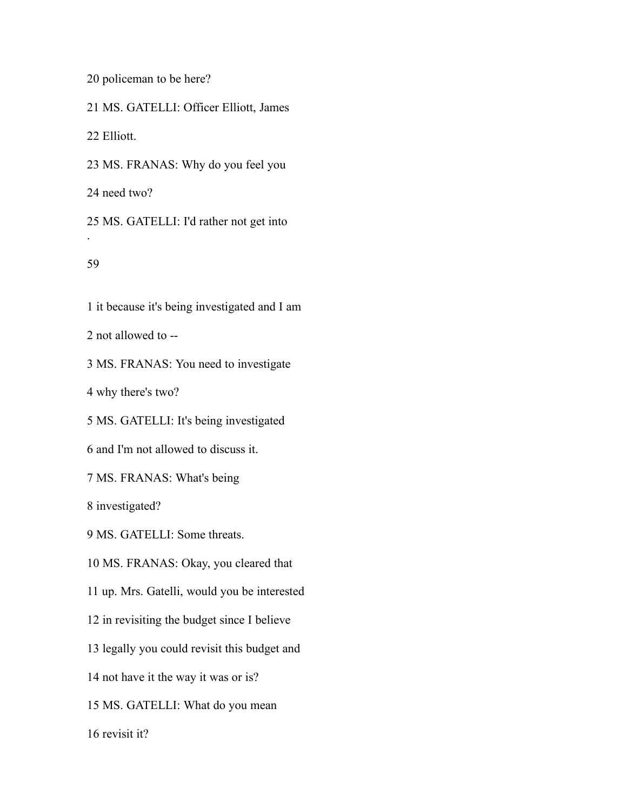policeman to be here?

MS. GATELLI: Officer Elliott, James

Elliott.

MS. FRANAS: Why do you feel you

need two?

 MS. GATELLI: I'd rather not get into .

# 

it because it's being investigated and I am

not allowed to --

MS. FRANAS: You need to investigate

why there's two?

MS. GATELLI: It's being investigated

and I'm not allowed to discuss it.

MS. FRANAS: What's being

investigated?

MS. GATELLI: Some threats.

MS. FRANAS: Okay, you cleared that

up. Mrs. Gatelli, would you be interested

in revisiting the budget since I believe

legally you could revisit this budget and

not have it the way it was or is?

MS. GATELLI: What do you mean

revisit it?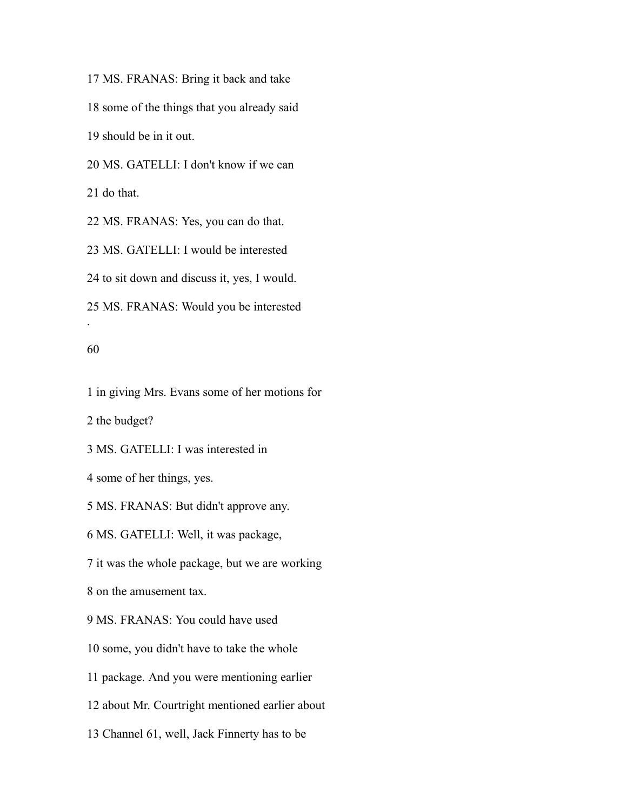MS. FRANAS: Bring it back and take some of the things that you already said should be in it out. MS. GATELLI: I don't know if we can do that. MS. FRANAS: Yes, you can do that. MS. GATELLI: I would be interested to sit down and discuss it, yes, I would.

MS. FRANAS: Would you be interested

#### 

.

in giving Mrs. Evans some of her motions for

the budget?

MS. GATELLI: I was interested in

some of her things, yes.

MS. FRANAS: But didn't approve any.

MS. GATELLI: Well, it was package,

it was the whole package, but we are working

on the amusement tax.

MS. FRANAS: You could have used

some, you didn't have to take the whole

package. And you were mentioning earlier

about Mr. Courtright mentioned earlier about

Channel 61, well, Jack Finnerty has to be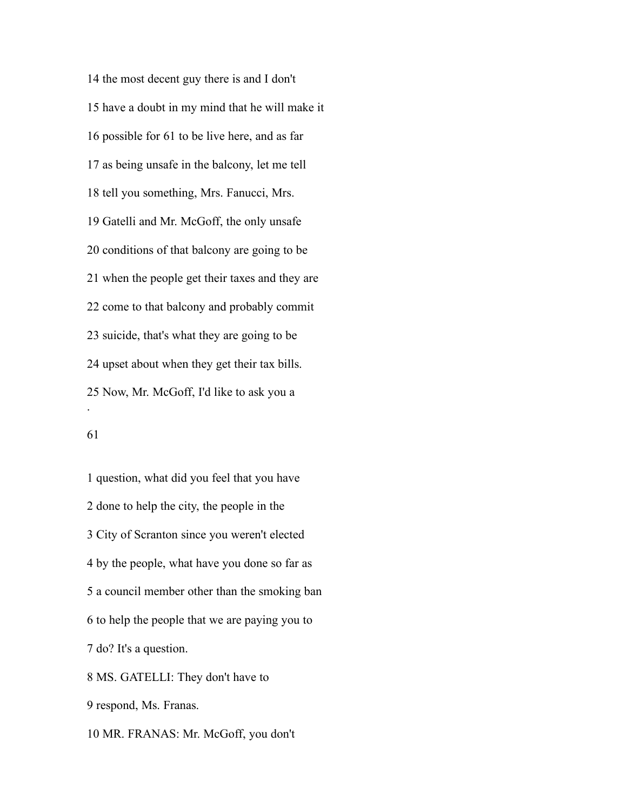the most decent guy there is and I don't have a doubt in my mind that he will make it possible for 61 to be live here, and as far as being unsafe in the balcony, let me tell tell you something, Mrs. Fanucci, Mrs. Gatelli and Mr. McGoff, the only unsafe conditions of that balcony are going to be when the people get their taxes and they are come to that balcony and probably commit suicide, that's what they are going to be upset about when they get their tax bills. Now, Mr. McGoff, I'd like to ask you a .

 question, what did you feel that you have done to help the city, the people in the City of Scranton since you weren't elected by the people, what have you done so far as a council member other than the smoking ban to help the people that we are paying you to do? It's a question. MS. GATELLI: They don't have to respond, Ms. Franas.

MR. FRANAS: Mr. McGoff, you don't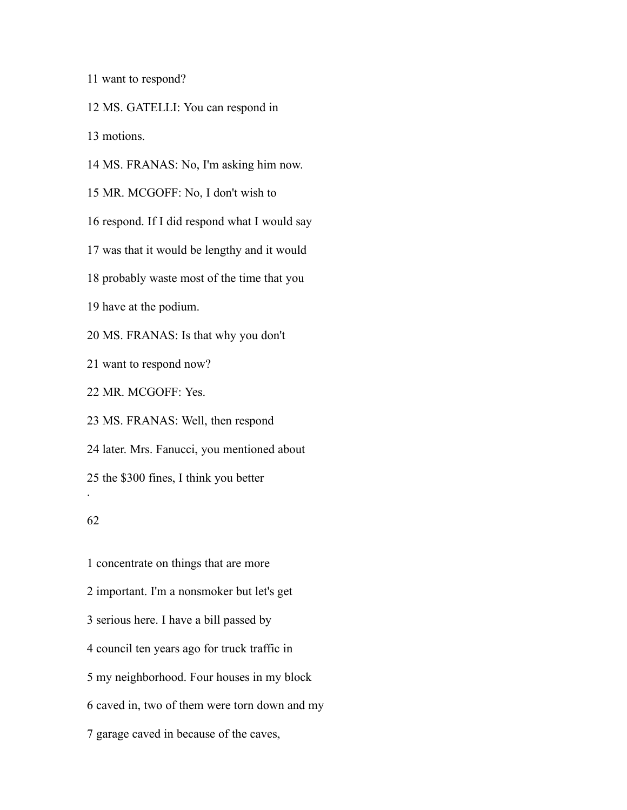want to respond?

MS. GATELLI: You can respond in

motions.

MS. FRANAS: No, I'm asking him now.

MR. MCGOFF: No, I don't wish to

respond. If I did respond what I would say

was that it would be lengthy and it would

probably waste most of the time that you

have at the podium.

MS. FRANAS: Is that why you don't

want to respond now?

MR. MCGOFF: Yes.

 MS. FRANAS: Well, then respond later. Mrs. Fanucci, you mentioned about the \$300 fines, I think you better .

# 

 concentrate on things that are more important. I'm a nonsmoker but let's get serious here. I have a bill passed by council ten years ago for truck traffic in my neighborhood. Four houses in my block caved in, two of them were torn down and my garage caved in because of the caves,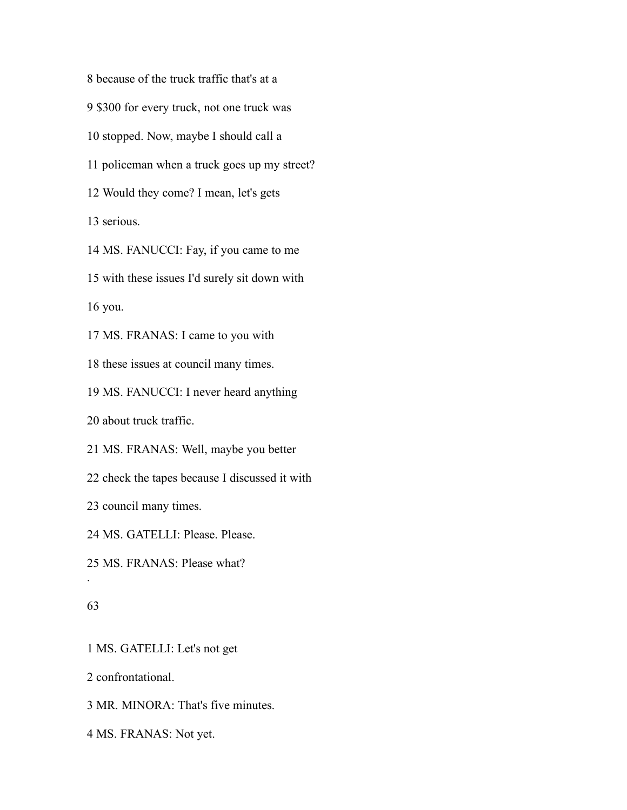because of the truck traffic that's at a \$300 for every truck, not one truck was stopped. Now, maybe I should call a policeman when a truck goes up my street? Would they come? I mean, let's gets serious. MS. FANUCCI: Fay, if you came to me with these issues I'd surely sit down with

you.

MS. FRANAS: I came to you with

these issues at council many times.

MS. FANUCCI: I never heard anything

about truck traffic.

MS. FRANAS: Well, maybe you better

check the tapes because I discussed it with

council many times.

MS. GATELLI: Please. Please.

MS. FRANAS: Please what?

## 

.

MS. GATELLI: Let's not get

confrontational.

MR. MINORA: That's five minutes.

MS. FRANAS: Not yet.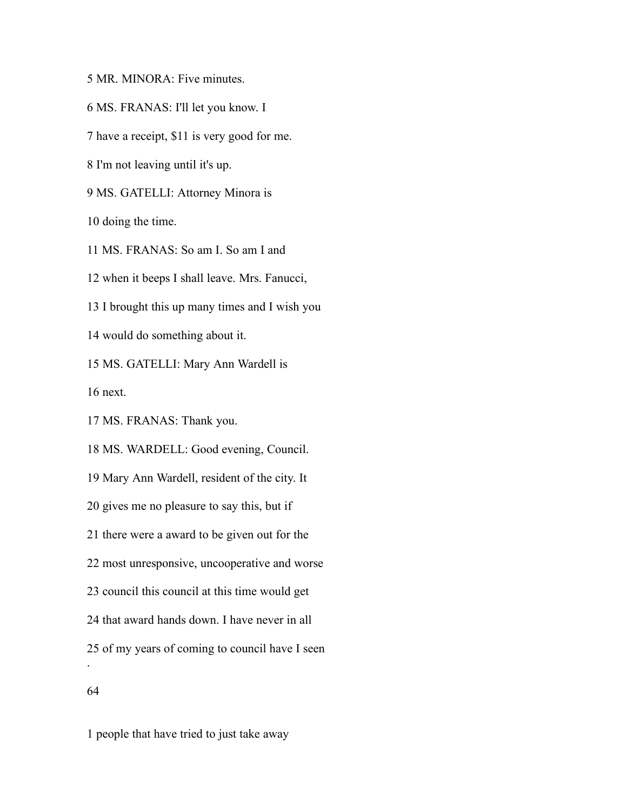MR. MINORA: Five minutes.

MS. FRANAS: I'll let you know. I

have a receipt, \$11 is very good for me.

I'm not leaving until it's up.

MS. GATELLI: Attorney Minora is

doing the time.

MS. FRANAS: So am I. So am I and

when it beeps I shall leave. Mrs. Fanucci,

I brought this up many times and I wish you

would do something about it.

MS. GATELLI: Mary Ann Wardell is

next.

MS. FRANAS: Thank you.

MS. WARDELL: Good evening, Council.

Mary Ann Wardell, resident of the city. It

gives me no pleasure to say this, but if

there were a award to be given out for the

most unresponsive, uncooperative and worse

council this council at this time would get

that award hands down. I have never in all

of my years of coming to council have I seen

.

people that have tried to just take away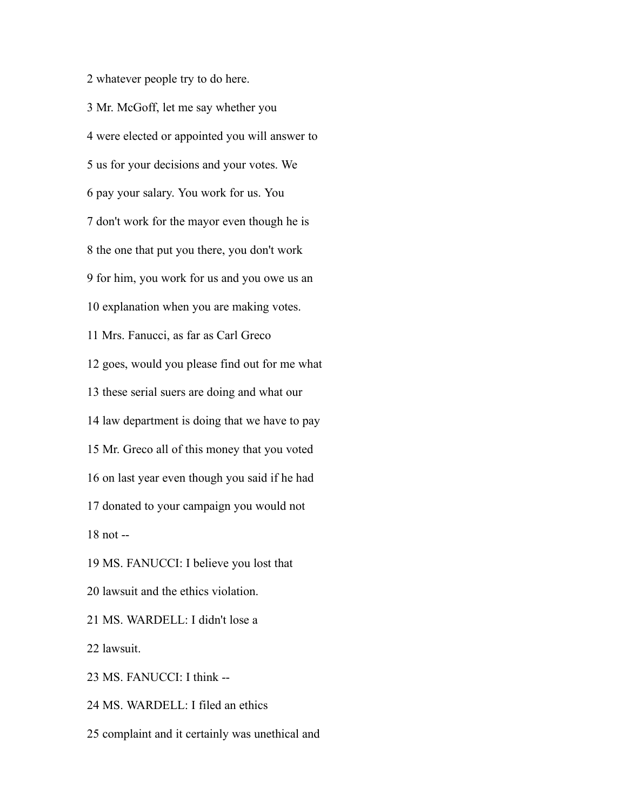whatever people try to do here. Mr. McGoff, let me say whether you were elected or appointed you will answer to us for your decisions and your votes. We pay your salary. You work for us. You don't work for the mayor even though he is the one that put you there, you don't work for him, you work for us and you owe us an explanation when you are making votes. Mrs. Fanucci, as far as Carl Greco goes, would you please find out for me what these serial suers are doing and what our law department is doing that we have to pay Mr. Greco all of this money that you voted on last year even though you said if he had donated to your campaign you would not not -- MS. FANUCCI: I believe you lost that lawsuit and the ethics violation. MS. WARDELL: I didn't lose a lawsuit. MS. FANUCCI: I think --

MS. WARDELL: I filed an ethics

complaint and it certainly was unethical and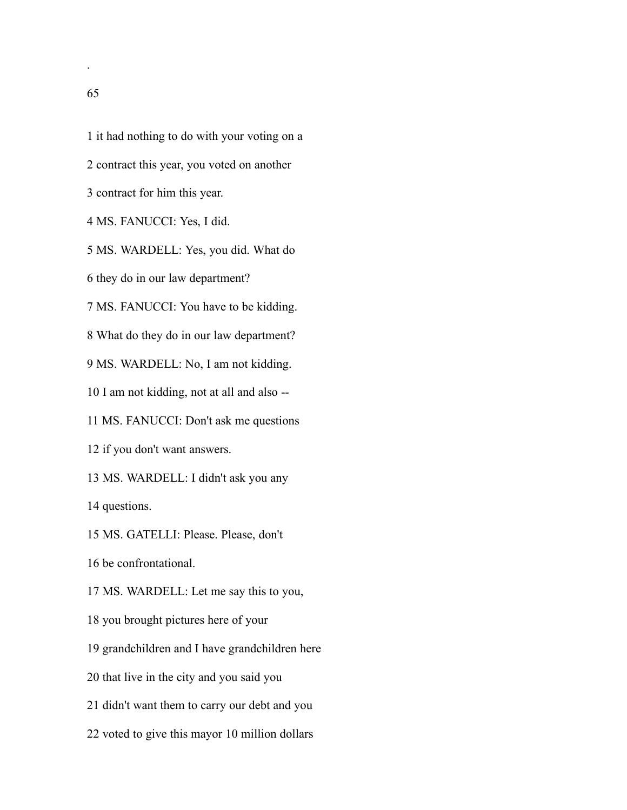it had nothing to do with your voting on a contract this year, you voted on another contract for him this year. MS. FANUCCI: Yes, I did. MS. WARDELL: Yes, you did. What do they do in our law department? MS. FANUCCI: You have to be kidding. What do they do in our law department? MS. WARDELL: No, I am not kidding. I am not kidding, not at all and also -- MS. FANUCCI: Don't ask me questions if you don't want answers. MS. WARDELL: I didn't ask you any questions. MS. GATELLI: Please. Please, don't be confrontational. MS. WARDELL: Let me say this to you, you brought pictures here of your grandchildren and I have grandchildren here that live in the city and you said you didn't want them to carry our debt and you

voted to give this mayor 10 million dollars

.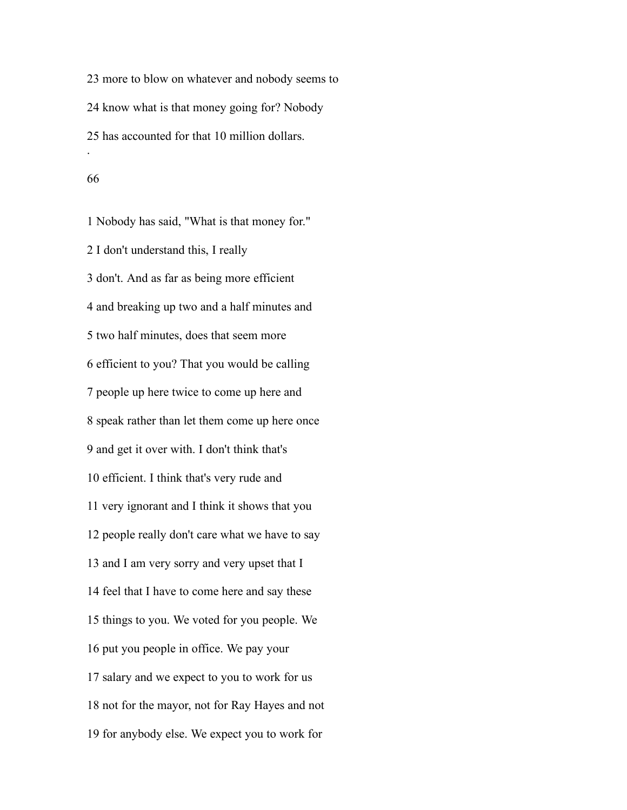more to blow on whatever and nobody seems to know what is that money going for? Nobody has accounted for that 10 million dollars. .

#### 

 Nobody has said, "What is that money for." I don't understand this, I really don't. And as far as being more efficient and breaking up two and a half minutes and two half minutes, does that seem more efficient to you? That you would be calling people up here twice to come up here and speak rather than let them come up here once and get it over with. I don't think that's efficient. I think that's very rude and very ignorant and I think it shows that you people really don't care what we have to say and I am very sorry and very upset that I feel that I have to come here and say these things to you. We voted for you people. We put you people in office. We pay your salary and we expect to you to work for us not for the mayor, not for Ray Hayes and not for anybody else. We expect you to work for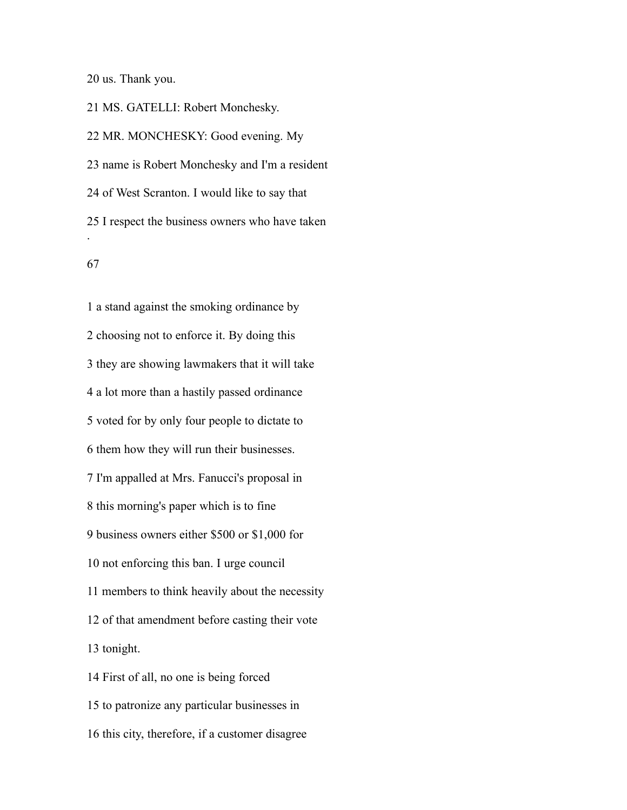us. Thank you.

 MS. GATELLI: Robert Monchesky. MR. MONCHESKY: Good evening. My name is Robert Monchesky and I'm a resident of West Scranton. I would like to say that I respect the business owners who have taken .

 a stand against the smoking ordinance by choosing not to enforce it. By doing this they are showing lawmakers that it will take a lot more than a hastily passed ordinance voted for by only four people to dictate to them how they will run their businesses. I'm appalled at Mrs. Fanucci's proposal in this morning's paper which is to fine business owners either \$500 or \$1,000 for not enforcing this ban. I urge council members to think heavily about the necessity of that amendment before casting their vote tonight. First of all, no one is being forced to patronize any particular businesses in

this city, therefore, if a customer disagree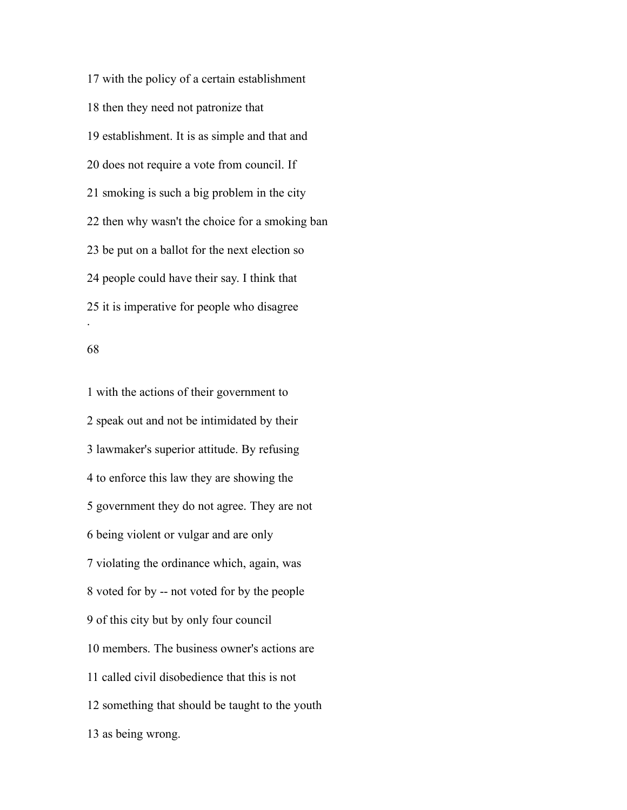with the policy of a certain establishment then they need not patronize that establishment. It is as simple and that and does not require a vote from council. If smoking is such a big problem in the city then why wasn't the choice for a smoking ban be put on a ballot for the next election so people could have their say. I think that it is imperative for people who disagree .

### 

 with the actions of their government to speak out and not be intimidated by their lawmaker's superior attitude. By refusing to enforce this law they are showing the government they do not agree. They are not being violent or vulgar and are only violating the ordinance which, again, was voted for by -- not voted for by the people of this city but by only four council members. The business owner's actions are called civil disobedience that this is not something that should be taught to the youth as being wrong.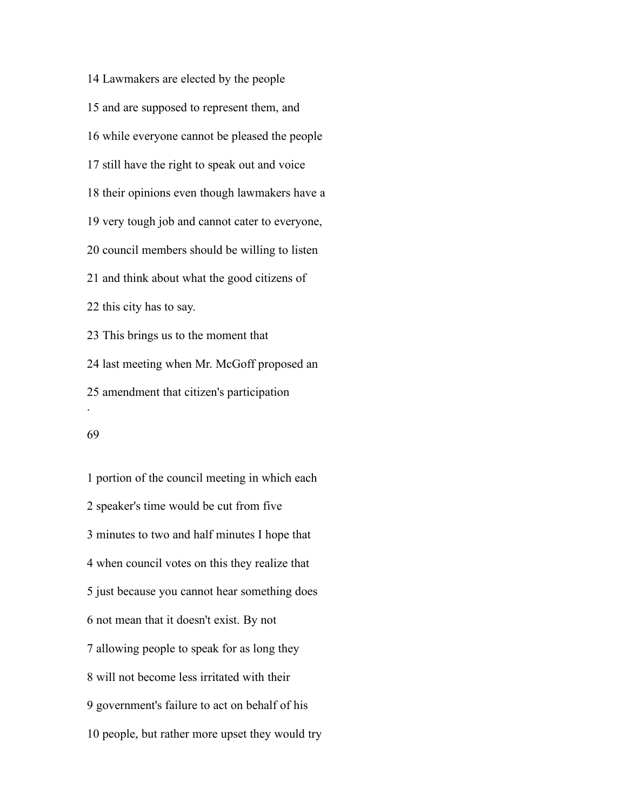Lawmakers are elected by the people and are supposed to represent them, and while everyone cannot be pleased the people still have the right to speak out and voice their opinions even though lawmakers have a very tough job and cannot cater to everyone, council members should be willing to listen and think about what the good citizens of this city has to say. This brings us to the moment that last meeting when Mr. McGoff proposed an amendment that citizen's participation .

### 

 portion of the council meeting in which each speaker's time would be cut from five minutes to two and half minutes I hope that when council votes on this they realize that just because you cannot hear something does not mean that it doesn't exist. By not allowing people to speak for as long they will not become less irritated with their government's failure to act on behalf of his people, but rather more upset they would try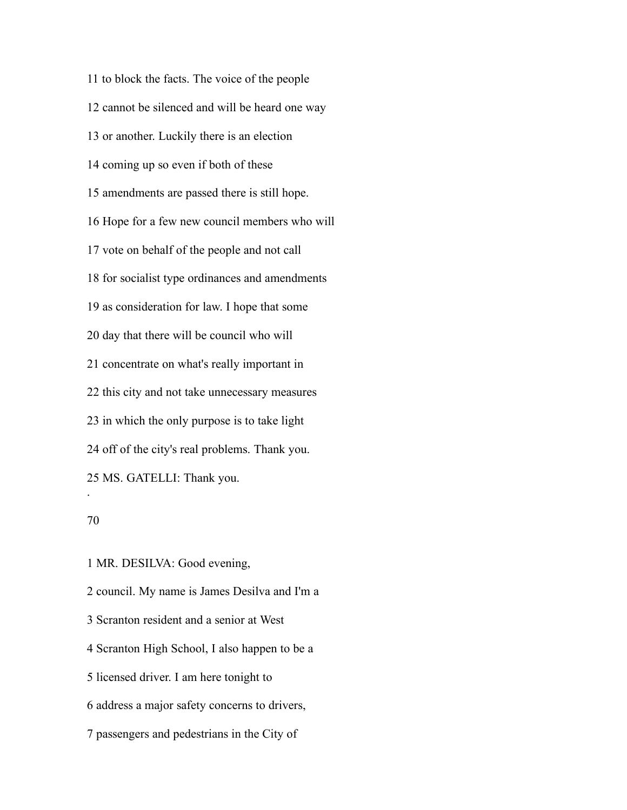to block the facts. The voice of the people cannot be silenced and will be heard one way or another. Luckily there is an election coming up so even if both of these amendments are passed there is still hope. Hope for a few new council members who will vote on behalf of the people and not call for socialist type ordinances and amendments as consideration for law. I hope that some day that there will be council who will concentrate on what's really important in this city and not take unnecessary measures in which the only purpose is to take light off of the city's real problems. Thank you. MS. GATELLI: Thank you. .

 MR. DESILVA: Good evening, council. My name is James Desilva and I'm a Scranton resident and a senior at West Scranton High School, I also happen to be a licensed driver. I am here tonight to address a major safety concerns to drivers, passengers and pedestrians in the City of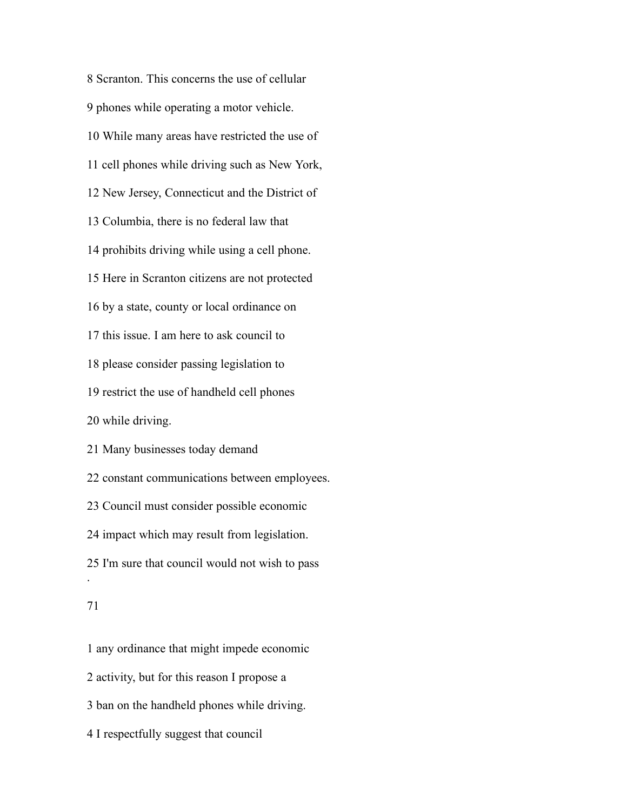Scranton. This concerns the use of cellular phones while operating a motor vehicle. While many areas have restricted the use of cell phones while driving such as New York, New Jersey, Connecticut and the District of Columbia, there is no federal law that prohibits driving while using a cell phone. Here in Scranton citizens are not protected by a state, county or local ordinance on this issue. I am here to ask council to please consider passing legislation to restrict the use of handheld cell phones while driving. Many businesses today demand constant communications between employees. Council must consider possible economic impact which may result from legislation. I'm sure that council would not wish to pass .

 any ordinance that might impede economic activity, but for this reason I propose a ban on the handheld phones while driving. I respectfully suggest that council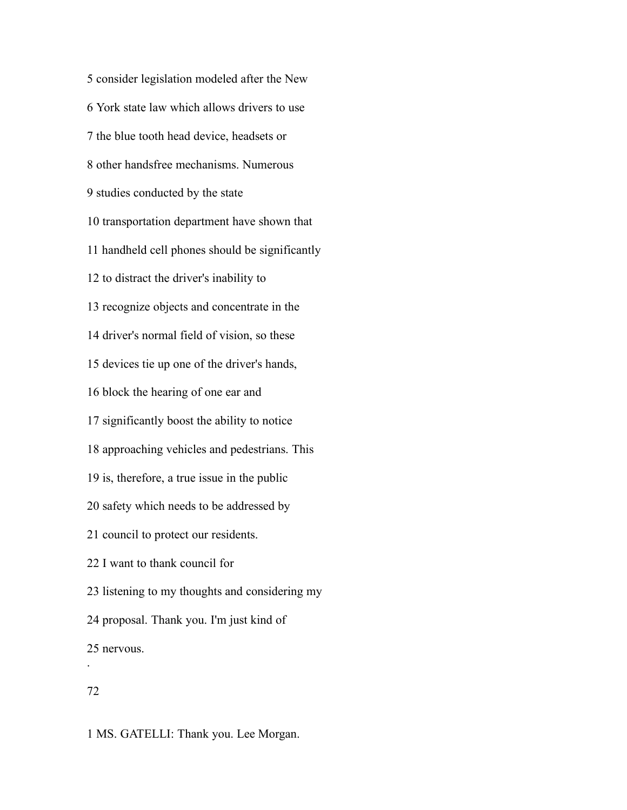consider legislation modeled after the New York state law which allows drivers to use the blue tooth head device, headsets or other handsfree mechanisms. Numerous studies conducted by the state transportation department have shown that handheld cell phones should be significantly to distract the driver's inability to recognize objects and concentrate in the driver's normal field of vision, so these devices tie up one of the driver's hands, block the hearing of one ear and significantly boost the ability to notice approaching vehicles and pedestrians. This is, therefore, a true issue in the public safety which needs to be addressed by council to protect our residents. I want to thank council for listening to my thoughts and considering my proposal. Thank you. I'm just kind of nervous. .

# 

MS. GATELLI: Thank you. Lee Morgan.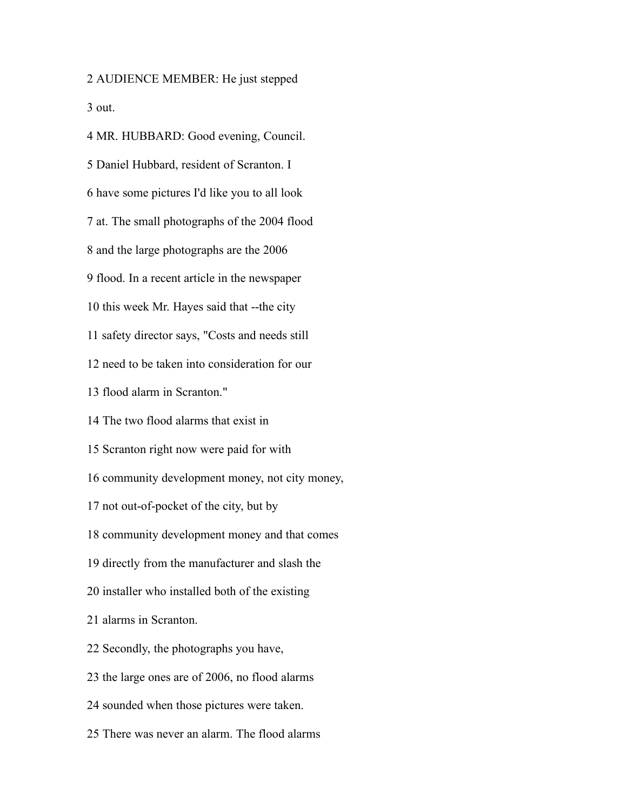AUDIENCE MEMBER: He just stepped out.

 MR. HUBBARD: Good evening, Council. Daniel Hubbard, resident of Scranton. I have some pictures I'd like you to all look at. The small photographs of the 2004 flood and the large photographs are the 2006 flood. In a recent article in the newspaper this week Mr. Hayes said that --the city safety director says, "Costs and needs still need to be taken into consideration for our flood alarm in Scranton." The two flood alarms that exist in Scranton right now were paid for with community development money, not city money, not out-of-pocket of the city, but by community development money and that comes directly from the manufacturer and slash the installer who installed both of the existing alarms in Scranton. Secondly, the photographs you have, the large ones are of 2006, no flood alarms sounded when those pictures were taken. There was never an alarm. The flood alarms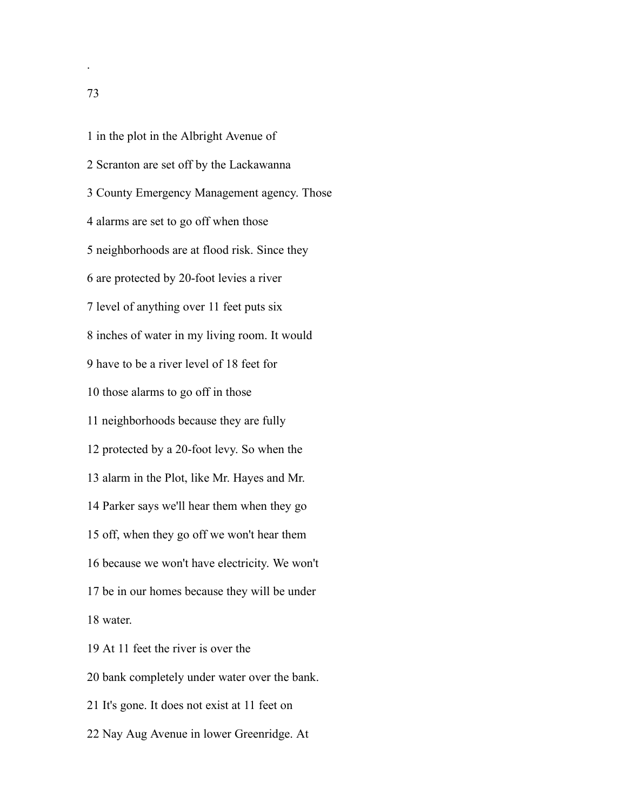in the plot in the Albright Avenue of Scranton are set off by the Lackawanna County Emergency Management agency. Those alarms are set to go off when those neighborhoods are at flood risk. Since they are protected by 20-foot levies a river level of anything over 11 feet puts six inches of water in my living room. It would have to be a river level of 18 feet for those alarms to go off in those neighborhoods because they are fully protected by a 20-foot levy. So when the alarm in the Plot, like Mr. Hayes and Mr. Parker says we'll hear them when they go off, when they go off we won't hear them because we won't have electricity. We won't be in our homes because they will be under water. At 11 feet the river is over the bank completely under water over the bank.

It's gone. It does not exist at 11 feet on

Nay Aug Avenue in lower Greenridge. At

.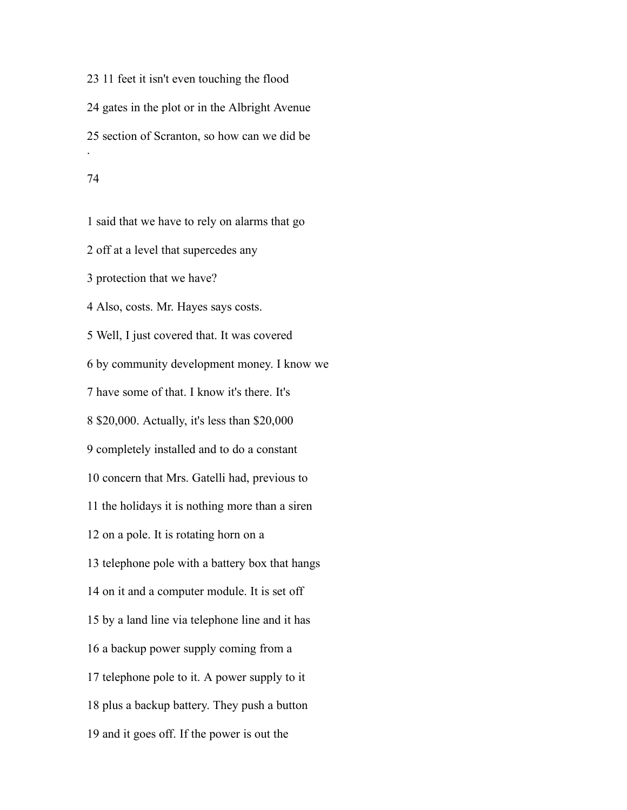11 feet it isn't even touching the flood gates in the plot or in the Albright Avenue section of Scranton, so how can we did be .

 said that we have to rely on alarms that go off at a level that supercedes any protection that we have? Also, costs. Mr. Hayes says costs. Well, I just covered that. It was covered by community development money. I know we have some of that. I know it's there. It's \$20,000. Actually, it's less than \$20,000 completely installed and to do a constant concern that Mrs. Gatelli had, previous to the holidays it is nothing more than a siren on a pole. It is rotating horn on a telephone pole with a battery box that hangs on it and a computer module. It is set off by a land line via telephone line and it has a backup power supply coming from a telephone pole to it. A power supply to it plus a backup battery. They push a button and it goes off. If the power is out the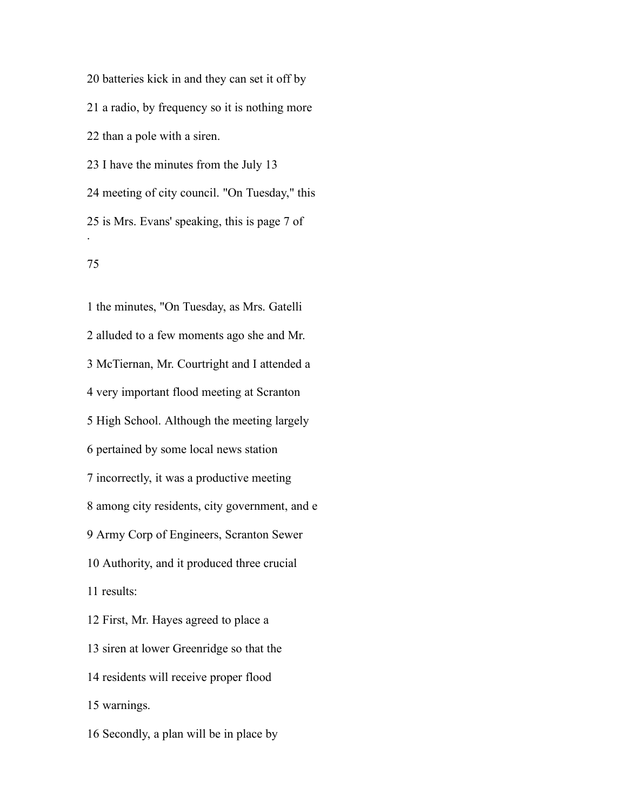batteries kick in and they can set it off by a radio, by frequency so it is nothing more than a pole with a siren. I have the minutes from the July 13 meeting of city council. "On Tuesday," this is Mrs. Evans' speaking, this is page 7 of .

### 

 the minutes, "On Tuesday, as Mrs. Gatelli alluded to a few moments ago she and Mr. McTiernan, Mr. Courtright and I attended a very important flood meeting at Scranton High School. Although the meeting largely pertained by some local news station incorrectly, it was a productive meeting among city residents, city government, and e Army Corp of Engineers, Scranton Sewer Authority, and it produced three crucial results: First, Mr. Hayes agreed to place a siren at lower Greenridge so that the residents will receive proper flood warnings.

Secondly, a plan will be in place by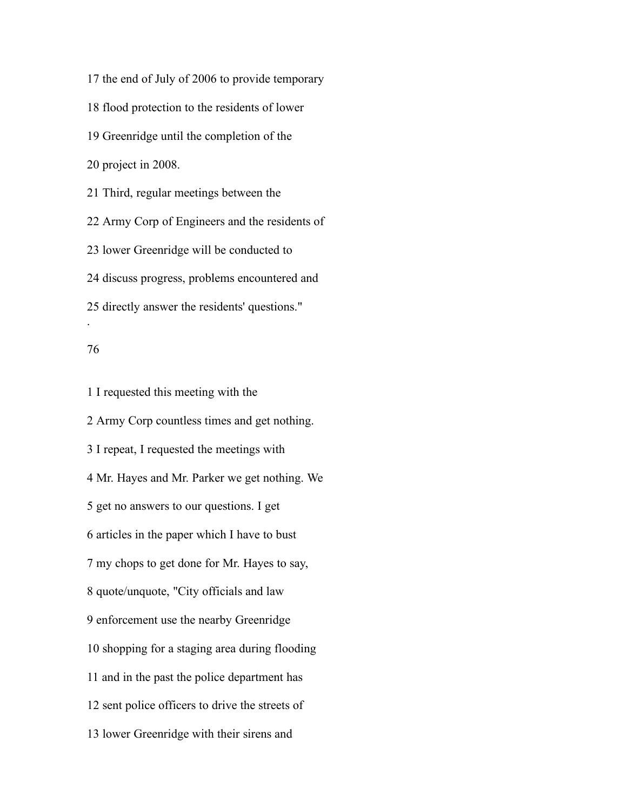the end of July of 2006 to provide temporary flood protection to the residents of lower Greenridge until the completion of the project in 2008. Third, regular meetings between the Army Corp of Engineers and the residents of lower Greenridge will be conducted to discuss progress, problems encountered and directly answer the residents' questions." .

#### 

 Army Corp countless times and get nothing. I repeat, I requested the meetings with Mr. Hayes and Mr. Parker we get nothing. We get no answers to our questions. I get articles in the paper which I have to bust my chops to get done for Mr. Hayes to say, quote/unquote, "City officials and law enforcement use the nearby Greenridge shopping for a staging area during flooding and in the past the police department has sent police officers to drive the streets of lower Greenridge with their sirens and

I requested this meeting with the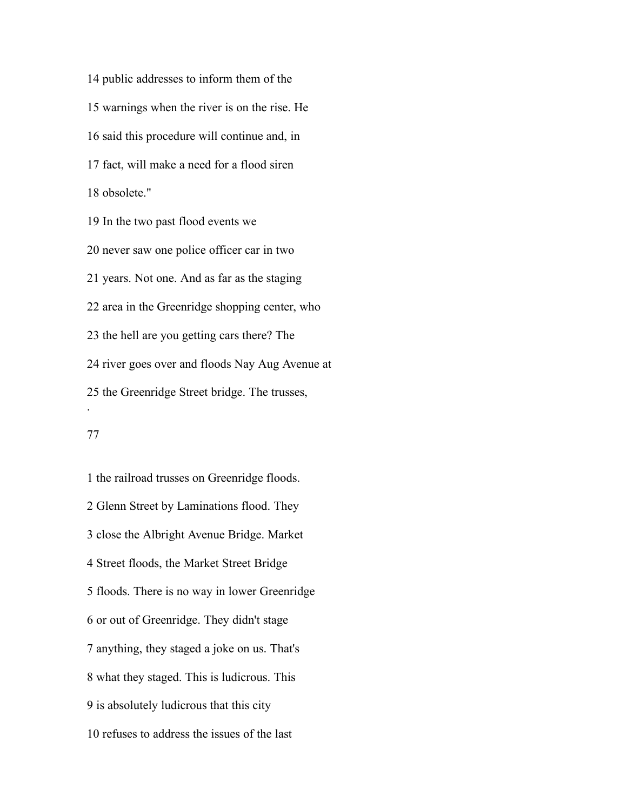public addresses to inform them of the warnings when the river is on the rise. He said this procedure will continue and, in fact, will make a need for a flood siren obsolete." In the two past flood events we never saw one police officer car in two

years. Not one. And as far as the staging

area in the Greenridge shopping center, who

the hell are you getting cars there? The

river goes over and floods Nay Aug Avenue at

the Greenridge Street bridge. The trusses,

#### 

.

 the railroad trusses on Greenridge floods. Glenn Street by Laminations flood. They close the Albright Avenue Bridge. Market Street floods, the Market Street Bridge floods. There is no way in lower Greenridge or out of Greenridge. They didn't stage anything, they staged a joke on us. That's what they staged. This is ludicrous. This is absolutely ludicrous that this city refuses to address the issues of the last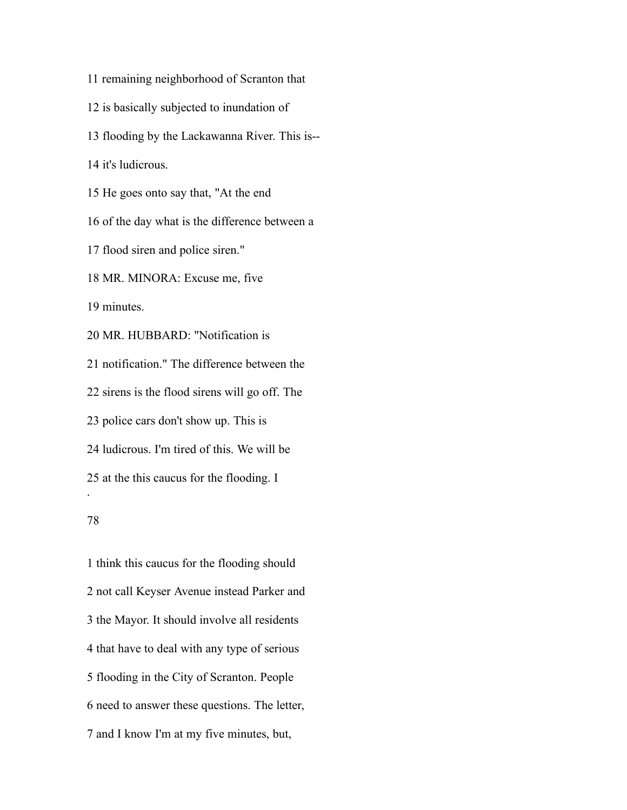- remaining neighborhood of Scranton that
- is basically subjected to inundation of
- flooding by the Lackawanna River. This is--

it's ludicrous.

He goes onto say that, "At the end

of the day what is the difference between a

flood siren and police siren."

MR. MINORA: Excuse me, five

minutes.

MR. HUBBARD: "Notification is

notification." The difference between the

sirens is the flood sirens will go off. The

police cars don't show up. This is

ludicrous. I'm tired of this. We will be

at the this caucus for the flooding. I

### 

.

 think this caucus for the flooding should not call Keyser Avenue instead Parker and the Mayor. It should involve all residents that have to deal with any type of serious flooding in the City of Scranton. People need to answer these questions. The letter, and I know I'm at my five minutes, but,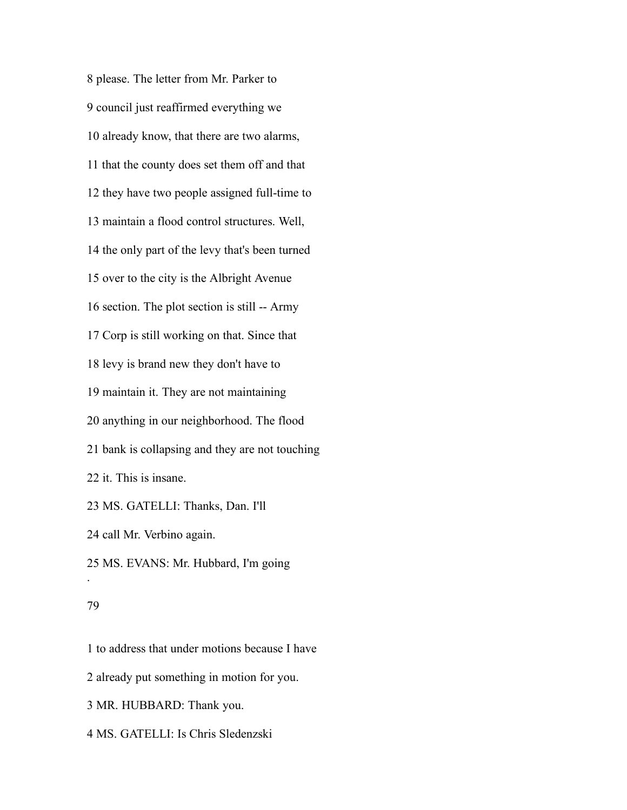please. The letter from Mr. Parker to council just reaffirmed everything we already know, that there are two alarms, that the county does set them off and that they have two people assigned full-time to maintain a flood control structures. Well, the only part of the levy that's been turned over to the city is the Albright Avenue section. The plot section is still -- Army Corp is still working on that. Since that levy is brand new they don't have to maintain it. They are not maintaining anything in our neighborhood. The flood bank is collapsing and they are not touching it. This is insane. MS. GATELLI: Thanks, Dan. I'll call Mr. Verbino again.

 MS. EVANS: Mr. Hubbard, I'm going .

### 

 to address that under motions because I have already put something in motion for you. MR. HUBBARD: Thank you. MS. GATELLI: Is Chris Sledenzski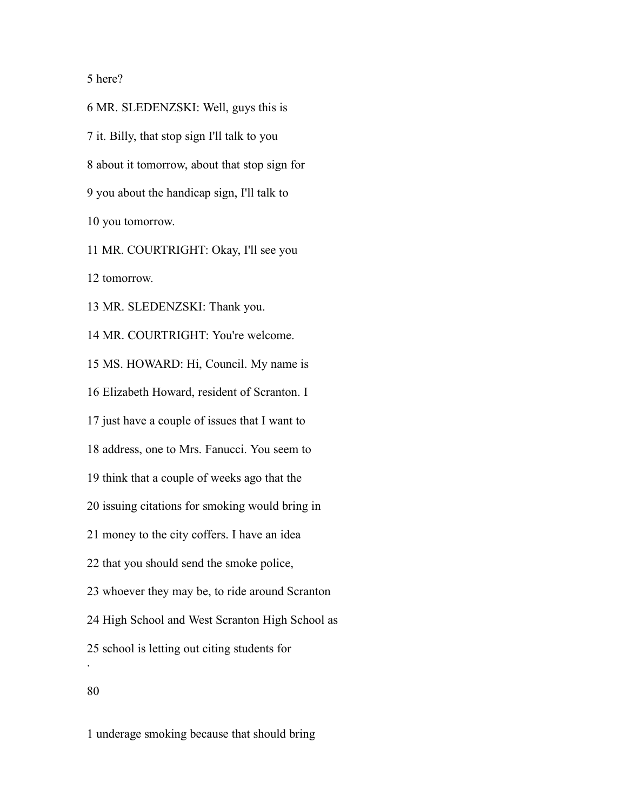### here?

 MR. SLEDENZSKI: Well, guys this is it. Billy, that stop sign I'll talk to you about it tomorrow, about that stop sign for you about the handicap sign, I'll talk to you tomorrow.

MR. COURTRIGHT: Okay, I'll see you

tomorrow.

MR. SLEDENZSKI: Thank you.

 MR. COURTRIGHT: You're welcome. MS. HOWARD: Hi, Council. My name is Elizabeth Howard, resident of Scranton. I just have a couple of issues that I want to address, one to Mrs. Fanucci. You seem to think that a couple of weeks ago that the issuing citations for smoking would bring in money to the city coffers. I have an idea that you should send the smoke police, whoever they may be, to ride around Scranton High School and West Scranton High School as school is letting out citing students for .

underage smoking because that should bring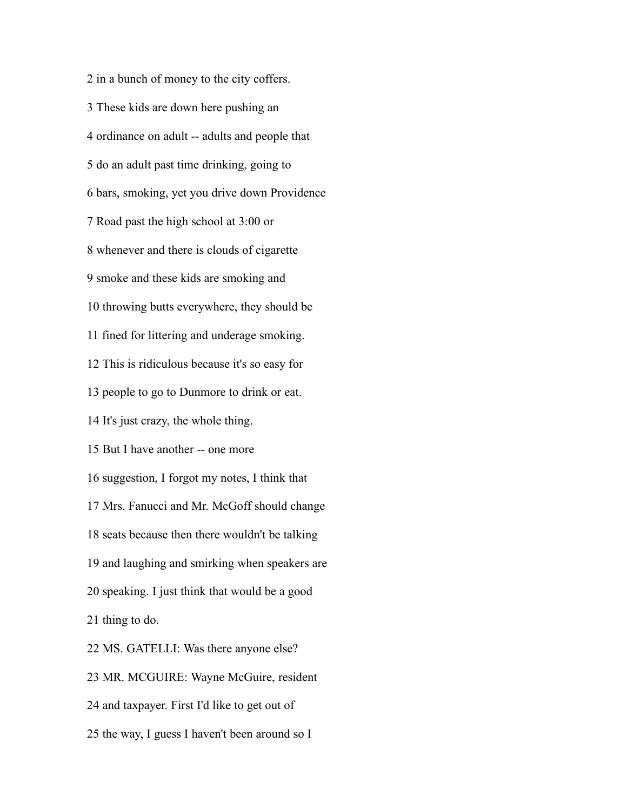in a bunch of money to the city coffers. These kids are down here pushing an ordinance on adult -- adults and people that do an adult past time drinking, going to bars, smoking, yet you drive down Providence Road past the high school at 3:00 or whenever and there is clouds of cigarette smoke and these kids are smoking and throwing butts everywhere, they should be fined for littering and underage smoking. This is ridiculous because it's so easy for people to go to Dunmore to drink or eat. It's just crazy, the whole thing. But I have another -- one more suggestion, I forgot my notes, I think that Mrs. Fanucci and Mr. McGoff should change seats because then there wouldn't be talking and laughing and smirking when speakers are speaking. I just think that would be a good thing to do. MS. GATELLI: Was there anyone else? MR. MCGUIRE: Wayne McGuire, resident and taxpayer. First I'd like to get out of the way, I guess I haven't been around so I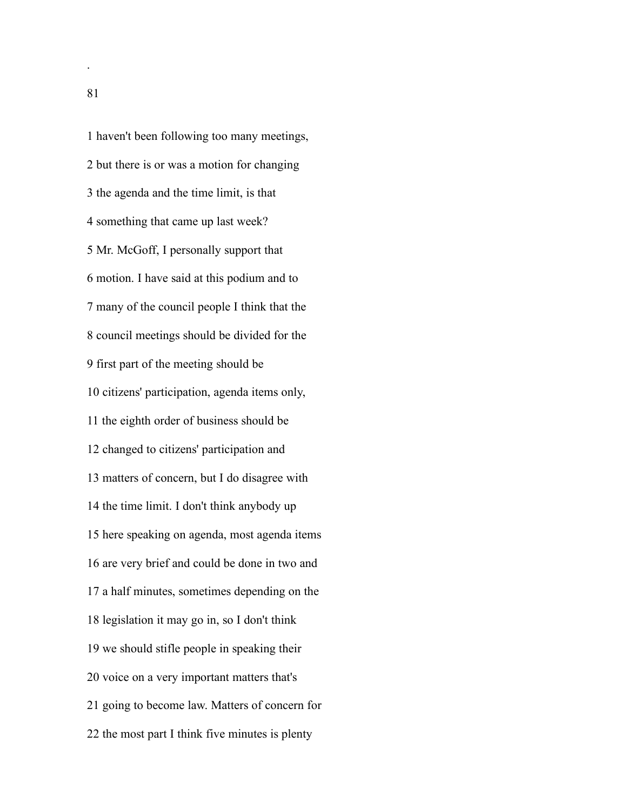haven't been following too many meetings, but there is or was a motion for changing the agenda and the time limit, is that something that came up last week? Mr. McGoff, I personally support that motion. I have said at this podium and to many of the council people I think that the council meetings should be divided for the first part of the meeting should be citizens' participation, agenda items only, the eighth order of business should be changed to citizens' participation and matters of concern, but I do disagree with the time limit. I don't think anybody up here speaking on agenda, most agenda items are very brief and could be done in two and a half minutes, sometimes depending on the legislation it may go in, so I don't think we should stifle people in speaking their voice on a very important matters that's going to become law. Matters of concern for the most part I think five minutes is plenty

.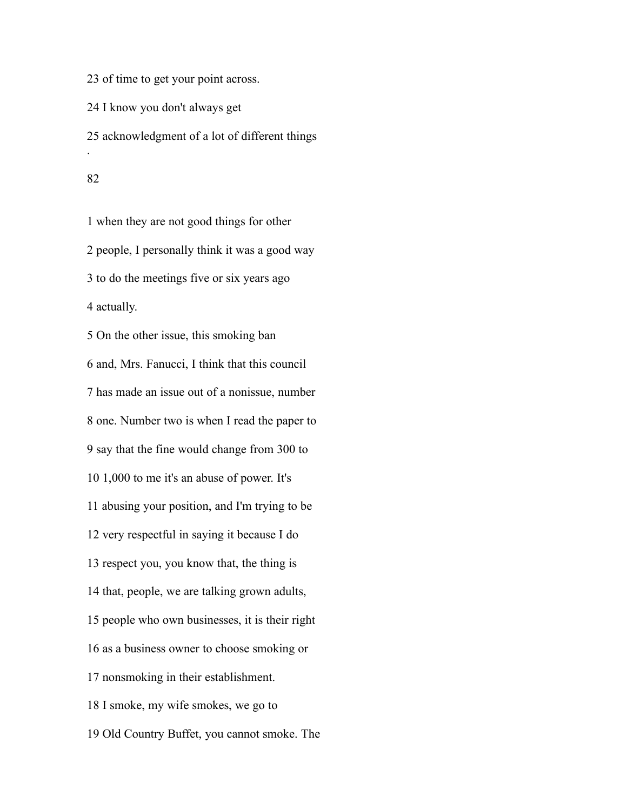of time to get your point across.

I know you don't always get

 acknowledgment of a lot of different things .

 when they are not good things for other people, I personally think it was a good way to do the meetings five or six years ago actually. On the other issue, this smoking ban and, Mrs. Fanucci, I think that this council has made an issue out of a nonissue, number one. Number two is when I read the paper to say that the fine would change from 300 to 1,000 to me it's an abuse of power. It's

abusing your position, and I'm trying to be

very respectful in saying it because I do

respect you, you know that, the thing is

that, people, we are talking grown adults,

people who own businesses, it is their right

as a business owner to choose smoking or

nonsmoking in their establishment.

I smoke, my wife smokes, we go to

Old Country Buffet, you cannot smoke. The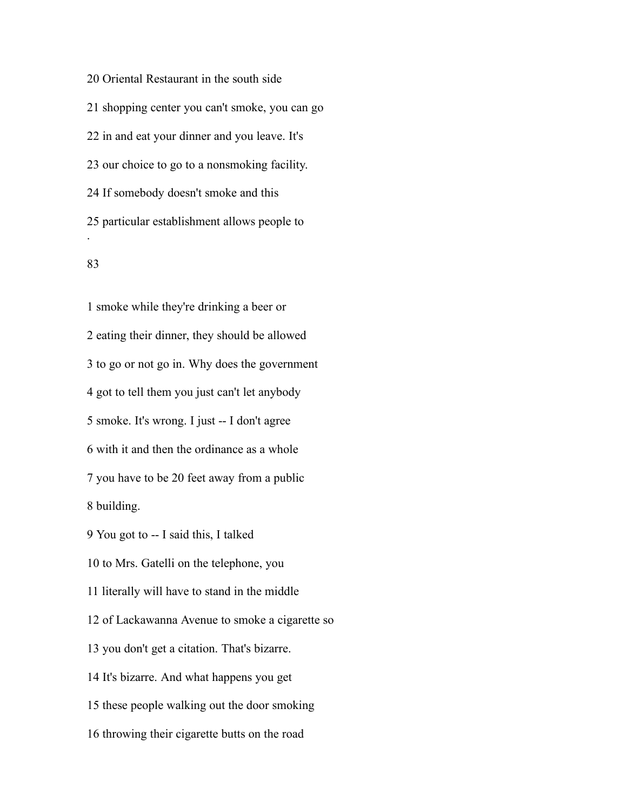Oriental Restaurant in the south side shopping center you can't smoke, you can go in and eat your dinner and you leave. It's our choice to go to a nonsmoking facility. If somebody doesn't smoke and this particular establishment allows people to .

## 

 smoke while they're drinking a beer or eating their dinner, they should be allowed to go or not go in. Why does the government got to tell them you just can't let anybody smoke. It's wrong. I just -- I don't agree with it and then the ordinance as a whole you have to be 20 feet away from a public building. You got to -- I said this, I talked to Mrs. Gatelli on the telephone, you literally will have to stand in the middle of Lackawanna Avenue to smoke a cigarette so you don't get a citation. That's bizarre. It's bizarre. And what happens you get these people walking out the door smoking throwing their cigarette butts on the road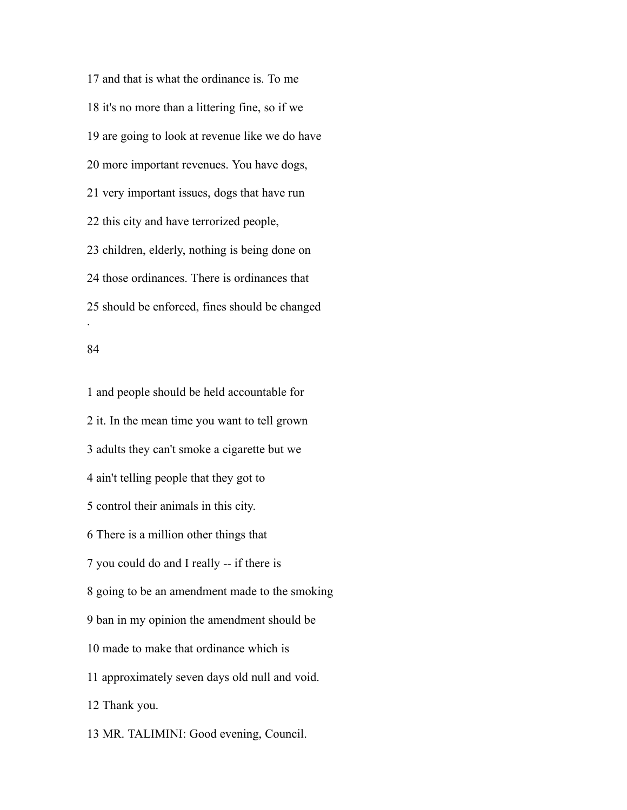and that is what the ordinance is. To me it's no more than a littering fine, so if we are going to look at revenue like we do have more important revenues. You have dogs, very important issues, dogs that have run this city and have terrorized people, children, elderly, nothing is being done on those ordinances. There is ordinances that should be enforced, fines should be changed .

#### 

 and people should be held accountable for it. In the mean time you want to tell grown adults they can't smoke a cigarette but we ain't telling people that they got to control their animals in this city. There is a million other things that you could do and I really -- if there is going to be an amendment made to the smoking ban in my opinion the amendment should be made to make that ordinance which is approximately seven days old null and void. Thank you. MR. TALIMINI: Good evening, Council.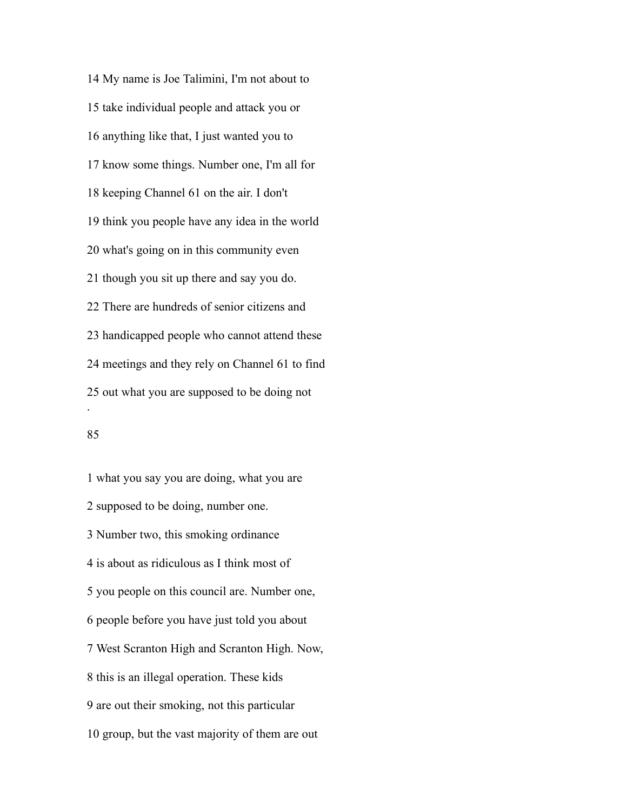My name is Joe Talimini, I'm not about to take individual people and attack you or anything like that, I just wanted you to know some things. Number one, I'm all for keeping Channel 61 on the air. I don't think you people have any idea in the world what's going on in this community even though you sit up there and say you do. There are hundreds of senior citizens and handicapped people who cannot attend these meetings and they rely on Channel 61 to find out what you are supposed to be doing not .

### 

 what you say you are doing, what you are supposed to be doing, number one. Number two, this smoking ordinance is about as ridiculous as I think most of you people on this council are. Number one, people before you have just told you about West Scranton High and Scranton High. Now, this is an illegal operation. These kids are out their smoking, not this particular group, but the vast majority of them are out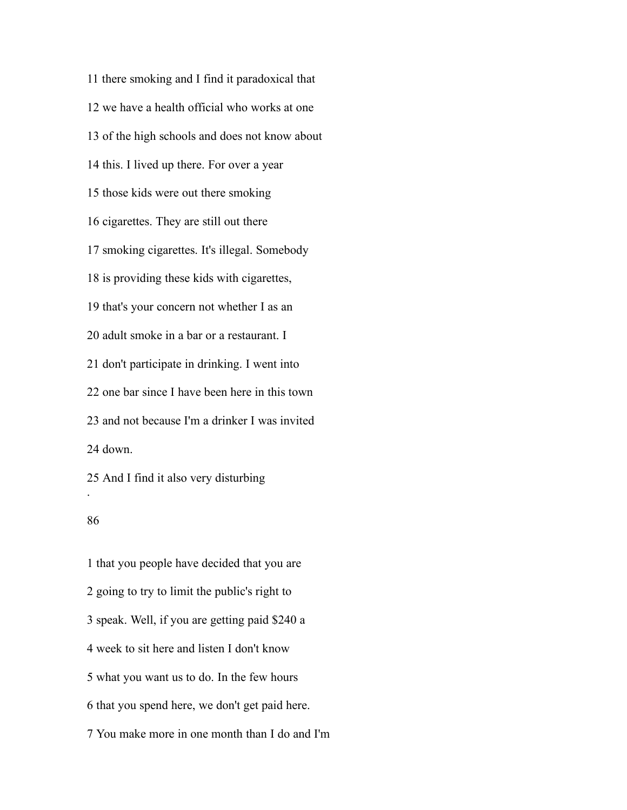there smoking and I find it paradoxical that we have a health official who works at one of the high schools and does not know about this. I lived up there. For over a year those kids were out there smoking cigarettes. They are still out there smoking cigarettes. It's illegal. Somebody is providing these kids with cigarettes, that's your concern not whether I as an adult smoke in a bar or a restaurant. I don't participate in drinking. I went into one bar since I have been here in this town and not because I'm a drinker I was invited down.

### 

.

 that you people have decided that you are going to try to limit the public's right to speak. Well, if you are getting paid \$240 a week to sit here and listen I don't know what you want us to do. In the few hours that you spend here, we don't get paid here. You make more in one month than I do and I'm

And I find it also very disturbing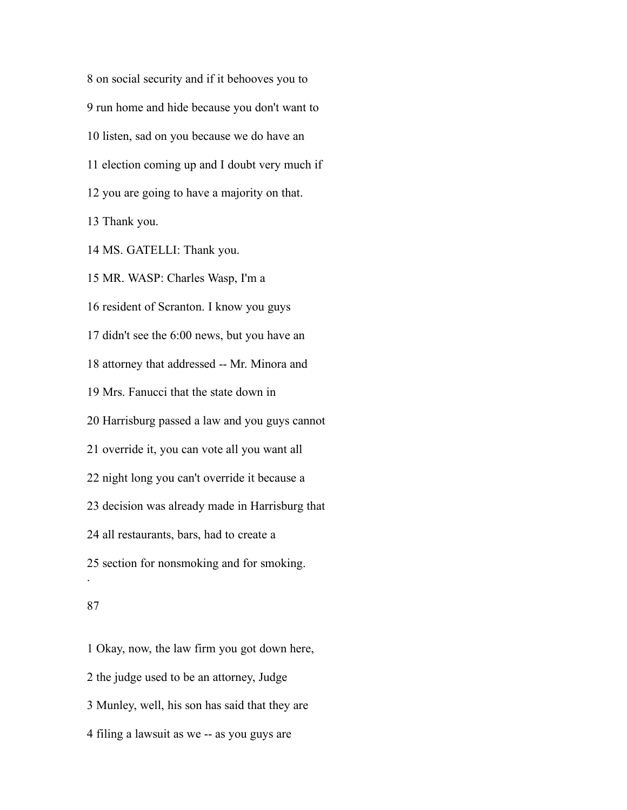on social security and if it behooves you to run home and hide because you don't want to listen, sad on you because we do have an election coming up and I doubt very much if you are going to have a majority on that. Thank you. MS. GATELLI: Thank you. MR. WASP: Charles Wasp, I'm a resident of Scranton. I know you guys didn't see the 6:00 news, but you have an attorney that addressed -- Mr. Minora and Mrs. Fanucci that the state down in Harrisburg passed a law and you guys cannot override it, you can vote all you want all night long you can't override it because a decision was already made in Harrisburg that all restaurants, bars, had to create a section for nonsmoking and for smoking. .

# 

 Okay, now, the law firm you got down here, the judge used to be an attorney, Judge Munley, well, his son has said that they are filing a lawsuit as we -- as you guys are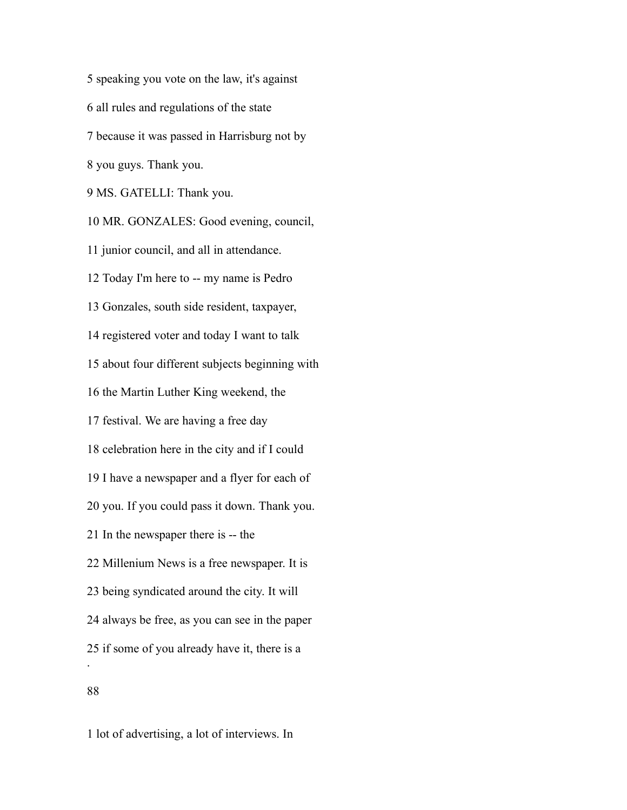speaking you vote on the law, it's against all rules and regulations of the state because it was passed in Harrisburg not by you guys. Thank you. MS. GATELLI: Thank you. MR. GONZALES: Good evening, council, junior council, and all in attendance. Today I'm here to -- my name is Pedro Gonzales, south side resident, taxpayer, registered voter and today I want to talk about four different subjects beginning with the Martin Luther King weekend, the festival. We are having a free day celebration here in the city and if I could I have a newspaper and a flyer for each of you. If you could pass it down. Thank you. In the newspaper there is -- the Millenium News is a free newspaper. It is being syndicated around the city. It will always be free, as you can see in the paper if some of you already have it, there is a . 

lot of advertising, a lot of interviews. In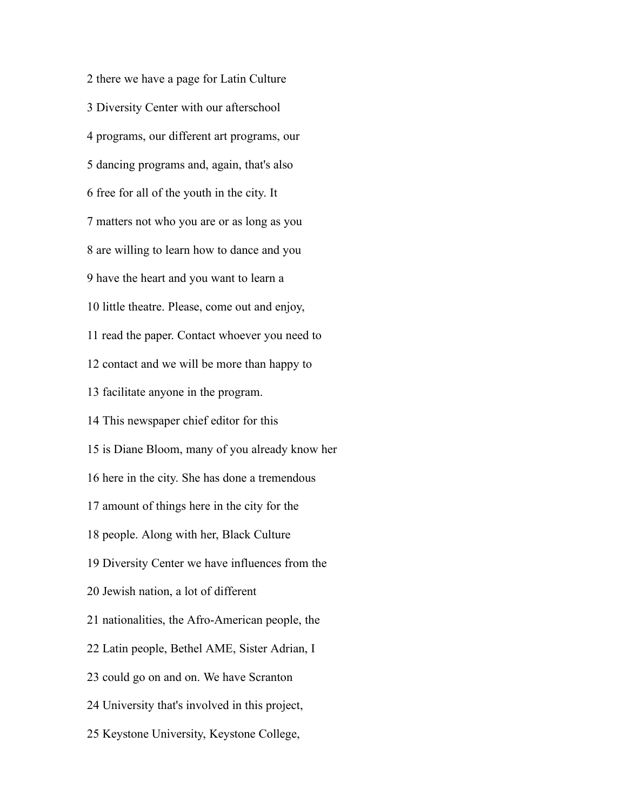there we have a page for Latin Culture Diversity Center with our afterschool programs, our different art programs, our dancing programs and, again, that's also free for all of the youth in the city. It matters not who you are or as long as you are willing to learn how to dance and you have the heart and you want to learn a little theatre. Please, come out and enjoy, read the paper. Contact whoever you need to contact and we will be more than happy to facilitate anyone in the program. This newspaper chief editor for this is Diane Bloom, many of you already know her here in the city. She has done a tremendous amount of things here in the city for the people. Along with her, Black Culture Diversity Center we have influences from the Jewish nation, a lot of different nationalities, the Afro-American people, the Latin people, Bethel AME, Sister Adrian, I could go on and on. We have Scranton University that's involved in this project, Keystone University, Keystone College,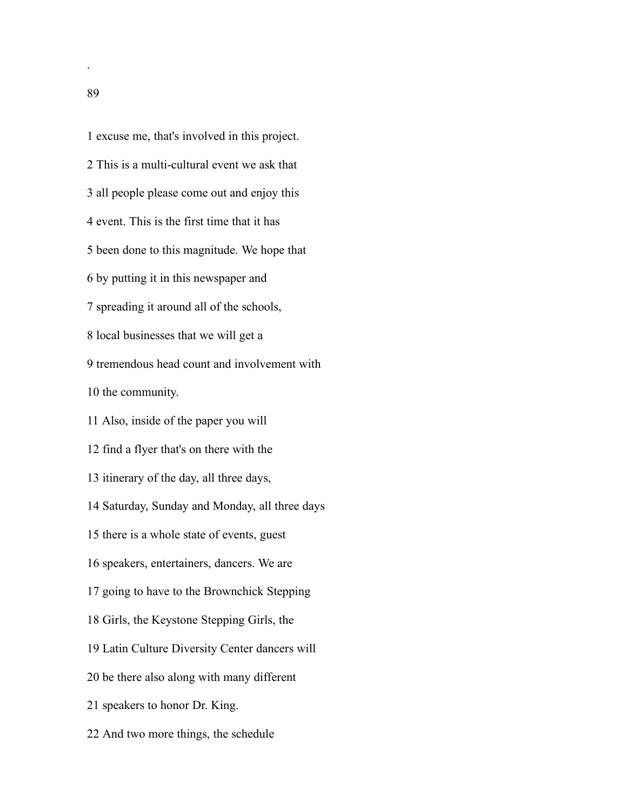excuse me, that's involved in this project. This is a multi-cultural event we ask that all people please come out and enjoy this event. This is the first time that it has been done to this magnitude. We hope that by putting it in this newspaper and spreading it around all of the schools, local businesses that we will get a tremendous head count and involvement with the community. Also, inside of the paper you will find a flyer that's on there with the itinerary of the day, all three days, Saturday, Sunday and Monday, all three days there is a whole state of events, guest speakers, entertainers, dancers. We are going to have to the Brownchick Stepping Girls, the Keystone Stepping Girls, the Latin Culture Diversity Center dancers will be there also along with many different speakers to honor Dr. King. And two more things, the schedule

.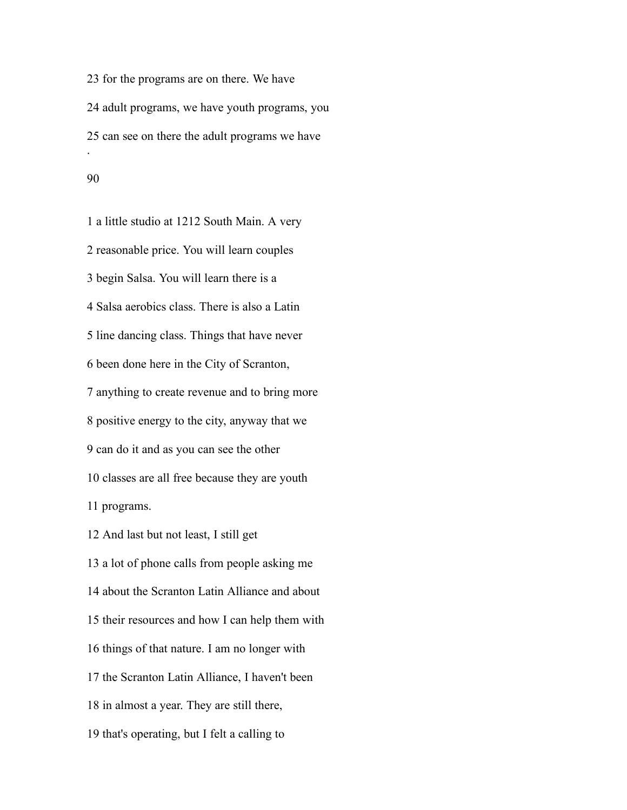for the programs are on there. We have adult programs, we have youth programs, you can see on there the adult programs we have . 

 a little studio at 1212 South Main. A very reasonable price. You will learn couples begin Salsa. You will learn there is a Salsa aerobics class. There is also a Latin line dancing class. Things that have never been done here in the City of Scranton, anything to create revenue and to bring more positive energy to the city, anyway that we can do it and as you can see the other classes are all free because they are youth programs. And last but not least, I still get a lot of phone calls from people asking me about the Scranton Latin Alliance and about their resources and how I can help them with things of that nature. I am no longer with the Scranton Latin Alliance, I haven't been

in almost a year. They are still there,

that's operating, but I felt a calling to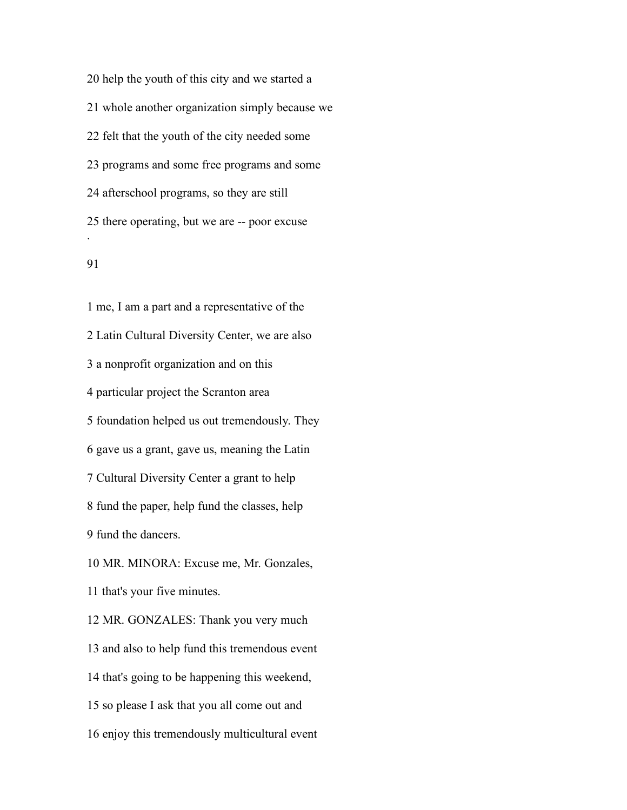help the youth of this city and we started a whole another organization simply because we felt that the youth of the city needed some programs and some free programs and some afterschool programs, so they are still there operating, but we are -- poor excuse .

 me, I am a part and a representative of the Latin Cultural Diversity Center, we are also a nonprofit organization and on this particular project the Scranton area foundation helped us out tremendously. They gave us a grant, gave us, meaning the Latin Cultural Diversity Center a grant to help fund the paper, help fund the classes, help fund the dancers. MR. MINORA: Excuse me, Mr. Gonzales, that's your five minutes. MR. GONZALES: Thank you very much and also to help fund this tremendous event that's going to be happening this weekend, so please I ask that you all come out and enjoy this tremendously multicultural event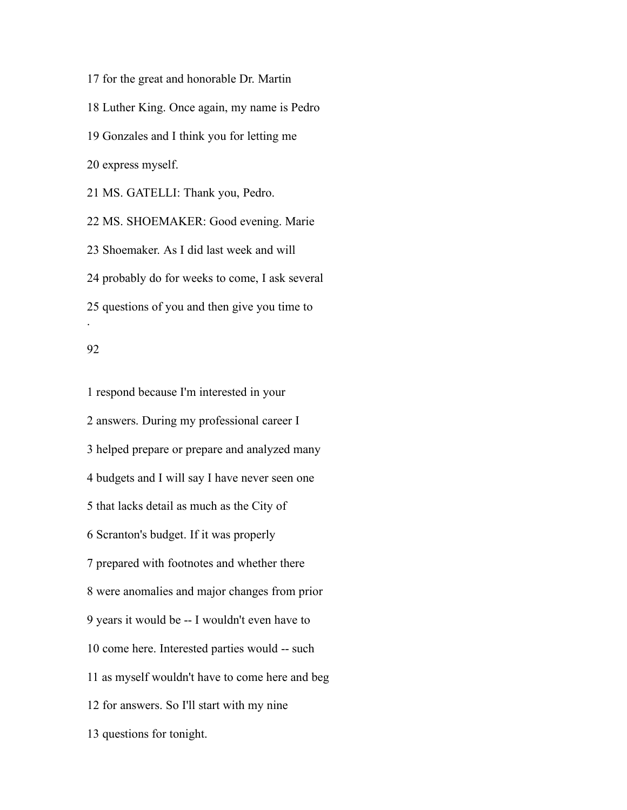for the great and honorable Dr. Martin Luther King. Once again, my name is Pedro Gonzales and I think you for letting me express myself. MS. GATELLI: Thank you, Pedro. MS. SHOEMAKER: Good evening. Marie Shoemaker. As I did last week and will probably do for weeks to come, I ask several

 questions of you and then give you time to .

#### 

 respond because I'm interested in your answers. During my professional career I helped prepare or prepare and analyzed many budgets and I will say I have never seen one that lacks detail as much as the City of Scranton's budget. If it was properly prepared with footnotes and whether there were anomalies and major changes from prior years it would be -- I wouldn't even have to come here. Interested parties would -- such as myself wouldn't have to come here and beg for answers. So I'll start with my nine questions for tonight.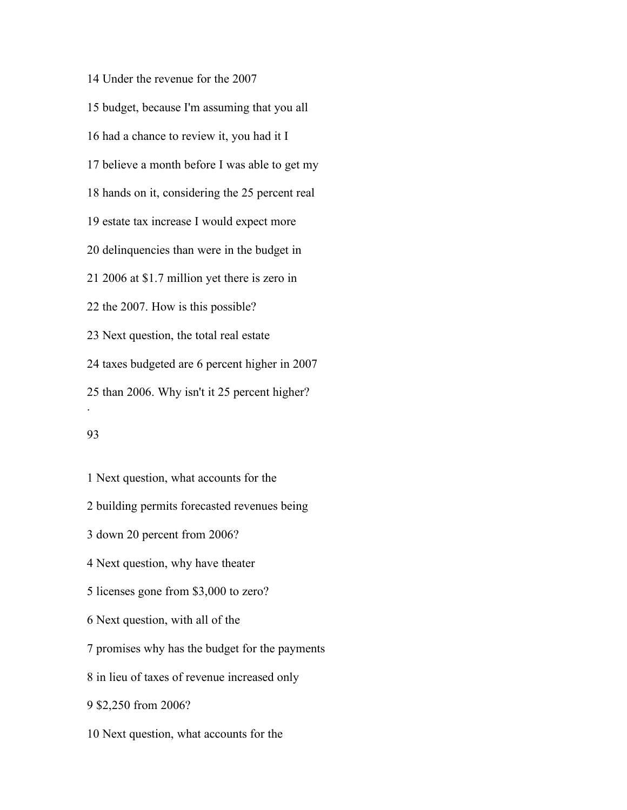Under the revenue for the 2007 budget, because I'm assuming that you all had a chance to review it, you had it I believe a month before I was able to get my hands on it, considering the 25 percent real estate tax increase I would expect more delinquencies than were in the budget in 2006 at \$1.7 million yet there is zero in the 2007. How is this possible? Next question, the total real estate taxes budgeted are 6 percent higher in 2007 than 2006. Why isn't it 25 percent higher? .

 Next question, what accounts for the building permits forecasted revenues being down 20 percent from 2006? Next question, why have theater licenses gone from \$3,000 to zero? Next question, with all of the promises why has the budget for the payments in lieu of taxes of revenue increased only \$2,250 from 2006? Next question, what accounts for the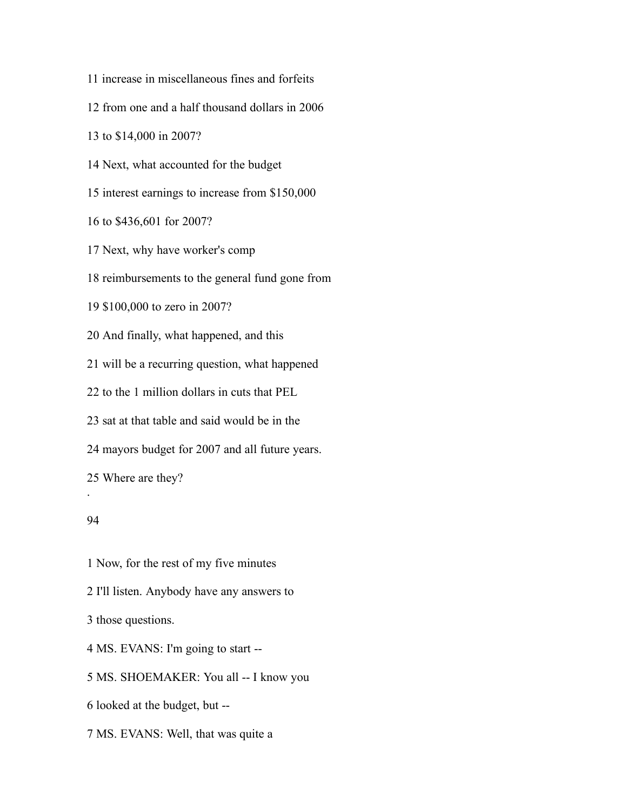increase in miscellaneous fines and forfeits

from one and a half thousand dollars in 2006

to \$14,000 in 2007?

Next, what accounted for the budget

interest earnings to increase from \$150,000

to \$436,601 for 2007?

Next, why have worker's comp

reimbursements to the general fund gone from

\$100,000 to zero in 2007?

And finally, what happened, and this

will be a recurring question, what happened

to the 1 million dollars in cuts that PEL

sat at that table and said would be in the

mayors budget for 2007 and all future years.

Where are they?

#### 

.

 Now, for the rest of my five minutes I'll listen. Anybody have any answers to those questions. MS. EVANS: I'm going to start -- MS. SHOEMAKER: You all -- I know you looked at the budget, but --

MS. EVANS: Well, that was quite a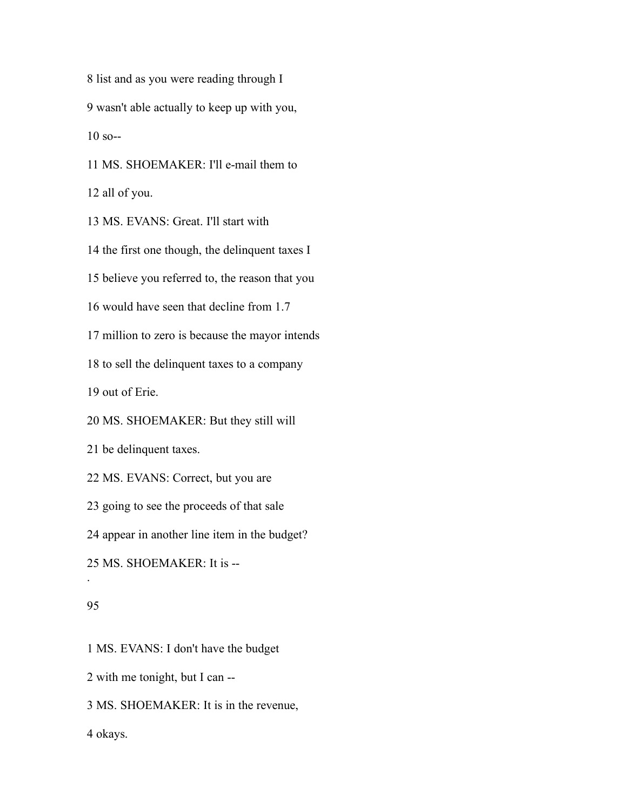list and as you were reading through I wasn't able actually to keep up with you, so--

MS. SHOEMAKER: I'll e-mail them to

all of you.

MS. EVANS: Great. I'll start with

the first one though, the delinquent taxes I

believe you referred to, the reason that you

would have seen that decline from 1.7

million to zero is because the mayor intends

to sell the delinquent taxes to a company

out of Erie.

MS. SHOEMAKER: But they still will

be delinquent taxes.

MS. EVANS: Correct, but you are

going to see the proceeds of that sale

appear in another line item in the budget?

MS. SHOEMAKER: It is --

# 

.

MS. EVANS: I don't have the budget

with me tonight, but I can --

MS. SHOEMAKER: It is in the revenue,

okays.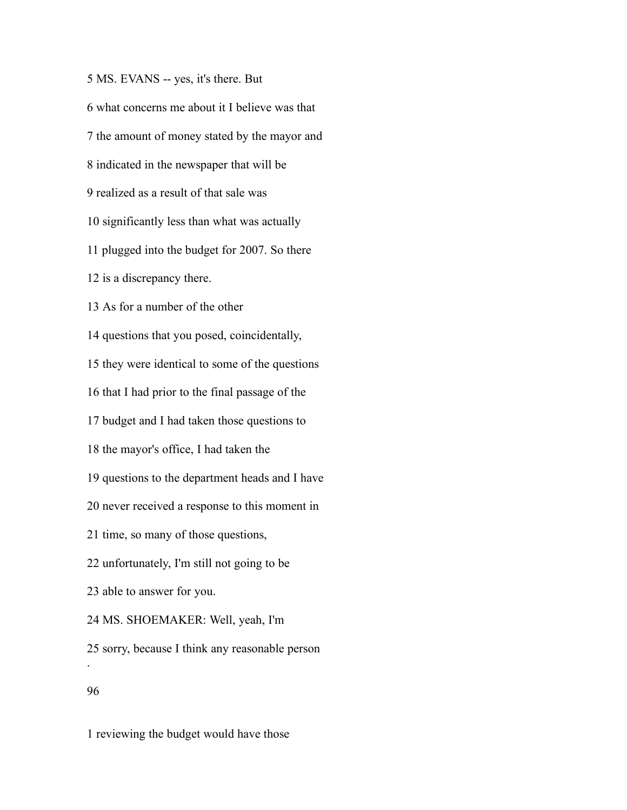MS. EVANS -- yes, it's there. But what concerns me about it I believe was that the amount of money stated by the mayor and indicated in the newspaper that will be realized as a result of that sale was significantly less than what was actually plugged into the budget for 2007. So there is a discrepancy there. As for a number of the other questions that you posed, coincidentally, they were identical to some of the questions that I had prior to the final passage of the budget and I had taken those questions to the mayor's office, I had taken the questions to the department heads and I have never received a response to this moment in time, so many of those questions, unfortunately, I'm still not going to be able to answer for you. MS. SHOEMAKER: Well, yeah, I'm sorry, because I think any reasonable person . 

reviewing the budget would have those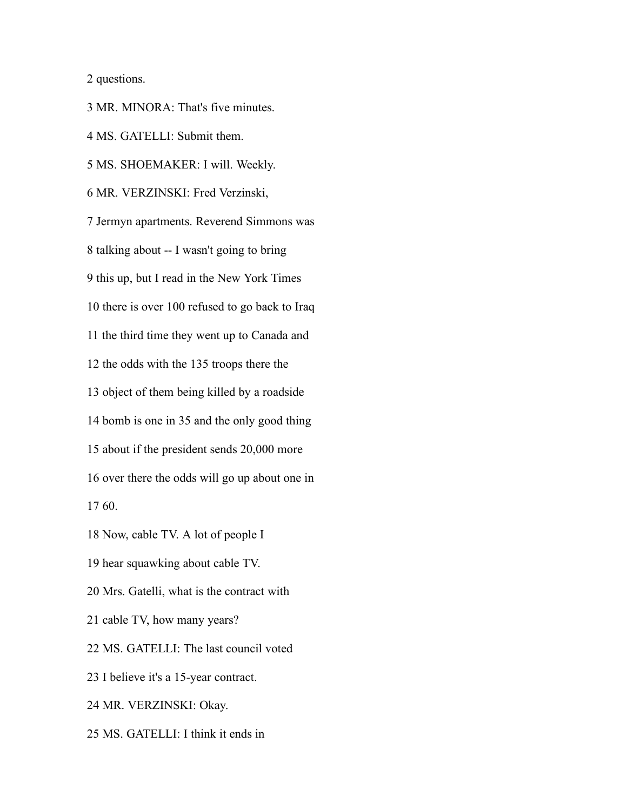questions.

 MR. MINORA: That's five minutes. MS. GATELLI: Submit them. MS. SHOEMAKER: I will. Weekly. MR. VERZINSKI: Fred Verzinski, Jermyn apartments. Reverend Simmons was talking about -- I wasn't going to bring this up, but I read in the New York Times there is over 100 refused to go back to Iraq the third time they went up to Canada and the odds with the 135 troops there the object of them being killed by a roadside bomb is one in 35 and the only good thing about if the president sends 20,000 more over there the odds will go up about one in 60. Now, cable TV. A lot of people I hear squawking about cable TV. Mrs. Gatelli, what is the contract with cable TV, how many years? MS. GATELLI: The last council voted I believe it's a 15-year contract. MR. VERZINSKI: Okay.

MS. GATELLI: I think it ends in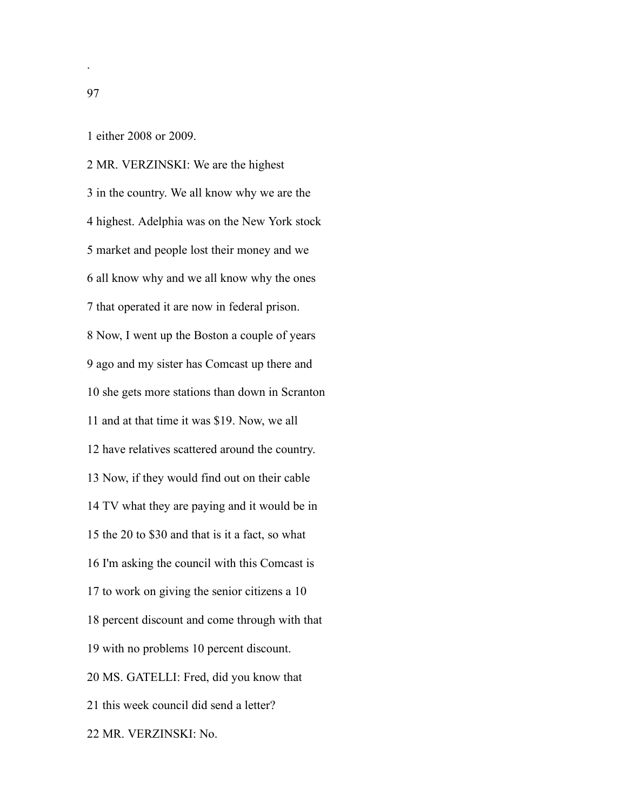either 2008 or 2009.

 MR. VERZINSKI: We are the highest in the country. We all know why we are the highest. Adelphia was on the New York stock market and people lost their money and we all know why and we all know why the ones that operated it are now in federal prison. Now, I went up the Boston a couple of years ago and my sister has Comcast up there and she gets more stations than down in Scranton and at that time it was \$19. Now, we all have relatives scattered around the country. Now, if they would find out on their cable TV what they are paying and it would be in the 20 to \$30 and that is it a fact, so what I'm asking the council with this Comcast is to work on giving the senior citizens a 10 percent discount and come through with that with no problems 10 percent discount. MS. GATELLI: Fred, did you know that this week council did send a letter? MR. VERZINSKI: No.

.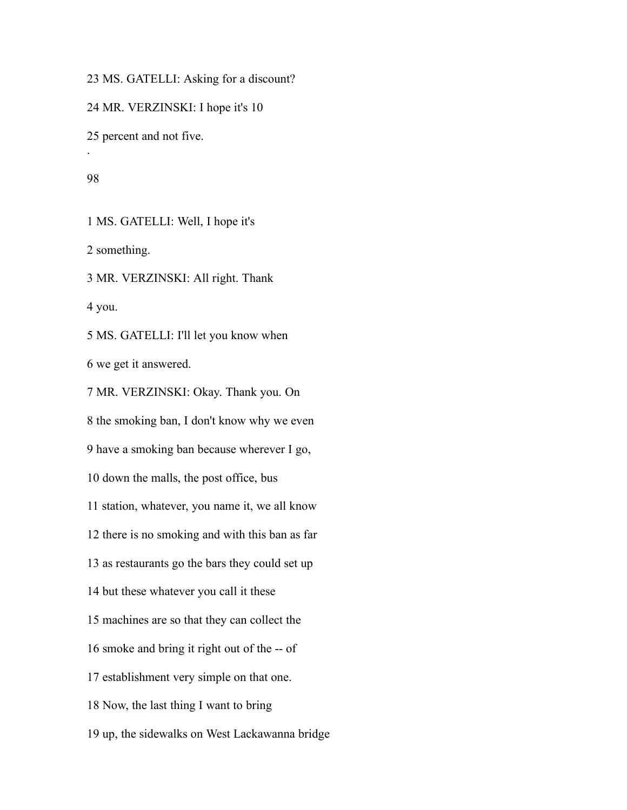MS. GATELLI: Asking for a discount?

MR. VERZINSKI: I hope it's 10

percent and not five.

.

MS. GATELLI: Well, I hope it's

something.

MR. VERZINSKI: All right. Thank

you.

 MS. GATELLI: I'll let you know when we get it answered.

 MR. VERZINSKI: Okay. Thank you. On the smoking ban, I don't know why we even have a smoking ban because wherever I go, down the malls, the post office, bus station, whatever, you name it, we all know there is no smoking and with this ban as far as restaurants go the bars they could set up but these whatever you call it these machines are so that they can collect the smoke and bring it right out of the -- of establishment very simple on that one. Now, the last thing I want to bring up, the sidewalks on West Lackawanna bridge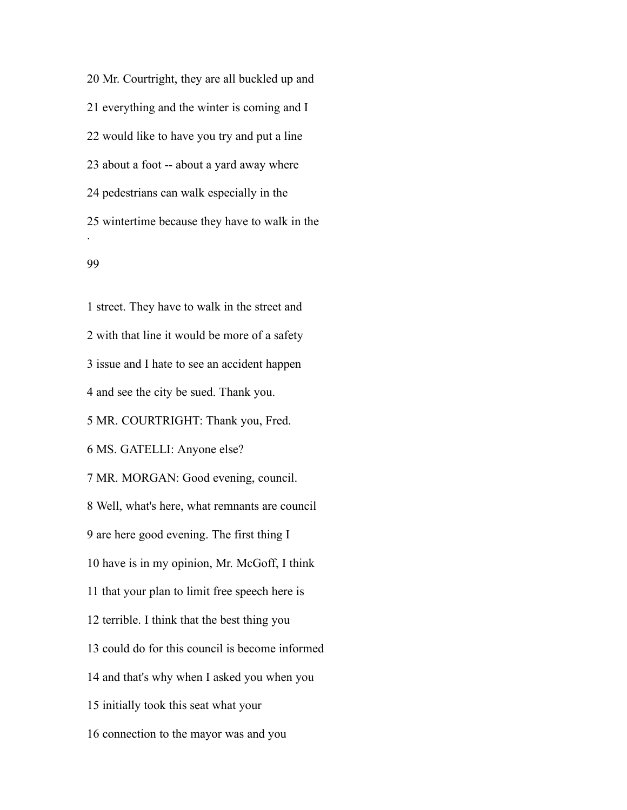Mr. Courtright, they are all buckled up and everything and the winter is coming and I would like to have you try and put a line about a foot -- about a yard away where pedestrians can walk especially in the wintertime because they have to walk in the .

#### 

 street. They have to walk in the street and with that line it would be more of a safety issue and I hate to see an accident happen and see the city be sued. Thank you. MR. COURTRIGHT: Thank you, Fred. MS. GATELLI: Anyone else? MR. MORGAN: Good evening, council. Well, what's here, what remnants are council are here good evening. The first thing I have is in my opinion, Mr. McGoff, I think that your plan to limit free speech here is terrible. I think that the best thing you could do for this council is become informed and that's why when I asked you when you initially took this seat what your connection to the mayor was and you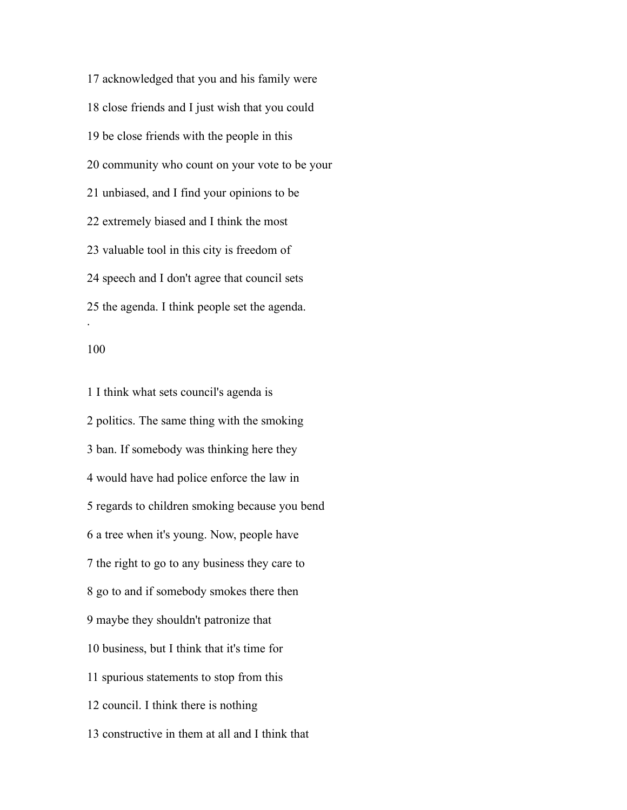acknowledged that you and his family were close friends and I just wish that you could be close friends with the people in this community who count on your vote to be your unbiased, and I find your opinions to be extremely biased and I think the most valuable tool in this city is freedom of speech and I don't agree that council sets the agenda. I think people set the agenda. .

 I think what sets council's agenda is politics. The same thing with the smoking ban. If somebody was thinking here they would have had police enforce the law in regards to children smoking because you bend a tree when it's young. Now, people have the right to go to any business they care to go to and if somebody smokes there then maybe they shouldn't patronize that business, but I think that it's time for spurious statements to stop from this council. I think there is nothing constructive in them at all and I think that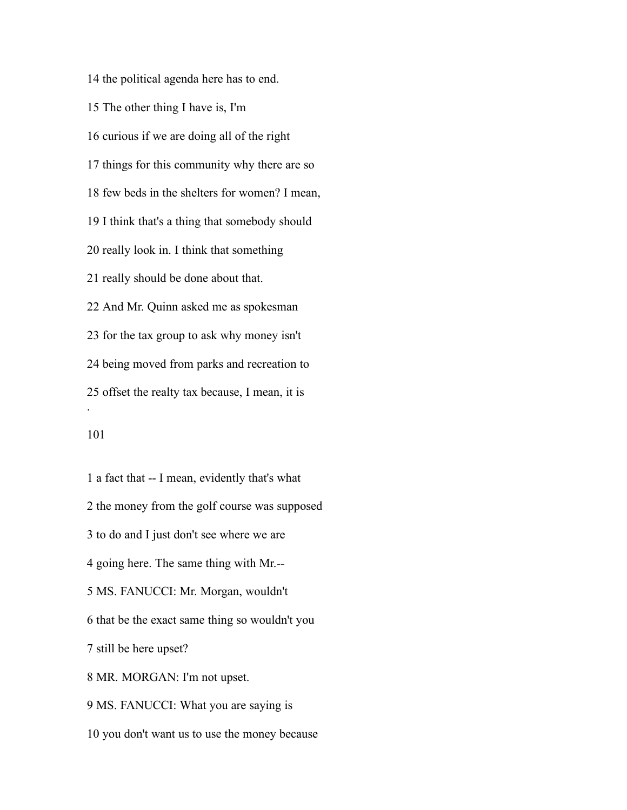the political agenda here has to end. The other thing I have is, I'm curious if we are doing all of the right things for this community why there are so few beds in the shelters for women? I mean, I think that's a thing that somebody should really look in. I think that something really should be done about that. And Mr. Quinn asked me as spokesman for the tax group to ask why money isn't being moved from parks and recreation to offset the realty tax because, I mean, it is .

 a fact that -- I mean, evidently that's what the money from the golf course was supposed to do and I just don't see where we are going here. The same thing with Mr.-- MS. FANUCCI: Mr. Morgan, wouldn't that be the exact same thing so wouldn't you still be here upset? MR. MORGAN: I'm not upset. MS. FANUCCI: What you are saying is you don't want us to use the money because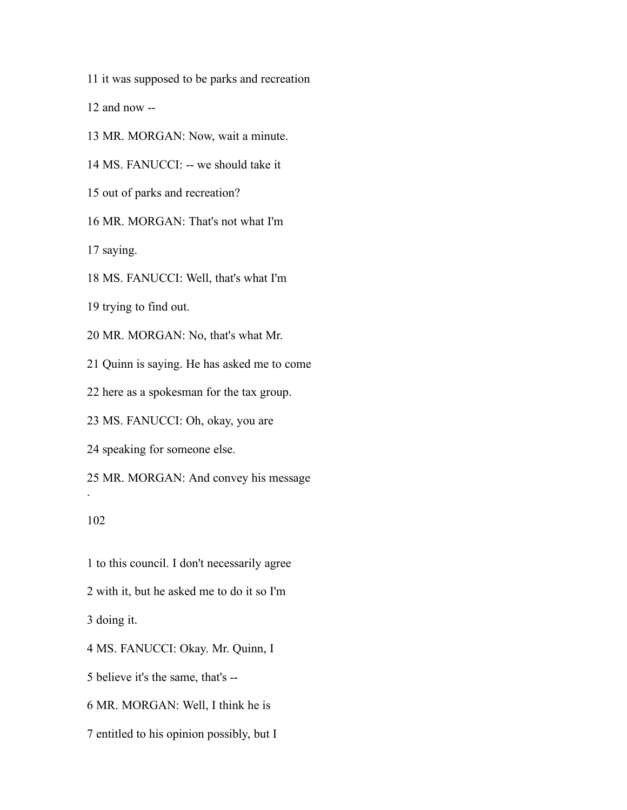it was supposed to be parks and recreation

and now --

MR. MORGAN: Now, wait a minute.

MS. FANUCCI: -- we should take it

out of parks and recreation?

MR. MORGAN: That's not what I'm

saying.

MS. FANUCCI: Well, that's what I'm

trying to find out.

MR. MORGAN: No, that's what Mr.

Quinn is saying. He has asked me to come

here as a spokesman for the tax group.

MS. FANUCCI: Oh, okay, you are

speaking for someone else.

MR. MORGAN: And convey his message

# 

.

 to this council. I don't necessarily agree with it, but he asked me to do it so I'm doing it. MS. FANUCCI: Okay. Mr. Quinn, I believe it's the same, that's -- MR. MORGAN: Well, I think he is

entitled to his opinion possibly, but I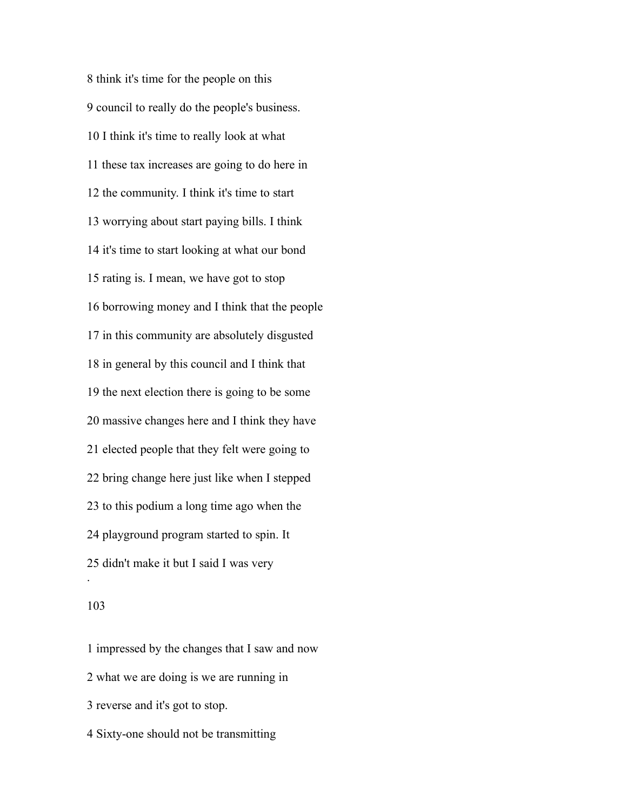think it's time for the people on this council to really do the people's business. I think it's time to really look at what these tax increases are going to do here in the community. I think it's time to start worrying about start paying bills. I think it's time to start looking at what our bond rating is. I mean, we have got to stop borrowing money and I think that the people in this community are absolutely disgusted in general by this council and I think that the next election there is going to be some massive changes here and I think they have elected people that they felt were going to bring change here just like when I stepped to this podium a long time ago when the playground program started to spin. It didn't make it but I said I was very .

# 

 impressed by the changes that I saw and now what we are doing is we are running in reverse and it's got to stop. Sixty-one should not be transmitting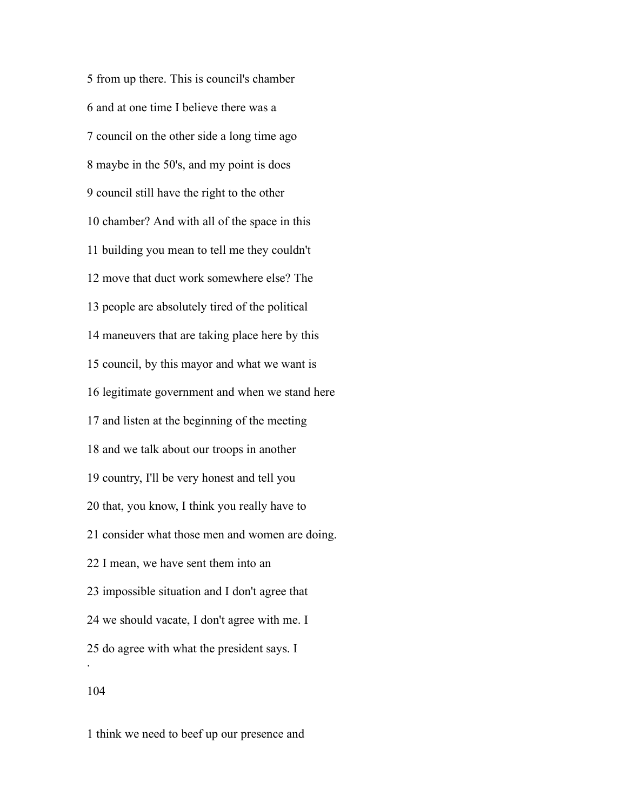from up there. This is council's chamber and at one time I believe there was a council on the other side a long time ago maybe in the 50's, and my point is does council still have the right to the other chamber? And with all of the space in this building you mean to tell me they couldn't move that duct work somewhere else? The people are absolutely tired of the political maneuvers that are taking place here by this council, by this mayor and what we want is legitimate government and when we stand here and listen at the beginning of the meeting and we talk about our troops in another country, I'll be very honest and tell you that, you know, I think you really have to consider what those men and women are doing. I mean, we have sent them into an impossible situation and I don't agree that we should vacate, I don't agree with me. I do agree with what the president says. I . 

think we need to beef up our presence and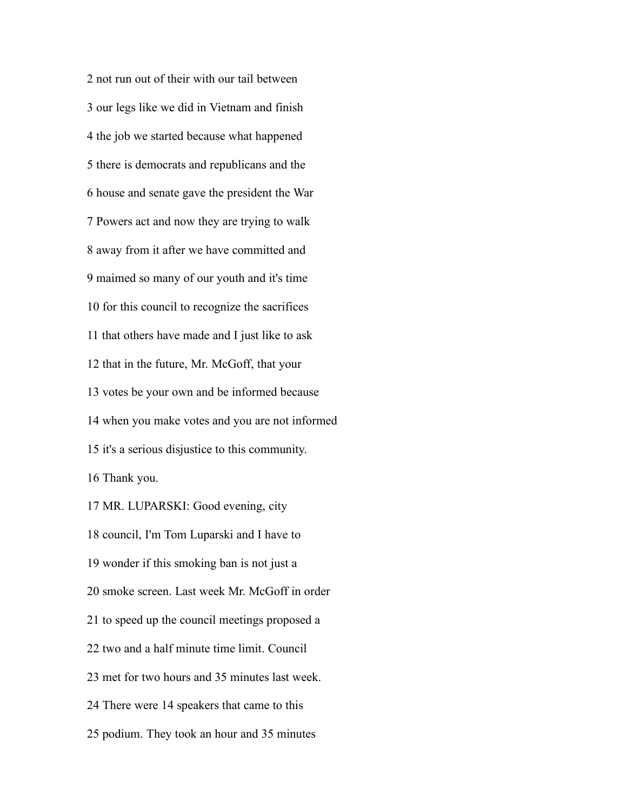not run out of their with our tail between our legs like we did in Vietnam and finish the job we started because what happened there is democrats and republicans and the house and senate gave the president the War Powers act and now they are trying to walk away from it after we have committed and maimed so many of our youth and it's time for this council to recognize the sacrifices that others have made and I just like to ask that in the future, Mr. McGoff, that your votes be your own and be informed because when you make votes and you are not informed it's a serious disjustice to this community. Thank you.

 MR. LUPARSKI: Good evening, city council, I'm Tom Luparski and I have to wonder if this smoking ban is not just a smoke screen. Last week Mr. McGoff in order to speed up the council meetings proposed a two and a half minute time limit. Council met for two hours and 35 minutes last week. There were 14 speakers that came to this podium. They took an hour and 35 minutes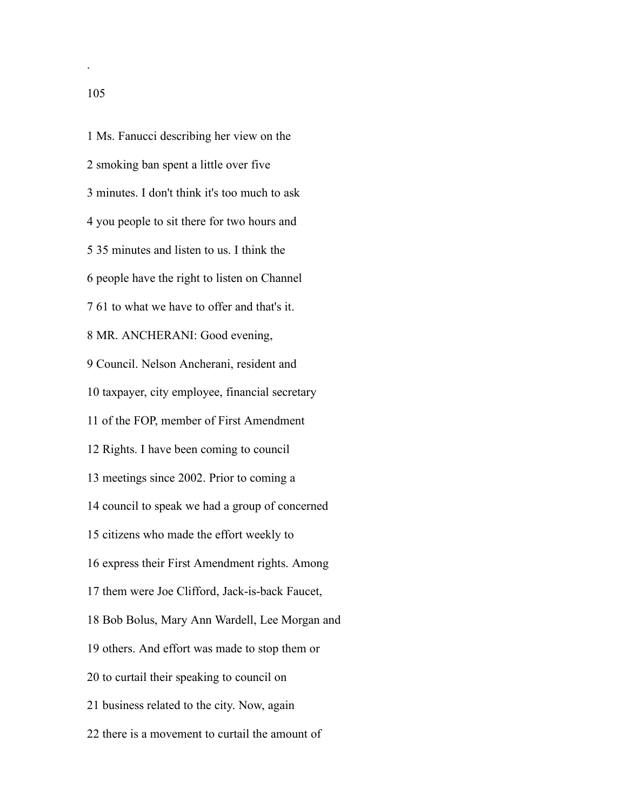Ms. Fanucci describing her view on the smoking ban spent a little over five minutes. I don't think it's too much to ask you people to sit there for two hours and 35 minutes and listen to us. I think the people have the right to listen on Channel 61 to what we have to offer and that's it. MR. ANCHERANI: Good evening, Council. Nelson Ancherani, resident and taxpayer, city employee, financial secretary of the FOP, member of First Amendment Rights. I have been coming to council meetings since 2002. Prior to coming a council to speak we had a group of concerned citizens who made the effort weekly to express their First Amendment rights. Among them were Joe Clifford, Jack-is-back Faucet, Bob Bolus, Mary Ann Wardell, Lee Morgan and others. And effort was made to stop them or to curtail their speaking to council on business related to the city. Now, again there is a movement to curtail the amount of

.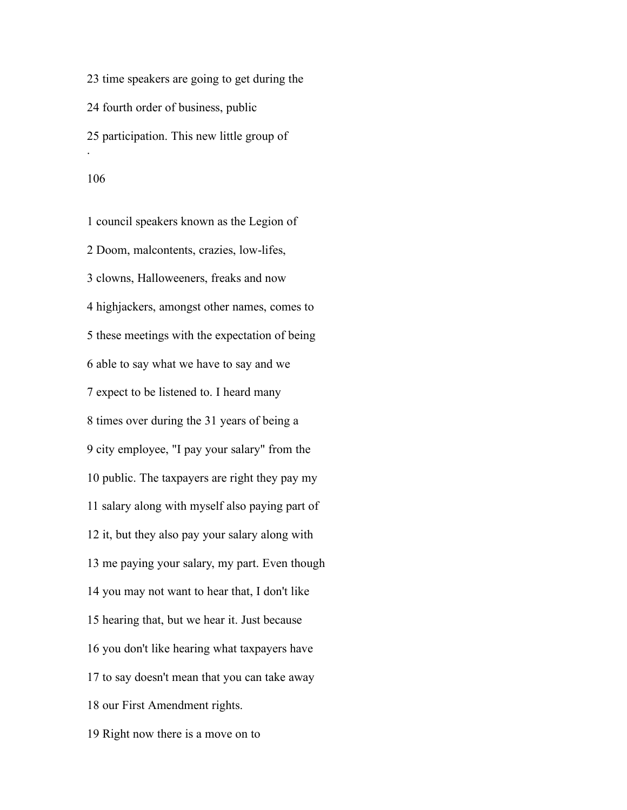time speakers are going to get during the fourth order of business, public participation. This new little group of . 

 council speakers known as the Legion of Doom, malcontents, crazies, low-lifes, clowns, Halloweeners, freaks and now highjackers, amongst other names, comes to these meetings with the expectation of being able to say what we have to say and we expect to be listened to. I heard many times over during the 31 years of being a city employee, "I pay your salary" from the public. The taxpayers are right they pay my salary along with myself also paying part of it, but they also pay your salary along with me paying your salary, my part. Even though you may not want to hear that, I don't like hearing that, but we hear it. Just because you don't like hearing what taxpayers have to say doesn't mean that you can take away our First Amendment rights. Right now there is a move on to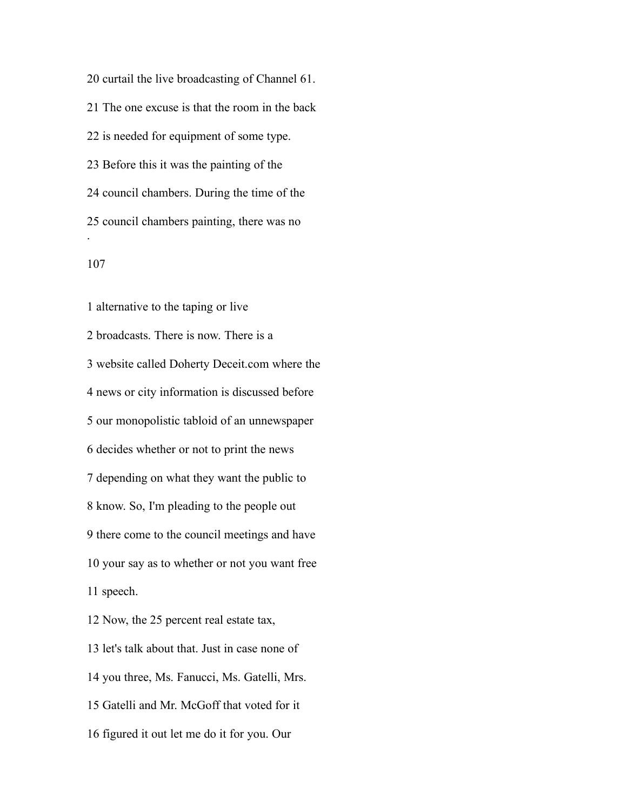curtail the live broadcasting of Channel 61. The one excuse is that the room in the back is needed for equipment of some type. Before this it was the painting of the council chambers. During the time of the council chambers painting, there was no . 

 alternative to the taping or live broadcasts. There is now. There is a website called Doherty Deceit.com where the news or city information is discussed before our monopolistic tabloid of an unnewspaper decides whether or not to print the news depending on what they want the public to know. So, I'm pleading to the people out there come to the council meetings and have your say as to whether or not you want free speech. Now, the 25 percent real estate tax,

 let's talk about that. Just in case none of you three, Ms. Fanucci, Ms. Gatelli, Mrs. Gatelli and Mr. McGoff that voted for it figured it out let me do it for you. Our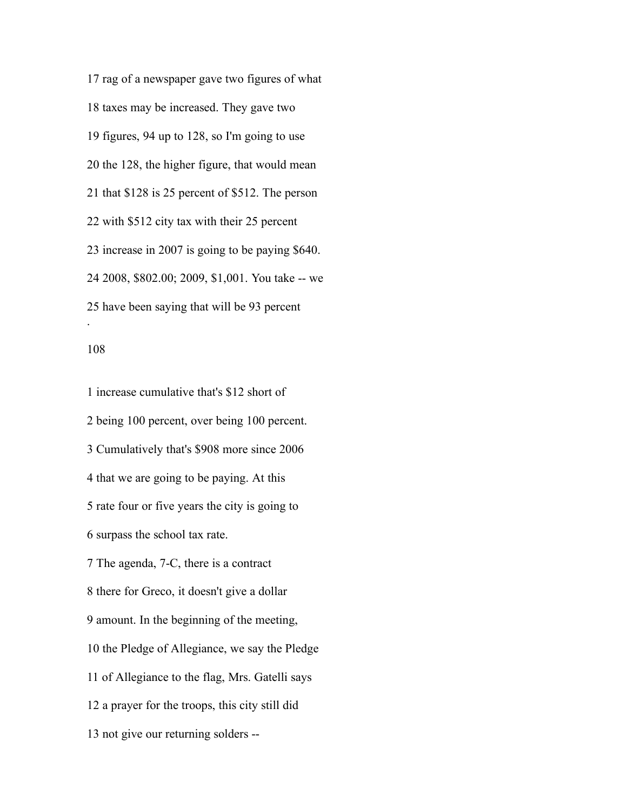rag of a newspaper gave two figures of what taxes may be increased. They gave two figures, 94 up to 128, so I'm going to use the 128, the higher figure, that would mean that \$128 is 25 percent of \$512. The person with \$512 city tax with their 25 percent increase in 2007 is going to be paying \$640. 2008, \$802.00; 2009, \$1,001. You take -- we have been saying that will be 93 percent .

## 

 increase cumulative that's \$12 short of being 100 percent, over being 100 percent. Cumulatively that's \$908 more since 2006 that we are going to be paying. At this rate four or five years the city is going to surpass the school tax rate. The agenda, 7-C, there is a contract there for Greco, it doesn't give a dollar amount. In the beginning of the meeting, the Pledge of Allegiance, we say the Pledge of Allegiance to the flag, Mrs. Gatelli says a prayer for the troops, this city still did not give our returning solders --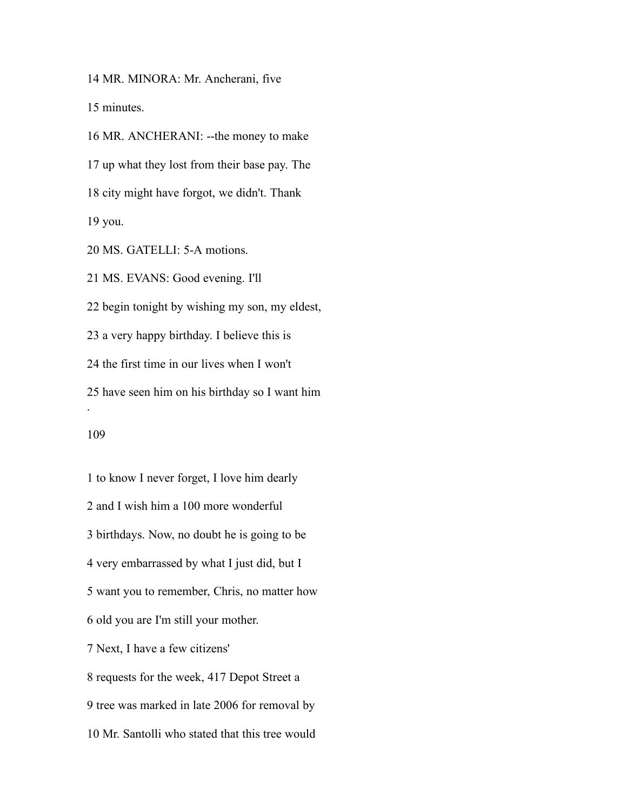MR. MINORA: Mr. Ancherani, five

minutes.

 MR. ANCHERANI: --the money to make up what they lost from their base pay. The city might have forgot, we didn't. Thank you.

MS. GATELLI: 5-A motions.

 MS. EVANS: Good evening. I'll begin tonight by wishing my son, my eldest, a very happy birthday. I believe this is the first time in our lives when I won't have seen him on his birthday so I want him .

 to know I never forget, I love him dearly and I wish him a 100 more wonderful birthdays. Now, no doubt he is going to be very embarrassed by what I just did, but I want you to remember, Chris, no matter how old you are I'm still your mother. Next, I have a few citizens' requests for the week, 417 Depot Street a tree was marked in late 2006 for removal by Mr. Santolli who stated that this tree would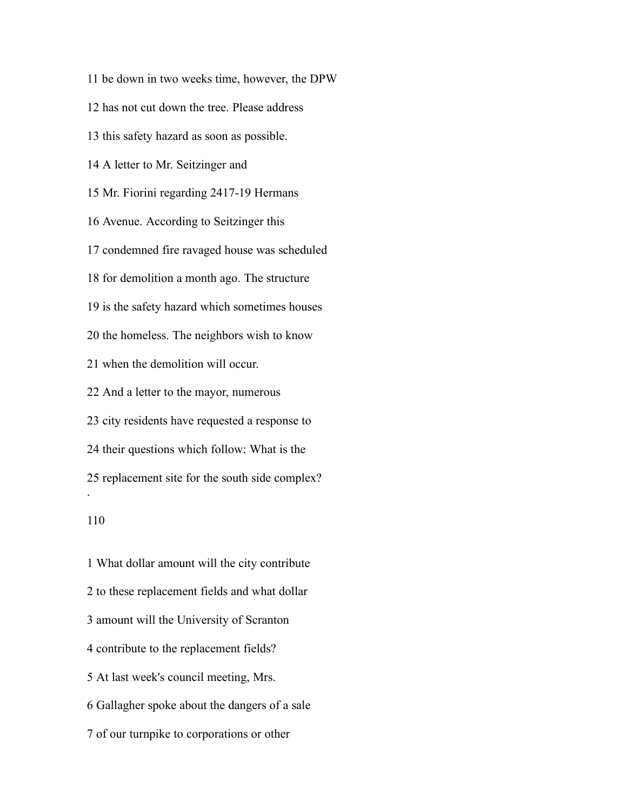has not cut down the tree. Please address this safety hazard as soon as possible. A letter to Mr. Seitzinger and Mr. Fiorini regarding 2417-19 Hermans Avenue. According to Seitzinger this condemned fire ravaged house was scheduled for demolition a month ago. The structure is the safety hazard which sometimes houses the homeless. The neighbors wish to know when the demolition will occur. And a letter to the mayor, numerous city residents have requested a response to their questions which follow: What is the replacement site for the south side complex? . 

be down in two weeks time, however, the DPW

 What dollar amount will the city contribute to these replacement fields and what dollar amount will the University of Scranton contribute to the replacement fields? At last week's council meeting, Mrs. Gallagher spoke about the dangers of a sale of our turnpike to corporations or other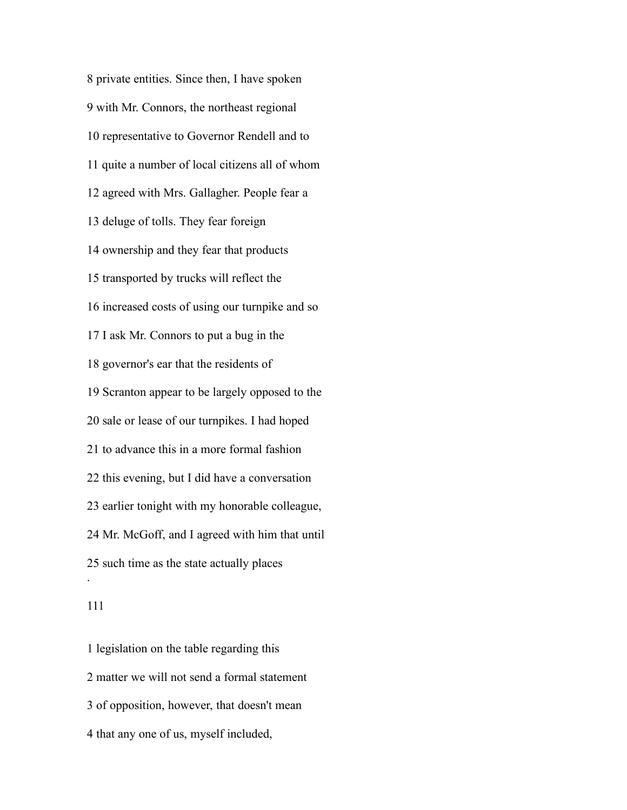private entities. Since then, I have spoken with Mr. Connors, the northeast regional representative to Governor Rendell and to quite a number of local citizens all of whom agreed with Mrs. Gallagher. People fear a deluge of tolls. They fear foreign ownership and they fear that products transported by trucks will reflect the increased costs of using our turnpike and so I ask Mr. Connors to put a bug in the governor's ear that the residents of Scranton appear to be largely opposed to the sale or lease of our turnpikes. I had hoped to advance this in a more formal fashion this evening, but I did have a conversation earlier tonight with my honorable colleague, Mr. McGoff, and I agreed with him that until such time as the state actually places .

 legislation on the table regarding this matter we will not send a formal statement of opposition, however, that doesn't mean that any one of us, myself included,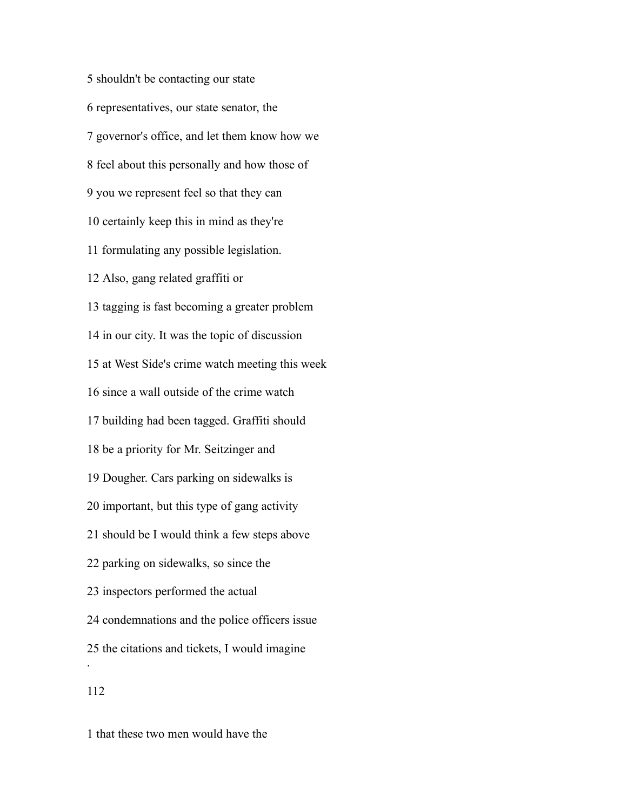shouldn't be contacting our state representatives, our state senator, the governor's office, and let them know how we feel about this personally and how those of you we represent feel so that they can certainly keep this in mind as they're formulating any possible legislation. Also, gang related graffiti or tagging is fast becoming a greater problem in our city. It was the topic of discussion at West Side's crime watch meeting this week since a wall outside of the crime watch building had been tagged. Graffiti should be a priority for Mr. Seitzinger and Dougher. Cars parking on sidewalks is important, but this type of gang activity should be I would think a few steps above parking on sidewalks, so since the inspectors performed the actual condemnations and the police officers issue the citations and tickets, I would imagine . 

that these two men would have the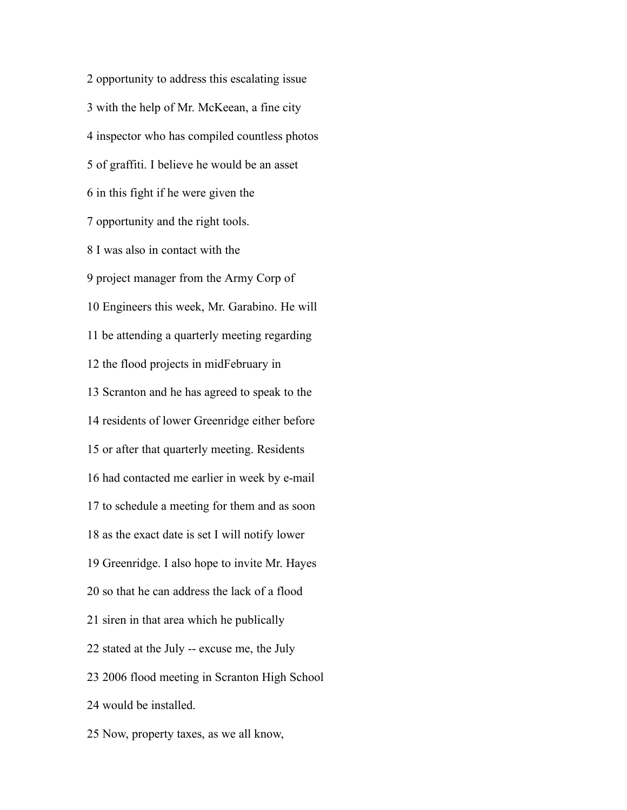opportunity to address this escalating issue with the help of Mr. McKeean, a fine city inspector who has compiled countless photos of graffiti. I believe he would be an asset in this fight if he were given the opportunity and the right tools. I was also in contact with the project manager from the Army Corp of Engineers this week, Mr. Garabino. He will be attending a quarterly meeting regarding the flood projects in midFebruary in Scranton and he has agreed to speak to the residents of lower Greenridge either before or after that quarterly meeting. Residents had contacted me earlier in week by e-mail to schedule a meeting for them and as soon as the exact date is set I will notify lower Greenridge. I also hope to invite Mr. Hayes so that he can address the lack of a flood siren in that area which he publically stated at the July -- excuse me, the July 2006 flood meeting in Scranton High School would be installed. Now, property taxes, as we all know,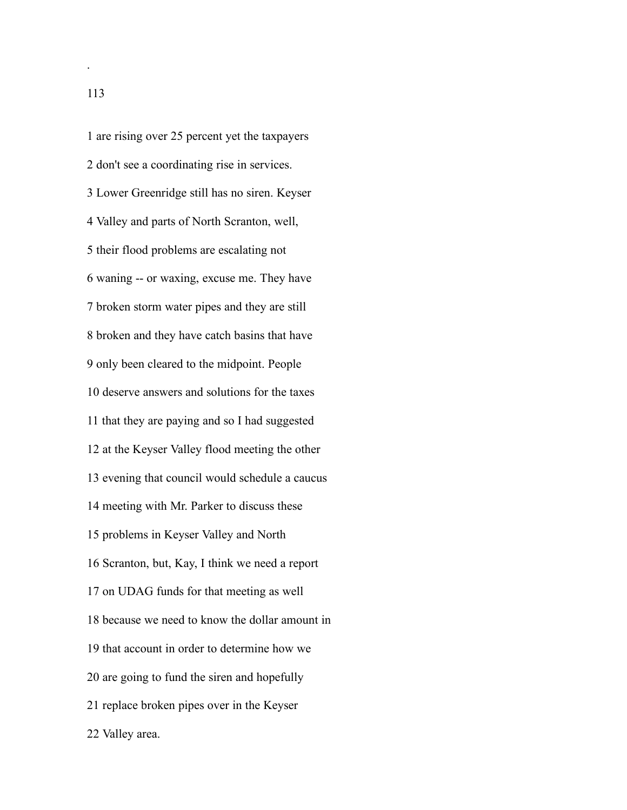are rising over 25 percent yet the taxpayers don't see a coordinating rise in services. Lower Greenridge still has no siren. Keyser Valley and parts of North Scranton, well, their flood problems are escalating not waning -- or waxing, excuse me. They have broken storm water pipes and they are still broken and they have catch basins that have only been cleared to the midpoint. People deserve answers and solutions for the taxes that they are paying and so I had suggested at the Keyser Valley flood meeting the other evening that council would schedule a caucus meeting with Mr. Parker to discuss these problems in Keyser Valley and North Scranton, but, Kay, I think we need a report on UDAG funds for that meeting as well because we need to know the dollar amount in that account in order to determine how we are going to fund the siren and hopefully replace broken pipes over in the Keyser Valley area.

.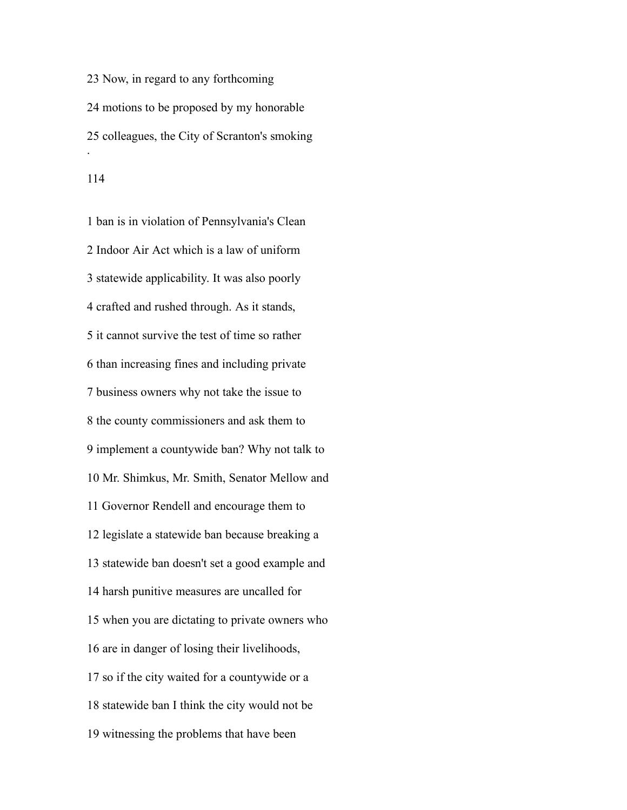Now, in regard to any forthcoming motions to be proposed by my honorable colleagues, the City of Scranton's smoking .

 ban is in violation of Pennsylvania's Clean Indoor Air Act which is a law of uniform statewide applicability. It was also poorly crafted and rushed through. As it stands, it cannot survive the test of time so rather than increasing fines and including private business owners why not take the issue to the county commissioners and ask them to implement a countywide ban? Why not talk to Mr. Shimkus, Mr. Smith, Senator Mellow and Governor Rendell and encourage them to legislate a statewide ban because breaking a statewide ban doesn't set a good example and harsh punitive measures are uncalled for when you are dictating to private owners who are in danger of losing their livelihoods, so if the city waited for a countywide or a statewide ban I think the city would not be witnessing the problems that have been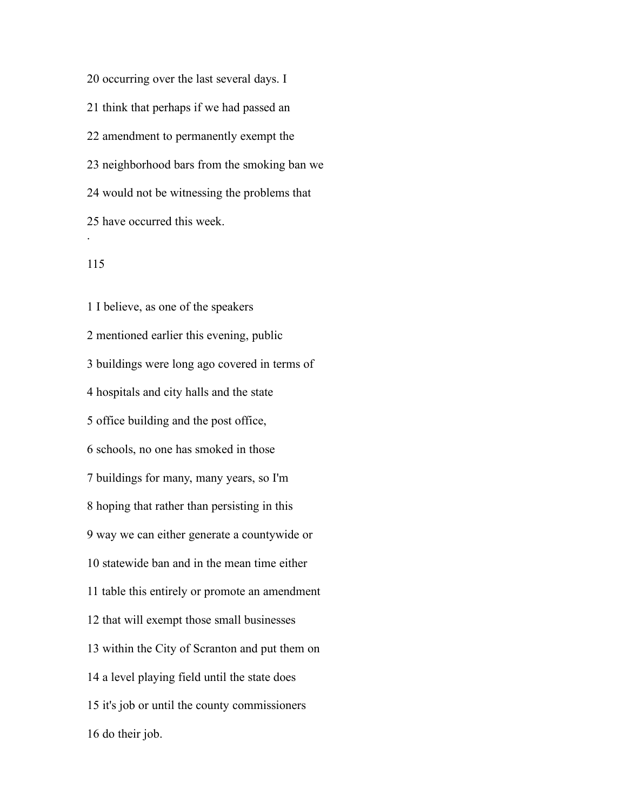occurring over the last several days. I think that perhaps if we had passed an amendment to permanently exempt the neighborhood bars from the smoking ban we would not be witnessing the problems that have occurred this week. .

# 

 I believe, as one of the speakers mentioned earlier this evening, public buildings were long ago covered in terms of hospitals and city halls and the state office building and the post office, schools, no one has smoked in those buildings for many, many years, so I'm hoping that rather than persisting in this way we can either generate a countywide or statewide ban and in the mean time either table this entirely or promote an amendment that will exempt those small businesses within the City of Scranton and put them on a level playing field until the state does it's job or until the county commissioners do their job.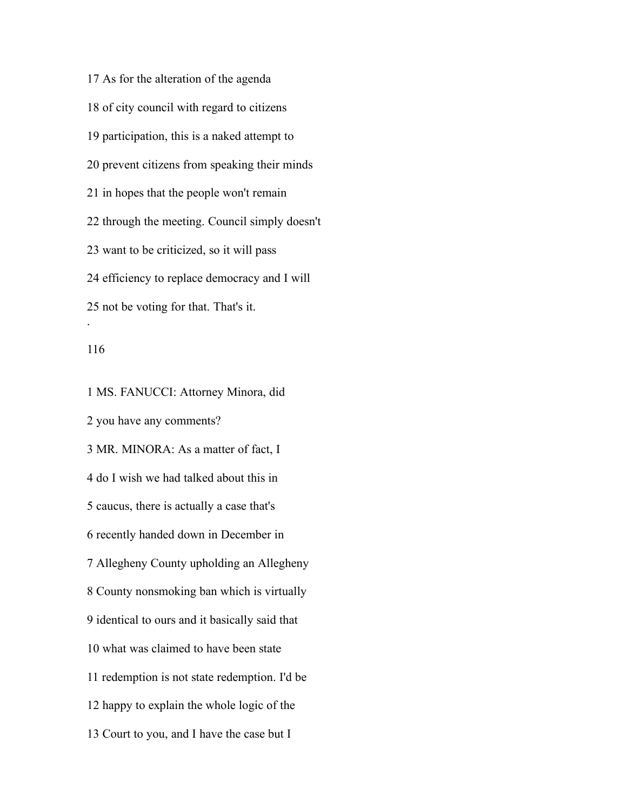As for the alteration of the agenda of city council with regard to citizens participation, this is a naked attempt to prevent citizens from speaking their minds in hopes that the people won't remain through the meeting. Council simply doesn't want to be criticized, so it will pass efficiency to replace democracy and I will not be voting for that. That's it. .

#### 

 MS. FANUCCI: Attorney Minora, did you have any comments? MR. MINORA: As a matter of fact, I do I wish we had talked about this in caucus, there is actually a case that's recently handed down in December in Allegheny County upholding an Allegheny County nonsmoking ban which is virtually identical to ours and it basically said that what was claimed to have been state redemption is not state redemption. I'd be happy to explain the whole logic of the Court to you, and I have the case but I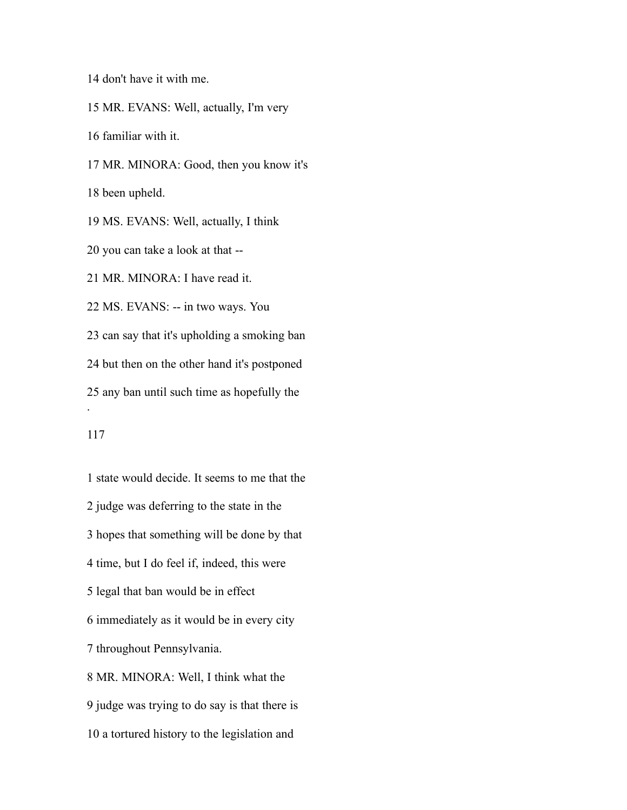don't have it with me.

 MR. EVANS: Well, actually, I'm very familiar with it. MR. MINORA: Good, then you know it's been upheld. MS. EVANS: Well, actually, I think you can take a look at that -- MR. MINORA: I have read it. MS. EVANS: -- in two ways. You can say that it's upholding a smoking ban but then on the other hand it's postponed any ban until such time as hopefully the .

 state would decide. It seems to me that the judge was deferring to the state in the hopes that something will be done by that time, but I do feel if, indeed, this were legal that ban would be in effect immediately as it would be in every city throughout Pennsylvania. MR. MINORA: Well, I think what the judge was trying to do say is that there is a tortured history to the legislation and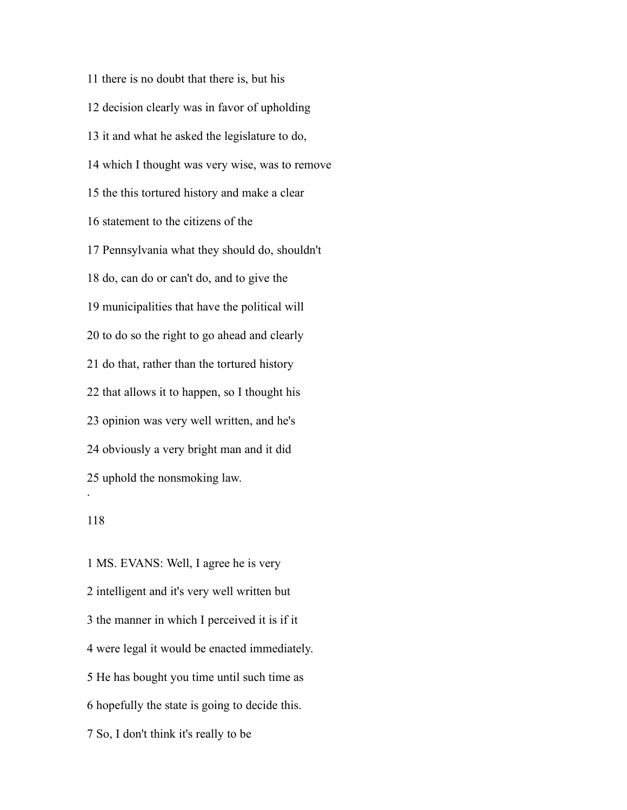there is no doubt that there is, but his decision clearly was in favor of upholding it and what he asked the legislature to do, which I thought was very wise, was to remove the this tortured history and make a clear statement to the citizens of the Pennsylvania what they should do, shouldn't do, can do or can't do, and to give the municipalities that have the political will to do so the right to go ahead and clearly do that, rather than the tortured history that allows it to happen, so I thought his opinion was very well written, and he's obviously a very bright man and it did uphold the nonsmoking law. .

### 

 MS. EVANS: Well, I agree he is very intelligent and it's very well written but the manner in which I perceived it is if it were legal it would be enacted immediately. He has bought you time until such time as hopefully the state is going to decide this. So, I don't think it's really to be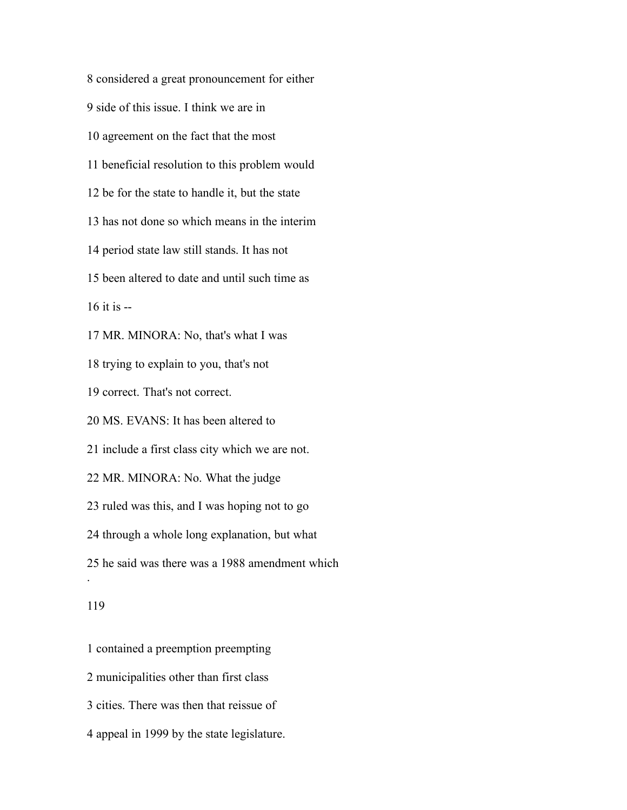considered a great pronouncement for either side of this issue. I think we are in agreement on the fact that the most beneficial resolution to this problem would be for the state to handle it, but the state has not done so which means in the interim period state law still stands. It has not been altered to date and until such time as it is  $-$  MR. MINORA: No, that's what I was trying to explain to you, that's not correct. That's not correct. MS. EVANS: It has been altered to include a first class city which we are not. MR. MINORA: No. What the judge ruled was this, and I was hoping not to go through a whole long explanation, but what he said was there was a 1988 amendment which . 

 contained a preemption preempting municipalities other than first class cities. There was then that reissue of appeal in 1999 by the state legislature.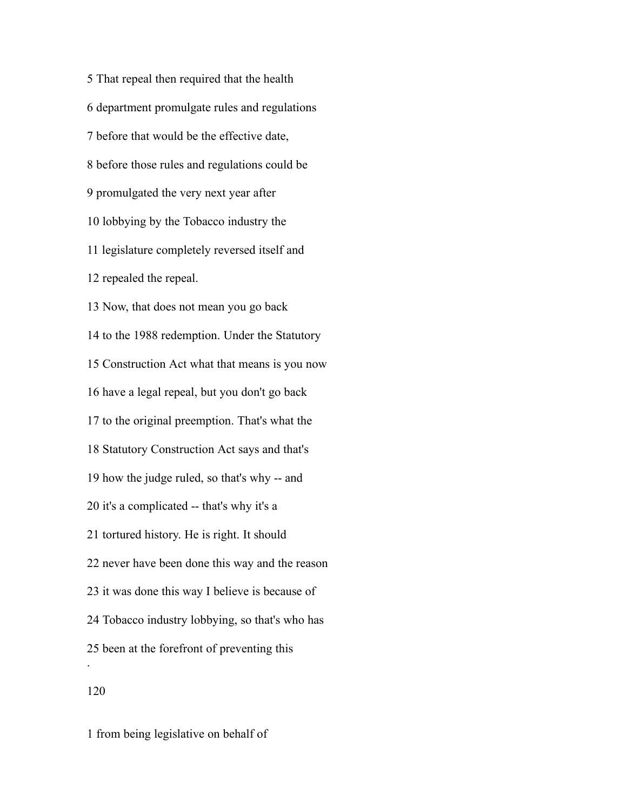That repeal then required that the health department promulgate rules and regulations before that would be the effective date, before those rules and regulations could be promulgated the very next year after lobbying by the Tobacco industry the legislature completely reversed itself and repealed the repeal. Now, that does not mean you go back to the 1988 redemption. Under the Statutory Construction Act what that means is you now have a legal repeal, but you don't go back to the original preemption. That's what the Statutory Construction Act says and that's how the judge ruled, so that's why -- and it's a complicated -- that's why it's a tortured history. He is right. It should never have been done this way and the reason it was done this way I believe is because of Tobacco industry lobbying, so that's who has been at the forefront of preventing this . 

from being legislative on behalf of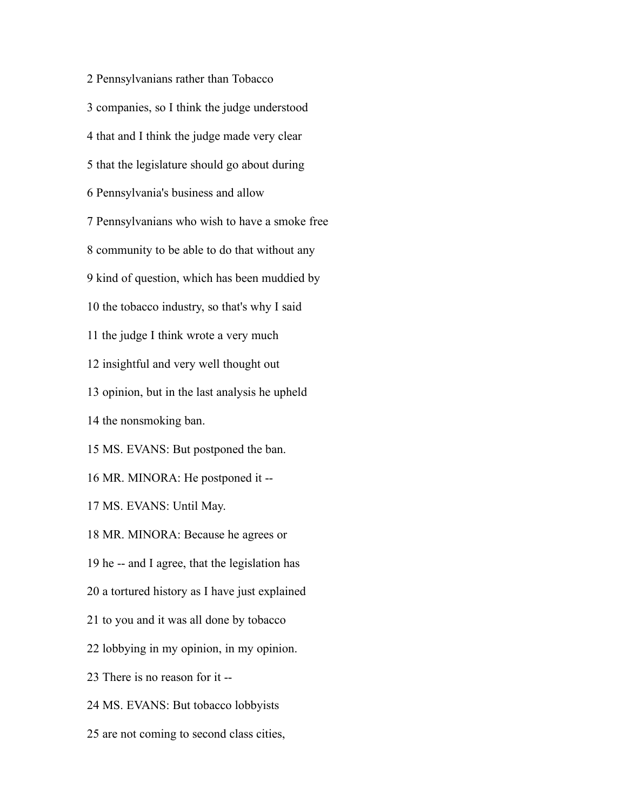Pennsylvanians rather than Tobacco companies, so I think the judge understood that and I think the judge made very clear that the legislature should go about during Pennsylvania's business and allow Pennsylvanians who wish to have a smoke free community to be able to do that without any kind of question, which has been muddied by the tobacco industry, so that's why I said the judge I think wrote a very much insightful and very well thought out opinion, but in the last analysis he upheld the nonsmoking ban. MS. EVANS: But postponed the ban. MR. MINORA: He postponed it -- MS. EVANS: Until May. MR. MINORA: Because he agrees or he -- and I agree, that the legislation has a tortured history as I have just explained to you and it was all done by tobacco lobbying in my opinion, in my opinion. There is no reason for it -- MS. EVANS: But tobacco lobbyists are not coming to second class cities,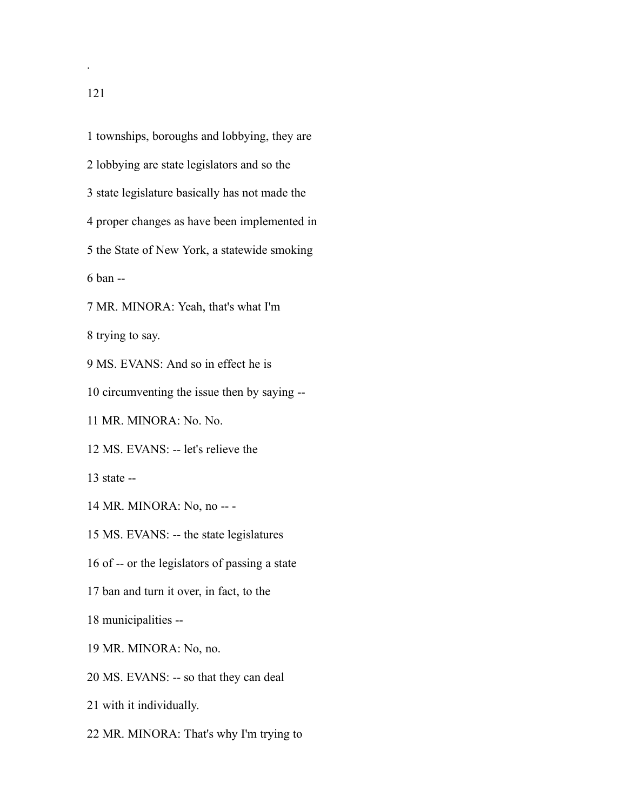townships, boroughs and lobbying, they are lobbying are state legislators and so the state legislature basically has not made the proper changes as have been implemented in the State of New York, a statewide smoking ban -- MR. MINORA: Yeah, that's what I'm trying to say. MS. EVANS: And so in effect he is circumventing the issue then by saying -- MR. MINORA: No. No. MS. EVANS: -- let's relieve the state -- MR. MINORA: No, no -- - MS. EVANS: -- the state legislatures of -- or the legislators of passing a state ban and turn it over, in fact, to the municipalities -- MR. MINORA: No, no. MS. EVANS: -- so that they can deal with it individually.

MR. MINORA: That's why I'm trying to

.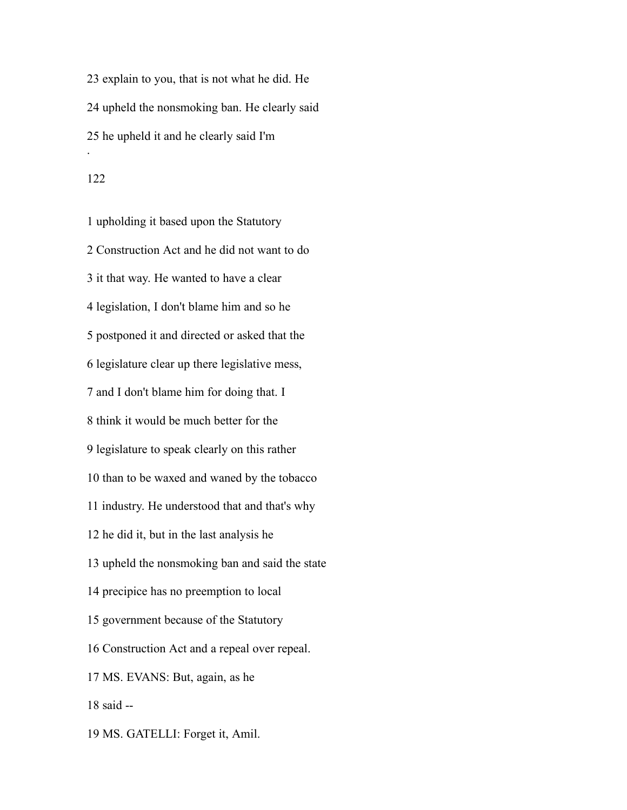explain to you, that is not what he did. He upheld the nonsmoking ban. He clearly said he upheld it and he clearly said I'm .

 upholding it based upon the Statutory Construction Act and he did not want to do it that way. He wanted to have a clear legislation, I don't blame him and so he postponed it and directed or asked that the legislature clear up there legislative mess, and I don't blame him for doing that. I think it would be much better for the legislature to speak clearly on this rather than to be waxed and waned by the tobacco industry. He understood that and that's why he did it, but in the last analysis he upheld the nonsmoking ban and said the state precipice has no preemption to local government because of the Statutory Construction Act and a repeal over repeal. MS. EVANS: But, again, as he said -- MS. GATELLI: Forget it, Amil.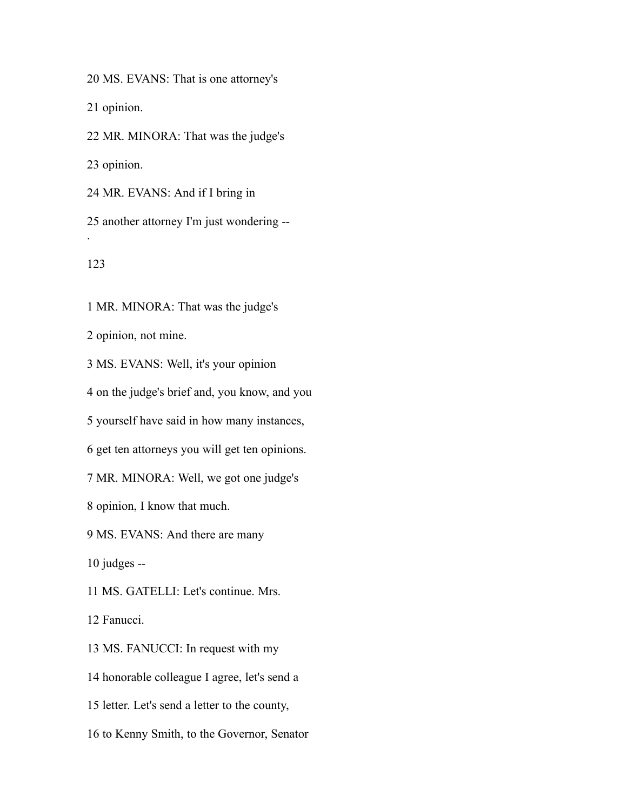MS. EVANS: That is one attorney's

opinion.

MR. MINORA: That was the judge's

opinion.

MR. EVANS: And if I bring in

 another attorney I'm just wondering -- .

MR. MINORA: That was the judge's

opinion, not mine.

MS. EVANS: Well, it's your opinion

on the judge's brief and, you know, and you

yourself have said in how many instances,

get ten attorneys you will get ten opinions.

MR. MINORA: Well, we got one judge's

opinion, I know that much.

MS. EVANS: And there are many

judges --

MS. GATELLI: Let's continue. Mrs.

Fanucci.

MS. FANUCCI: In request with my

honorable colleague I agree, let's send a

letter. Let's send a letter to the county,

to Kenny Smith, to the Governor, Senator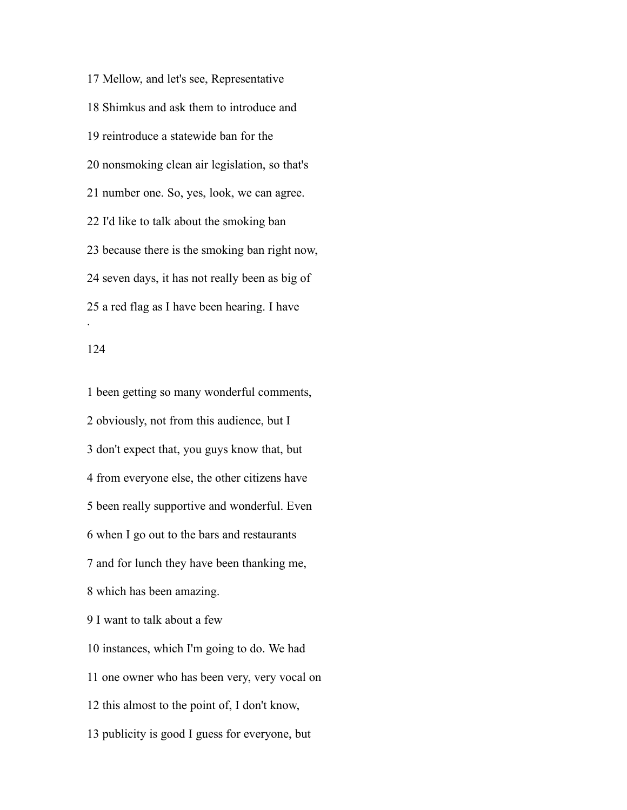Mellow, and let's see, Representative Shimkus and ask them to introduce and reintroduce a statewide ban for the nonsmoking clean air legislation, so that's number one. So, yes, look, we can agree. I'd like to talk about the smoking ban because there is the smoking ban right now, seven days, it has not really been as big of a red flag as I have been hearing. I have .

 been getting so many wonderful comments, obviously, not from this audience, but I don't expect that, you guys know that, but from everyone else, the other citizens have been really supportive and wonderful. Even when I go out to the bars and restaurants and for lunch they have been thanking me, which has been amazing. I want to talk about a few instances, which I'm going to do. We had one owner who has been very, very vocal on this almost to the point of, I don't know, publicity is good I guess for everyone, but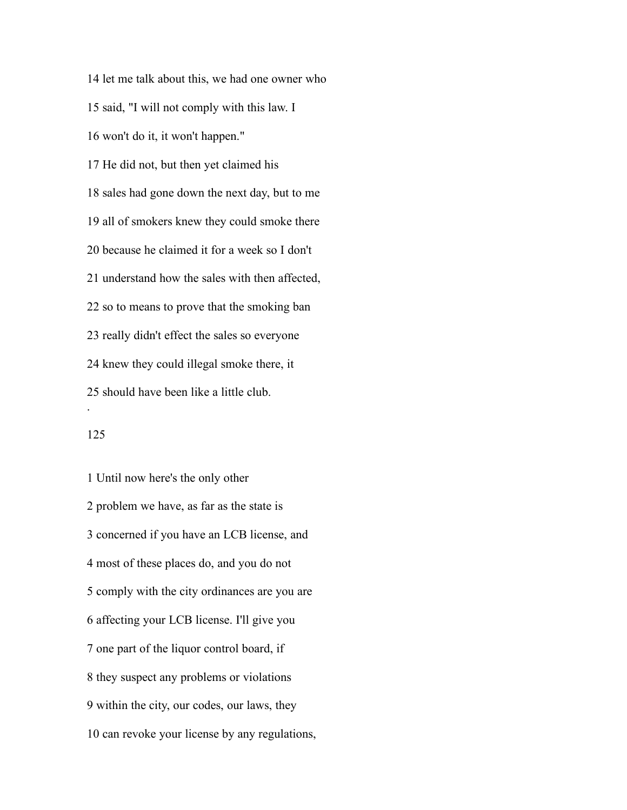let me talk about this, we had one owner who said, "I will not comply with this law. I won't do it, it won't happen." He did not, but then yet claimed his sales had gone down the next day, but to me all of smokers knew they could smoke there because he claimed it for a week so I don't understand how the sales with then affected, so to means to prove that the smoking ban really didn't effect the sales so everyone knew they could illegal smoke there, it should have been like a little club. .

### 

 Until now here's the only other problem we have, as far as the state is concerned if you have an LCB license, and most of these places do, and you do not comply with the city ordinances are you are affecting your LCB license. I'll give you one part of the liquor control board, if they suspect any problems or violations within the city, our codes, our laws, they can revoke your license by any regulations,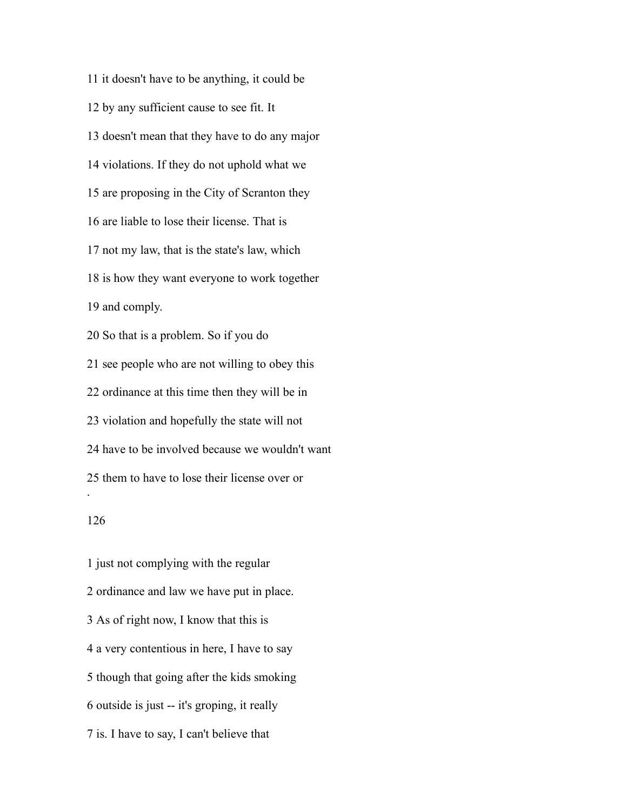it doesn't have to be anything, it could be by any sufficient cause to see fit. It doesn't mean that they have to do any major violations. If they do not uphold what we are proposing in the City of Scranton they are liable to lose their license. That is not my law, that is the state's law, which is how they want everyone to work together and comply. So that is a problem. So if you do see people who are not willing to obey this ordinance at this time then they will be in violation and hopefully the state will not have to be involved because we wouldn't want them to have to lose their license over or .

 just not complying with the regular ordinance and law we have put in place. As of right now, I know that this is a very contentious in here, I have to say though that going after the kids smoking outside is just -- it's groping, it really is. I have to say, I can't believe that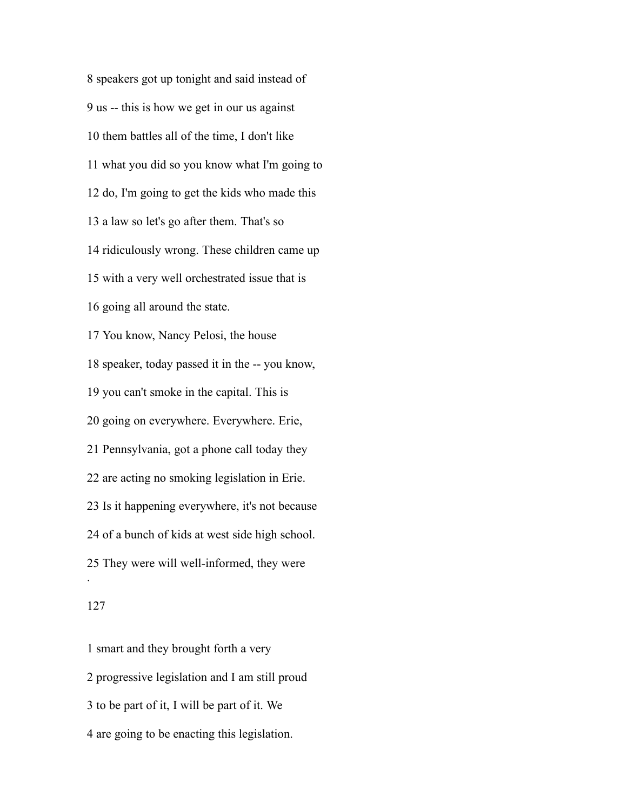speakers got up tonight and said instead of us -- this is how we get in our us against them battles all of the time, I don't like what you did so you know what I'm going to do, I'm going to get the kids who made this a law so let's go after them. That's so ridiculously wrong. These children came up with a very well orchestrated issue that is going all around the state. You know, Nancy Pelosi, the house speaker, today passed it in the -- you know, you can't smoke in the capital. This is going on everywhere. Everywhere. Erie, Pennsylvania, got a phone call today they are acting no smoking legislation in Erie. Is it happening everywhere, it's not because of a bunch of kids at west side high school. They were will well-informed, they were .

 smart and they brought forth a very progressive legislation and I am still proud to be part of it, I will be part of it. We are going to be enacting this legislation.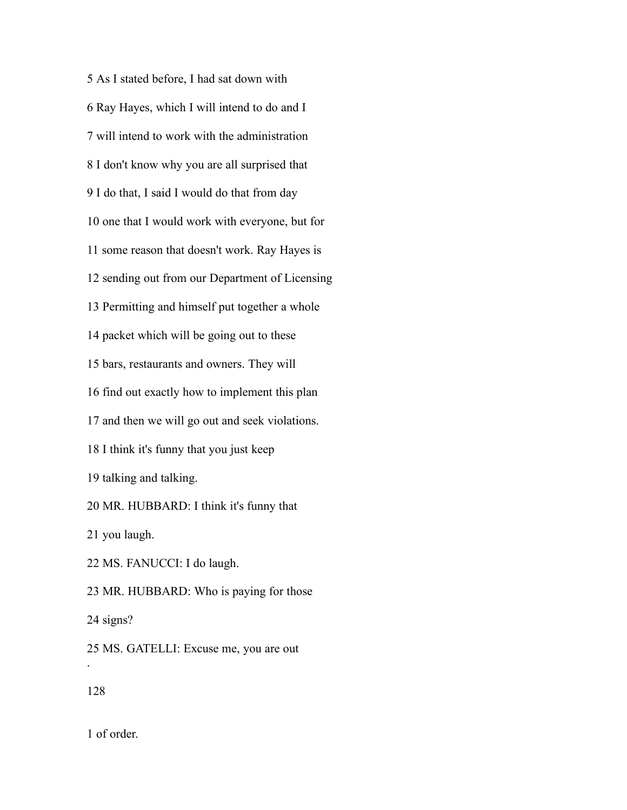As I stated before, I had sat down with Ray Hayes, which I will intend to do and I will intend to work with the administration I don't know why you are all surprised that I do that, I said I would do that from day one that I would work with everyone, but for some reason that doesn't work. Ray Hayes is sending out from our Department of Licensing Permitting and himself put together a whole packet which will be going out to these bars, restaurants and owners. They will find out exactly how to implement this plan and then we will go out and seek violations. I think it's funny that you just keep talking and talking. MR. HUBBARD: I think it's funny that you laugh. MS. FANUCCI: I do laugh. MR. HUBBARD: Who is paying for those signs? MS. GATELLI: Excuse me, you are out . 

of order.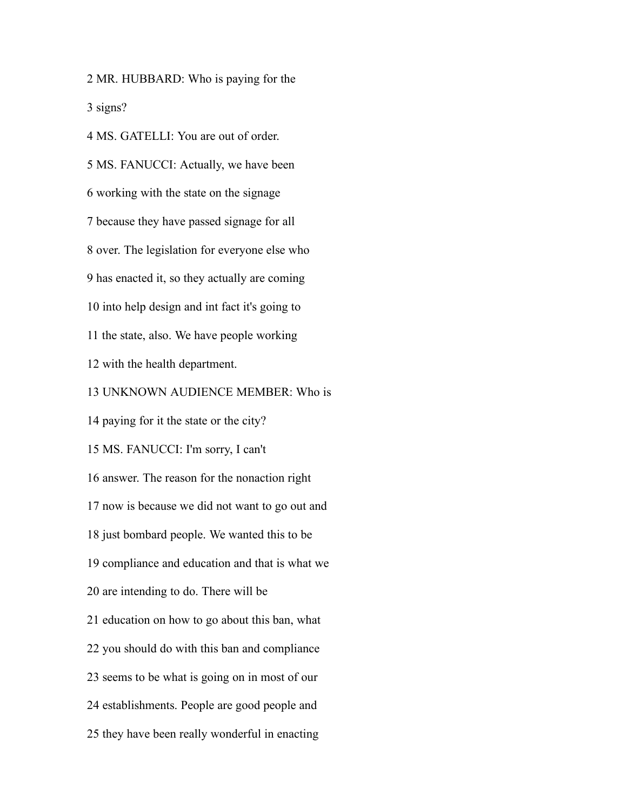MR. HUBBARD: Who is paying for the signs?

 MS. GATELLI: You are out of order. MS. FANUCCI: Actually, we have been working with the state on the signage because they have passed signage for all over. The legislation for everyone else who has enacted it, so they actually are coming into help design and int fact it's going to the state, also. We have people working with the health department. UNKNOWN AUDIENCE MEMBER: Who is paying for it the state or the city? MS. FANUCCI: I'm sorry, I can't answer. The reason for the nonaction right now is because we did not want to go out and just bombard people. We wanted this to be compliance and education and that is what we are intending to do. There will be education on how to go about this ban, what you should do with this ban and compliance seems to be what is going on in most of our establishments. People are good people and they have been really wonderful in enacting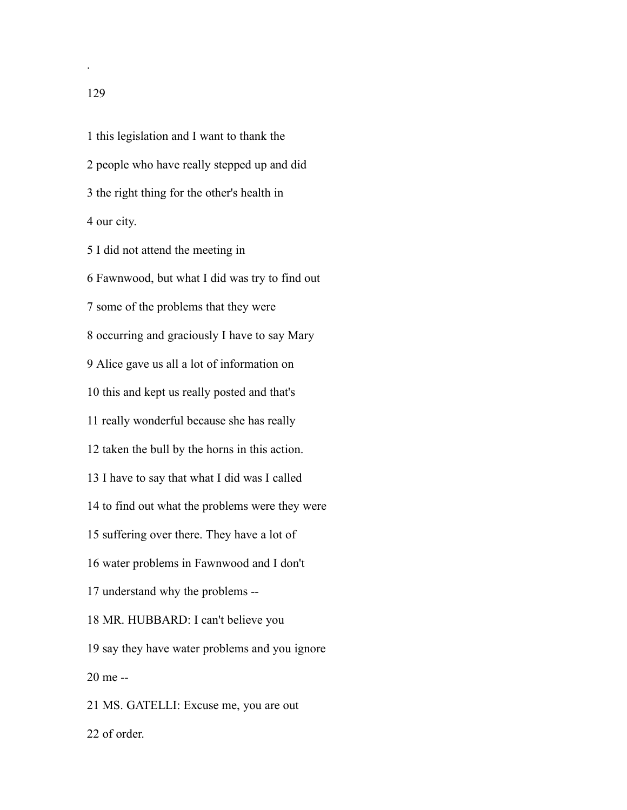this legislation and I want to thank the people who have really stepped up and did the right thing for the other's health in our city.

 I did not attend the meeting in Fawnwood, but what I did was try to find out some of the problems that they were occurring and graciously I have to say Mary Alice gave us all a lot of information on this and kept us really posted and that's really wonderful because she has really taken the bull by the horns in this action. I have to say that what I did was I called to find out what the problems were they were suffering over there. They have a lot of water problems in Fawnwood and I don't understand why the problems -- MR. HUBBARD: I can't believe you say they have water problems and you ignore me -- MS. GATELLI: Excuse me, you are out of order.

.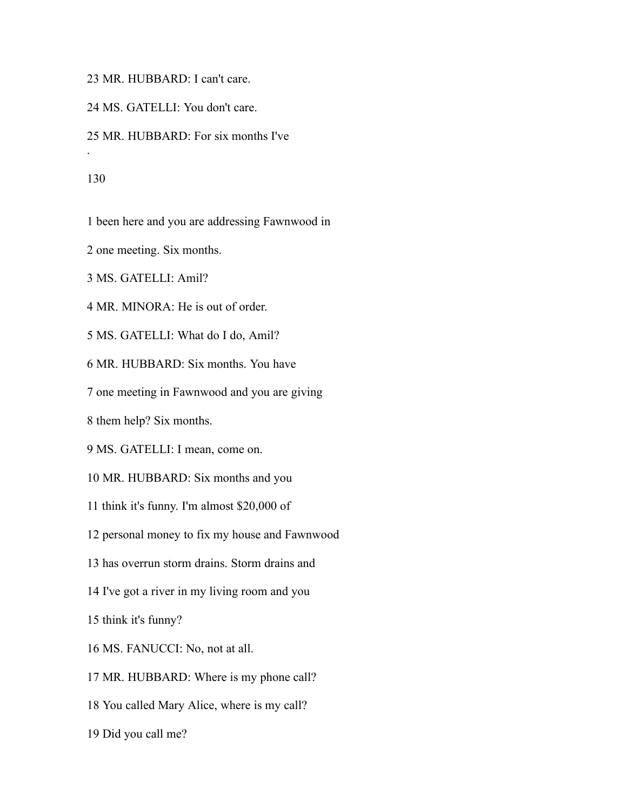MR. HUBBARD: I can't care.

MS. GATELLI: You don't care.

MR. HUBBARD: For six months I've

.

been here and you are addressing Fawnwood in

one meeting. Six months.

MS. GATELLI: Amil?

MR. MINORA: He is out of order.

MS. GATELLI: What do I do, Amil?

MR. HUBBARD: Six months. You have

one meeting in Fawnwood and you are giving

them help? Six months.

MS. GATELLI: I mean, come on.

MR. HUBBARD: Six months and you

think it's funny. I'm almost \$20,000 of

personal money to fix my house and Fawnwood

has overrun storm drains. Storm drains and

I've got a river in my living room and you

think it's funny?

MS. FANUCCI: No, not at all.

MR. HUBBARD: Where is my phone call?

You called Mary Alice, where is my call?

Did you call me?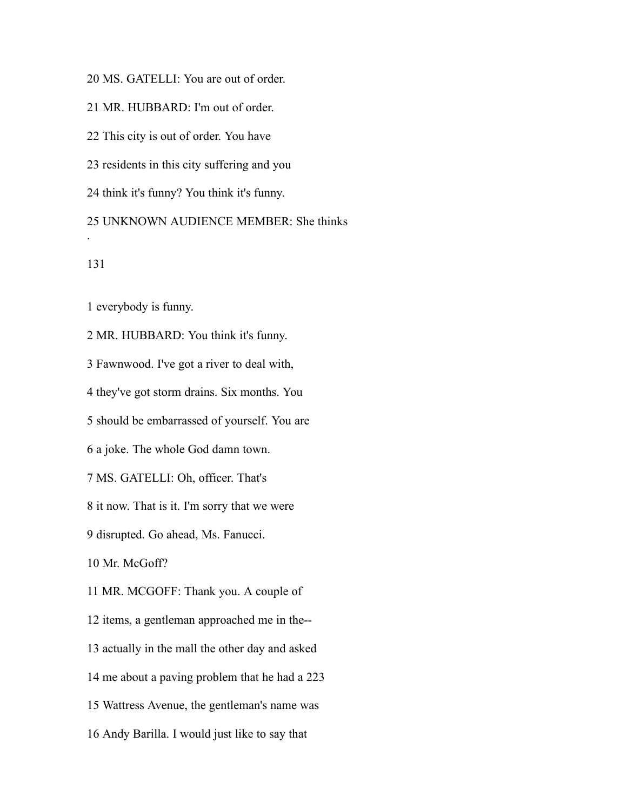MS. GATELLI: You are out of order.

MR. HUBBARD: I'm out of order.

This city is out of order. You have

residents in this city suffering and you

think it's funny? You think it's funny.

 UNKNOWN AUDIENCE MEMBER: She thinks .

everybody is funny.

 MR. HUBBARD: You think it's funny. Fawnwood. I've got a river to deal with, they've got storm drains. Six months. You should be embarrassed of yourself. You are a joke. The whole God damn town. MS. GATELLI: Oh, officer. That's it now. That is it. I'm sorry that we were disrupted. Go ahead, Ms. Fanucci. Mr. McGoff? MR. MCGOFF: Thank you. A couple of items, a gentleman approached me in the-- actually in the mall the other day and asked me about a paving problem that he had a 223 Wattress Avenue, the gentleman's name was

Andy Barilla. I would just like to say that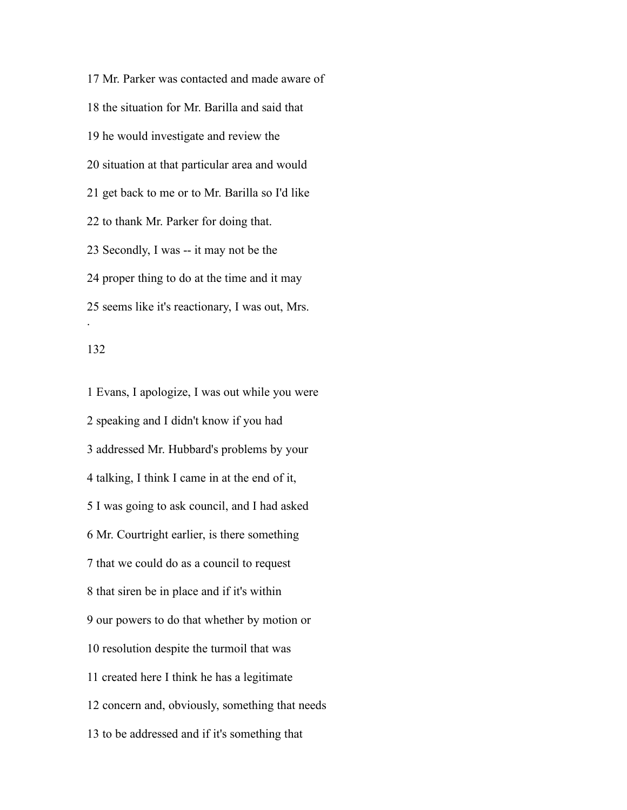Mr. Parker was contacted and made aware of the situation for Mr. Barilla and said that he would investigate and review the situation at that particular area and would get back to me or to Mr. Barilla so I'd like to thank Mr. Parker for doing that. Secondly, I was -- it may not be the proper thing to do at the time and it may seems like it's reactionary, I was out, Mrs. .

 Evans, I apologize, I was out while you were speaking and I didn't know if you had addressed Mr. Hubbard's problems by your talking, I think I came in at the end of it, I was going to ask council, and I had asked Mr. Courtright earlier, is there something that we could do as a council to request that siren be in place and if it's within our powers to do that whether by motion or resolution despite the turmoil that was created here I think he has a legitimate concern and, obviously, something that needs to be addressed and if it's something that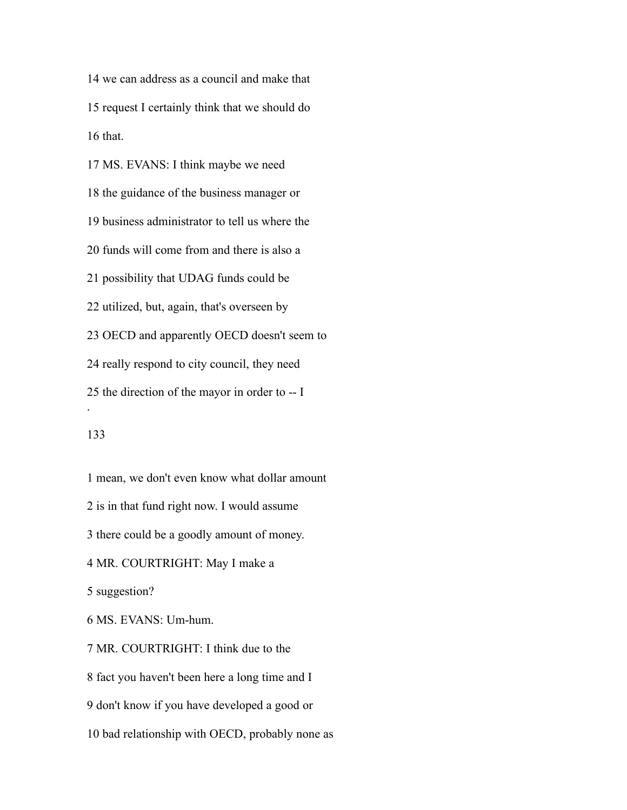we can address as a council and make that request I certainly think that we should do that.

 MS. EVANS: I think maybe we need the guidance of the business manager or business administrator to tell us where the funds will come from and there is also a possibility that UDAG funds could be utilized, but, again, that's overseen by OECD and apparently OECD doesn't seem to really respond to city council, they need the direction of the mayor in order to -- I .

# 

mean, we don't even know what dollar amount

is in that fund right now. I would assume

there could be a goodly amount of money.

MR. COURTRIGHT: May I make a

suggestion?

MS. EVANS: Um-hum.

MR. COURTRIGHT: I think due to the

fact you haven't been here a long time and I

don't know if you have developed a good or

bad relationship with OECD, probably none as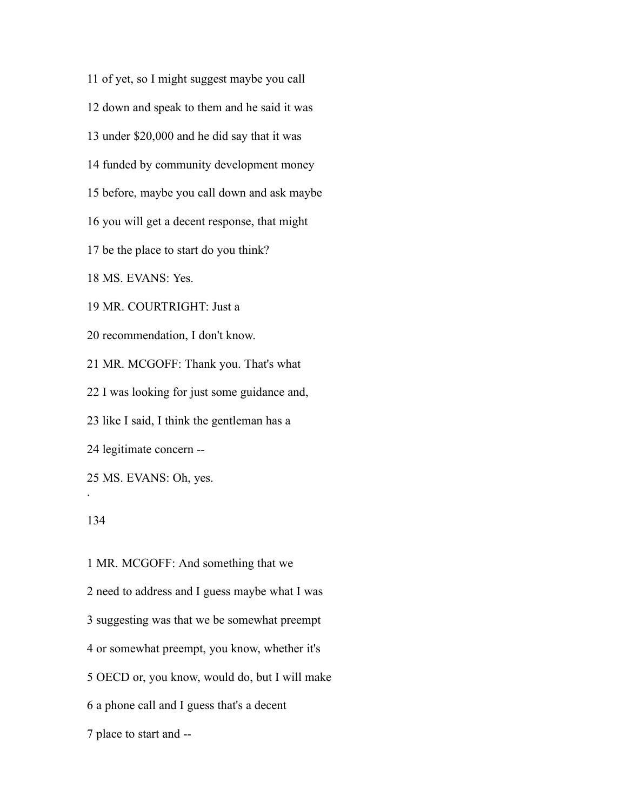of yet, so I might suggest maybe you call

down and speak to them and he said it was

under \$20,000 and he did say that it was

funded by community development money

before, maybe you call down and ask maybe

you will get a decent response, that might

be the place to start do you think?

MS. EVANS: Yes.

MR. COURTRIGHT: Just a

recommendation, I don't know.

MR. MCGOFF: Thank you. That's what

I was looking for just some guidance and,

like I said, I think the gentleman has a

legitimate concern --

MS. EVANS: Oh, yes.

#### 

.

 MR. MCGOFF: And something that we need to address and I guess maybe what I was suggesting was that we be somewhat preempt or somewhat preempt, you know, whether it's OECD or, you know, would do, but I will make a phone call and I guess that's a decent place to start and --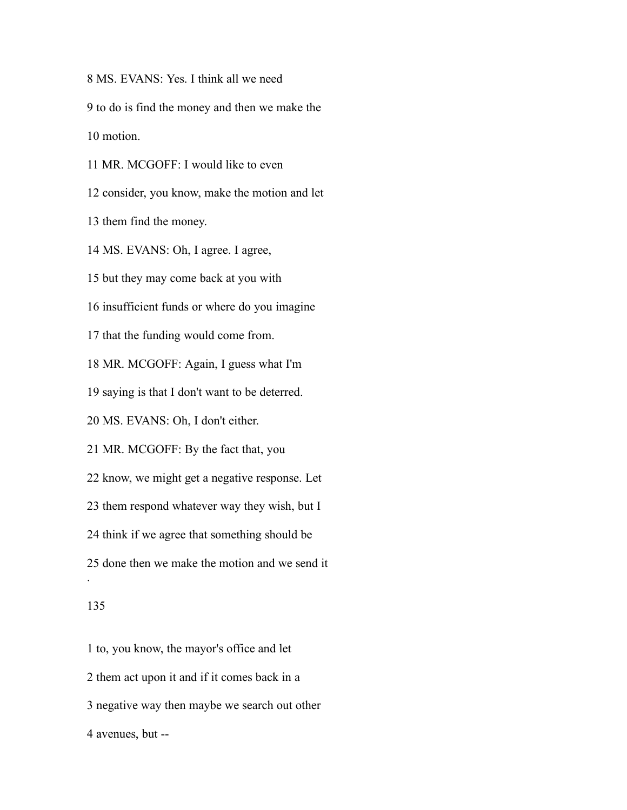MS. EVANS: Yes. I think all we need to do is find the money and then we make the motion. MR. MCGOFF: I would like to even

consider, you know, make the motion and let

them find the money.

MS. EVANS: Oh, I agree. I agree,

but they may come back at you with

insufficient funds or where do you imagine

that the funding would come from.

MR. MCGOFF: Again, I guess what I'm

saying is that I don't want to be deterred.

MS. EVANS: Oh, I don't either.

MR. MCGOFF: By the fact that, you

know, we might get a negative response. Let

them respond whatever way they wish, but I

think if we agree that something should be

done then we make the motion and we send it

#### 

.

 to, you know, the mayor's office and let them act upon it and if it comes back in a negative way then maybe we search out other avenues, but --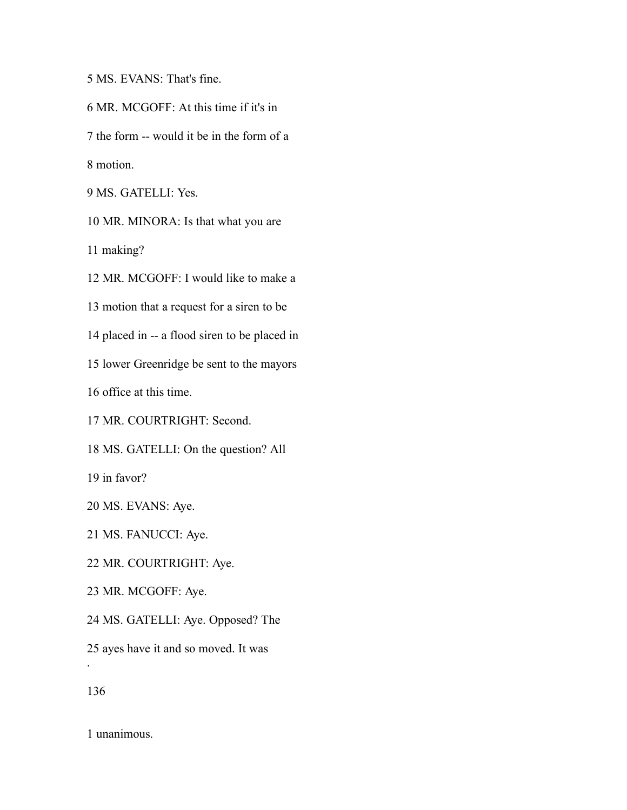MS. EVANS: That's fine.

MR. MCGOFF: At this time if it's in

the form -- would it be in the form of a

motion.

MS. GATELLI: Yes.

MR. MINORA: Is that what you are

making?

MR. MCGOFF: I would like to make a

motion that a request for a siren to be

placed in -- a flood siren to be placed in

lower Greenridge be sent to the mayors

office at this time.

MR. COURTRIGHT: Second.

MS. GATELLI: On the question? All

in favor?

MS. EVANS: Aye.

MS. FANUCCI: Aye.

MR. COURTRIGHT: Aye.

MR. MCGOFF: Aye.

MS. GATELLI: Aye. Opposed? The

ayes have it and so moved. It was

.

unanimous.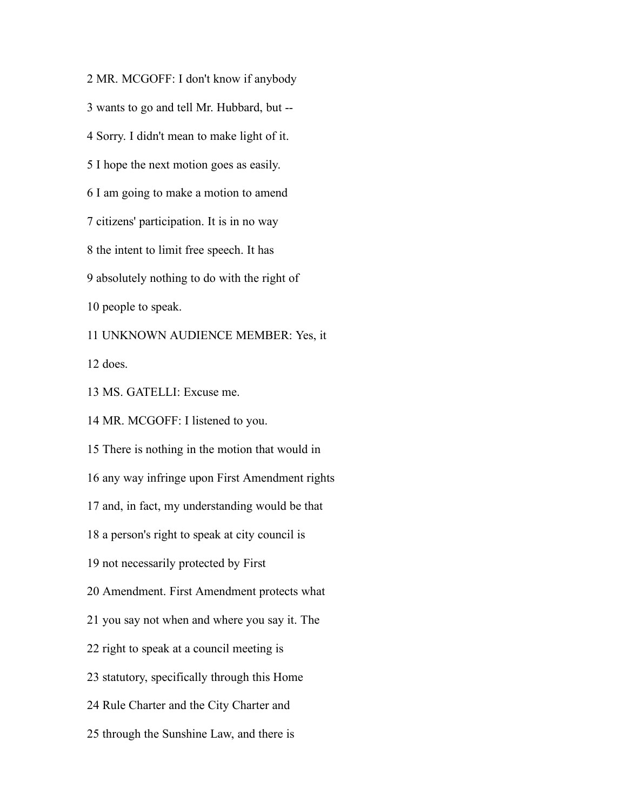MR. MCGOFF: I don't know if anybody wants to go and tell Mr. Hubbard, but -- Sorry. I didn't mean to make light of it. I hope the next motion goes as easily. I am going to make a motion to amend citizens' participation. It is in no way the intent to limit free speech. It has absolutely nothing to do with the right of people to speak. UNKNOWN AUDIENCE MEMBER: Yes, it does. MS. GATELLI: Excuse me. MR. MCGOFF: I listened to you. There is nothing in the motion that would in any way infringe upon First Amendment rights and, in fact, my understanding would be that a person's right to speak at city council is not necessarily protected by First Amendment. First Amendment protects what you say not when and where you say it. The right to speak at a council meeting is statutory, specifically through this Home

Rule Charter and the City Charter and

through the Sunshine Law, and there is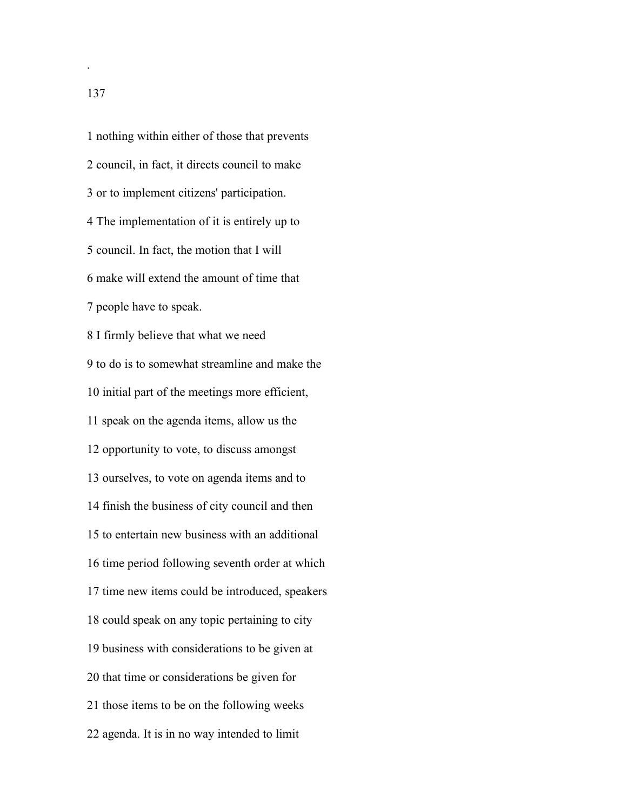nothing within either of those that prevents council, in fact, it directs council to make or to implement citizens' participation. The implementation of it is entirely up to council. In fact, the motion that I will make will extend the amount of time that people have to speak. I firmly believe that what we need to do is to somewhat streamline and make the initial part of the meetings more efficient, speak on the agenda items, allow us the opportunity to vote, to discuss amongst ourselves, to vote on agenda items and to finish the business of city council and then to entertain new business with an additional time period following seventh order at which time new items could be introduced, speakers could speak on any topic pertaining to city business with considerations to be given at that time or considerations be given for those items to be on the following weeks agenda. It is in no way intended to limit

.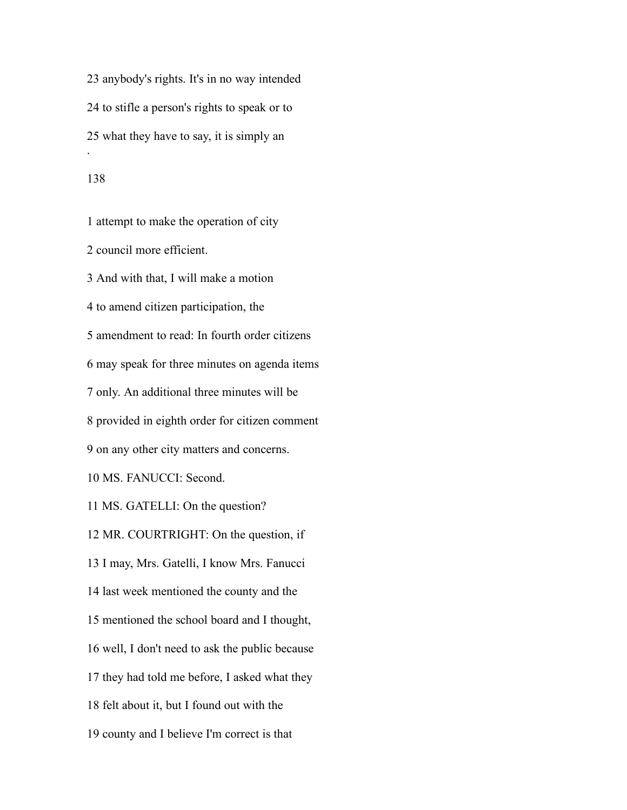anybody's rights. It's in no way intended to stifle a person's rights to speak or to what they have to say, it is simply an .

#### 

 attempt to make the operation of city council more efficient. And with that, I will make a motion to amend citizen participation, the amendment to read: In fourth order citizens may speak for three minutes on agenda items only. An additional three minutes will be provided in eighth order for citizen comment on any other city matters and concerns. MS. FANUCCI: Second. MS. GATELLI: On the question? MR. COURTRIGHT: On the question, if I may, Mrs. Gatelli, I know Mrs. Fanucci last week mentioned the county and the mentioned the school board and I thought, well, I don't need to ask the public because they had told me before, I asked what they felt about it, but I found out with the county and I believe I'm correct is that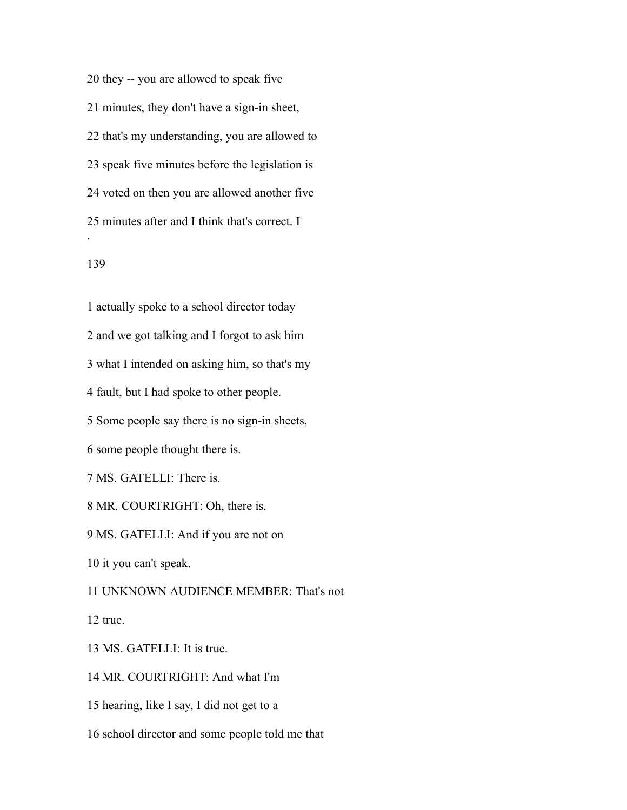they -- you are allowed to speak five minutes, they don't have a sign-in sheet, that's my understanding, you are allowed to speak five minutes before the legislation is voted on then you are allowed another five minutes after and I think that's correct. I .

### 

 actually spoke to a school director today and we got talking and I forgot to ask him what I intended on asking him, so that's my fault, but I had spoke to other people. Some people say there is no sign-in sheets, some people thought there is. MS. GATELLI: There is. MR. COURTRIGHT: Oh, there is. MS. GATELLI: And if you are not on it you can't speak. UNKNOWN AUDIENCE MEMBER: That's not true. MS. GATELLI: It is true. MR. COURTRIGHT: And what I'm

hearing, like I say, I did not get to a

school director and some people told me that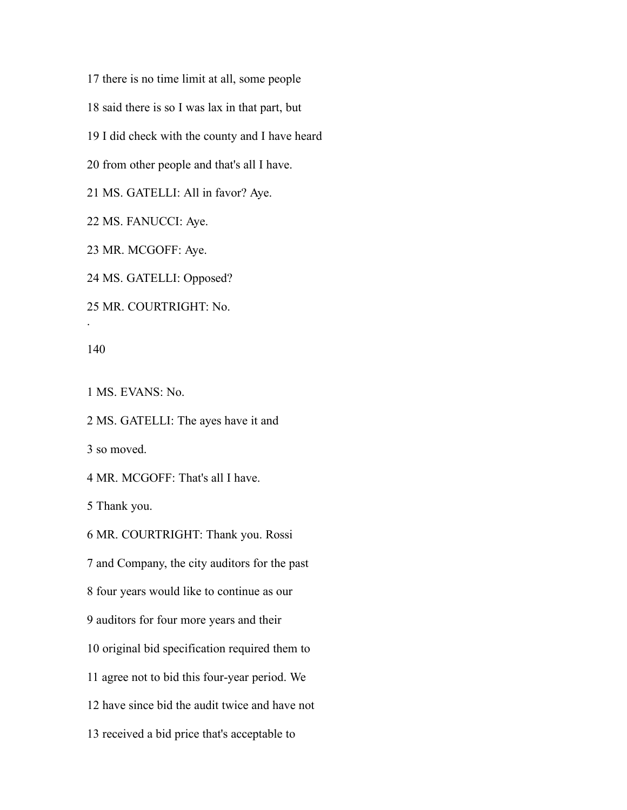there is no time limit at all, some people said there is so I was lax in that part, but I did check with the county and I have heard from other people and that's all I have. MS. GATELLI: All in favor? Aye.

MS. FANUCCI: Aye.

MR. MCGOFF: Aye.

MS. GATELLI: Opposed?

MR. COURTRIGHT: No.

.

MS. EVANS: No.

 MS. GATELLI: The ayes have it and so moved.

MR. MCGOFF: That's all I have.

Thank you.

MR. COURTRIGHT: Thank you. Rossi

and Company, the city auditors for the past

four years would like to continue as our

auditors for four more years and their

original bid specification required them to

agree not to bid this four-year period. We

have since bid the audit twice and have not

received a bid price that's acceptable to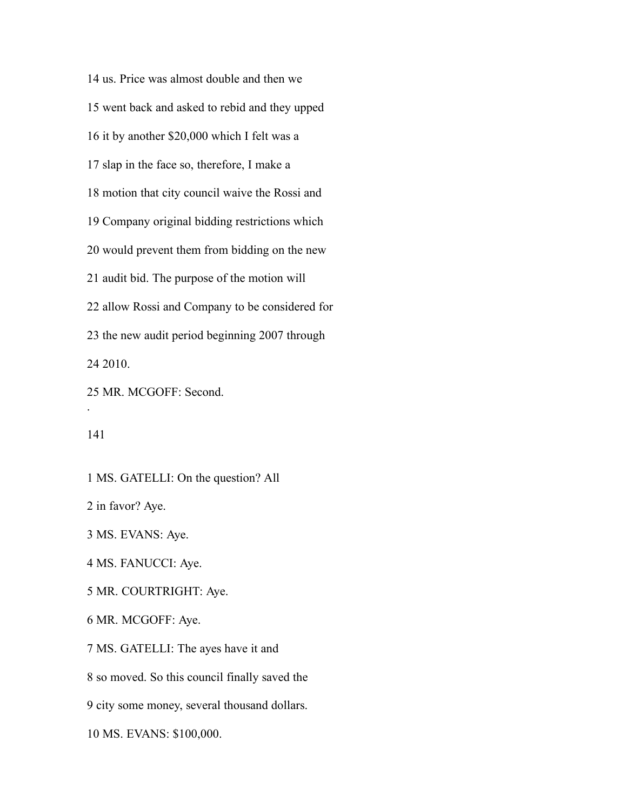us. Price was almost double and then we went back and asked to rebid and they upped it by another \$20,000 which I felt was a slap in the face so, therefore, I make a motion that city council waive the Rossi and Company original bidding restrictions which would prevent them from bidding on the new audit bid. The purpose of the motion will allow Rossi and Company to be considered for the new audit period beginning 2007 through 2010. MR. MCGOFF: Second.

.

MS. GATELLI: On the question? All

in favor? Aye.

MS. EVANS: Aye.

MS. FANUCCI: Aye.

MR. COURTRIGHT: Aye.

MR. MCGOFF: Aye.

MS. GATELLI: The ayes have it and

so moved. So this council finally saved the

city some money, several thousand dollars.

MS. EVANS: \$100,000.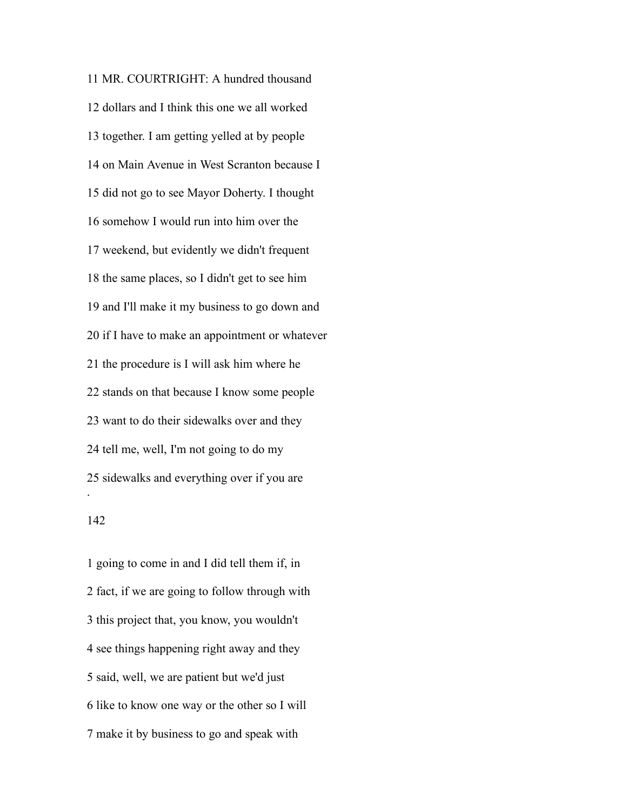MR. COURTRIGHT: A hundred thousand dollars and I think this one we all worked together. I am getting yelled at by people on Main Avenue in West Scranton because I did not go to see Mayor Doherty. I thought somehow I would run into him over the weekend, but evidently we didn't frequent the same places, so I didn't get to see him and I'll make it my business to go down and if I have to make an appointment or whatever the procedure is I will ask him where he stands on that because I know some people want to do their sidewalks over and they tell me, well, I'm not going to do my sidewalks and everything over if you are . 

 going to come in and I did tell them if, in fact, if we are going to follow through with this project that, you know, you wouldn't see things happening right away and they said, well, we are patient but we'd just like to know one way or the other so I will make it by business to go and speak with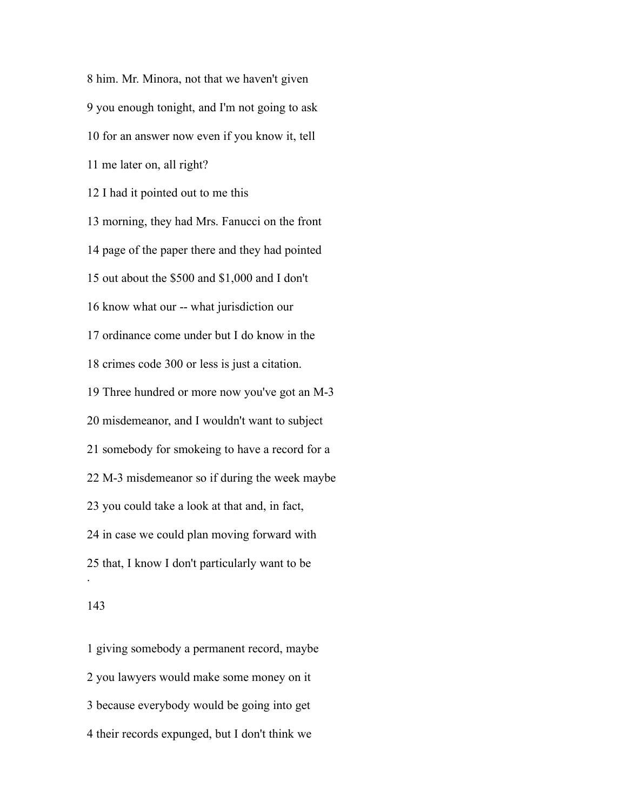him. Mr. Minora, not that we haven't given you enough tonight, and I'm not going to ask for an answer now even if you know it, tell me later on, all right? I had it pointed out to me this morning, they had Mrs. Fanucci on the front page of the paper there and they had pointed out about the \$500 and \$1,000 and I don't know what our -- what jurisdiction our ordinance come under but I do know in the crimes code 300 or less is just a citation. Three hundred or more now you've got an M-3 misdemeanor, and I wouldn't want to subject somebody for smokeing to have a record for a M-3 misdemeanor so if during the week maybe you could take a look at that and, in fact, in case we could plan moving forward with that, I know I don't particularly want to be .

## 

 giving somebody a permanent record, maybe you lawyers would make some money on it because everybody would be going into get their records expunged, but I don't think we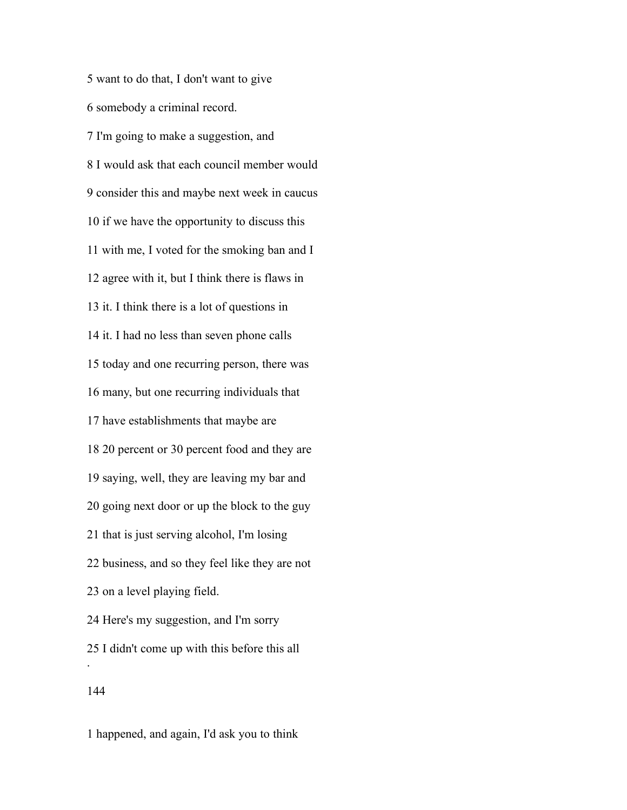want to do that, I don't want to give somebody a criminal record. I'm going to make a suggestion, and I would ask that each council member would consider this and maybe next week in caucus if we have the opportunity to discuss this with me, I voted for the smoking ban and I agree with it, but I think there is flaws in it. I think there is a lot of questions in it. I had no less than seven phone calls today and one recurring person, there was many, but one recurring individuals that have establishments that maybe are 20 percent or 30 percent food and they are saying, well, they are leaving my bar and going next door or up the block to the guy that is just serving alcohol, I'm losing business, and so they feel like they are not on a level playing field. Here's my suggestion, and I'm sorry I didn't come up with this before this all . 

happened, and again, I'd ask you to think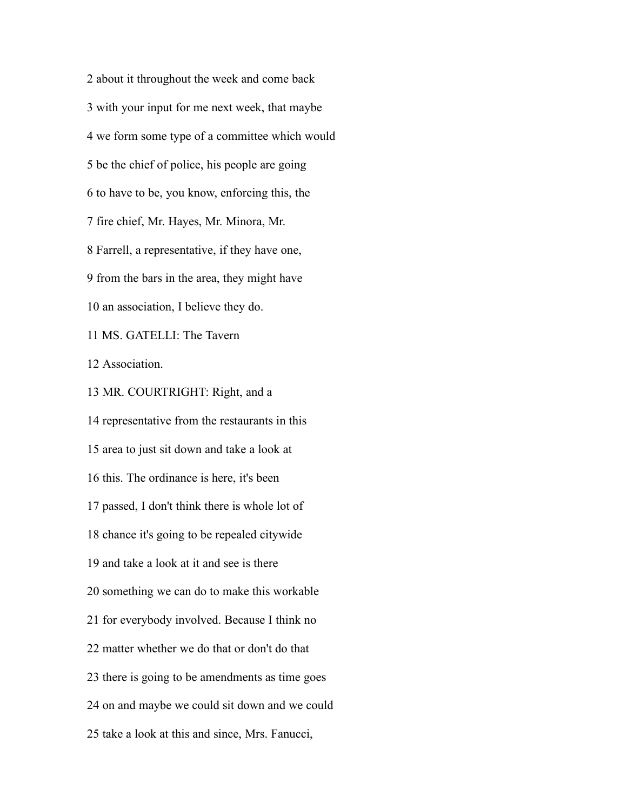about it throughout the week and come back with your input for me next week, that maybe we form some type of a committee which would be the chief of police, his people are going to have to be, you know, enforcing this, the fire chief, Mr. Hayes, Mr. Minora, Mr. Farrell, a representative, if they have one, from the bars in the area, they might have an association, I believe they do. MS. GATELLI: The Tavern Association. MR. COURTRIGHT: Right, and a representative from the restaurants in this area to just sit down and take a look at this. The ordinance is here, it's been passed, I don't think there is whole lot of chance it's going to be repealed citywide and take a look at it and see is there something we can do to make this workable for everybody involved. Because I think no matter whether we do that or don't do that there is going to be amendments as time goes

on and maybe we could sit down and we could

take a look at this and since, Mrs. Fanucci,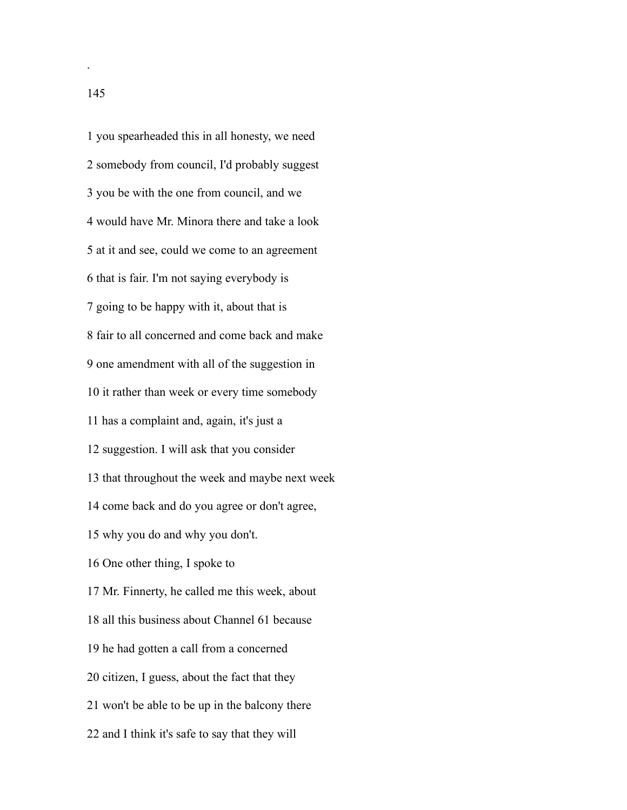you spearheaded this in all honesty, we need somebody from council, I'd probably suggest you be with the one from council, and we would have Mr. Minora there and take a look at it and see, could we come to an agreement that is fair. I'm not saying everybody is going to be happy with it, about that is fair to all concerned and come back and make one amendment with all of the suggestion in it rather than week or every time somebody has a complaint and, again, it's just a suggestion. I will ask that you consider that throughout the week and maybe next week come back and do you agree or don't agree, why you do and why you don't. One other thing, I spoke to Mr. Finnerty, he called me this week, about all this business about Channel 61 because he had gotten a call from a concerned citizen, I guess, about the fact that they won't be able to be up in the balcony there and I think it's safe to say that they will

.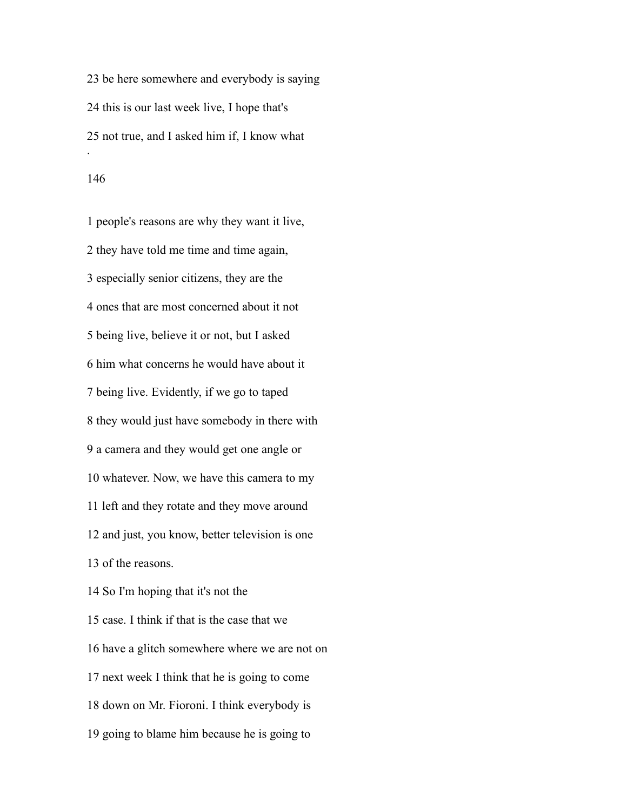be here somewhere and everybody is saying this is our last week live, I hope that's not true, and I asked him if, I know what .

 people's reasons are why they want it live, they have told me time and time again, especially senior citizens, they are the ones that are most concerned about it not being live, believe it or not, but I asked him what concerns he would have about it being live. Evidently, if we go to taped they would just have somebody in there with a camera and they would get one angle or whatever. Now, we have this camera to my left and they rotate and they move around and just, you know, better television is one of the reasons. So I'm hoping that it's not the case. I think if that is the case that we have a glitch somewhere where we are not on next week I think that he is going to come down on Mr. Fioroni. I think everybody is going to blame him because he is going to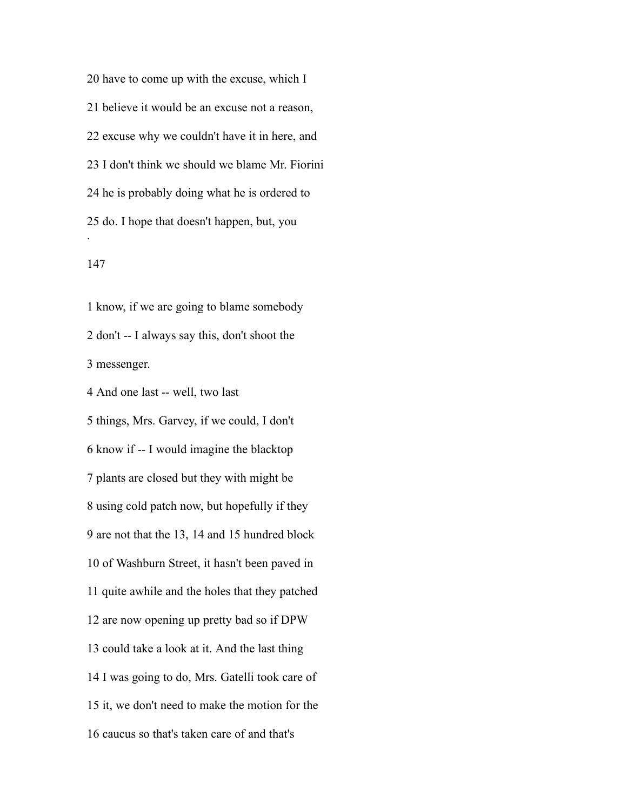have to come up with the excuse, which I believe it would be an excuse not a reason, excuse why we couldn't have it in here, and I don't think we should we blame Mr. Fiorini he is probably doing what he is ordered to do. I hope that doesn't happen, but, you .

 know, if we are going to blame somebody don't -- I always say this, don't shoot the messenger.

And one last -- well, two last

 things, Mrs. Garvey, if we could, I don't know if -- I would imagine the blacktop plants are closed but they with might be using cold patch now, but hopefully if they are not that the 13, 14 and 15 hundred block of Washburn Street, it hasn't been paved in quite awhile and the holes that they patched are now opening up pretty bad so if DPW could take a look at it. And the last thing I was going to do, Mrs. Gatelli took care of it, we don't need to make the motion for the caucus so that's taken care of and that's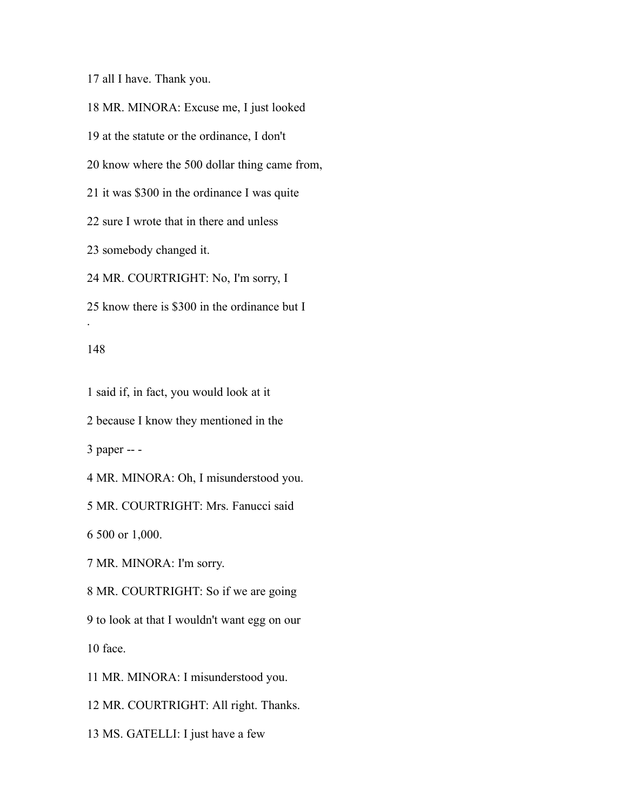all I have. Thank you.

 MR. MINORA: Excuse me, I just looked at the statute or the ordinance, I don't know where the 500 dollar thing came from, it was \$300 in the ordinance I was quite sure I wrote that in there and unless somebody changed it. MR. COURTRIGHT: No, I'm sorry, I

know there is \$300 in the ordinance but I

### 

.

said if, in fact, you would look at it

because I know they mentioned in the

paper -- -

MR. MINORA: Oh, I misunderstood you.

MR. COURTRIGHT: Mrs. Fanucci said

500 or 1,000.

MR. MINORA: I'm sorry.

MR. COURTRIGHT: So if we are going

 to look at that I wouldn't want egg on our face.

MR. MINORA: I misunderstood you.

MR. COURTRIGHT: All right. Thanks.

MS. GATELLI: I just have a few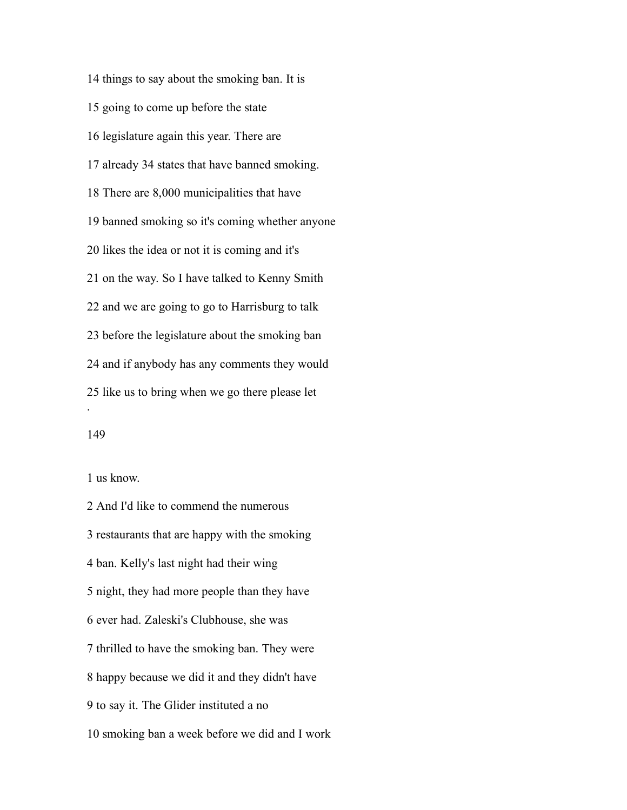things to say about the smoking ban. It is going to come up before the state legislature again this year. There are already 34 states that have banned smoking. There are 8,000 municipalities that have banned smoking so it's coming whether anyone likes the idea or not it is coming and it's on the way. So I have talked to Kenny Smith and we are going to go to Harrisburg to talk before the legislature about the smoking ban and if anybody has any comments they would like us to bring when we go there please let .

us know.

 And I'd like to commend the numerous restaurants that are happy with the smoking ban. Kelly's last night had their wing night, they had more people than they have ever had. Zaleski's Clubhouse, she was thrilled to have the smoking ban. They were happy because we did it and they didn't have to say it. The Glider instituted a no smoking ban a week before we did and I work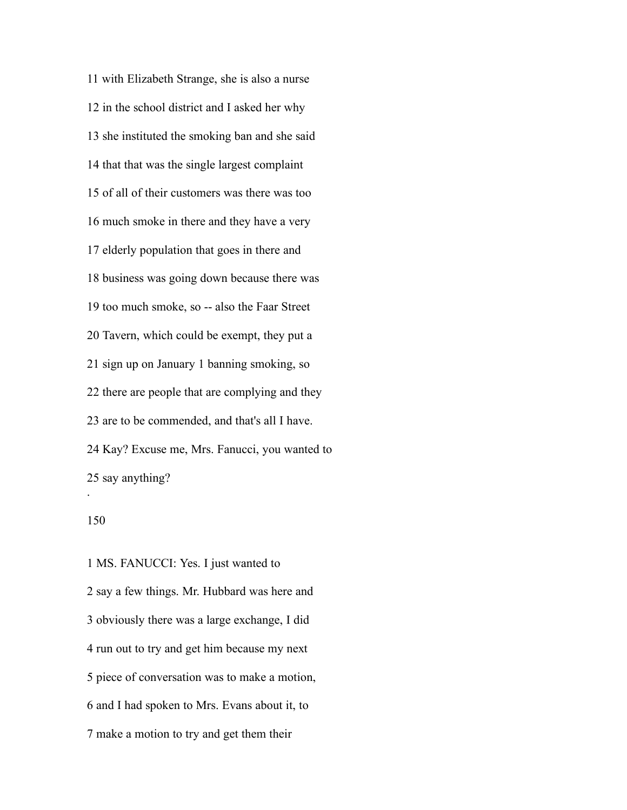with Elizabeth Strange, she is also a nurse in the school district and I asked her why she instituted the smoking ban and she said that that was the single largest complaint of all of their customers was there was too much smoke in there and they have a very elderly population that goes in there and business was going down because there was too much smoke, so -- also the Faar Street Tavern, which could be exempt, they put a sign up on January 1 banning smoking, so there are people that are complying and they are to be commended, and that's all I have. Kay? Excuse me, Mrs. Fanucci, you wanted to say anything? .

 MS. FANUCCI: Yes. I just wanted to say a few things. Mr. Hubbard was here and obviously there was a large exchange, I did run out to try and get him because my next piece of conversation was to make a motion, and I had spoken to Mrs. Evans about it, to make a motion to try and get them their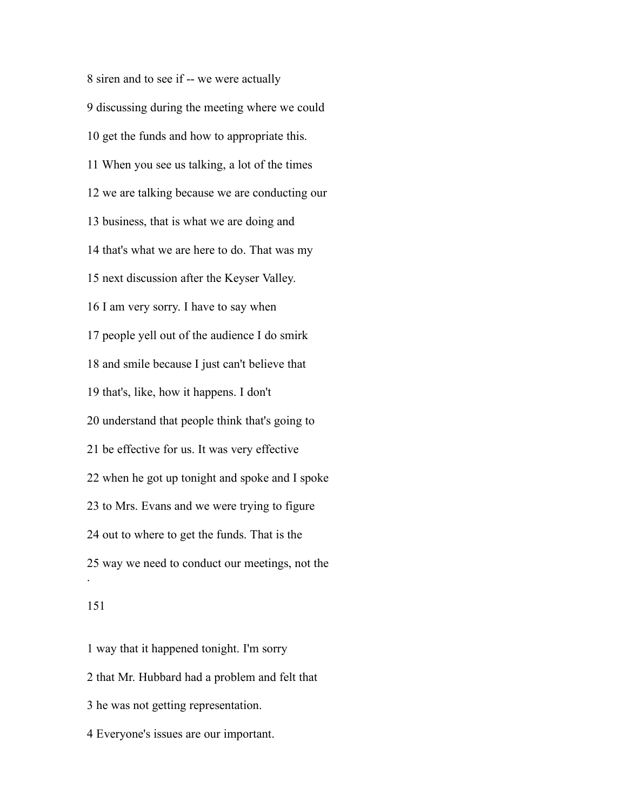siren and to see if -- we were actually discussing during the meeting where we could get the funds and how to appropriate this. When you see us talking, a lot of the times we are talking because we are conducting our business, that is what we are doing and that's what we are here to do. That was my next discussion after the Keyser Valley. I am very sorry. I have to say when people yell out of the audience I do smirk and smile because I just can't believe that that's, like, how it happens. I don't understand that people think that's going to be effective for us. It was very effective when he got up tonight and spoke and I spoke to Mrs. Evans and we were trying to figure out to where to get the funds. That is the way we need to conduct our meetings, not the .

## 

 way that it happened tonight. I'm sorry that Mr. Hubbard had a problem and felt that he was not getting representation. Everyone's issues are our important.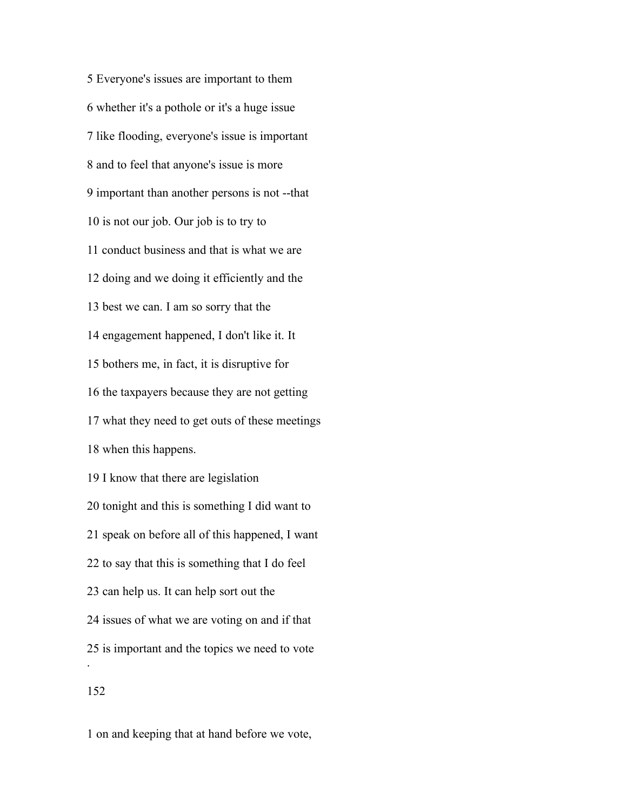Everyone's issues are important to them whether it's a pothole or it's a huge issue like flooding, everyone's issue is important and to feel that anyone's issue is more important than another persons is not --that is not our job. Our job is to try to conduct business and that is what we are doing and we doing it efficiently and the best we can. I am so sorry that the engagement happened, I don't like it. It bothers me, in fact, it is disruptive for the taxpayers because they are not getting what they need to get outs of these meetings when this happens. I know that there are legislation tonight and this is something I did want to speak on before all of this happened, I want to say that this is something that I do feel can help us. It can help sort out the issues of what we are voting on and if that is important and the topics we need to vote . 

on and keeping that at hand before we vote,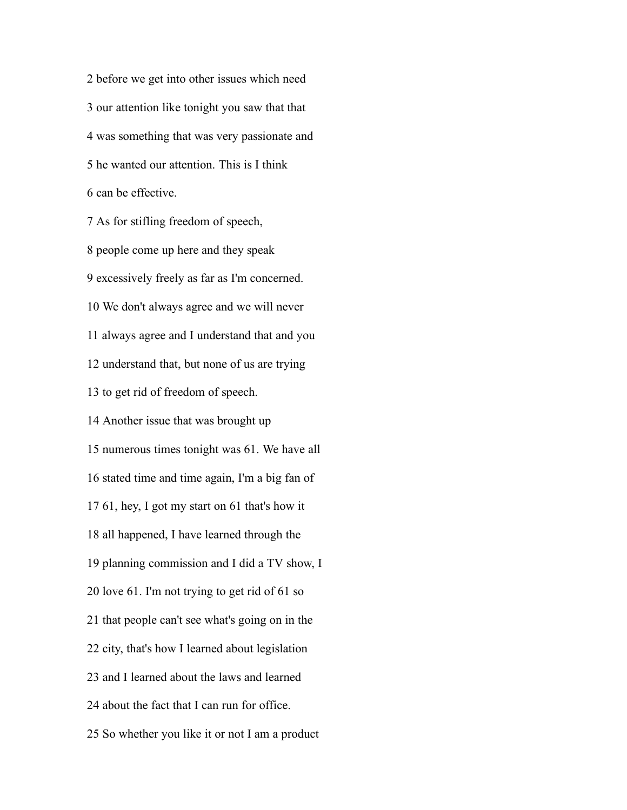before we get into other issues which need our attention like tonight you saw that that was something that was very passionate and he wanted our attention. This is I think can be effective.

 As for stifling freedom of speech, people come up here and they speak excessively freely as far as I'm concerned. We don't always agree and we will never always agree and I understand that and you understand that, but none of us are trying to get rid of freedom of speech. Another issue that was brought up numerous times tonight was 61. We have all stated time and time again, I'm a big fan of 61, hey, I got my start on 61 that's how it all happened, I have learned through the planning commission and I did a TV show, I love 61. I'm not trying to get rid of 61 so that people can't see what's going on in the city, that's how I learned about legislation and I learned about the laws and learned about the fact that I can run for office. So whether you like it or not I am a product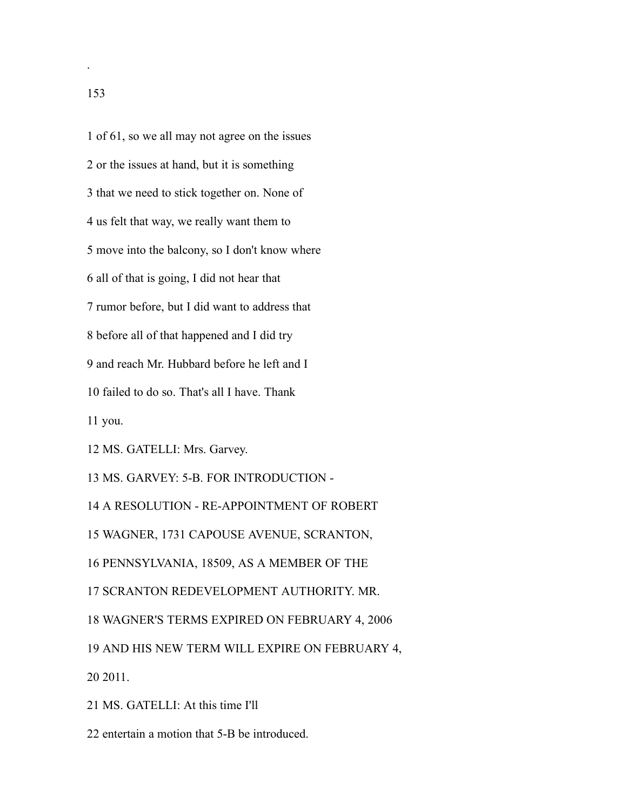of 61, so we all may not agree on the issues or the issues at hand, but it is something that we need to stick together on. None of us felt that way, we really want them to move into the balcony, so I don't know where all of that is going, I did not hear that rumor before, but I did want to address that before all of that happened and I did try and reach Mr. Hubbard before he left and I failed to do so. That's all I have. Thank you. MS. GATELLI: Mrs. Garvey. MS. GARVEY: 5-B. FOR INTRODUCTION - A RESOLUTION - RE-APPOINTMENT OF ROBERT WAGNER, 1731 CAPOUSE AVENUE, SCRANTON, PENNSYLVANIA, 18509, AS A MEMBER OF THE SCRANTON REDEVELOPMENT AUTHORITY. MR. WAGNER'S TERMS EXPIRED ON FEBRUARY 4, 2006

 AND HIS NEW TERM WILL EXPIRE ON FEBRUARY 4, 2011.

MS. GATELLI: At this time I'll

entertain a motion that 5-B be introduced.

.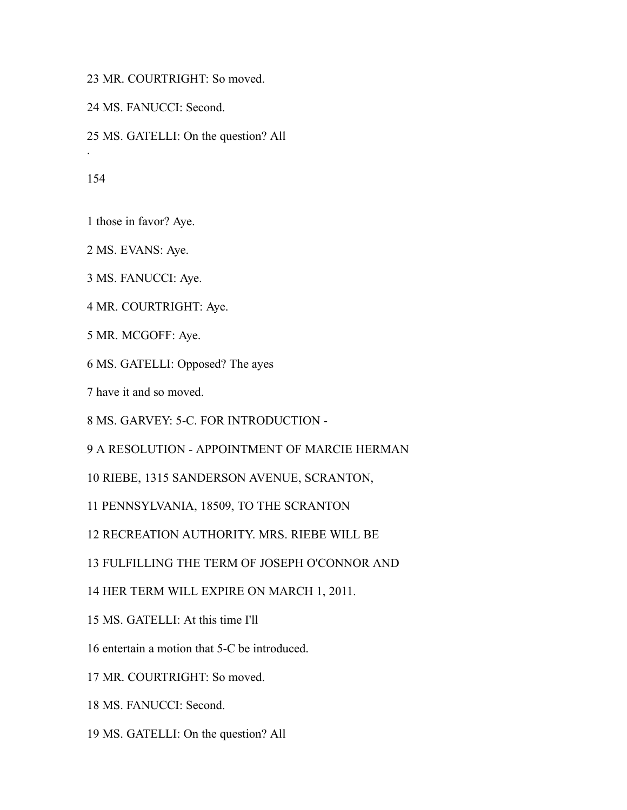MR. COURTRIGHT: So moved.

MS. FANUCCI: Second.

MS. GATELLI: On the question? All

.

those in favor? Aye.

MS. EVANS: Aye.

MS. FANUCCI: Aye.

MR. COURTRIGHT: Aye.

MR. MCGOFF: Aye.

MS. GATELLI: Opposed? The ayes

have it and so moved.

MS. GARVEY: 5-C. FOR INTRODUCTION -

A RESOLUTION - APPOINTMENT OF MARCIE HERMAN

RIEBE, 1315 SANDERSON AVENUE, SCRANTON,

PENNSYLVANIA, 18509, TO THE SCRANTON

RECREATION AUTHORITY. MRS. RIEBE WILL BE

FULFILLING THE TERM OF JOSEPH O'CONNOR AND

HER TERM WILL EXPIRE ON MARCH 1, 2011.

MS. GATELLI: At this time I'll

entertain a motion that 5-C be introduced.

MR. COURTRIGHT: So moved.

MS. FANUCCI: Second.

MS. GATELLI: On the question? All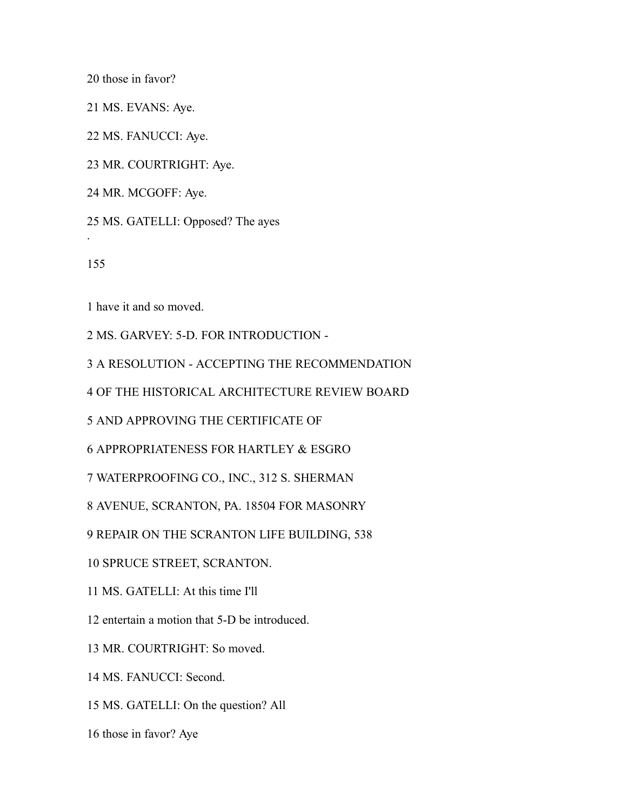those in favor?

MS. EVANS: Aye.

MS. FANUCCI: Aye.

MR. COURTRIGHT: Aye.

MR. MCGOFF: Aye.

MS. GATELLI: Opposed? The ayes

.

have it and so moved.

MS. GARVEY: 5-D. FOR INTRODUCTION -

A RESOLUTION - ACCEPTING THE RECOMMENDATION

OF THE HISTORICAL ARCHITECTURE REVIEW BOARD

AND APPROVING THE CERTIFICATE OF

APPROPRIATENESS FOR HARTLEY & ESGRO

WATERPROOFING CO., INC., 312 S. SHERMAN

AVENUE, SCRANTON, PA. 18504 FOR MASONRY

REPAIR ON THE SCRANTON LIFE BUILDING, 538

SPRUCE STREET, SCRANTON.

MS. GATELLI: At this time I'll

entertain a motion that 5-D be introduced.

MR. COURTRIGHT: So moved.

MS. FANUCCI: Second.

MS. GATELLI: On the question? All

those in favor? Aye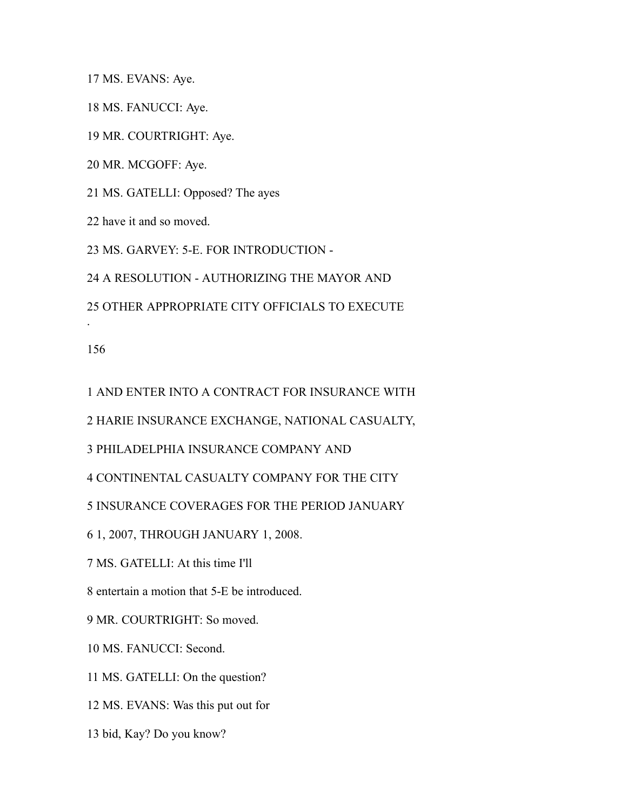MS. EVANS: Aye.

MS. FANUCCI: Aye.

MR. COURTRIGHT: Aye.

MR. MCGOFF: Aye.

MS. GATELLI: Opposed? The ayes

have it and so moved.

MS. GARVEY: 5-E. FOR INTRODUCTION -

A RESOLUTION - AUTHORIZING THE MAYOR AND

OTHER APPROPRIATE CITY OFFICIALS TO EXECUTE

.

AND ENTER INTO A CONTRACT FOR INSURANCE WITH

HARIE INSURANCE EXCHANGE, NATIONAL CASUALTY,

PHILADELPHIA INSURANCE COMPANY AND

CONTINENTAL CASUALTY COMPANY FOR THE CITY

INSURANCE COVERAGES FOR THE PERIOD JANUARY

1, 2007, THROUGH JANUARY 1, 2008.

MS. GATELLI: At this time I'll

entertain a motion that 5-E be introduced.

MR. COURTRIGHT: So moved.

MS. FANUCCI: Second.

MS. GATELLI: On the question?

MS. EVANS: Was this put out for

bid, Kay? Do you know?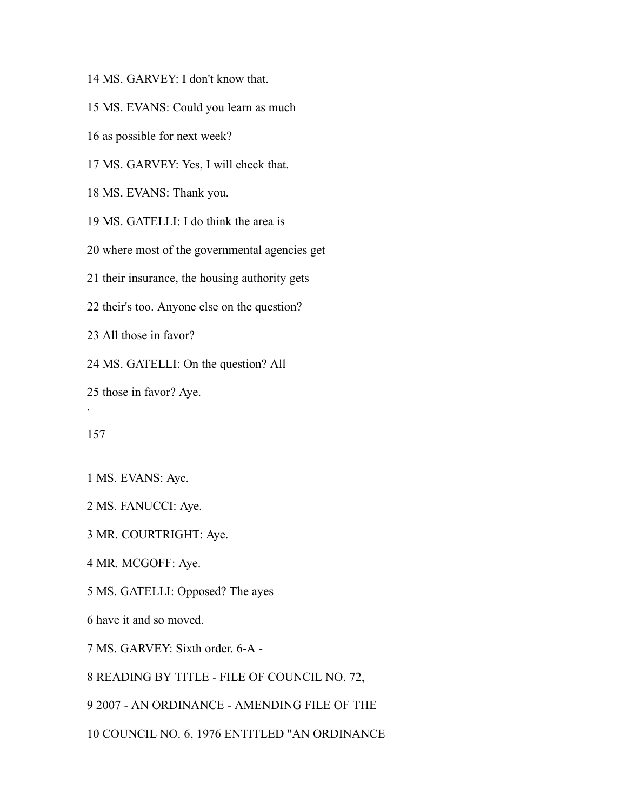MS. GARVEY: I don't know that.

MS. EVANS: Could you learn as much

as possible for next week?

MS. GARVEY: Yes, I will check that.

MS. EVANS: Thank you.

MS. GATELLI: I do think the area is

where most of the governmental agencies get

their insurance, the housing authority gets

their's too. Anyone else on the question?

All those in favor?

MS. GATELLI: On the question? All

those in favor? Aye.

.

MS. EVANS: Aye.

MS. FANUCCI: Aye.

MR. COURTRIGHT: Aye.

MR. MCGOFF: Aye.

MS. GATELLI: Opposed? The ayes

have it and so moved.

MS. GARVEY: Sixth order. 6-A -

READING BY TITLE - FILE OF COUNCIL NO. 72,

2007 - AN ORDINANCE - AMENDING FILE OF THE

COUNCIL NO. 6, 1976 ENTITLED "AN ORDINANCE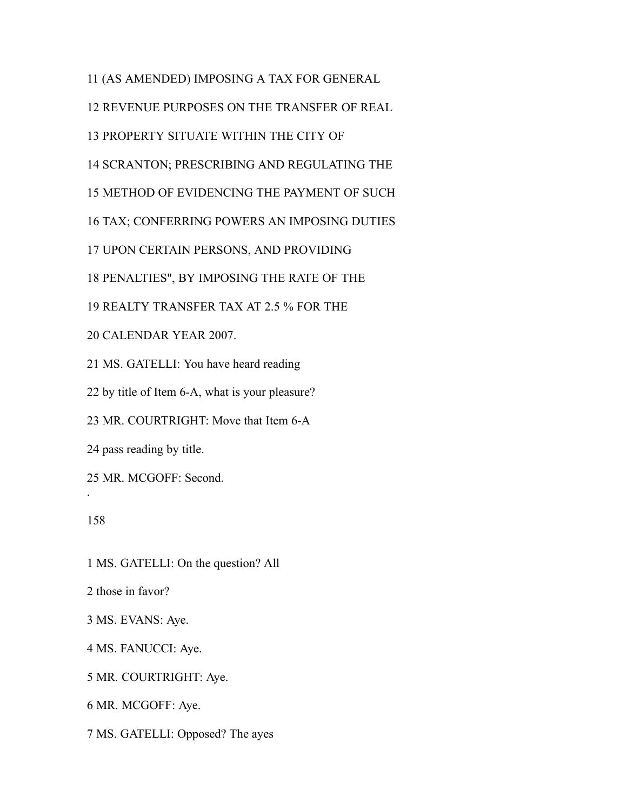(AS AMENDED) IMPOSING A TAX FOR GENERAL REVENUE PURPOSES ON THE TRANSFER OF REAL PROPERTY SITUATE WITHIN THE CITY OF SCRANTON; PRESCRIBING AND REGULATING THE METHOD OF EVIDENCING THE PAYMENT OF SUCH TAX; CONFERRING POWERS AN IMPOSING DUTIES UPON CERTAIN PERSONS, AND PROVIDING PENALTIES", BY IMPOSING THE RATE OF THE REALTY TRANSFER TAX AT 2.5 % FOR THE CALENDAR YEAR 2007. MS. GATELLI: You have heard reading

by title of Item 6-A, what is your pleasure?

MR. COURTRIGHT: Move that Item 6-A

pass reading by title.

MR. MCGOFF: Second.

.

MS. GATELLI: On the question? All

those in favor?

MS. EVANS: Aye.

MS. FANUCCI: Aye.

MR. COURTRIGHT: Aye.

MR. MCGOFF: Aye.

MS. GATELLI: Opposed? The ayes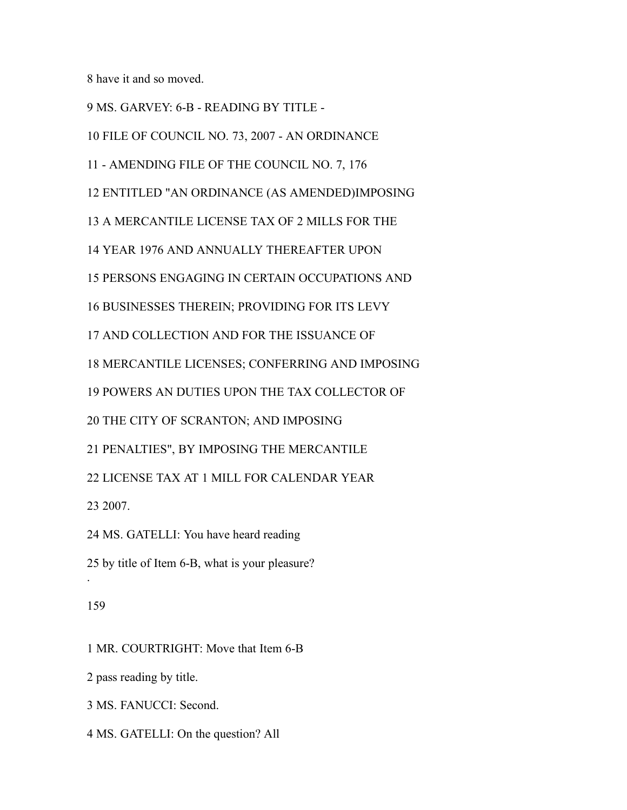have it and so moved.

MS. GARVEY: 6-B - READING BY TITLE -

FILE OF COUNCIL NO. 73, 2007 - AN ORDINANCE

- AMENDING FILE OF THE COUNCIL NO. 7, 176

ENTITLED "AN ORDINANCE (AS AMENDED)IMPOSING

A MERCANTILE LICENSE TAX OF 2 MILLS FOR THE

YEAR 1976 AND ANNUALLY THEREAFTER UPON

PERSONS ENGAGING IN CERTAIN OCCUPATIONS AND

BUSINESSES THEREIN; PROVIDING FOR ITS LEVY

AND COLLECTION AND FOR THE ISSUANCE OF

MERCANTILE LICENSES; CONFERRING AND IMPOSING

POWERS AN DUTIES UPON THE TAX COLLECTOR OF

THE CITY OF SCRANTON; AND IMPOSING

PENALTIES", BY IMPOSING THE MERCANTILE

LICENSE TAX AT 1 MILL FOR CALENDAR YEAR

2007.

MS. GATELLI: You have heard reading

by title of Item 6-B, what is your pleasure?

# 

.

MR. COURTRIGHT: Move that Item 6-B

pass reading by title.

MS. FANUCCI: Second.

MS. GATELLI: On the question? All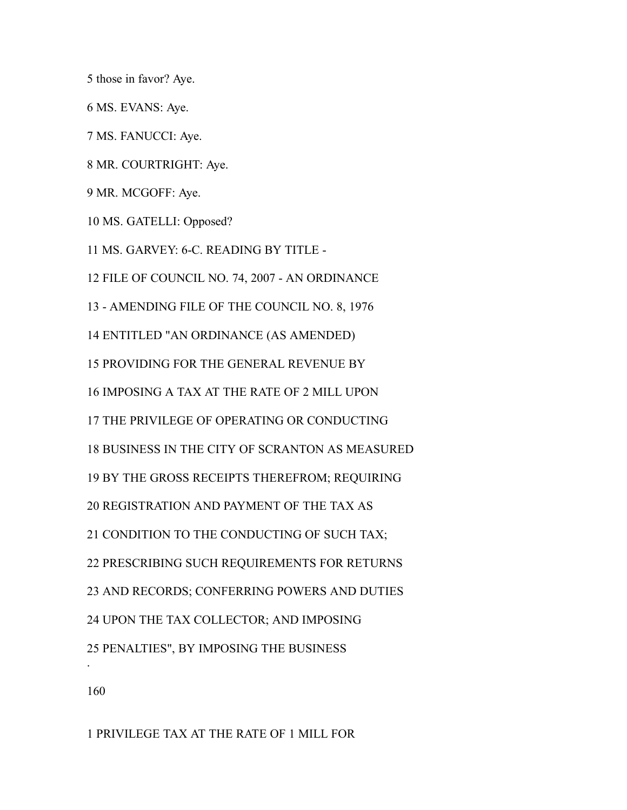those in favor? Aye.

MS. EVANS: Aye.

MS. FANUCCI: Aye.

MR. COURTRIGHT: Aye.

MR. MCGOFF: Aye.

MS. GATELLI: Opposed?

MS. GARVEY: 6-C. READING BY TITLE -

FILE OF COUNCIL NO. 74, 2007 - AN ORDINANCE

- AMENDING FILE OF THE COUNCIL NO. 8, 1976

ENTITLED "AN ORDINANCE (AS AMENDED)

PROVIDING FOR THE GENERAL REVENUE BY

IMPOSING A TAX AT THE RATE OF 2 MILL UPON

THE PRIVILEGE OF OPERATING OR CONDUCTING

BUSINESS IN THE CITY OF SCRANTON AS MEASURED

BY THE GROSS RECEIPTS THEREFROM; REQUIRING

REGISTRATION AND PAYMENT OF THE TAX AS

CONDITION TO THE CONDUCTING OF SUCH TAX;

PRESCRIBING SUCH REQUIREMENTS FOR RETURNS

AND RECORDS; CONFERRING POWERS AND DUTIES

UPON THE TAX COLLECTOR; AND IMPOSING

PENALTIES", BY IMPOSING THE BUSINESS

.

PRIVILEGE TAX AT THE RATE OF 1 MILL FOR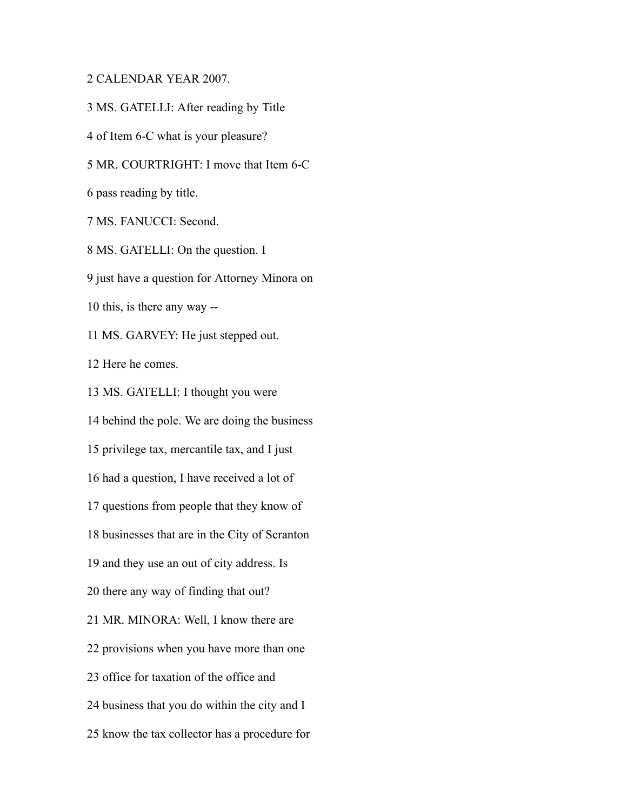## CALENDAR YEAR 2007.

MS. GATELLI: After reading by Title

of Item 6-C what is your pleasure?

MR. COURTRIGHT: I move that Item 6-C

pass reading by title.

MS. FANUCCI: Second.

MS. GATELLI: On the question. I

just have a question for Attorney Minora on

this, is there any way --

MS. GARVEY: He just stepped out.

Here he comes.

MS. GATELLI: I thought you were

behind the pole. We are doing the business

privilege tax, mercantile tax, and I just

had a question, I have received a lot of

questions from people that they know of

businesses that are in the City of Scranton

and they use an out of city address. Is

there any way of finding that out?

MR. MINORA: Well, I know there are

provisions when you have more than one

office for taxation of the office and

business that you do within the city and I

know the tax collector has a procedure for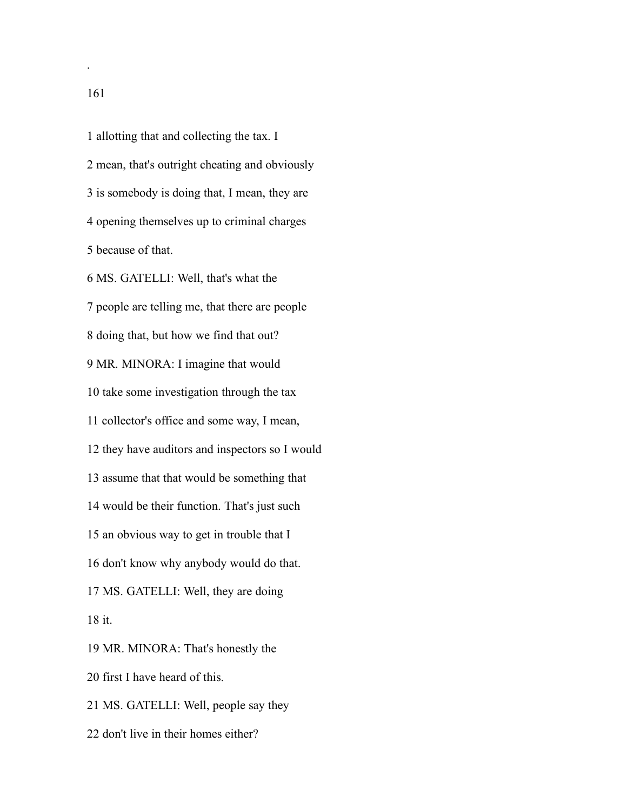allotting that and collecting the tax. I mean, that's outright cheating and obviously is somebody is doing that, I mean, they are opening themselves up to criminal charges because of that.

 MS. GATELLI: Well, that's what the people are telling me, that there are people doing that, but how we find that out? MR. MINORA: I imagine that would take some investigation through the tax collector's office and some way, I mean, they have auditors and inspectors so I would assume that that would be something that would be their function. That's just such an obvious way to get in trouble that I don't know why anybody would do that. MS. GATELLI: Well, they are doing it.

 MR. MINORA: That's honestly the first I have heard of this. MS. GATELLI: Well, people say they

don't live in their homes either?

.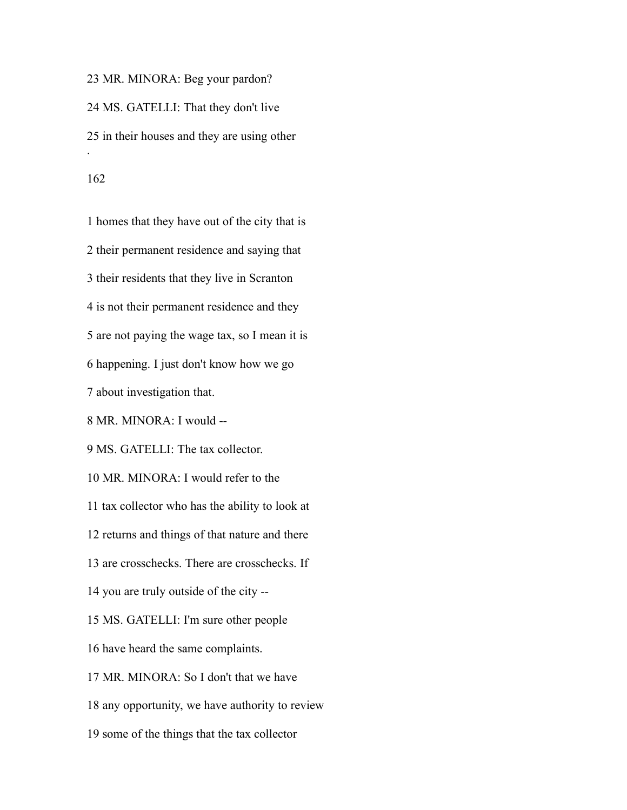MR. MINORA: Beg your pardon? MS. GATELLI: That they don't live in their houses and they are using other . 

 homes that they have out of the city that is their permanent residence and saying that their residents that they live in Scranton is not their permanent residence and they are not paying the wage tax, so I mean it is happening. I just don't know how we go about investigation that. MR. MINORA: I would -- MS. GATELLI: The tax collector. MR. MINORA: I would refer to the tax collector who has the ability to look at returns and things of that nature and there are crosschecks. There are crosschecks. If you are truly outside of the city -- MS. GATELLI: I'm sure other people have heard the same complaints. MR. MINORA: So I don't that we have any opportunity, we have authority to review some of the things that the tax collector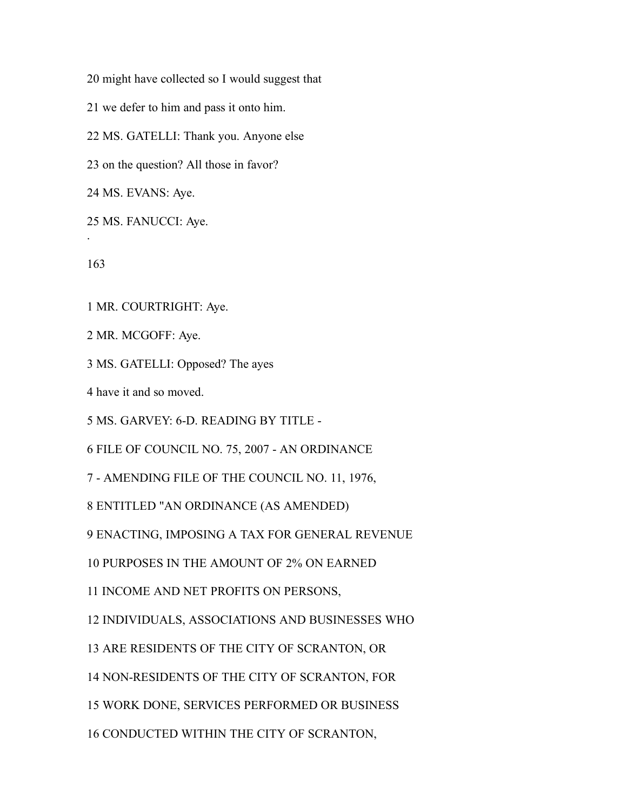might have collected so I would suggest that

we defer to him and pass it onto him.

MS. GATELLI: Thank you. Anyone else

on the question? All those in favor?

MS. EVANS: Aye.

MS. FANUCCI: Aye.

.

MR. COURTRIGHT: Aye.

MR. MCGOFF: Aye.

MS. GATELLI: Opposed? The ayes

have it and so moved.

MS. GARVEY: 6-D. READING BY TITLE -

FILE OF COUNCIL NO. 75, 2007 - AN ORDINANCE

- AMENDING FILE OF THE COUNCIL NO. 11, 1976,

ENTITLED "AN ORDINANCE (AS AMENDED)

ENACTING, IMPOSING A TAX FOR GENERAL REVENUE

PURPOSES IN THE AMOUNT OF 2% ON EARNED

INCOME AND NET PROFITS ON PERSONS,

INDIVIDUALS, ASSOCIATIONS AND BUSINESSES WHO

ARE RESIDENTS OF THE CITY OF SCRANTON, OR

NON-RESIDENTS OF THE CITY OF SCRANTON, FOR

WORK DONE, SERVICES PERFORMED OR BUSINESS

CONDUCTED WITHIN THE CITY OF SCRANTON,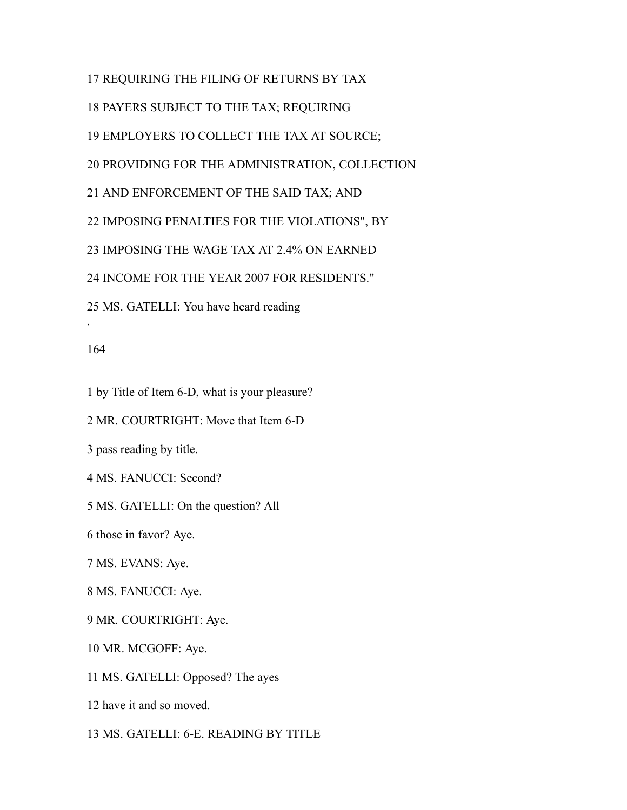REQUIRING THE FILING OF RETURNS BY TAX PAYERS SUBJECT TO THE TAX; REQUIRING EMPLOYERS TO COLLECT THE TAX AT SOURCE; PROVIDING FOR THE ADMINISTRATION, COLLECTION AND ENFORCEMENT OF THE SAID TAX; AND IMPOSING PENALTIES FOR THE VIOLATIONS", BY IMPOSING THE WAGE TAX AT 2.4% ON EARNED INCOME FOR THE YEAR 2007 FOR RESIDENTS." MS. GATELLI: You have heard reading .

#### 

by Title of Item 6-D, what is your pleasure?

MR. COURTRIGHT: Move that Item 6-D

pass reading by title.

MS. FANUCCI: Second?

MS. GATELLI: On the question? All

those in favor? Aye.

MS. EVANS: Aye.

MS. FANUCCI: Aye.

MR. COURTRIGHT: Aye.

MR. MCGOFF: Aye.

MS. GATELLI: Opposed? The ayes

have it and so moved.

MS. GATELLI: 6-E. READING BY TITLE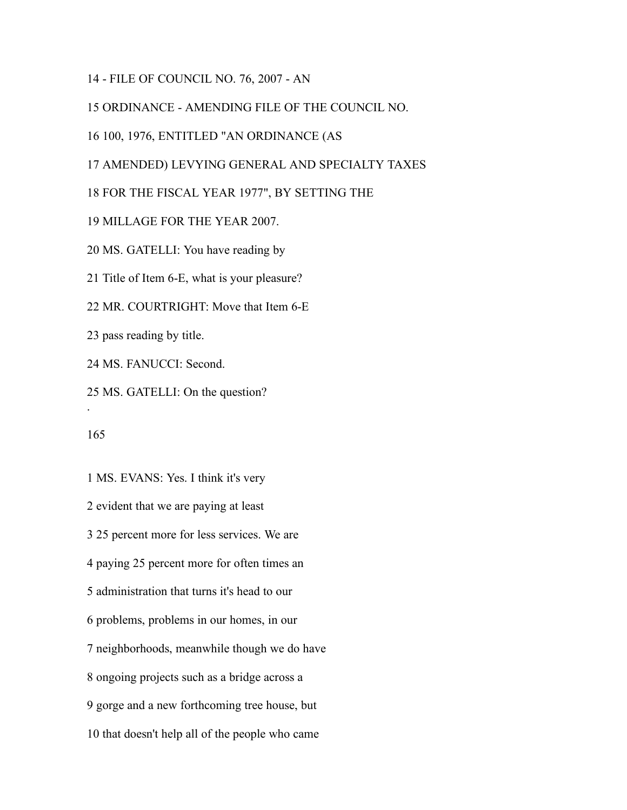- FILE OF COUNCIL NO. 76, 2007 - AN

ORDINANCE - AMENDING FILE OF THE COUNCIL NO.

100, 1976, ENTITLED "AN ORDINANCE (AS

AMENDED) LEVYING GENERAL AND SPECIALTY TAXES

FOR THE FISCAL YEAR 1977", BY SETTING THE

MILLAGE FOR THE YEAR 2007.

MS. GATELLI: You have reading by

Title of Item 6-E, what is your pleasure?

MR. COURTRIGHT: Move that Item 6-E

pass reading by title.

MS. FANUCCI: Second.

MS. GATELLI: On the question?

.

 MS. EVANS: Yes. I think it's very evident that we are paying at least 25 percent more for less services. We are paying 25 percent more for often times an administration that turns it's head to our problems, problems in our homes, in our neighborhoods, meanwhile though we do have ongoing projects such as a bridge across a gorge and a new forthcoming tree house, but that doesn't help all of the people who came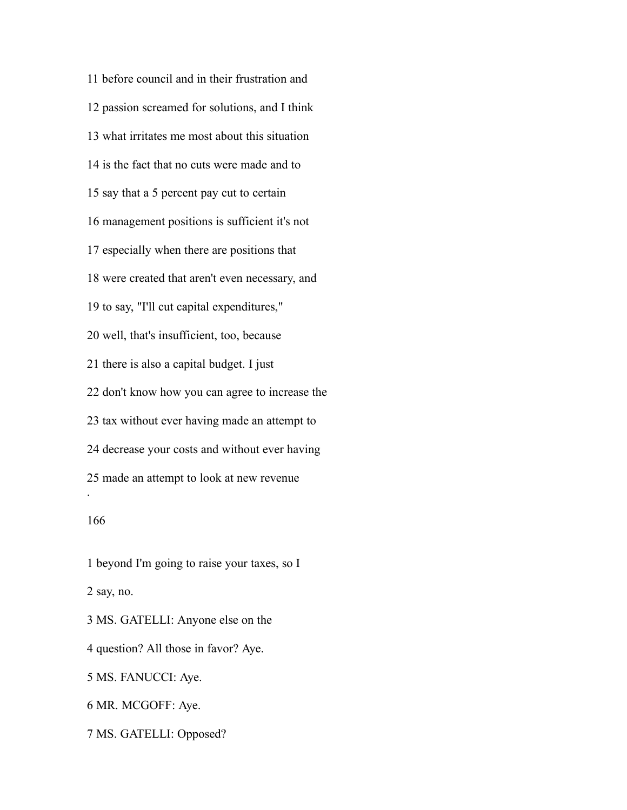before council and in their frustration and passion screamed for solutions, and I think what irritates me most about this situation is the fact that no cuts were made and to say that a 5 percent pay cut to certain management positions is sufficient it's not especially when there are positions that were created that aren't even necessary, and to say, "I'll cut capital expenditures," well, that's insufficient, too, because there is also a capital budget. I just don't know how you can agree to increase the tax without ever having made an attempt to decrease your costs and without ever having made an attempt to look at new revenue . 

 beyond I'm going to raise your taxes, so I say, no. MS. GATELLI: Anyone else on the question? All those in favor? Aye. MS. FANUCCI: Aye.

MR. MCGOFF: Aye.

MS. GATELLI: Opposed?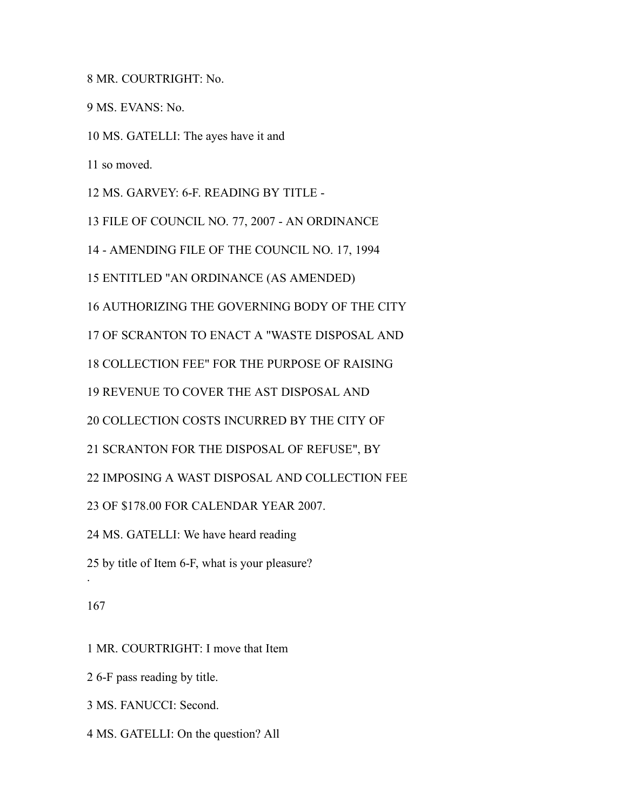MR. COURTRIGHT: No.

MS. EVANS: No.

MS. GATELLI: The ayes have it and

so moved.

MS. GARVEY: 6-F. READING BY TITLE -

FILE OF COUNCIL NO. 77, 2007 - AN ORDINANCE

- AMENDING FILE OF THE COUNCIL NO. 17, 1994

ENTITLED "AN ORDINANCE (AS AMENDED)

AUTHORIZING THE GOVERNING BODY OF THE CITY

OF SCRANTON TO ENACT A "WASTE DISPOSAL AND

COLLECTION FEE" FOR THE PURPOSE OF RAISING

REVENUE TO COVER THE AST DISPOSAL AND

COLLECTION COSTS INCURRED BY THE CITY OF

SCRANTON FOR THE DISPOSAL OF REFUSE", BY

IMPOSING A WAST DISPOSAL AND COLLECTION FEE

OF \$178.00 FOR CALENDAR YEAR 2007.

MS. GATELLI: We have heard reading

by title of Item 6-F, what is your pleasure?

#### 

.

MR. COURTRIGHT: I move that Item

6-F pass reading by title.

MS. FANUCCI: Second.

MS. GATELLI: On the question? All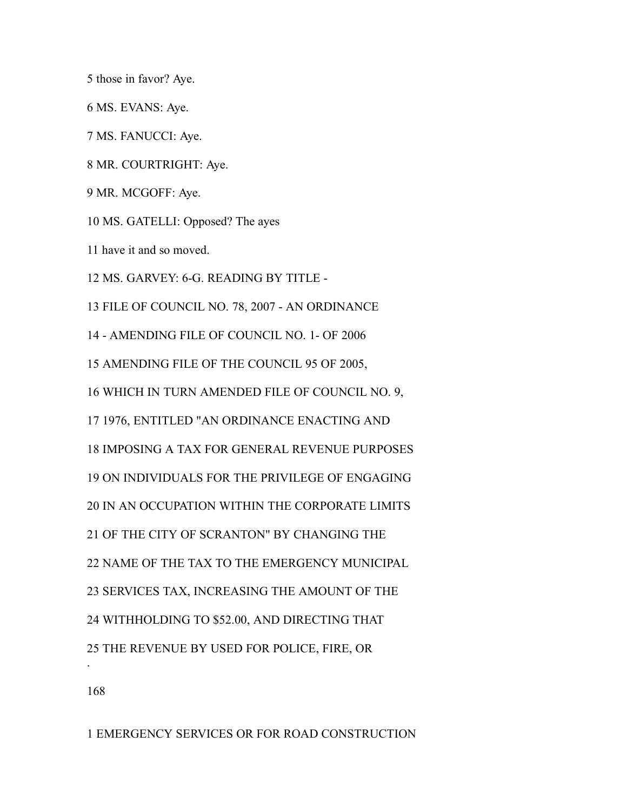those in favor? Aye.

MS. EVANS: Aye.

MS. FANUCCI: Aye.

MR. COURTRIGHT: Aye.

MR. MCGOFF: Aye.

MS. GATELLI: Opposed? The ayes

have it and so moved.

MS. GARVEY: 6-G. READING BY TITLE -

FILE OF COUNCIL NO. 78, 2007 - AN ORDINANCE

- AMENDING FILE OF COUNCIL NO. 1- OF 2006

AMENDING FILE OF THE COUNCIL 95 OF 2005,

WHICH IN TURN AMENDED FILE OF COUNCIL NO. 9,

1976, ENTITLED "AN ORDINANCE ENACTING AND

IMPOSING A TAX FOR GENERAL REVENUE PURPOSES

ON INDIVIDUALS FOR THE PRIVILEGE OF ENGAGING

IN AN OCCUPATION WITHIN THE CORPORATE LIMITS

OF THE CITY OF SCRANTON" BY CHANGING THE

NAME OF THE TAX TO THE EMERGENCY MUNICIPAL

SERVICES TAX, INCREASING THE AMOUNT OF THE

WITHHOLDING TO \$52.00, AND DIRECTING THAT

THE REVENUE BY USED FOR POLICE, FIRE, OR

.

EMERGENCY SERVICES OR FOR ROAD CONSTRUCTION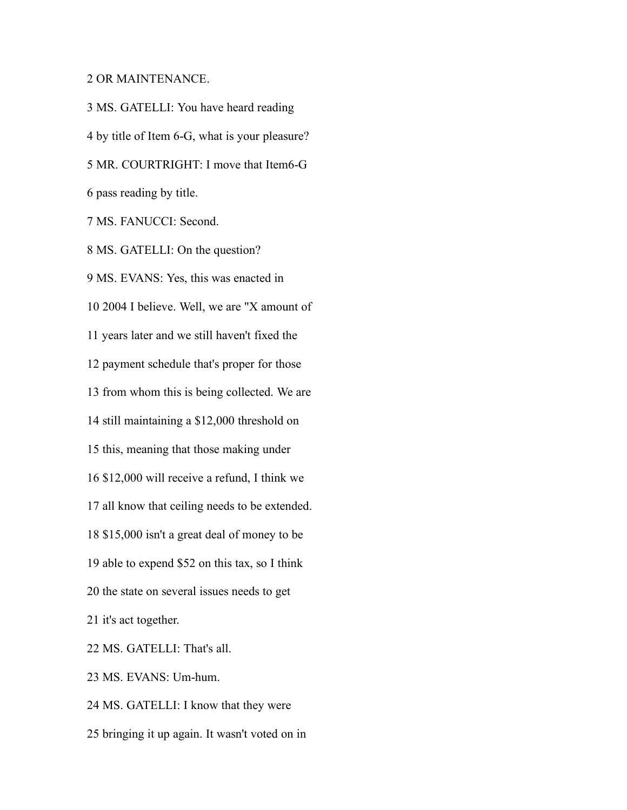### OR MAINTENANCE.

 MS. GATELLI: You have heard reading by title of Item 6-G, what is your pleasure? MR. COURTRIGHT: I move that Item6-G pass reading by title. MS. FANUCCI: Second. MS. GATELLI: On the question? MS. EVANS: Yes, this was enacted in 2004 I believe. Well, we are "X amount of years later and we still haven't fixed the payment schedule that's proper for those from whom this is being collected. We are still maintaining a \$12,000 threshold on this, meaning that those making under \$12,000 will receive a refund, I think we all know that ceiling needs to be extended. \$15,000 isn't a great deal of money to be able to expend \$52 on this tax, so I think the state on several issues needs to get it's act together. MS. GATELLI: That's all. MS. EVANS: Um-hum. MS. GATELLI: I know that they were

bringing it up again. It wasn't voted on in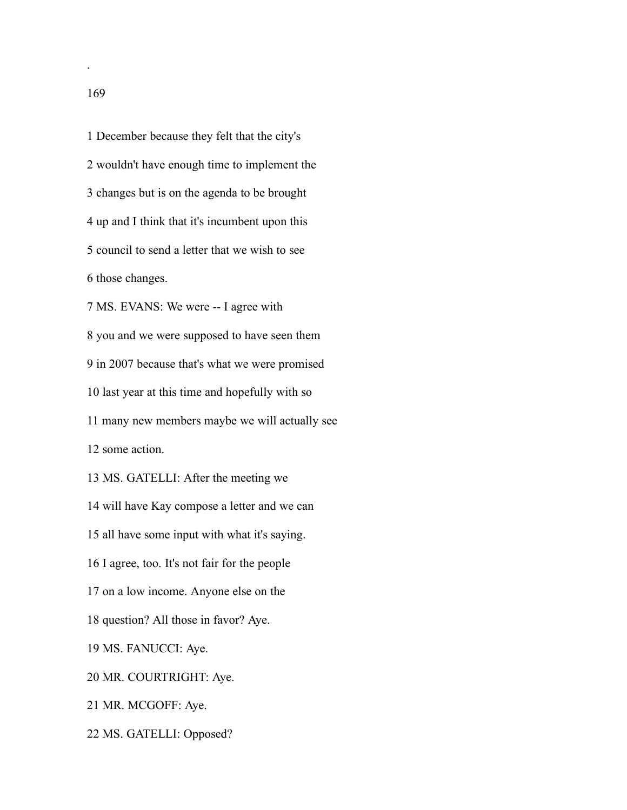December because they felt that the city's wouldn't have enough time to implement the changes but is on the agenda to be brought up and I think that it's incumbent upon this council to send a letter that we wish to see those changes. MS. EVANS: We were -- I agree with you and we were supposed to have seen them in 2007 because that's what we were promised last year at this time and hopefully with so many new members maybe we will actually see some action. MS. GATELLI: After the meeting we will have Kay compose a letter and we can all have some input with what it's saying. I agree, too. It's not fair for the people on a low income. Anyone else on the question? All those in favor? Aye. MS. FANUCCI: Aye. MR. COURTRIGHT: Aye. MR. MCGOFF: Aye.

MS. GATELLI: Opposed?

.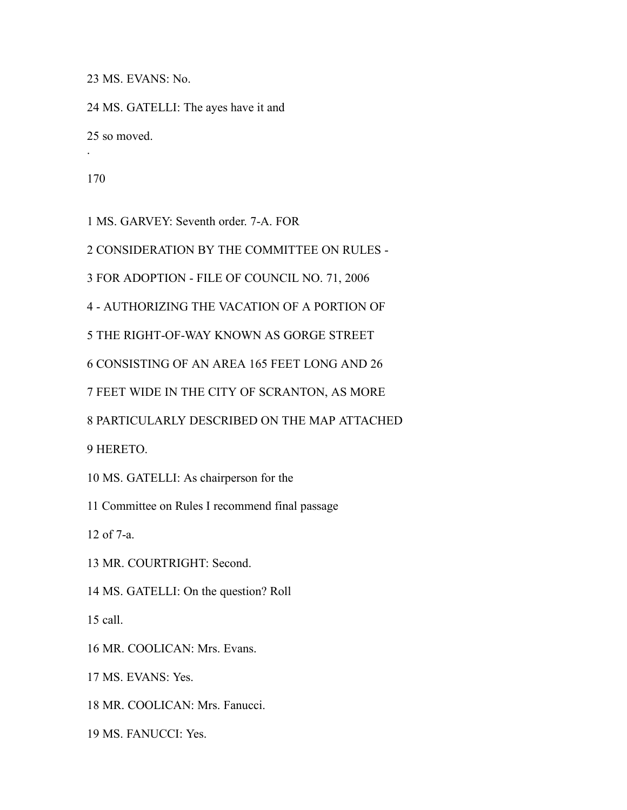MS. EVANS: No.

 MS. GATELLI: The ayes have it and so moved.

.

MS. GARVEY: Seventh order. 7-A. FOR

CONSIDERATION BY THE COMMITTEE ON RULES -

FOR ADOPTION - FILE OF COUNCIL NO. 71, 2006

- AUTHORIZING THE VACATION OF A PORTION OF

THE RIGHT-OF-WAY KNOWN AS GORGE STREET

CONSISTING OF AN AREA 165 FEET LONG AND 26

FEET WIDE IN THE CITY OF SCRANTON, AS MORE

PARTICULARLY DESCRIBED ON THE MAP ATTACHED

HERETO.

MS. GATELLI: As chairperson for the

Committee on Rules I recommend final passage

of 7-a.

MR. COURTRIGHT: Second.

MS. GATELLI: On the question? Roll

call.

MR. COOLICAN: Mrs. Evans.

MS. EVANS: Yes.

MR. COOLICAN: Mrs. Fanucci.

MS. FANUCCI: Yes.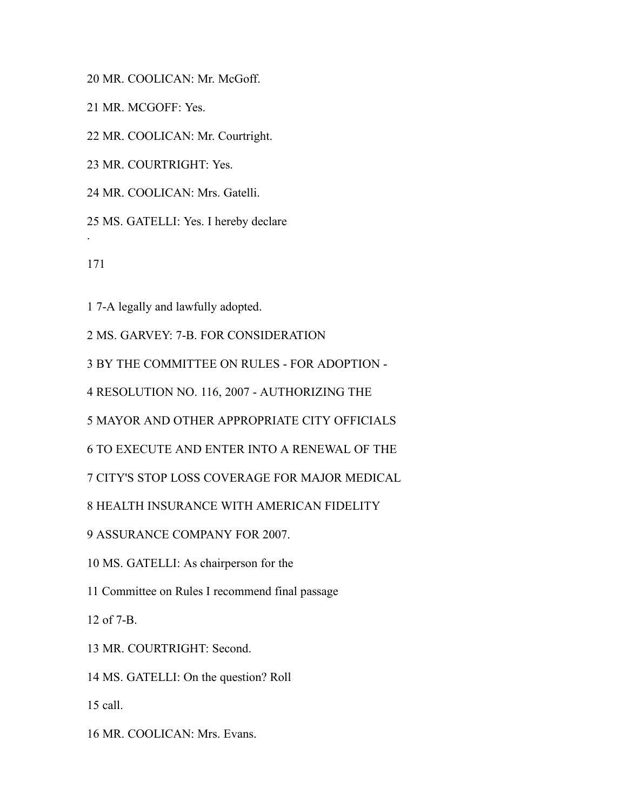MR. COOLICAN: Mr. McGoff.

MR. MCGOFF: Yes.

MR. COOLICAN: Mr. Courtright.

MR. COURTRIGHT: Yes.

MR. COOLICAN: Mrs. Gatelli.

MS. GATELLI: Yes. I hereby declare

.

7-A legally and lawfully adopted.

MS. GARVEY: 7-B. FOR CONSIDERATION

BY THE COMMITTEE ON RULES - FOR ADOPTION -

RESOLUTION NO. 116, 2007 - AUTHORIZING THE

MAYOR AND OTHER APPROPRIATE CITY OFFICIALS

TO EXECUTE AND ENTER INTO A RENEWAL OF THE

CITY'S STOP LOSS COVERAGE FOR MAJOR MEDICAL

HEALTH INSURANCE WITH AMERICAN FIDELITY

ASSURANCE COMPANY FOR 2007.

MS. GATELLI: As chairperson for the

Committee on Rules I recommend final passage

of 7-B.

MR. COURTRIGHT: Second.

MS. GATELLI: On the question? Roll

call.

MR. COOLICAN: Mrs. Evans.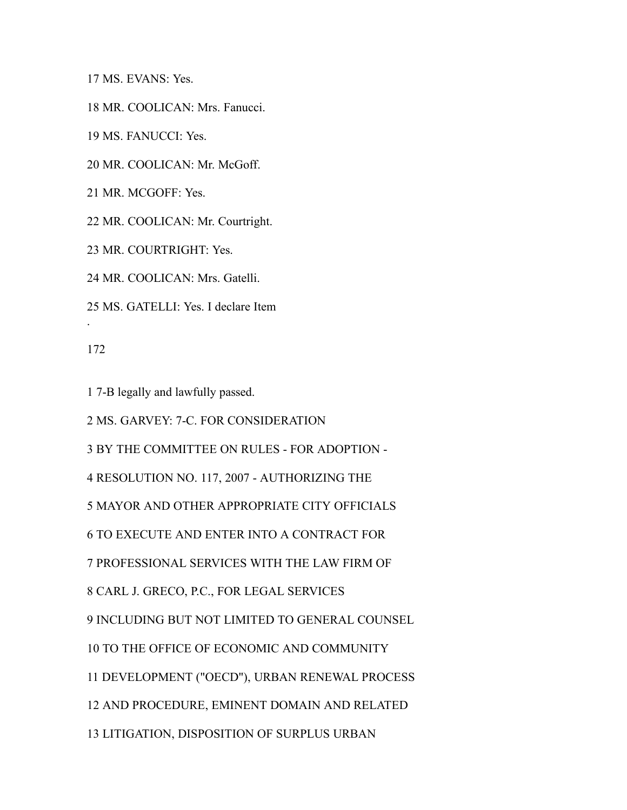MS. EVANS: Yes.

MR. COOLICAN: Mrs. Fanucci.

MS. FANUCCI: Yes.

MR. COOLICAN: Mr. McGoff.

MR. MCGOFF: Yes.

MR. COOLICAN: Mr. Courtright.

MR. COURTRIGHT: Yes.

MR. COOLICAN: Mrs. Gatelli.

MS. GATELLI: Yes. I declare Item

.

7-B legally and lawfully passed.

MS. GARVEY: 7-C. FOR CONSIDERATION

BY THE COMMITTEE ON RULES - FOR ADOPTION -

RESOLUTION NO. 117, 2007 - AUTHORIZING THE

MAYOR AND OTHER APPROPRIATE CITY OFFICIALS

TO EXECUTE AND ENTER INTO A CONTRACT FOR

PROFESSIONAL SERVICES WITH THE LAW FIRM OF

CARL J. GRECO, P.C., FOR LEGAL SERVICES

INCLUDING BUT NOT LIMITED TO GENERAL COUNSEL

TO THE OFFICE OF ECONOMIC AND COMMUNITY

DEVELOPMENT ("OECD"), URBAN RENEWAL PROCESS

AND PROCEDURE, EMINENT DOMAIN AND RELATED

LITIGATION, DISPOSITION OF SURPLUS URBAN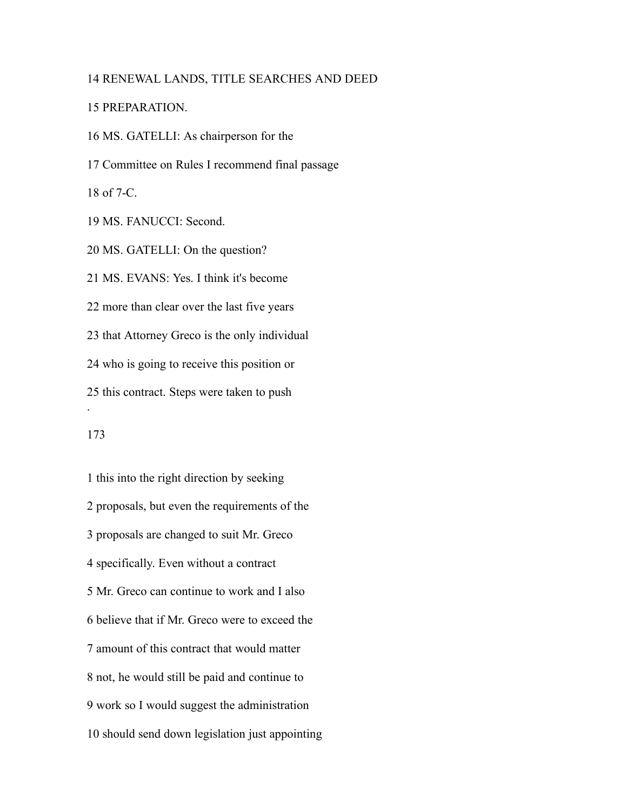## RENEWAL LANDS, TITLE SEARCHES AND DEED

### PREPARATION.

 MS. GATELLI: As chairperson for the Committee on Rules I recommend final passage of 7-C. MS. FANUCCI: Second. MS. GATELLI: On the question? MS. EVANS: Yes. I think it's become more than clear over the last five years that Attorney Greco is the only individual who is going to receive this position or this contract. Steps were taken to push .

## 

 this into the right direction by seeking proposals, but even the requirements of the proposals are changed to suit Mr. Greco specifically. Even without a contract Mr. Greco can continue to work and I also believe that if Mr. Greco were to exceed the amount of this contract that would matter not, he would still be paid and continue to work so I would suggest the administration should send down legislation just appointing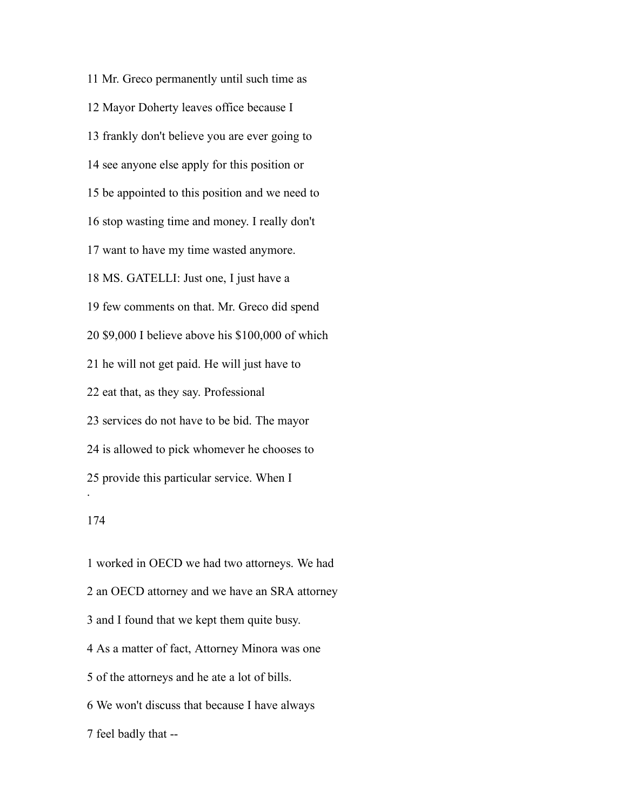Mr. Greco permanently until such time as Mayor Doherty leaves office because I frankly don't believe you are ever going to see anyone else apply for this position or be appointed to this position and we need to stop wasting time and money. I really don't want to have my time wasted anymore. MS. GATELLI: Just one, I just have a few comments on that. Mr. Greco did spend \$9,000 I believe above his \$100,000 of which he will not get paid. He will just have to eat that, as they say. Professional services do not have to be bid. The mayor is allowed to pick whomever he chooses to provide this particular service. When I .

 worked in OECD we had two attorneys. We had an OECD attorney and we have an SRA attorney and I found that we kept them quite busy. As a matter of fact, Attorney Minora was one of the attorneys and he ate a lot of bills. We won't discuss that because I have always feel badly that --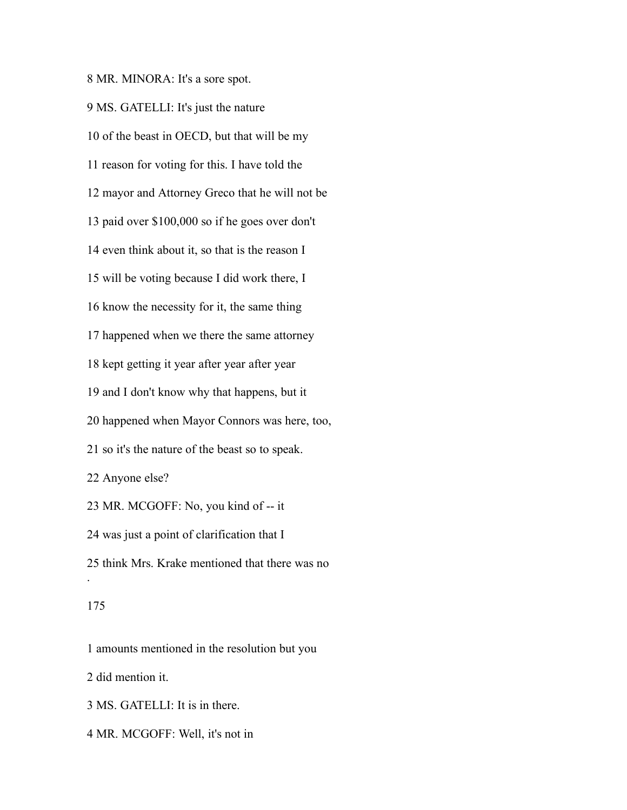MR. MINORA: It's a sore spot.

 MS. GATELLI: It's just the nature of the beast in OECD, but that will be my reason for voting for this. I have told the mayor and Attorney Greco that he will not be paid over \$100,000 so if he goes over don't even think about it, so that is the reason I will be voting because I did work there, I know the necessity for it, the same thing happened when we there the same attorney kept getting it year after year after year and I don't know why that happens, but it happened when Mayor Connors was here, too, so it's the nature of the beast so to speak. Anyone else? MR. MCGOFF: No, you kind of -- it was just a point of clarification that I think Mrs. Krake mentioned that there was no .

amounts mentioned in the resolution but you

did mention it.

MS. GATELLI: It is in there.

MR. MCGOFF: Well, it's not in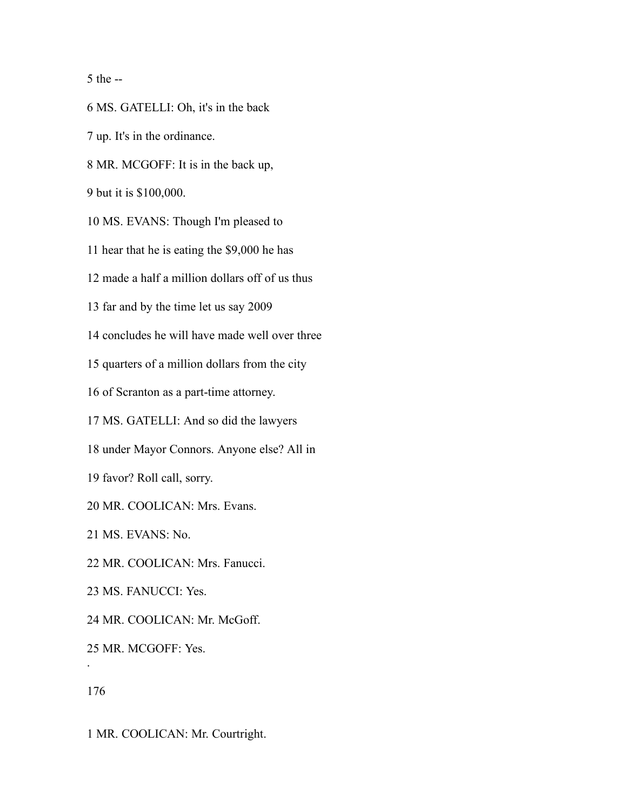the --

MS. GATELLI: Oh, it's in the back

up. It's in the ordinance.

MR. MCGOFF: It is in the back up,

but it is \$100,000.

MS. EVANS: Though I'm pleased to

hear that he is eating the \$9,000 he has

made a half a million dollars off of us thus

far and by the time let us say 2009

concludes he will have made well over three

quarters of a million dollars from the city

of Scranton as a part-time attorney.

MS. GATELLI: And so did the lawyers

under Mayor Connors. Anyone else? All in

favor? Roll call, sorry.

MR. COOLICAN: Mrs. Evans.

MS. EVANS: No.

MR. COOLICAN: Mrs. Fanucci.

MS. FANUCCI: Yes.

MR. COOLICAN: Mr. McGoff.

MR. MCGOFF: Yes.

.

MR. COOLICAN: Mr. Courtright.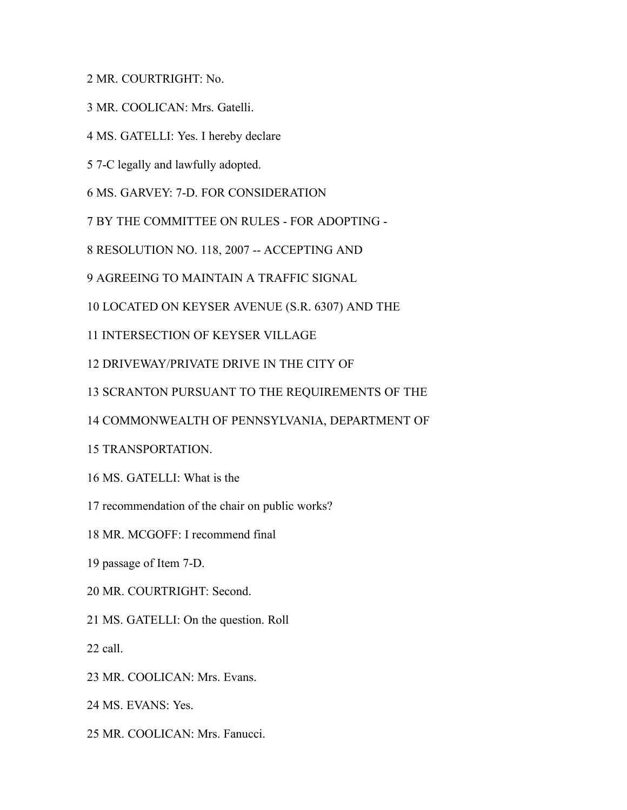MR. COURTRIGHT: No.

MR. COOLICAN: Mrs. Gatelli.

- MS. GATELLI: Yes. I hereby declare
- 7-C legally and lawfully adopted.
- MS. GARVEY: 7-D. FOR CONSIDERATION
- BY THE COMMITTEE ON RULES FOR ADOPTING -
- RESOLUTION NO. 118, 2007 -- ACCEPTING AND
- AGREEING TO MAINTAIN A TRAFFIC SIGNAL
- LOCATED ON KEYSER AVENUE (S.R. 6307) AND THE
- INTERSECTION OF KEYSER VILLAGE
- DRIVEWAY/PRIVATE DRIVE IN THE CITY OF
- SCRANTON PURSUANT TO THE REQUIREMENTS OF THE
- COMMONWEALTH OF PENNSYLVANIA, DEPARTMENT OF
- TRANSPORTATION.
- MS. GATELLI: What is the
- recommendation of the chair on public works?
- MR. MCGOFF: I recommend final
- passage of Item 7-D.
- MR. COURTRIGHT: Second.
- MS. GATELLI: On the question. Roll
- call.
- MR. COOLICAN: Mrs. Evans.
- MS. EVANS: Yes.
- MR. COOLICAN: Mrs. Fanucci.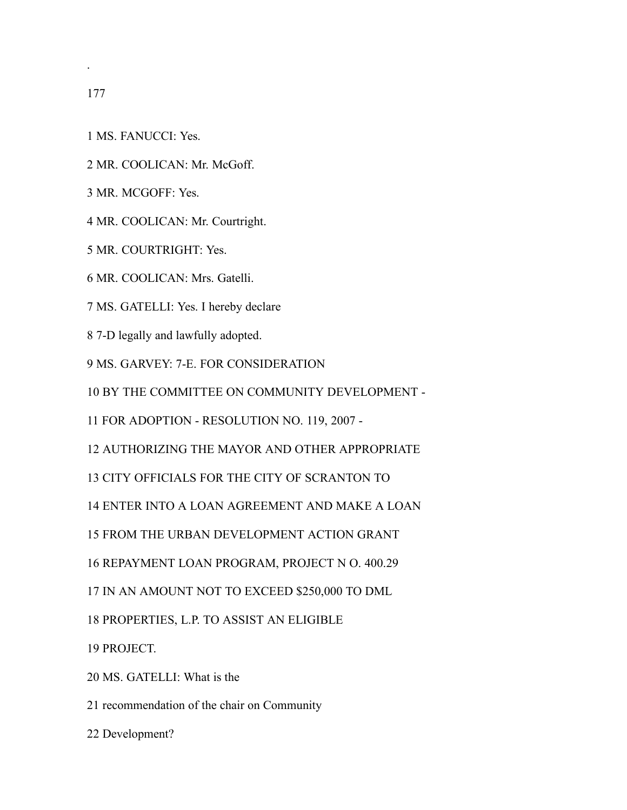.

- MS. FANUCCI: Yes.
- MR. COOLICAN: Mr. McGoff.
- MR. MCGOFF: Yes.
- MR. COOLICAN: Mr. Courtright.
- MR. COURTRIGHT: Yes.
- MR. COOLICAN: Mrs. Gatelli.
- MS. GATELLI: Yes. I hereby declare
- 7-D legally and lawfully adopted.
- MS. GARVEY: 7-E. FOR CONSIDERATION
- BY THE COMMITTEE ON COMMUNITY DEVELOPMENT -
- FOR ADOPTION RESOLUTION NO. 119, 2007 -
- AUTHORIZING THE MAYOR AND OTHER APPROPRIATE
- CITY OFFICIALS FOR THE CITY OF SCRANTON TO
- ENTER INTO A LOAN AGREEMENT AND MAKE A LOAN
- FROM THE URBAN DEVELOPMENT ACTION GRANT
- REPAYMENT LOAN PROGRAM, PROJECT N O. 400.29
- IN AN AMOUNT NOT TO EXCEED \$250,000 TO DML
- PROPERTIES, L.P. TO ASSIST AN ELIGIBLE
- PROJECT.
- MS. GATELLI: What is the
- recommendation of the chair on Community
- Development?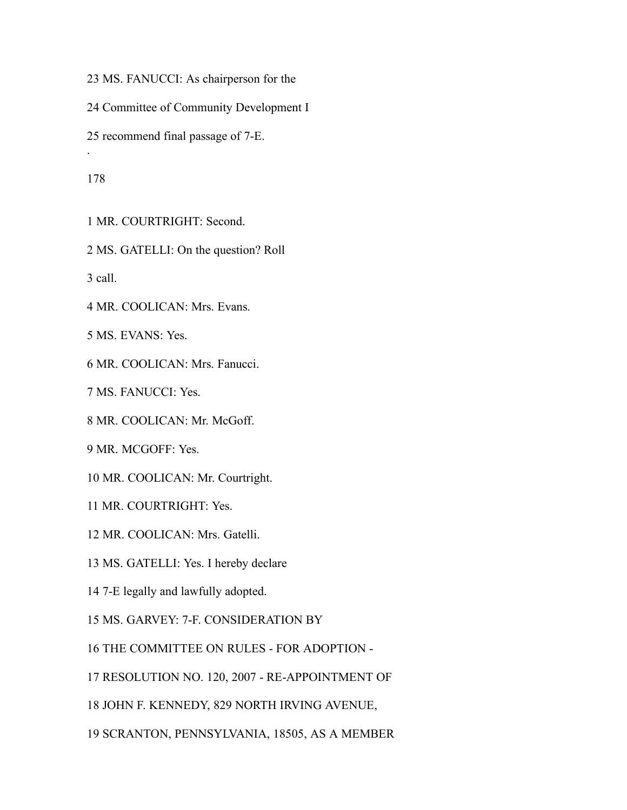MS. FANUCCI: As chairperson for the

Committee of Community Development I

recommend final passage of 7-E.

.

MR. COURTRIGHT: Second.

MS. GATELLI: On the question? Roll

call.

MR. COOLICAN: Mrs. Evans.

MS. EVANS: Yes.

MR. COOLICAN: Mrs. Fanucci.

MS. FANUCCI: Yes.

MR. COOLICAN: Mr. McGoff.

MR. MCGOFF: Yes.

MR. COOLICAN: Mr. Courtright.

MR. COURTRIGHT: Yes.

MR. COOLICAN: Mrs. Gatelli.

MS. GATELLI: Yes. I hereby declare

7-E legally and lawfully adopted.

MS. GARVEY: 7-F. CONSIDERATION BY

THE COMMITTEE ON RULES - FOR ADOPTION -

RESOLUTION NO. 120, 2007 - RE-APPOINTMENT OF

JOHN F. KENNEDY, 829 NORTH IRVING AVENUE,

SCRANTON, PENNSYLVANIA, 18505, AS A MEMBER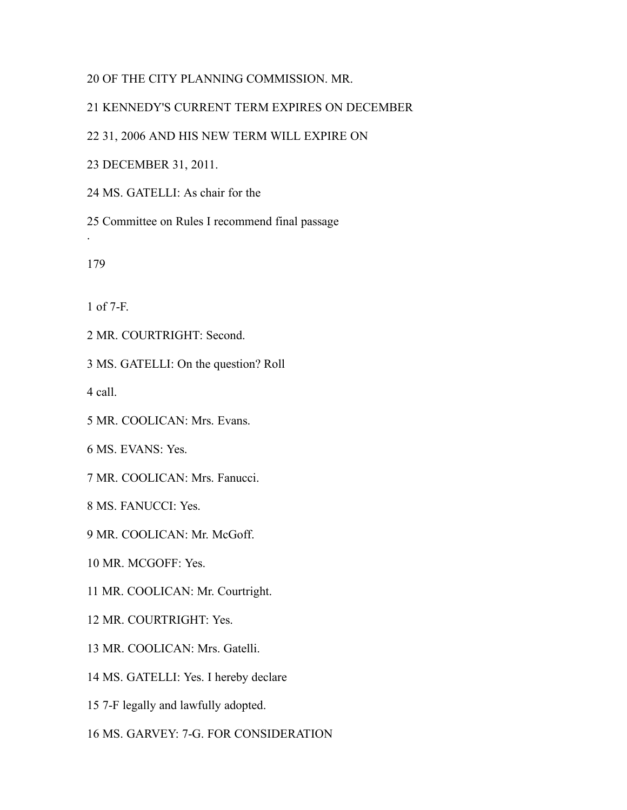## OF THE CITY PLANNING COMMISSION. MR.

# KENNEDY'S CURRENT TERM EXPIRES ON DECEMBER

## 31, 2006 AND HIS NEW TERM WILL EXPIRE ON

DECEMBER 31, 2011.

MS. GATELLI: As chair for the

Committee on Rules I recommend final passage

.

of 7-F.

MR. COURTRIGHT: Second.

MS. GATELLI: On the question? Roll

call.

MR. COOLICAN: Mrs. Evans.

MS. EVANS: Yes.

MR. COOLICAN: Mrs. Fanucci.

MS. FANUCCI: Yes.

MR. COOLICAN: Mr. McGoff.

MR. MCGOFF: Yes.

MR. COOLICAN: Mr. Courtright.

MR. COURTRIGHT: Yes.

MR. COOLICAN: Mrs. Gatelli.

MS. GATELLI: Yes. I hereby declare

7-F legally and lawfully adopted.

MS. GARVEY: 7-G. FOR CONSIDERATION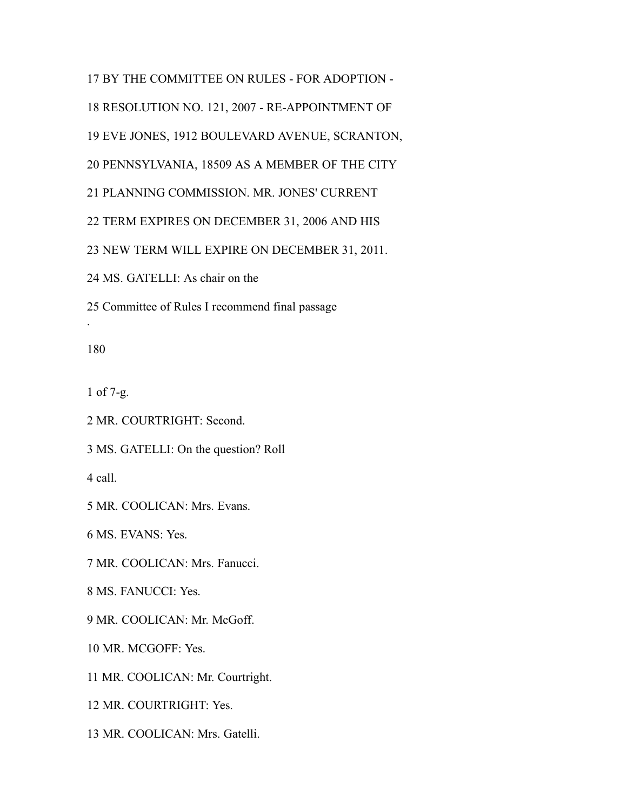BY THE COMMITTEE ON RULES - FOR ADOPTION - RESOLUTION NO. 121, 2007 - RE-APPOINTMENT OF EVE JONES, 1912 BOULEVARD AVENUE, SCRANTON, PENNSYLVANIA, 18509 AS A MEMBER OF THE CITY PLANNING COMMISSION. MR. JONES' CURRENT TERM EXPIRES ON DECEMBER 31, 2006 AND HIS NEW TERM WILL EXPIRE ON DECEMBER 31, 2011. MS. GATELLI: As chair on the

.

of 7-g.

MR. COURTRIGHT: Second.

MS. GATELLI: On the question? Roll

Committee of Rules I recommend final passage

call.

MR. COOLICAN: Mrs. Evans.

MS. EVANS: Yes.

MR. COOLICAN: Mrs. Fanucci.

MS. FANUCCI: Yes.

MR. COOLICAN: Mr. McGoff.

MR. MCGOFF: Yes.

MR. COOLICAN: Mr. Courtright.

MR. COURTRIGHT: Yes.

MR. COOLICAN: Mrs. Gatelli.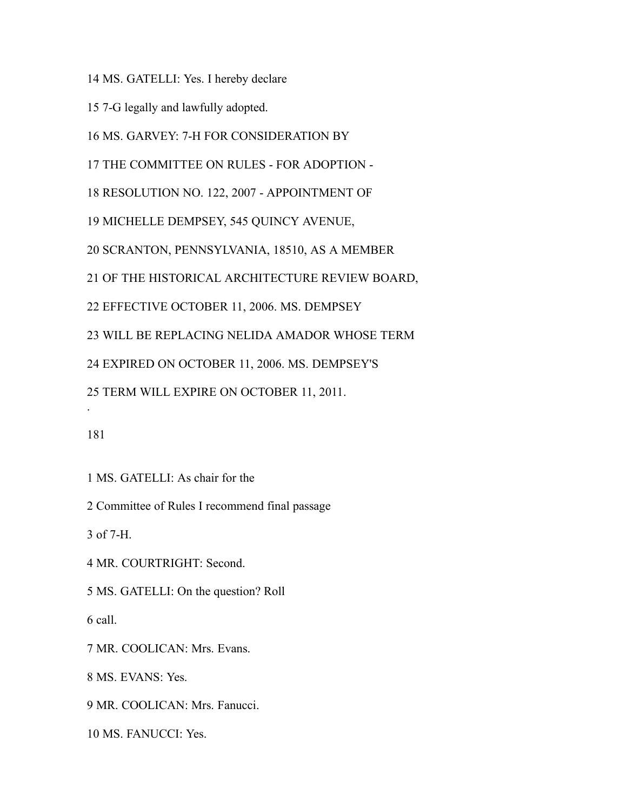MS. GATELLI: Yes. I hereby declare

7-G legally and lawfully adopted.

MS. GARVEY: 7-H FOR CONSIDERATION BY

THE COMMITTEE ON RULES - FOR ADOPTION -

RESOLUTION NO. 122, 2007 - APPOINTMENT OF

MICHELLE DEMPSEY, 545 QUINCY AVENUE,

SCRANTON, PENNSYLVANIA, 18510, AS A MEMBER

OF THE HISTORICAL ARCHITECTURE REVIEW BOARD,

EFFECTIVE OCTOBER 11, 2006. MS. DEMPSEY

WILL BE REPLACING NELIDA AMADOR WHOSE TERM

EXPIRED ON OCTOBER 11, 2006. MS. DEMPSEY'S

TERM WILL EXPIRE ON OCTOBER 11, 2011.

.

MS. GATELLI: As chair for the

Committee of Rules I recommend final passage

of 7-H.

MR. COURTRIGHT: Second.

MS. GATELLI: On the question? Roll

call.

MR. COOLICAN: Mrs. Evans.

MS. EVANS: Yes.

MR. COOLICAN: Mrs. Fanucci.

MS. FANUCCI: Yes.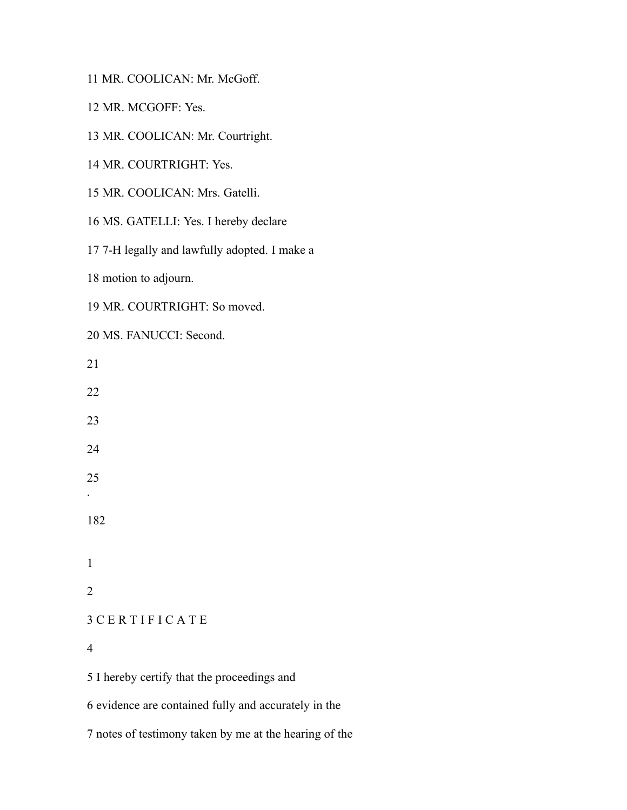MR. COOLICAN: Mr. McGoff.

MR. MCGOFF: Yes.

MR. COOLICAN: Mr. Courtright.

MR. COURTRIGHT: Yes.

MR. COOLICAN: Mrs. Gatelli.

MS. GATELLI: Yes. I hereby declare

7-H legally and lawfully adopted. I make a

motion to adjourn.

MR. COURTRIGHT: So moved.

MS. FANUCCI: Second.

 . C E R T I F I C A T E I hereby certify that the proceedings and

evidence are contained fully and accurately in the

notes of testimony taken by me at the hearing of the